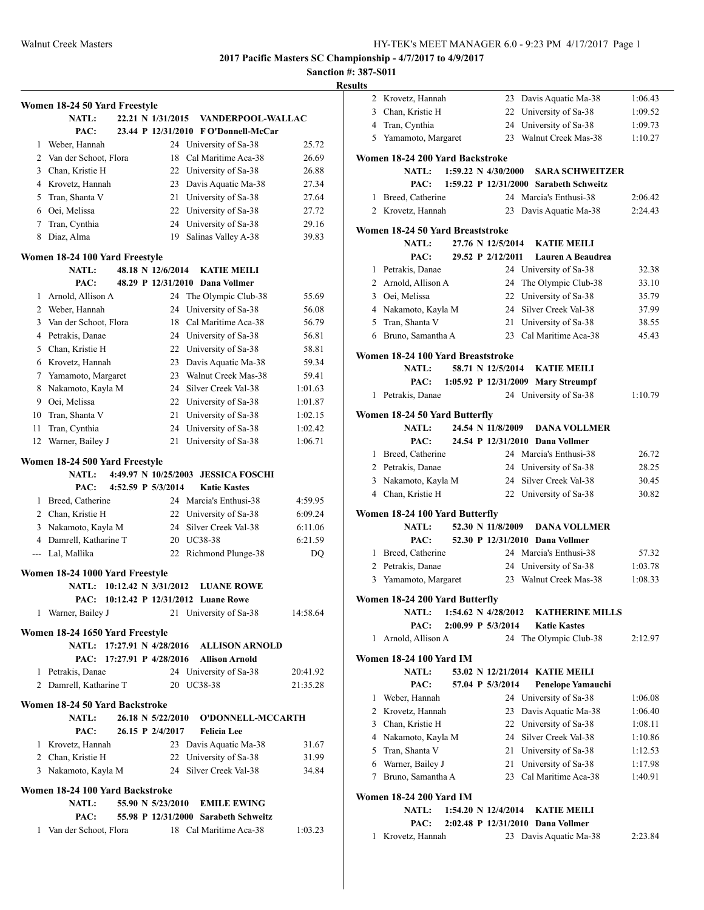**Sanction #: 387-S011**

|                | Women 18-24 50 Yard Freestyle   |                       |                                           |          |
|----------------|---------------------------------|-----------------------|-------------------------------------------|----------|
|                | <b>NATL:</b>                    | 22.21 N 1/31/2015     | <b>VANDERPOOL-WALLAC</b>                  |          |
|                | PAC:                            |                       | 23.44 P 12/31/2010 F O'Donnell-McCar      |          |
| 1              | Weber, Hannah                   | 24                    | University of Sa-38                       | 25.72    |
| $\overline{2}$ | Van der Schoot, Flora           | 18                    | Cal Maritime Aca-38                       | 26.69    |
|                | 3 Chan, Kristie H               |                       | 22 University of Sa-38                    | 26.88    |
|                | 4 Krovetz, Hannah               |                       | 23 Davis Aquatic Ma-38                    | 27.34    |
| 5              | Tran, Shanta V                  |                       | 21 University of Sa-38                    | 27.64    |
|                | 6 Oei, Melissa                  |                       | 22 University of Sa-38                    | 27.72    |
| 7              | Tran, Cynthia                   |                       | 24 University of Sa-38                    | 29.16    |
| 8              | Diaz, Alma                      | 19                    | Salinas Valley A-38                       | 39.83    |
|                | Women 18-24 100 Yard Freestyle  |                       |                                           |          |
|                | <b>NATL:</b>                    | 48.18 N 12/6/2014     | <b>KATIE MEILI</b>                        |          |
|                | PAC:                            |                       | 48.29 P 12/31/2010 Dana Vollmer           |          |
| 1              | Arnold, Allison A               | 24                    | The Olympic Club-38                       | 55.69    |
|                | 2 Weber, Hannah                 | 24                    | University of Sa-38                       | 56.08    |
| 3              | Van der Schoot, Flora           |                       | 18 Cal Maritime Aca-38                    | 56.79    |
| 4              | Petrakis, Danae                 |                       | 24 University of Sa-38                    | 56.81    |
|                | 5 Chan, Kristie H               |                       | 22 University of Sa-38                    | 58.81    |
| 6              | Krovetz, Hannah                 |                       | 23 Davis Aquatic Ma-38                    | 59.34    |
| 7              | Yamamoto, Margaret              |                       | 23 Walnut Creek Mas-38                    | 59.41    |
| 8              | Nakamoto, Kayla M               |                       | 24 Silver Creek Val-38                    | 1:01.63  |
|                | 9 Oei, Melissa                  |                       | 22 University of Sa-38                    | 1:01.87  |
| 10             | Tran, Shanta V                  | 21                    | University of Sa-38                       | 1:02.15  |
| 11             | Tran, Cynthia                   | 24                    | University of Sa-38                       | 1:02.42  |
| 12             | Warner, Bailey J                | 21                    | University of Sa-38                       | 1:06.71  |
|                | Women 18-24 500 Yard Freestyle  |                       |                                           |          |
|                | <b>NATL:</b>                    | 4:49.97 N 10/25/2003  | <b>JESSICA FOSCHI</b>                     |          |
|                | PAC:                            | 4:52.59 P 5/3/2014    | <b>Katie Kastes</b>                       |          |
| 1              | Breed, Catherine                |                       | 24 Marcia's Enthusi-38                    | 4:59.95  |
|                | 2 Chan, Kristie H               |                       | 22 University of Sa-38                    | 6:09.24  |
| 3              | Nakamoto, Kayla M               |                       | 24 Silver Creek Val-38                    | 6:11.06  |
|                | 4 Damrell, Katharine T          |                       | 20 UC38-38                                | 6:21.59  |
|                | --- Lal, Mallika                | 22                    | Richmond Plunge-38                        | DQ       |
|                | Women 18-24 1000 Yard Freestyle |                       |                                           |          |
|                | 10:12.42 N 3/31/2012<br>NATL:   |                       | <b>LUANE ROWE</b>                         |          |
|                | PAC:                            | 10:12.42 P 12/31/2012 | <b>Luane Rowe</b>                         |          |
|                | 1 Warner, Bailey J              |                       | 21 University of Sa-38                    | 14:58.64 |
|                | Women 18-24 1650 Yard Freestyle |                       |                                           |          |
|                |                                 |                       | NATL: 17:27.91 N 4/28/2016 ALLISON ARNOLD |          |
|                | PAC: 17:27.91 P 4/28/2016       |                       | <b>Allison Arnold</b>                     |          |
|                |                                 |                       |                                           |          |
|                | 1 Petrakis, Danae               |                       | 24 University of Sa-38                    | 20:41.92 |
|                | 2 Damrell, Katharine T          |                       | 20 UC38-38                                | 21:35.28 |
|                | Women 18-24 50 Yard Backstroke  |                       |                                           |          |
|                | <b>NATL:</b><br>PAC:            | 26.15 P 2/4/2017      | 26.18 N 5/22/2010 O'DONNELL-MCCARTH       |          |
|                |                                 |                       | <b>Felicia</b> Lee                        |          |
|                | 1 Krovetz, Hannah               |                       | 23 Davis Aquatic Ma-38                    | 31.67    |
|                | 2 Chan, Kristie H               |                       | 22 University of Sa-38                    | 31.99    |
|                | 3 Nakamoto, Kayla M             |                       | 24 Silver Creek Val-38                    | 34.84    |
|                | Women 18-24 100 Yard Backstroke |                       |                                           |          |
|                | NATL:                           |                       | 55.90 N 5/23/2010 EMILE EWING             |          |
|                | PAC:                            |                       | 55.98 P 12/31/2000 Sarabeth Schweitz      |          |
| 1              | Van der Schoot, Flora           |                       | 18 Cal Maritime Aca-38                    | 1:03.23  |
|                |                                 |                       |                                           |          |

|              | 2 Krovetz, Hannah                 | 23<br>Davis Aquatic Ma-38                                | 1:06.43 |
|--------------|-----------------------------------|----------------------------------------------------------|---------|
|              | 3 Chan, Kristie H                 | 22 University of Sa-38                                   | 1:09.52 |
|              | 4 Tran, Cynthia                   | 24 University of Sa-38                                   | 1:09.73 |
|              | 5 Yamamoto, Margaret              | 23 Walnut Creek Mas-38                                   | 1:10.27 |
|              |                                   |                                                          |         |
|              | Women 18-24 200 Yard Backstroke   |                                                          |         |
|              | <b>NATL:</b>                      | $1:59.22 \text{ N } 4/30/2000$<br><b>SARA SCHWEITZER</b> |         |
|              | PAC:                              | 1:59.22 P 12/31/2000 Sarabeth Schweitz                   |         |
| $\mathbf{1}$ | Breed, Catherine                  | 24 Marcia's Enthusi-38                                   | 2:06.42 |
|              | 2 Krovetz, Hannah                 | 23<br>Davis Aquatic Ma-38                                | 2:24.43 |
|              | Women 18-24 50 Yard Breaststroke  |                                                          |         |
|              | <b>NATL:</b>                      | 27.76 N 12/5/2014<br><b>KATIE MEILI</b>                  |         |
|              | PAC:                              | 29.52 P 2/12/2011<br><b>Lauren A Beaudrea</b>            |         |
|              | 1 Petrakis, Danae                 | 24 University of Sa-38                                   | 32.38   |
|              | 2 Arnold, Allison A               | 24<br>The Olympic Club-38                                | 33.10   |
|              | 3 Oei, Melissa                    | 22 University of Sa-38                                   | 35.79   |
|              | 4 Nakamoto, Kayla M               | 24 Silver Creek Val-38                                   | 37.99   |
|              | 5 Tran, Shanta V                  | 21 University of Sa-38                                   | 38.55   |
|              | 6 Bruno, Samantha A               | 23 Cal Maritime Aca-38                                   | 45.43   |
|              |                                   |                                                          |         |
|              | Women 18-24 100 Yard Breaststroke | 58.71 N 12/5/2014<br><b>KATIE MEILI</b>                  |         |
|              | <b>NATL:</b><br>PAC:              |                                                          |         |
| 1            | Petrakis, Danae                   | 1:05.92 P 12/31/2009 Mary Streumpf                       | 1:10.79 |
|              |                                   | 24 University of Sa-38                                   |         |
|              | Women 18-24 50 Yard Butterfly     |                                                          |         |
|              | <b>NATL:</b>                      | 24.54 N 11/8/2009<br><b>DANA VOLLMER</b>                 |         |
|              | PAC:                              | 24.54 P 12/31/2010 Dana Vollmer                          |         |
|              | 1 Breed, Catherine                | 24 Marcia's Enthusi-38                                   | 26.72   |
|              | 2 Petrakis, Danae                 | 24 University of Sa-38                                   | 28.25   |
|              | 3 Nakamoto, Kayla M               | 24 Silver Creek Val-38                                   | 30.45   |
|              | 4 Chan, Kristie H                 | 22 University of Sa-38                                   | 30.82   |
|              | Women 18-24 100 Yard Butterfly    |                                                          |         |
|              | <b>NATL:</b>                      | 52.30 N 11/8/2009<br><b>DANA VOLLMER</b>                 |         |
|              | PAC:                              | 52.30 P 12/31/2010 Dana Vollmer                          |         |
|              | 1 Breed, Catherine                | 24 Marcia's Enthusi-38                                   | 57.32   |
|              | 2 Petrakis, Danae                 | 24 University of Sa-38                                   | 1:03.78 |
|              | 3 Yamamoto, Margaret              | 23<br>Walnut Creek Mas-38                                | 1:08.33 |
|              |                                   |                                                          |         |
|              | Women 18-24 200 Yard Butterfly    |                                                          |         |
|              | <b>NATL:</b>                      | 1:54.62 N 4/28/2012<br><b>KATHERINE MILLS</b>            |         |
|              | PAC:                              | 2:00.99 P 5/3/2014<br><b>Katie Kastes</b>                |         |
| 1            | Arnold, Allison A                 | 24 The Olympic Club-38                                   | 2:12.97 |
|              | <b>Women 18-24 100 Yard IM</b>    |                                                          |         |
|              | <b>NATL:</b>                      | 53.02 N 12/21/2014 KATIE MEILI                           |         |
|              | PAC:                              | 57.04 P 5/3/2014<br>Penelope Yamauchi                    |         |
| 1            | Weber, Hannah                     | 24 University of Sa-38                                   | 1:06.08 |
|              | 2 Krovetz, Hannah                 | 23 Davis Aquatic Ma-38                                   | 1:06.40 |
|              | 3 Chan, Kristie H                 | 22 University of Sa-38                                   | 1:08.11 |
|              | 4 Nakamoto, Kayla M               | 24 Silver Creek Val-38                                   | 1:10.86 |
|              | 5 Tran, Shanta V                  | 21 University of Sa-38                                   | 1:12.53 |
|              | 6 Warner, Bailey J                | 21 University of Sa-38                                   | 1:17.98 |
| 7            | Bruno, Samantha A                 | 23 Cal Maritime Aca-38                                   | 1:40.91 |
|              | <b>Women 18-24 200 Yard IM</b>    |                                                          |         |
|              | <b>NATL:</b>                      | 1:54.20 N 12/4/2014<br><b>KATIE MEILI</b>                |         |
|              | PAC:                              | 2:02.48 P 12/31/2010 Dana Vollmer                        |         |
| 1            | Krovetz, Hannah                   | 23 Davis Aquatic Ma-38                                   | 2:23.84 |
|              |                                   |                                                          |         |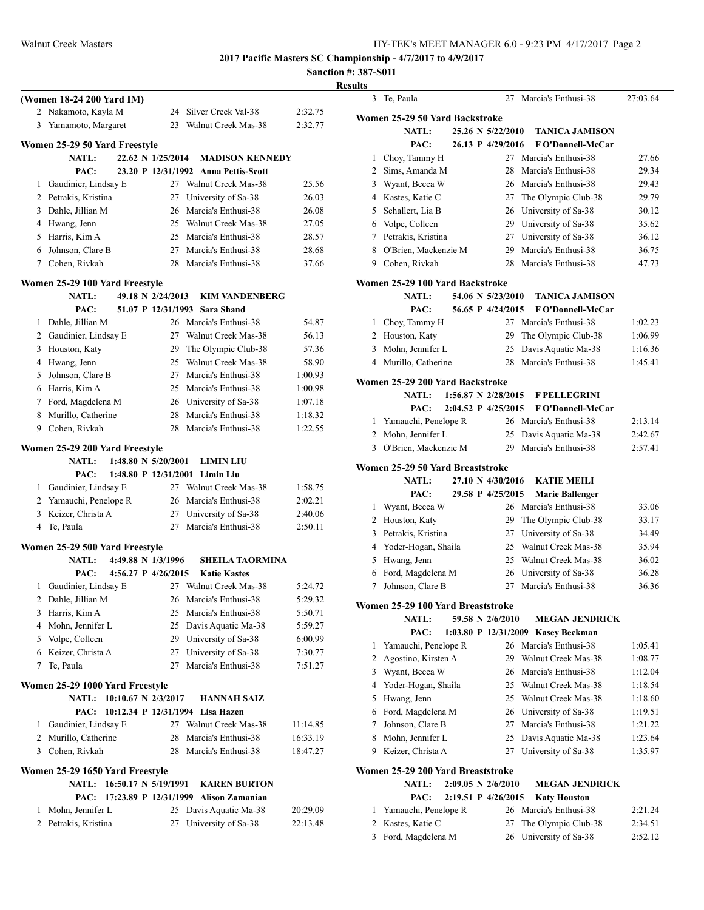|   | (Women 18-24 200 Yard IM)                |                       |                     |                                               |                      |
|---|------------------------------------------|-----------------------|---------------------|-----------------------------------------------|----------------------|
|   | 2 Nakamoto, Kayla M                      |                       | 24                  | Silver Creek Val-38                           | 2:32.75              |
|   | 3 Yamamoto, Margaret                     |                       |                     | 23 Walnut Creek Mas-38                        | 2:32.77              |
|   |                                          |                       |                     |                                               |                      |
|   | Women 25-29 50 Yard Freestyle            |                       |                     |                                               |                      |
|   | <b>NATL:</b>                             |                       | 22.62 N 1/25/2014   | <b>MADISON KENNEDY</b>                        |                      |
|   | PAC:                                     |                       | 23.20 P 12/31/1992  | <b>Anna Pettis-Scott</b>                      |                      |
|   | 1 Gaudinier, Lindsay E                   |                       |                     | 27 Walnut Creek Mas-38                        | 25.56                |
|   | 2 Petrakis, Kristina                     |                       | 27                  | University of Sa-38                           | 26.03                |
|   | 3 Dahle, Jillian M                       |                       |                     | 26 Marcia's Enthusi-38                        | 26.08                |
|   | 4 Hwang, Jenn                            |                       |                     | 25 Walnut Creek Mas-38                        | 27.05                |
|   | 5 Harris, Kim A                          |                       |                     | 25 Marcia's Enthusi-38                        | 28.57                |
|   | 6 Johnson, Clare B                       |                       |                     | 27 Marcia's Enthusi-38                        | 28.68                |
|   | 7 Cohen, Rivkah                          |                       | 28                  | Marcia's Enthusi-38                           | 37.66                |
|   | Women 25-29 100 Yard Freestyle           |                       |                     |                                               |                      |
|   | <b>NATL:</b>                             |                       | 49.18 N 2/24/2013   | <b>KIM VANDENBERG</b>                         |                      |
|   | PAC:                                     |                       | 51.07 P 12/31/1993  | Sara Shand                                    |                      |
|   | 1 Dahle, Jillian M                       |                       |                     | 26 Marcia's Enthusi-38                        | 54.87                |
|   | 2 Gaudinier, Lindsay E                   |                       |                     | 27 Walnut Creek Mas-38                        | 56.13                |
|   | 3 Houston, Katy                          |                       |                     | 29 The Olympic Club-38                        | 57.36                |
|   | 4 Hwang, Jenn                            |                       |                     | 25 Walnut Creek Mas-38                        | 58.90                |
|   | 5 Johnson, Clare B                       |                       |                     | 27 Marcia's Enthusi-38                        | 1:00.93              |
|   | 6 Harris, Kim A                          |                       |                     | 25 Marcia's Enthusi-38                        | 1:00.98              |
|   | 7 Ford, Magdelena M                      |                       |                     | 26 University of Sa-38                        | 1:07.18              |
|   | 8 Murillo, Catherine                     |                       |                     | 28 Marcia's Enthusi-38                        | 1:18.32              |
|   | 9 Cohen, Rivkah                          |                       |                     | 28 Marcia's Enthusi-38                        | 1:22.55              |
|   |                                          |                       |                     |                                               |                      |
|   | Women 25-29 200 Yard Freestyle           |                       |                     |                                               |                      |
|   | <b>NATL:</b>                             | 1:48.80 N 5/20/2001   |                     | <b>LIMIN LIU</b>                              |                      |
|   |                                          |                       |                     |                                               |                      |
|   | PAC:                                     |                       |                     | 1:48.80 P 12/31/2001 Limin Liu                |                      |
|   | 1 Gaudinier, Lindsay E                   |                       |                     | 27 Walnut Creek Mas-38                        | 1:58.75              |
|   | 2 Yamauchi, Penelope R                   |                       |                     | 26 Marcia's Enthusi-38                        | 2:02.21              |
|   | 3 Keizer, Christa A                      |                       |                     | 27 University of Sa-38                        | 2:40.06              |
|   | 4 Te, Paula                              |                       |                     | 27 Marcia's Enthusi-38                        | 2:50.11              |
|   |                                          |                       |                     |                                               |                      |
|   | Women 25-29 500 Yard Freestyle           |                       |                     |                                               |                      |
|   | <b>NATL:</b>                             |                       | 4:49.88 N 1/3/1996  | <b>SHEILA TAORMINA</b>                        |                      |
|   | PAC:                                     |                       | 4:56.27 P 4/26/2015 | <b>Katie Kastes</b>                           |                      |
|   | 1 Gaudinier, Lindsay E                   |                       |                     | 27 Walnut Creek Mas-38                        | 5:24.72              |
| 2 | Dahle, Jillian M                         |                       | 26                  | Marcia's Enthusi-38                           | 5:29.32              |
| 3 | Harris, Kim A                            |                       | 25                  | Marcia's Enthusi-38                           | 5:50.71              |
|   | 4 Mohn, Jennifer L                       |                       | 25                  | Davis Aquatic Ma-38                           | 5:59.27              |
|   | 5 Volpe, Colleen                         |                       |                     | 29 University of Sa-38                        | 6:00.99              |
|   | 6 Keizer, Christa A                      |                       |                     | 27 University of Sa-38                        | 7:30.77              |
| 7 | Te, Paula                                |                       | 27                  | Marcia's Enthusi-38                           | 7:51.27              |
|   | Women 25-29 1000 Yard Freestyle          |                       |                     |                                               |                      |
|   | <b>NATL:</b>                             | 10:10.67 N 2/3/2017   |                     | <b>HANNAH SAIZ</b>                            |                      |
|   | PAC:                                     | 10:12.34 P 12/31/1994 |                     | Lisa Hazen                                    |                      |
| 1 | Gaudinier, Lindsay E                     |                       |                     | 27 Walnut Creek Mas-38                        | 11:14.85             |
|   | 2 Murillo, Catherine                     |                       | 28                  | Marcia's Enthusi-38                           | 16:33.19             |
|   | 3 Cohen, Rivkah                          |                       | 28                  | Marcia's Enthusi-38                           | 18:47.27             |
|   |                                          |                       |                     |                                               |                      |
|   | Women 25-29 1650 Yard Freestyle          |                       |                     |                                               |                      |
|   | <b>NATL:</b>                             | 16:50.17 N 5/19/1991  |                     | <b>KAREN BURTON</b>                           |                      |
|   | PAC:                                     | 17:23.89 P 12/31/1999 |                     | <b>Alison Zamanian</b>                        |                      |
| 1 | Mohn, Jennifer L<br>2 Petrakis, Kristina |                       | 27                  | 25 Davis Aquatic Ma-38<br>University of Sa-38 | 20:29.09<br>22:13.48 |

| <b>Results</b> |                |                                   |                               |                                    |          |
|----------------|----------------|-----------------------------------|-------------------------------|------------------------------------|----------|
|                | 3              | Te, Paula                         |                               | 27 Marcia's Enthusi-38             | 27:03.64 |
|                |                | Women 25-29 50 Yard Backstroke    |                               |                                    |          |
|                |                | <b>NATL:</b>                      | 25.26 N 5/22/2010             | <b>TANICA JAMISON</b>              |          |
|                |                | PAC:                              | 26.13 P 4/29/2016             | <b>F</b> O'Donnell-McCar           |          |
|                | 1              | Choy, Tammy H                     |                               | 27 Marcia's Enthusi-38             | 27.66    |
|                |                | 2 Sims, Amanda M                  |                               | 28 Marcia's Enthusi-38             | 29.34    |
|                |                | 3 Wyant, Becca W                  |                               | 26 Marcia's Enthusi-38             | 29.43    |
|                |                | 4 Kastes, Katie C                 |                               | 27 The Olympic Club-38             | 29.79    |
|                |                | 5 Schallert, Lia B                |                               | 26 University of Sa-38             | 30.12    |
|                |                | 6 Volpe, Colleen                  |                               | 29 University of Sa-38             | 35.62    |
|                |                | 7 Petrakis, Kristina              |                               | 27 University of Sa-38             | 36.12    |
|                |                | 8 O'Brien, Mackenzie M            |                               | 29 Marcia's Enthusi-38             | 36.75    |
|                |                | 9 Cohen, Rivkah                   |                               | 28 Marcia's Enthusi-38             | 47.73    |
|                |                | Women 25-29 100 Yard Backstroke   |                               |                                    |          |
|                |                | <b>NATL:</b>                      | 54.06 N 5/23/2010             | <b>TANICA JAMISON</b>              |          |
|                |                | PAC:                              | 56.65 P 4/24/2015             | <b>F</b> O'Donnell-McCar           |          |
|                | 1              | Choy, Tammy H                     |                               | 27 Marcia's Enthusi-38             | 1:02.23  |
|                |                | 2 Houston, Katy                   | 29                            | The Olympic Club-38                | 1:06.99  |
|                | 3              | Mohn, Jennifer L                  |                               | 25 Davis Aquatic Ma-38             | 1:16.36  |
|                |                | 4 Murillo, Catherine              |                               | 28 Marcia's Enthusi-38             | 1:45.41  |
|                |                | Women 25-29 200 Yard Backstroke   |                               |                                    |          |
|                |                | <b>NATL:</b>                      | 1:56.87 N 2/28/2015           | <b>F PELLEGRINI</b>                |          |
|                |                | PAC:                              | 2:04.52 P 4/25/2015           | F O'Donnell-McCar                  |          |
|                |                | 1 Yamauchi, Penelope R            |                               | 26 Marcia's Enthusi-38             | 2:13.14  |
|                |                | 2 Mohn, Jennifer L                |                               | 25 Davis Aquatic Ma-38             | 2:42.67  |
|                |                | 3 O'Brien, Mackenzie M            |                               | 29 Marcia's Enthusi-38             | 2:57.41  |
|                |                | Women 25-29 50 Yard Breaststroke  |                               |                                    |          |
|                |                | <b>NATL:</b>                      | 27.10 N 4/30/2016             | <b>KATIE MEILI</b>                 |          |
|                |                | PAC:                              | 29.58 P 4/25/2015             | <b>Marie Ballenger</b>             |          |
|                | 1              | Wyant, Becca W                    |                               | 26 Marcia's Enthusi-38             | 33.06    |
|                |                | 2 Houston, Katy                   |                               | 29 The Olympic Club-38             | 33.17    |
|                |                | 3 Petrakis, Kristina              |                               | 27 University of Sa-38             | 34.49    |
|                |                | 4 Yoder-Hogan, Shaila             |                               | 25 Walnut Creek Mas-38             | 35.94    |
|                | 5              | Hwang, Jenn                       |                               | 25 Walnut Creek Mas-38             | 36.02    |
|                | 6              | Ford, Magdelena M                 |                               | 26 University of Sa-38             | 36.28    |
|                | 7              | Johnson, Clare B                  |                               | 27 Marcia's Enthusi-38             | 36.36    |
|                |                | Women 25-29 100 Yard Breaststroke |                               |                                    |          |
|                |                | <b>NATL:</b>                      | 59.58 N 2/6/2010              | <b>MEGAN JENDRICK</b>              |          |
|                |                | PAC:                              |                               | 1:03.80 P 12/31/2009 Kasey Beckman |          |
|                | 1              | Yamauchi, Penelope R              |                               | 26 Marcia's Enthusi-38             | 1:05.41  |
|                | 2              | Agostino, Kirsten A               |                               | 29 Walnut Creek Mas-38             | 1:08.77  |
|                | 3              | Wyant, Becca W                    |                               | 26 Marcia's Enthusi-38             | 1:12.04  |
|                | 4              | Yoder-Hogan, Shaila               |                               | 25 Walnut Creek Mas-38             | 1:18.54  |
|                | 5              | Hwang, Jenn                       |                               | 25 Walnut Creek Mas-38             | 1:18.60  |
|                | 6              | Ford, Magdelena M                 |                               | 26 University of Sa-38             | 1:19.51  |
|                | 7              | Johnson, Clare B                  |                               | 27 Marcia's Enthusi-38             | 1:21.22  |
|                | 8              | Mohn, Jennifer L                  |                               | 25 Davis Aquatic Ma-38             | 1:23.64  |
|                |                | 9 Keizer, Christa A               | 27                            | University of Sa-38                | 1:35.97  |
|                |                | Women 25-29 200 Yard Breaststroke |                               |                                    |          |
|                |                | <b>NATL:</b>                      | $2:09.05 \text{ N } 2/6/2010$ | <b>MEGAN JENDRICK</b>              |          |
|                |                | PAC:                              | 2:19.51 P 4/26/2015           | <b>Katy Houston</b>                |          |
|                | 1              | Yamauchi, Penelope R              |                               | 26 Marcia's Enthusi-38             | 2:21.24  |
|                | $\overline{2}$ | Kastes, Katie C                   | 27                            | The Olympic Club-38                | 2:34.51  |
|                |                | 3 Ford, Magdelena M               | 26                            | University of Sa-38                | 2:52.12  |
|                |                |                                   |                               |                                    |          |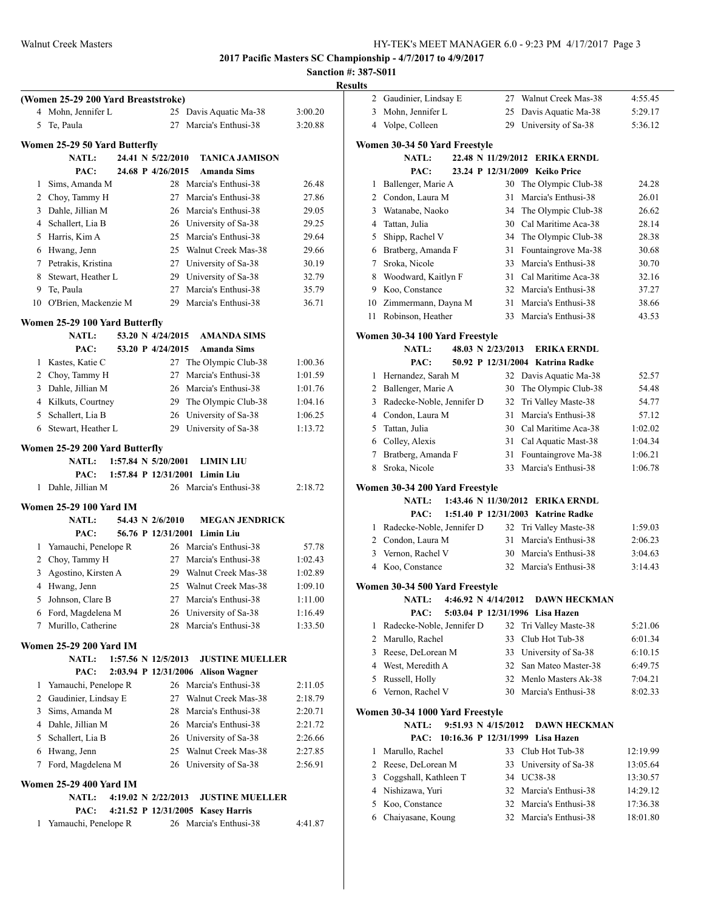#### **Sanction #: 387-S011 Results**

|                                                                                              |                    | resuits |
|----------------------------------------------------------------------------------------------|--------------------|---------|
| (Women 25-29 200 Yard Breaststroke)                                                          |                    |         |
| 4 Mohn, Jennifer L<br>25 Davis Aquatic Ma-38<br>27 Marcia's Enthusi-38<br>5 Te, Paula        | 3:00.20<br>3:20.88 |         |
|                                                                                              |                    |         |
| Women 25-29 50 Yard Butterfly                                                                |                    | Wo      |
| NATL:<br>24.41 N 5/22/2010<br><b>TANICA JAMISON</b>                                          |                    |         |
| 24.68 P 4/26/2015<br>PAC:<br><b>Amanda Sims</b>                                              |                    |         |
| 28 Marcia's Enthusi-38<br>Sims, Amanda M<br>1                                                | 26.48              |         |
| 2 Choy, Tammy H<br>27 Marcia's Enthusi-38                                                    | 27.86              |         |
| 3 Dahle, Jillian M<br>26 Marcia's Enthusi-38                                                 | 29.05              |         |
| 4 Schallert, Lia B<br>26 University of Sa-38                                                 | 29.25              |         |
| 5 Harris, Kim A<br>25 Marcia's Enthusi-38                                                    | 29.64              |         |
| 6 Hwang, Jenn<br>25 Walnut Creek Mas-38                                                      | 29.66              |         |
| 7 Petrakis, Kristina<br>27 University of Sa-38                                               | 30.19              |         |
| 8 Stewart, Heather L<br>29 University of Sa-38                                               | 32.79              |         |
| 9 Te, Paula<br>27 Marcia's Enthusi-38                                                        | 35.79              |         |
| 10 O'Brien, Mackenzie M<br>29 Marcia's Enthusi-38                                            | 36.71              |         |
| Women 25-29 100 Yard Butterfly                                                               |                    |         |
| <b>NATL:</b><br>53.20 N 4/24/2015<br><b>AMANDA SIMS</b>                                      |                    | Wo      |
| 53.20 P 4/24/2015<br><b>Amanda Sims</b><br>PAC:                                              |                    |         |
| 27 The Olympic Club-38<br>1 Kastes, Katie C                                                  | 1:00.36            |         |
| 2 Choy, Tammy H<br>27<br>Marcia's Enthusi-38                                                 | 1:01.59            |         |
| 3 Dahle, Jillian M<br>26 Marcia's Enthusi-38                                                 | 1:01.76            |         |
| 4 Kilkuts, Courtney<br>29 The Olympic Club-38                                                | 1:04.16            |         |
| 5 Schallert, Lia B<br>26 University of Sa-38                                                 | 1:06.25            |         |
| 29 University of Sa-38<br>6 Stewart, Heather L                                               | 1:13.72            |         |
| Women 25-29 200 Yard Butterfly                                                               |                    |         |
| <b>NATL:</b><br>$1:57.84$ N $5/20/2001$<br><b>LIMIN LIU</b>                                  |                    |         |
| 1:57.84 P 12/31/2001 Limin Liu<br>PAC:                                                       |                    |         |
| Dahle, Jillian M<br>26 Marcia's Enthusi-38<br>1                                              | 2:18.72            | Wo      |
|                                                                                              |                    |         |
| <b>Women 25-29 100 Yard IM</b>                                                               |                    |         |
| <b>NATL:</b><br>54.43 N 2/6/2010<br><b>MEGAN JENDRICK</b>                                    |                    |         |
| PAC:<br>56.76 P 12/31/2001 Limin Liu                                                         |                    |         |
| 1 Yamauchi, Penelope R<br>26 Marcia's Enthusi-38                                             | 57.78              |         |
| 2 Choy, Tammy H<br>27 Marcia's Enthusi-38                                                    | 1:02.43            |         |
| 3 Agostino, Kirsten A<br>29 Walnut Creek Mas-38                                              | 1:02.89            |         |
| 4 Hwang, Jenn<br>25 Walnut Creek Mas-38                                                      | 1:09.10            | Wα      |
| 27 Marcia's Enthusi-38<br>5 Johnson, Clare B                                                 | 1:11.00            |         |
| 6 Ford, Magdelena M<br>26 University of Sa-38                                                | 1:16.49            |         |
| Murillo, Catherine<br>28 Marcia's Enthusi-38<br>7                                            | 1:33.50            |         |
| <b>Women 25-29 200 Yard IM</b>                                                               |                    |         |
| <b>NATL:</b><br>1:57.56 N 12/5/2013<br><b>JUSTINE MUELLER</b>                                |                    |         |
| PAC:<br>2:03.94 P 12/31/2006 Alison Wagner                                                   |                    |         |
| 26 Marcia's Enthusi-38<br>1 Yamauchi, Penelope R                                             | 2:11.05            |         |
| 2 Gaudinier, Lindsay E<br>27 Walnut Creek Mas-38                                             | 2:18.79            |         |
| 3 Sims, Amanda M<br>28 Marcia's Enthusi-38                                                   | 2:20.71            | Wα      |
| 4 Dahle, Jillian M<br>26 Marcia's Enthusi-38                                                 | 2:21.72            |         |
| 5 Schallert, Lia B<br>26 University of Sa-38                                                 | 2:26.66            |         |
| 6 Hwang, Jenn<br>Walnut Creek Mas-38<br>25                                                   | 2:27.85            |         |
| Ford, Magdelena M<br>26 University of Sa-38<br>7                                             | 2:56.91            |         |
| <b>Women 25-29 400 Yard IM</b>                                                               |                    |         |
| NATL:                                                                                        |                    |         |
| 4:19.02 N $2/22/2013$<br><b>JUSTINE MUELLER</b><br>PAC:<br>4:21.52 P 12/31/2005 Kasey Harris |                    |         |
| Yamauchi, Penelope R<br>26 Marcia's Enthusi-38<br>1                                          | 4:41.87            |         |
|                                                                                              |                    |         |

| $\cdots$       |                                                |          |                                            |                    |
|----------------|------------------------------------------------|----------|--------------------------------------------|--------------------|
| 2              | Gaudinier, Lindsay E                           | 27       | Walnut Creek Mas-38                        | 4:55.45            |
| 3              | Mohn, Jennifer L                               | 25       | Davis Aquatic Ma-38                        | 5:29.17            |
| 4              | Volpe, Colleen                                 | 29       | University of Sa-38                        | 5:36.12            |
|                |                                                |          |                                            |                    |
|                | Women 30-34 50 Yard Freestyle                  |          | 22.48 N 11/29/2012 ERIKA ERNDL             |                    |
|                | <b>NATL:</b><br>PAC:                           |          | 23.24 P 12/31/2009 Keiko Price             |                    |
|                |                                                |          |                                            |                    |
| 1              | Ballenger, Marie A                             | 30       | The Olympic Club-38                        | 24.28              |
|                | 2 Condon, Laura M                              | 31       | Marcia's Enthusi-38                        | 26.01              |
| 3              | Watanabe, Naoko                                | 34       | The Olympic Club-38                        | 26.62              |
| 4              | Tattan, Julia                                  | 30       | Cal Maritime Aca-38                        | 28.14              |
| 5              | Shipp, Rachel V                                | 34       | The Olympic Club-38                        | 28.38              |
| 6              | Bratberg, Amanda F                             | 31       | Fountaingrove Ma-38                        | 30.68              |
| 7              | Sroka, Nicole                                  | 33       | Marcia's Enthusi-38                        | 30.70              |
| 8              | Woodward, Kaitlyn F                            | 31       | Cal Maritime Aca-38                        | 32.16              |
| 9              | Koo, Constance                                 | 32       | Marcia's Enthusi-38                        | 37.27              |
| 10             | Zimmermann, Dayna M                            | 31       | Marcia's Enthusi-38                        | 38.66              |
| 11             | Robinson, Heather                              | 33       | Marcia's Enthusi-38                        | 43.53              |
|                | Women 30-34 100 Yard Freestyle                 |          |                                            |                    |
|                | <b>NATL:</b><br>48.03 N 2/23/2013              |          | <b>ERIKA ERNDL</b>                         |                    |
|                | PAC:                                           |          | 50.92 P 12/31/2004 Katrina Radke           |                    |
| 1              | Hernandez, Sarah M                             |          | 32 Davis Aquatic Ma-38                     | 52.57              |
| 2              | Ballenger, Marie A                             | 30       | The Olympic Club-38                        | 54.48              |
| 3              | Radecke-Noble, Jennifer D                      | 32       | Tri Valley Maste-38                        | 54.77              |
|                | 4 Condon, Laura M                              | 31       | Marcia's Enthusi-38                        | 57.12              |
| 5              | Tattan, Julia                                  |          | 30 Cal Maritime Aca-38                     | 1:02.02            |
| 6              | Colley, Alexis                                 | 31       | Cal Aquatic Mast-38                        | 1:04.34            |
| 7              | Bratberg, Amanda F                             | 31       | Fountaingrove Ma-38                        | 1:06.21            |
| 8              | Sroka, Nicole                                  | 33       | Marcia's Enthusi-38                        | 1:06.78            |
|                |                                                |          |                                            |                    |
|                | Women 30-34 200 Yard Freestyle<br><b>NATL:</b> |          | 1:43.46 N 11/30/2012 ERIKA ERNDL           |                    |
|                | PAC:                                           |          | 1:51.40 P 12/31/2003 Katrine Radke         |                    |
|                |                                                |          |                                            |                    |
| 1              | Radecke-Noble, Jennifer D                      | 32       | Tri Valley Maste-38<br>Marcia's Enthusi-38 | 1:59.03            |
|                | 2 Condon, Laura M                              | 31       |                                            | 2:06.23            |
|                | 3 Vernon, Rachel V<br>4 Koo, Constance         | 30<br>32 | Marcia's Enthusi-38<br>Marcia's Enthusi-38 | 3:04.63<br>3:14.43 |
|                |                                                |          |                                            |                    |
|                | Women 30-34 500 Yard Freestyle                 |          |                                            |                    |
|                | 4:46.92 N 4/14/2012<br><b>NATL:</b>            |          | <b>DAWN HECKMAN</b>                        |                    |
|                | PAC:                                           |          | 5:03.04 P 12/31/1996 Lisa Hazen            |                    |
| 1              | Radecke-Noble, Jennifer D                      | 32       | Tri Valley Maste-38                        | 5:21.06            |
| $\overline{2}$ | Marullo, Rachel                                | 33       | Club Hot Tub-38                            | 6:01.34            |
| 3              | Reese, DeLorean M                              | 33       | University of Sa-38                        | 6:10.15            |
| 4              | West, Meredith A                               | 32       | San Mateo Master-38                        | 6:49.75            |
| 5              | Russell, Holly                                 | 32       | Menlo Masters Ak-38                        | 7:04.21            |
| 6              | Vernon, Rachel V                               | 30       | Marcia's Enthusi-38                        | 8:02.33            |
|                | Women 30-34 1000 Yard Freestyle                |          |                                            |                    |
|                | NATL:<br>9:51.93 N 4/15/2012                   |          | <b>DAWN HECKMAN</b>                        |                    |
|                | PAC:                                           |          | 10:16.36 P 12/31/1999 Lisa Hazen           |                    |
| 1              | Marullo, Rachel                                | 33       | Club Hot Tub-38                            | 12:19.99           |
| $\overline{2}$ | Reese, DeLorean M                              | 33       | University of Sa-38                        | 13:05.64           |
| 3              | Coggshall, Kathleen T                          | 34       | <b>UC38-38</b>                             | 13:30.57           |
|                | 4 Nishizawa, Yuri                              | 32       | Marcia's Enthusi-38                        | 14:29.12           |
| 5              | Koo, Constance                                 |          | 32 Marcia's Enthusi-38                     | 17:36.38           |
| 6              | Chaiyasane, Koung                              |          | 32 Marcia's Enthusi-38                     | 18:01.80           |
|                |                                                |          |                                            |                    |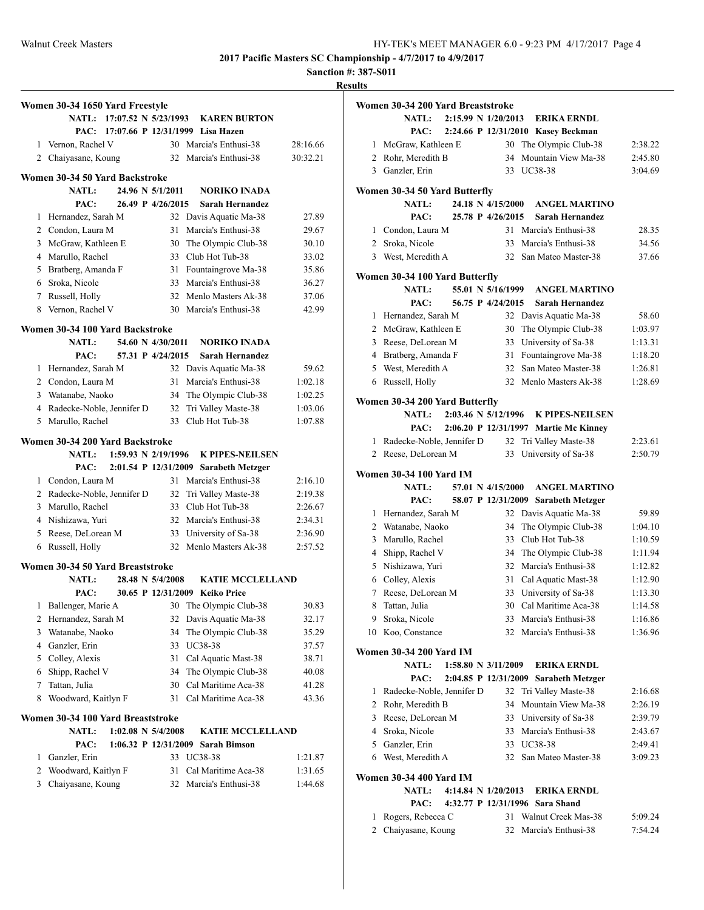**Sanction #: 387-S011**

| Women 30-34 1650 Yard Freestyle |                                                                                    |                                                                                                                                                                                                                                                                                                                                                                                                                                                                                                   |                                                            |                                                                                                                                                                                                                     |                                                                                                                                                                                                                                                                                                                                                                                                                                                                                                                                                                                                                                                                                                                                                                                                                                                                       |
|---------------------------------|------------------------------------------------------------------------------------|---------------------------------------------------------------------------------------------------------------------------------------------------------------------------------------------------------------------------------------------------------------------------------------------------------------------------------------------------------------------------------------------------------------------------------------------------------------------------------------------------|------------------------------------------------------------|---------------------------------------------------------------------------------------------------------------------------------------------------------------------------------------------------------------------|-----------------------------------------------------------------------------------------------------------------------------------------------------------------------------------------------------------------------------------------------------------------------------------------------------------------------------------------------------------------------------------------------------------------------------------------------------------------------------------------------------------------------------------------------------------------------------------------------------------------------------------------------------------------------------------------------------------------------------------------------------------------------------------------------------------------------------------------------------------------------|
|                                 |                                                                                    |                                                                                                                                                                                                                                                                                                                                                                                                                                                                                                   |                                                            |                                                                                                                                                                                                                     |                                                                                                                                                                                                                                                                                                                                                                                                                                                                                                                                                                                                                                                                                                                                                                                                                                                                       |
|                                 |                                                                                    |                                                                                                                                                                                                                                                                                                                                                                                                                                                                                                   |                                                            |                                                                                                                                                                                                                     |                                                                                                                                                                                                                                                                                                                                                                                                                                                                                                                                                                                                                                                                                                                                                                                                                                                                       |
|                                 |                                                                                    |                                                                                                                                                                                                                                                                                                                                                                                                                                                                                                   |                                                            |                                                                                                                                                                                                                     | 28:16.66                                                                                                                                                                                                                                                                                                                                                                                                                                                                                                                                                                                                                                                                                                                                                                                                                                                              |
|                                 |                                                                                    |                                                                                                                                                                                                                                                                                                                                                                                                                                                                                                   |                                                            |                                                                                                                                                                                                                     | 30:32.21                                                                                                                                                                                                                                                                                                                                                                                                                                                                                                                                                                                                                                                                                                                                                                                                                                                              |
|                                 |                                                                                    |                                                                                                                                                                                                                                                                                                                                                                                                                                                                                                   |                                                            |                                                                                                                                                                                                                     |                                                                                                                                                                                                                                                                                                                                                                                                                                                                                                                                                                                                                                                                                                                                                                                                                                                                       |
| NATL:                           |                                                                                    |                                                                                                                                                                                                                                                                                                                                                                                                                                                                                                   |                                                            | <b>NORIKO INADA</b>                                                                                                                                                                                                 |                                                                                                                                                                                                                                                                                                                                                                                                                                                                                                                                                                                                                                                                                                                                                                                                                                                                       |
| PAC:                            |                                                                                    |                                                                                                                                                                                                                                                                                                                                                                                                                                                                                                   |                                                            |                                                                                                                                                                                                                     |                                                                                                                                                                                                                                                                                                                                                                                                                                                                                                                                                                                                                                                                                                                                                                                                                                                                       |
|                                 |                                                                                    |                                                                                                                                                                                                                                                                                                                                                                                                                                                                                                   | 32                                                         |                                                                                                                                                                                                                     | 27.89                                                                                                                                                                                                                                                                                                                                                                                                                                                                                                                                                                                                                                                                                                                                                                                                                                                                 |
|                                 |                                                                                    |                                                                                                                                                                                                                                                                                                                                                                                                                                                                                                   | 31                                                         | Marcia's Enthusi-38                                                                                                                                                                                                 | 29.67                                                                                                                                                                                                                                                                                                                                                                                                                                                                                                                                                                                                                                                                                                                                                                                                                                                                 |
|                                 |                                                                                    |                                                                                                                                                                                                                                                                                                                                                                                                                                                                                                   | 30                                                         |                                                                                                                                                                                                                     | 30.10                                                                                                                                                                                                                                                                                                                                                                                                                                                                                                                                                                                                                                                                                                                                                                                                                                                                 |
|                                 |                                                                                    |                                                                                                                                                                                                                                                                                                                                                                                                                                                                                                   |                                                            |                                                                                                                                                                                                                     | 33.02                                                                                                                                                                                                                                                                                                                                                                                                                                                                                                                                                                                                                                                                                                                                                                                                                                                                 |
|                                 |                                                                                    |                                                                                                                                                                                                                                                                                                                                                                                                                                                                                                   | 31                                                         |                                                                                                                                                                                                                     | 35.86                                                                                                                                                                                                                                                                                                                                                                                                                                                                                                                                                                                                                                                                                                                                                                                                                                                                 |
|                                 |                                                                                    |                                                                                                                                                                                                                                                                                                                                                                                                                                                                                                   | 33                                                         |                                                                                                                                                                                                                     | 36.27                                                                                                                                                                                                                                                                                                                                                                                                                                                                                                                                                                                                                                                                                                                                                                                                                                                                 |
|                                 |                                                                                    |                                                                                                                                                                                                                                                                                                                                                                                                                                                                                                   | 32                                                         |                                                                                                                                                                                                                     | 37.06                                                                                                                                                                                                                                                                                                                                                                                                                                                                                                                                                                                                                                                                                                                                                                                                                                                                 |
|                                 |                                                                                    |                                                                                                                                                                                                                                                                                                                                                                                                                                                                                                   | 30                                                         |                                                                                                                                                                                                                     | 42.99                                                                                                                                                                                                                                                                                                                                                                                                                                                                                                                                                                                                                                                                                                                                                                                                                                                                 |
|                                 |                                                                                    |                                                                                                                                                                                                                                                                                                                                                                                                                                                                                                   |                                                            |                                                                                                                                                                                                                     |                                                                                                                                                                                                                                                                                                                                                                                                                                                                                                                                                                                                                                                                                                                                                                                                                                                                       |
| NATL:                           |                                                                                    |                                                                                                                                                                                                                                                                                                                                                                                                                                                                                                   |                                                            | <b>NORIKO INADA</b>                                                                                                                                                                                                 |                                                                                                                                                                                                                                                                                                                                                                                                                                                                                                                                                                                                                                                                                                                                                                                                                                                                       |
| PAC:                            |                                                                                    |                                                                                                                                                                                                                                                                                                                                                                                                                                                                                                   |                                                            | <b>Sarah Hernandez</b>                                                                                                                                                                                              |                                                                                                                                                                                                                                                                                                                                                                                                                                                                                                                                                                                                                                                                                                                                                                                                                                                                       |
|                                 |                                                                                    |                                                                                                                                                                                                                                                                                                                                                                                                                                                                                                   |                                                            |                                                                                                                                                                                                                     | 59.62                                                                                                                                                                                                                                                                                                                                                                                                                                                                                                                                                                                                                                                                                                                                                                                                                                                                 |
|                                 |                                                                                    |                                                                                                                                                                                                                                                                                                                                                                                                                                                                                                   | 31                                                         | Marcia's Enthusi-38                                                                                                                                                                                                 | 1:02.18                                                                                                                                                                                                                                                                                                                                                                                                                                                                                                                                                                                                                                                                                                                                                                                                                                                               |
|                                 |                                                                                    |                                                                                                                                                                                                                                                                                                                                                                                                                                                                                                   | 34                                                         |                                                                                                                                                                                                                     | 1:02.25                                                                                                                                                                                                                                                                                                                                                                                                                                                                                                                                                                                                                                                                                                                                                                                                                                                               |
|                                 |                                                                                    |                                                                                                                                                                                                                                                                                                                                                                                                                                                                                                   | 32                                                         |                                                                                                                                                                                                                     | 1:03.06                                                                                                                                                                                                                                                                                                                                                                                                                                                                                                                                                                                                                                                                                                                                                                                                                                                               |
|                                 |                                                                                    |                                                                                                                                                                                                                                                                                                                                                                                                                                                                                                   | 33                                                         |                                                                                                                                                                                                                     | 1:07.88                                                                                                                                                                                                                                                                                                                                                                                                                                                                                                                                                                                                                                                                                                                                                                                                                                                               |
|                                 |                                                                                    |                                                                                                                                                                                                                                                                                                                                                                                                                                                                                                   |                                                            |                                                                                                                                                                                                                     |                                                                                                                                                                                                                                                                                                                                                                                                                                                                                                                                                                                                                                                                                                                                                                                                                                                                       |
| <b>NATL:</b>                    |                                                                                    |                                                                                                                                                                                                                                                                                                                                                                                                                                                                                                   |                                                            | <b>K PIPES-NEILSEN</b>                                                                                                                                                                                              |                                                                                                                                                                                                                                                                                                                                                                                                                                                                                                                                                                                                                                                                                                                                                                                                                                                                       |
| PAC:                            |                                                                                    |                                                                                                                                                                                                                                                                                                                                                                                                                                                                                                   |                                                            |                                                                                                                                                                                                                     |                                                                                                                                                                                                                                                                                                                                                                                                                                                                                                                                                                                                                                                                                                                                                                                                                                                                       |
|                                 |                                                                                    |                                                                                                                                                                                                                                                                                                                                                                                                                                                                                                   |                                                            |                                                                                                                                                                                                                     | 2:16.10                                                                                                                                                                                                                                                                                                                                                                                                                                                                                                                                                                                                                                                                                                                                                                                                                                                               |
|                                 |                                                                                    |                                                                                                                                                                                                                                                                                                                                                                                                                                                                                                   |                                                            |                                                                                                                                                                                                                     | 2:19.38                                                                                                                                                                                                                                                                                                                                                                                                                                                                                                                                                                                                                                                                                                                                                                                                                                                               |
|                                 |                                                                                    |                                                                                                                                                                                                                                                                                                                                                                                                                                                                                                   |                                                            |                                                                                                                                                                                                                     | 2:26.67                                                                                                                                                                                                                                                                                                                                                                                                                                                                                                                                                                                                                                                                                                                                                                                                                                                               |
|                                 |                                                                                    |                                                                                                                                                                                                                                                                                                                                                                                                                                                                                                   |                                                            |                                                                                                                                                                                                                     | 2:34.31                                                                                                                                                                                                                                                                                                                                                                                                                                                                                                                                                                                                                                                                                                                                                                                                                                                               |
|                                 |                                                                                    |                                                                                                                                                                                                                                                                                                                                                                                                                                                                                                   |                                                            |                                                                                                                                                                                                                     | 2:36.90                                                                                                                                                                                                                                                                                                                                                                                                                                                                                                                                                                                                                                                                                                                                                                                                                                                               |
|                                 |                                                                                    |                                                                                                                                                                                                                                                                                                                                                                                                                                                                                                   |                                                            |                                                                                                                                                                                                                     | 2:57.52                                                                                                                                                                                                                                                                                                                                                                                                                                                                                                                                                                                                                                                                                                                                                                                                                                                               |
|                                 |                                                                                    |                                                                                                                                                                                                                                                                                                                                                                                                                                                                                                   |                                                            |                                                                                                                                                                                                                     |                                                                                                                                                                                                                                                                                                                                                                                                                                                                                                                                                                                                                                                                                                                                                                                                                                                                       |
| <b>NATL:</b>                    |                                                                                    |                                                                                                                                                                                                                                                                                                                                                                                                                                                                                                   |                                                            | <b>KATIE MCCLELLAND</b>                                                                                                                                                                                             |                                                                                                                                                                                                                                                                                                                                                                                                                                                                                                                                                                                                                                                                                                                                                                                                                                                                       |
| PAC:                            |                                                                                    |                                                                                                                                                                                                                                                                                                                                                                                                                                                                                                   |                                                            | <b>Keiko Price</b>                                                                                                                                                                                                  |                                                                                                                                                                                                                                                                                                                                                                                                                                                                                                                                                                                                                                                                                                                                                                                                                                                                       |
|                                 |                                                                                    |                                                                                                                                                                                                                                                                                                                                                                                                                                                                                                   | 30                                                         | The Olympic Club-38                                                                                                                                                                                                 | 30.83                                                                                                                                                                                                                                                                                                                                                                                                                                                                                                                                                                                                                                                                                                                                                                                                                                                                 |
|                                 |                                                                                    |                                                                                                                                                                                                                                                                                                                                                                                                                                                                                                   | 32                                                         |                                                                                                                                                                                                                     | 32.17                                                                                                                                                                                                                                                                                                                                                                                                                                                                                                                                                                                                                                                                                                                                                                                                                                                                 |
|                                 |                                                                                    |                                                                                                                                                                                                                                                                                                                                                                                                                                                                                                   | 34                                                         | The Olympic Club-38                                                                                                                                                                                                 | 35.29                                                                                                                                                                                                                                                                                                                                                                                                                                                                                                                                                                                                                                                                                                                                                                                                                                                                 |
|                                 |                                                                                    |                                                                                                                                                                                                                                                                                                                                                                                                                                                                                                   | 33                                                         | UC38-38                                                                                                                                                                                                             | 37.57                                                                                                                                                                                                                                                                                                                                                                                                                                                                                                                                                                                                                                                                                                                                                                                                                                                                 |
| Colley, Alexis                  |                                                                                    |                                                                                                                                                                                                                                                                                                                                                                                                                                                                                                   | 31                                                         | Cal Aquatic Mast-38                                                                                                                                                                                                 | 38.71                                                                                                                                                                                                                                                                                                                                                                                                                                                                                                                                                                                                                                                                                                                                                                                                                                                                 |
|                                 |                                                                                    |                                                                                                                                                                                                                                                                                                                                                                                                                                                                                                   | 34                                                         | The Olympic Club-38                                                                                                                                                                                                 | 40.08                                                                                                                                                                                                                                                                                                                                                                                                                                                                                                                                                                                                                                                                                                                                                                                                                                                                 |
| Tattan, Julia                   |                                                                                    |                                                                                                                                                                                                                                                                                                                                                                                                                                                                                                   | 30                                                         |                                                                                                                                                                                                                     | 41.28                                                                                                                                                                                                                                                                                                                                                                                                                                                                                                                                                                                                                                                                                                                                                                                                                                                                 |
|                                 |                                                                                    |                                                                                                                                                                                                                                                                                                                                                                                                                                                                                                   | 31                                                         | Cal Maritime Aca-38                                                                                                                                                                                                 | 43.36                                                                                                                                                                                                                                                                                                                                                                                                                                                                                                                                                                                                                                                                                                                                                                                                                                                                 |
|                                 |                                                                                    |                                                                                                                                                                                                                                                                                                                                                                                                                                                                                                   |                                                            |                                                                                                                                                                                                                     |                                                                                                                                                                                                                                                                                                                                                                                                                                                                                                                                                                                                                                                                                                                                                                                                                                                                       |
| <b>NATL:</b>                    |                                                                                    |                                                                                                                                                                                                                                                                                                                                                                                                                                                                                                   |                                                            | <b>KATIE MCCLELLAND</b>                                                                                                                                                                                             |                                                                                                                                                                                                                                                                                                                                                                                                                                                                                                                                                                                                                                                                                                                                                                                                                                                                       |
| PAC:                            |                                                                                    |                                                                                                                                                                                                                                                                                                                                                                                                                                                                                                   |                                                            | Sarah Bimson                                                                                                                                                                                                        |                                                                                                                                                                                                                                                                                                                                                                                                                                                                                                                                                                                                                                                                                                                                                                                                                                                                       |
| Ganzler, Erin                   |                                                                                    |                                                                                                                                                                                                                                                                                                                                                                                                                                                                                                   | 33                                                         | UC38-38                                                                                                                                                                                                             | 1:21.87                                                                                                                                                                                                                                                                                                                                                                                                                                                                                                                                                                                                                                                                                                                                                                                                                                                               |
|                                 |                                                                                    |                                                                                                                                                                                                                                                                                                                                                                                                                                                                                                   |                                                            |                                                                                                                                                                                                                     |                                                                                                                                                                                                                                                                                                                                                                                                                                                                                                                                                                                                                                                                                                                                                                                                                                                                       |
| 2<br>Woodward, Kaitlyn F        |                                                                                    |                                                                                                                                                                                                                                                                                                                                                                                                                                                                                                   | 31                                                         | Cal Maritime Aca-38                                                                                                                                                                                                 | 1:31.65                                                                                                                                                                                                                                                                                                                                                                                                                                                                                                                                                                                                                                                                                                                                                                                                                                                               |
| 1<br>8                          | 3<br>6 Sroka, Nicole<br>8<br>5<br>6<br>2<br>3<br>Ganzler, Erin<br>4<br>5<br>6<br>7 | Vernon, Rachel V<br>2 Chaiyasane, Koung<br>Hernandez, Sarah M<br>2 Condon, Laura M<br>McGraw, Kathleen E<br>4 Marullo, Rachel<br>5 Bratberg, Amanda F<br>7 Russell, Holly<br>Vernon, Rachel V<br>Hernandez, Sarah M<br>2 Condon, Laura M<br>3 Watanabe, Naoko<br>5 Marullo, Rachel<br>1 Condon, Laura M<br>3 Marullo, Rachel<br>4 Nishizawa, Yuri<br>Reese, DeLorean M<br>Russell, Holly<br>Ballenger, Marie A<br>Hernandez, Sarah M<br>Watanabe, Naoko<br>Shipp, Rachel V<br>Woodward, Kaitlyn F | 4 Radecke-Noble, Jennifer D<br>2 Radecke-Noble, Jennifer D | Women 30-34 50 Yard Backstroke<br>24.96 N 5/1/2011<br>Women 30-34 100 Yard Backstroke<br>Women 30-34 200 Yard Backstroke<br>32<br>32<br>33<br>Women 30-34 50 Yard Breaststroke<br>Women 30-34 100 Yard Breaststroke | NATL: 17:07.52 N 5/23/1993<br><b>KAREN BURTON</b><br>PAC: 17:07.66 P 12/31/1999 Lisa Hazen<br>30 Marcia's Enthusi-38<br>32 Marcia's Enthusi-38<br>26.49 P 4/26/2015<br><b>Sarah Hernandez</b><br>Davis Aquatic Ma-38<br>The Olympic Club-38<br>33 Club Hot Tub-38<br>Fountaingrove Ma-38<br>Marcia's Enthusi-38<br>Menlo Masters Ak-38<br>Marcia's Enthusi-38<br>54.60 N 4/30/2011<br>57.31 P 4/24/2015<br>32 Davis Aquatic Ma-38<br>The Olympic Club-38<br>Tri Valley Maste-38<br>Club Hot Tub-38<br>1:59.93 N 2/19/1996<br>2:01.54 P 12/31/2009<br><b>Sarabeth Metzger</b><br>31 Marcia's Enthusi-38<br>Tri Valley Maste-38<br>33 Club Hot Tub-38<br>Marcia's Enthusi-38<br>University of Sa-38<br>32 Menlo Masters Ak-38<br>28.48 N 5/4/2008<br>30.65 P 12/31/2009<br>Davis Aquatic Ma-38<br>Cal Maritime Aca-38<br>$1:02.08$ N $5/4/2008$<br>1:06.32 P 12/31/2009 |

| Women 30-34 200 Yard Breaststroke |                                        |  |                                             |  |                                       |         |
|-----------------------------------|----------------------------------------|--|---------------------------------------------|--|---------------------------------------|---------|
|                                   | <b>NATL:</b>                           |  | 2:15.99 N 1/20/2013                         |  | <b>ERIKA ERNDL</b>                    |         |
|                                   | PAC:                                   |  |                                             |  | 2:24.66 P 12/31/2010 Kasev Beckman    |         |
| 1                                 | McGraw, Kathleen E                     |  |                                             |  | 30 The Olympic Club-38                | 2:38.22 |
|                                   | 2 Rohr, Meredith B                     |  | 34                                          |  | Mountain View Ma-38                   | 2:45.80 |
|                                   | 3 Ganzler, Erin                        |  | 33                                          |  | <b>UC38-38</b>                        | 3:04.69 |
|                                   |                                        |  |                                             |  |                                       |         |
|                                   | Women 30-34 50 Yard Butterfly<br>NATL: |  | 24.18 N 4/15/2000                           |  | <b>ANGEL MARTINO</b>                  |         |
|                                   | PAC:                                   |  | 25.78 P 4/26/2015                           |  | Sarah Hernandez                       |         |
|                                   | 1 Condon, Laura M                      |  | 31                                          |  | Marcia's Enthusi-38                   | 28.35   |
|                                   | 2 Sroka, Nicole                        |  | 33                                          |  | Marcia's Enthusi-38                   | 34.56   |
|                                   | 3 West, Meredith A                     |  | 32                                          |  | San Mateo Master-38                   | 37.66   |
|                                   |                                        |  |                                             |  |                                       |         |
|                                   | Women 30-34 100 Yard Butterfly         |  |                                             |  |                                       |         |
|                                   | <b>NATL:</b>                           |  | 55.01 N 5/16/1999                           |  | <b>ANGEL MARTINO</b>                  |         |
|                                   | PAC:                                   |  | 56.75 P 4/24/2015                           |  | Sarah Hernandez                       |         |
| 1                                 | Hernandez, Sarah M                     |  | 32                                          |  | Davis Aquatic Ma-38                   | 58.60   |
|                                   | 2 McGraw, Kathleen E                   |  | 30                                          |  | The Olympic Club-38                   | 1:03.97 |
| 3                                 | Reese, DeLorean M                      |  | 33                                          |  | University of Sa-38                   | 1:13.31 |
|                                   | 4 Bratberg, Amanda F                   |  | 31                                          |  | Fountaingrove Ma-38                   | 1:18.20 |
|                                   | 5 West, Meredith A                     |  | 32                                          |  | San Mateo Master-38                   | 1:26.81 |
| 6                                 | Russell, Holly                         |  | 32                                          |  | Menlo Masters Ak-38                   | 1:28.69 |
|                                   | Women 30-34 200 Yard Butterfly         |  |                                             |  |                                       |         |
|                                   | <b>NATL:</b>                           |  | 2:03.46 N 5/12/1996                         |  | <b>K PIPES-NEILSEN</b>                |         |
|                                   | PAC:                                   |  |                                             |  | 2:06.20 P 12/31/1997 Martie Mc Kinney |         |
| 1                                 | Radecke-Noble, Jennifer D              |  | 32                                          |  | Tri Valley Maste-38                   | 2:23.61 |
|                                   | 2 Reese, DeLorean M                    |  | 33                                          |  | University of Sa-38                   | 2:50.79 |
|                                   |                                        |  |                                             |  |                                       |         |
|                                   | <b>Women 30-34 100 Yard IM</b>         |  |                                             |  |                                       |         |
|                                   | <b>NATL:</b>                           |  | 57.01 N 4/15/2000                           |  | <b>ANGEL MARTINO</b>                  |         |
|                                   | PAC:                                   |  |                                             |  | 58.07 P 12/31/2009 Sarabeth Metzger   |         |
|                                   | 1 Hernandez, Sarah M                   |  | 32                                          |  | Davis Aquatic Ma-38                   | 59.89   |
|                                   | 2 Watanabe, Naoko                      |  | 34                                          |  | The Olympic Club-38                   | 1:04.10 |
| 3                                 | Marullo, Rachel                        |  | 33                                          |  | Club Hot Tub-38                       | 1:10.59 |
| 4                                 | Shipp, Rachel V                        |  |                                             |  | 34 The Olympic Club-38                | 1:11.94 |
| 5.                                | Nishizawa, Yuri                        |  |                                             |  | 32 Marcia's Enthusi-38                | 1:12.82 |
|                                   | 6 Colley, Alexis                       |  | 31                                          |  | Cal Aquatic Mast-38                   | 1:12.90 |
| 7                                 | Reese, DeLorean M                      |  | 33                                          |  | University of Sa-38                   | 1:13.30 |
|                                   | 8 Tattan, Julia                        |  |                                             |  | 30 Cal Maritime Aca-38                | 1:14.58 |
| 9                                 | Sroka, Nicole                          |  |                                             |  | 33 Marcia's Enthusi-38                | 1:16.86 |
|                                   | 10 Koo, Constance                      |  |                                             |  | 32 Marcia's Enthusi-38                | 1:36.96 |
|                                   | Women 30-34 200 Yard IM                |  |                                             |  |                                       |         |
|                                   | <b>NATL:</b>                           |  | $1:58.80 \text{ N } 3/11/2009$              |  | <b>ERIKA ERNDL</b>                    |         |
|                                   | PAC:                                   |  | 2:04.85 P 12/31/2009                        |  | <b>Sarabeth Metzger</b>               |         |
| 1                                 | Radecke-Noble, Jennifer D              |  |                                             |  | 32 Tri Valley Maste-38                | 2:16.68 |
| 2                                 | Rohr, Meredith B                       |  | 34                                          |  | Mountain View Ma-38                   | 2:26.19 |
|                                   | 3 Reese, DeLorean M                    |  |                                             |  | 33 University of Sa-38                | 2:39.79 |
|                                   | 4 Sroka, Nicole                        |  |                                             |  | 33 Marcia's Enthusi-38                | 2:43.67 |
|                                   | 5 Ganzler, Erin                        |  |                                             |  | 33 UC38-38                            | 2:49.41 |
|                                   | 6 West, Meredith A                     |  |                                             |  | 32 San Mateo Master-38                | 3:09.23 |
|                                   |                                        |  |                                             |  |                                       |         |
|                                   | <b>Women 30-34 400 Yard IM</b>         |  |                                             |  |                                       |         |
|                                   | <b>NATL:</b><br>PAC:                   |  | 4:14.84 N 1/20/2013<br>4:32.77 P 12/31/1996 |  | ERIKA ERNDL<br><b>Sara Shand</b>      |         |

| 1 Rogers, Rebecca C | 31 Walnut Creek Mas-38 | 5:09.24 |
|---------------------|------------------------|---------|
| 2 Chaiyasane, Koung | 32 Marcia's Enthusi-38 | 7:54.24 |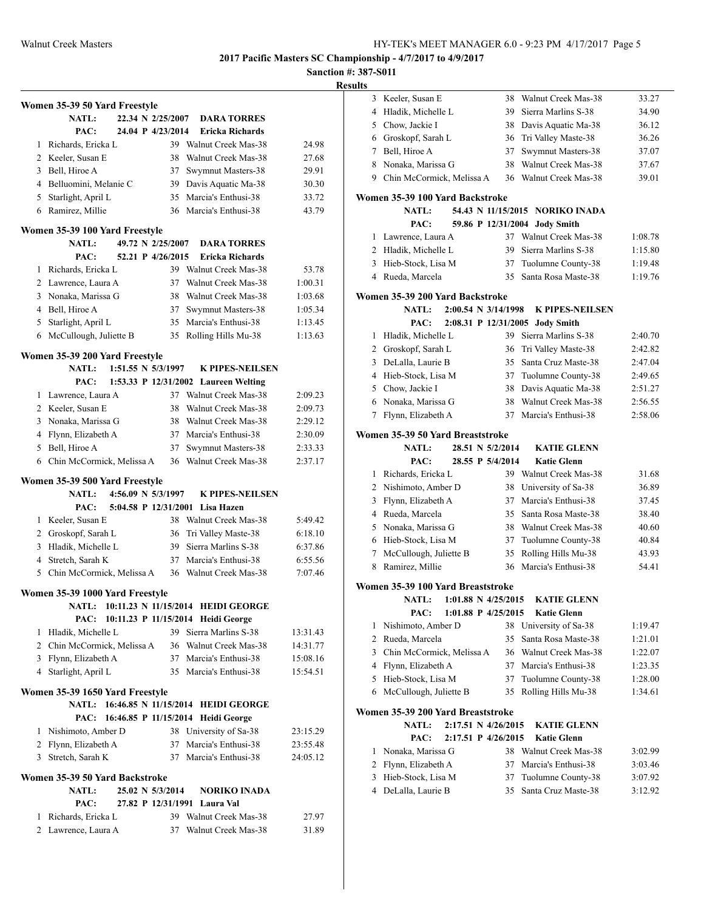## **Sanction #: 387-S011**

|   | Women 35-39 50 Yard Freestyle                  |                    |                                                                          |                      |
|---|------------------------------------------------|--------------------|--------------------------------------------------------------------------|----------------------|
|   | <b>NATL:</b>                                   | 22.34 N 2/25/2007  | <b>DARA TORRES</b>                                                       |                      |
|   | PAC:                                           | 24.04 P 4/23/2014  | Ericka Richards                                                          |                      |
| 1 | Richards, Ericka L                             |                    | 39 Walnut Creek Mas-38                                                   | 24.98                |
|   | 2 Keeler, Susan E                              |                    | 38 Walnut Creek Mas-38                                                   | 27.68                |
|   | 3 Bell, Hiroe A                                | 37                 | Swymnut Masters-38                                                       | 29.91                |
|   | 4 Belluomini, Melanie C                        |                    | 39 Davis Aquatic Ma-38                                                   | 30.30                |
|   | 5 Starlight, April L                           |                    | 35 Marcia's Enthusi-38                                                   | 33.72                |
|   | 6 Ramirez, Millie                              |                    | 36 Marcia's Enthusi-38                                                   | 43.79                |
|   | Women 35-39 100 Yard Freestyle                 |                    |                                                                          |                      |
|   | <b>NATL:</b>                                   | 49.72 N 2/25/2007  | <b>DARA TORRES</b>                                                       |                      |
|   | PAC:                                           | 52.21 P 4/26/2015  | Ericka Richards                                                          |                      |
|   | 1 Richards, Ericka L                           |                    | 39 Walnut Creek Mas-38                                                   | 53.78                |
|   | 2 Lawrence, Laura A                            |                    | 37 Walnut Creek Mas-38                                                   | 1:00.31              |
|   | 3 Nonaka, Marissa G                            |                    | 38 Walnut Creek Mas-38                                                   | 1:03.68              |
|   | 4 Bell, Hiroe A                                |                    | 37 Swymnut Masters-38                                                    | 1:05.34              |
|   | 5 Starlight, April L                           |                    | 35 Marcia's Enthusi-38                                                   | 1:13.45              |
|   | 6 McCullough, Juliette B                       |                    | 35 Rolling Hills Mu-38                                                   | 1:13.63              |
|   | Women 35-39 200 Yard Freestyle                 |                    |                                                                          |                      |
|   | <b>NATL:</b>                                   | 1:51.55 N 5/3/1997 | <b>K PIPES-NEILSEN</b>                                                   |                      |
|   | PAC:                                           |                    | 1:53.33 P 12/31/2002 Laureen Welting                                     |                      |
|   | 1 Lawrence, Laura A                            |                    | 37 Walnut Creek Mas-38                                                   | 2:09.23              |
|   | 2 Keeler, Susan E                              |                    | 38 Walnut Creek Mas-38                                                   | 2:09.73              |
|   | 3 Nonaka, Marissa G                            |                    | 38 Walnut Creek Mas-38                                                   | 2:29.12              |
|   | 4 Flynn, Elizabeth A                           |                    | 37 Marcia's Enthusi-38                                                   | 2:30.09              |
|   | 5 Bell, Hiroe A                                | 37                 | Swymnut Masters-38                                                       | 2:33.33              |
|   | 6 Chin McCormick, Melissa A                    |                    | 36 Walnut Creek Mas-38                                                   | 2:37.17              |
|   | Women 35-39 500 Yard Freestyle                 |                    |                                                                          |                      |
|   | <b>NATL:</b>                                   | 4:56.09 N 5/3/1997 | <b>K PIPES-NEILSEN</b>                                                   |                      |
|   | PAC:                                           |                    | 5:04.58 P 12/31/2001 Lisa Hazen                                          |                      |
|   | 1 Keeler, Susan E                              |                    | 38 Walnut Creek Mas-38                                                   | 5:49.42              |
|   | 2 Groskopf, Sarah L                            |                    | 36 Tri Valley Maste-38                                                   | 6:18.10              |
|   | 3 Hladik, Michelle L                           |                    | 39 Sierra Marlins S-38                                                   | 6:37.86              |
|   | 4 Stretch, Sarah K                             |                    | 37 Marcia's Enthusi-38                                                   | 6:55.56              |
|   | 5 Chin McCormick, Melissa A                    |                    | 36 Walnut Creek Mas-38                                                   | 7:07.46              |
|   | Women 35-39 1000 Yard Freestyle                |                    |                                                                          |                      |
|   | <b>NATL:</b>                                   |                    | 10:11.23 N 11/15/2014 HEIDI GEORGE                                       |                      |
|   | PAC:<br>Hladik, Michelle L                     |                    | 10:11.23 P 11/15/2014 Heidi George                                       |                      |
| 1 |                                                |                    | 39 Sierra Marlins S-38<br>36 Walnut Creek Mas-38                         | 13:31.43             |
|   | 2 Chin McCormick, Melissa A                    |                    |                                                                          | 14:31.77<br>15:08.16 |
|   | 3 Flynn, Elizabeth A                           |                    | 37 Marcia's Enthusi-38<br>35 Marcia's Enthusi-38                         | 15:54.51             |
|   | 4 Starlight, April L                           |                    |                                                                          |                      |
|   | Women 35-39 1650 Yard Freestyle                |                    |                                                                          |                      |
|   | <b>NATL:</b><br>PAC:                           |                    | 16:46.85 N 11/15/2014 HEIDI GEORGE<br>16:46.85 P 11/15/2014 Heidi George |                      |
|   | 1 Nishimoto, Amber D                           |                    | 38 University of Sa-38                                                   | 23:15.29             |
|   | 2 Flynn, Elizabeth A                           | 37                 | Marcia's Enthusi-38                                                      | 23:55.48             |
|   | 3 Stretch, Sarah K                             | 37                 | Marcia's Enthusi-38                                                      | 24:05.12             |
|   |                                                |                    |                                                                          |                      |
|   | Women 35-39 50 Yard Backstroke<br><b>NATL:</b> | 25.02 N 5/3/2014   |                                                                          |                      |
|   | PAC:                                           |                    | <b>NORIKO INADA</b><br>27.82 P 12/31/1991 Laura Val                      |                      |
|   | 1 Richards, Ericka L                           |                    | 39 Walnut Creek Mas-38                                                   | 27.97                |
|   | 2 Lawrence, Laura A                            | 37                 | Walnut Creek Mas-38                                                      | 31.89                |
|   |                                                |                    |                                                                          |                      |

| 3               | Keeler, Susan E                         | 38 | Walnut Creek Mas-38             | 33.27   |
|-----------------|-----------------------------------------|----|---------------------------------|---------|
| 4               | Hladik, Michelle L                      | 39 | Sierra Marlins S-38             | 34.90   |
| 5               | Chow, Jackie I                          | 38 | Davis Aquatic Ma-38             | 36.12   |
|                 | 6 Groskopf, Sarah L                     | 36 | Tri Valley Maste-38             | 36.26   |
| $7\phantom{.0}$ | Bell, Hiroe A                           | 37 | Swymnut Masters-38              | 37.07   |
| 8               | Nonaka, Marissa G                       | 38 | Walnut Creek Mas-38             | 37.67   |
| 9               | Chin McCormick, Melissa A               | 36 | Walnut Creek Mas-38             | 39.01   |
|                 | Women 35-39 100 Yard Backstroke         |    |                                 |         |
|                 | 54.43 N 11/15/2015<br><b>NATL:</b>      |    | NORIKO INADA                    |         |
|                 | PAC:<br>59.86 P 12/31/2004              |    | <b>Jody Smith</b>               |         |
| 1               | Lawrence, Laura A                       |    | 37 Walnut Creek Mas-38          | 1:08.78 |
|                 | 2 Hladik, Michelle L                    | 39 | Sierra Marlins S-38             | 1:15.80 |
| 3               | Hieb-Stock, Lisa M                      | 37 | Tuolumne County-38              | 1:19.48 |
|                 | 4 Rueda, Marcela                        | 35 | Santa Rosa Maste-38             | 1:19.76 |
|                 | Women 35-39 200 Yard Backstroke         |    |                                 |         |
|                 | 2:00.54 N 3/14/1998<br><b>NATL:</b>     |    | <b>K PIPES-NEILSEN</b>          |         |
|                 | PAC:                                    |    | 2:08.31 P 12/31/2005 Jody Smith |         |
| 1               | Hladik, Michelle L                      |    | 39 Sierra Marlins S-38          | 2:40.70 |
| $\overline{2}$  | Groskopf, Sarah L                       | 36 | Tri Valley Maste-38             | 2:42.82 |
| 3               | DeLalla, Laurie B                       |    | 35 Santa Cruz Maste-38          | 2:47.04 |
| 4               | Hieb-Stock, Lisa M                      | 37 | Tuolumne County-38              | 2:49.65 |
| 5               | Chow, Jackie I                          | 38 | Davis Aquatic Ma-38             | 2:51.27 |
|                 | 6 Nonaka, Marissa G                     | 38 | Walnut Creek Mas-38             | 2:56.55 |
| 7               | Flynn, Elizabeth A                      | 37 | Marcia's Enthusi-38             | 2:58.06 |
|                 | Women 35-39 50 Yard Breaststroke        |    |                                 |         |
|                 | 28.51 N 5/2/2014<br><b>NATL:</b>        |    | <b>KATIE GLENN</b>              |         |
|                 | 28.55 P 5/4/2014<br>PAC:                |    | <b>Katie Glenn</b>              |         |
| 1               | Richards, Ericka L                      |    | 39 Walnut Creek Mas-38          | 31.68   |
| 2               | Nishimoto, Amber D                      | 38 | University of Sa-38             | 36.89   |
| 3               | Flynn, Elizabeth A                      | 37 | Marcia's Enthusi-38             | 37.45   |
| $\overline{4}$  | Rueda, Marcela                          | 35 | Santa Rosa Maste-38             | 38.40   |
| 5               | Nonaka, Marissa G                       | 38 | Walnut Creek Mas-38             | 40.60   |
|                 | 6 Hieb-Stock, Lisa M                    | 37 | Tuolumne County-38              | 40.84   |
| 7               | McCullough, Juliette B                  | 35 | Rolling Hills Mu-38             | 43.93   |
| 8               | Ramirez, Millie                         | 36 | Marcia's Enthusi-38             | 54.41   |
|                 | Women 35-39 100 Yard Breaststroke       |    |                                 |         |
|                 | <b>NATL:</b><br>$1:01.88$ N $4/25/2015$ |    | <b>KATIE GLENN</b>              |         |
|                 | PAC:<br>1:01.88 P 4/25/2015             |    | <b>Katie Glenn</b>              |         |
| 1               | Nishimoto, Amber D                      | 38 | University of Sa-38             | 1:19.47 |
| 2               | Rueda, Marcela                          | 35 | Santa Rosa Maste-38             | 1:21.01 |
| 3               | Chin McCormick, Melissa A               | 36 | Walnut Creek Mas-38             | 1:22.07 |
| 4               | Flynn, Elizabeth A                      | 37 | Marcia's Enthusi-38             | 1:23.35 |
| 5               | Hieb-Stock. Lisa M                      | 37 | Tuolumne County-38              | 1:28.00 |
| 6               | McCullough, Juliette B                  | 35 | Rolling Hills Mu-38             | 1:34.61 |
|                 | Women 35-39 200 Yard Breaststroke       |    |                                 |         |
|                 | <b>NATL:</b><br>2:17.51 N 4/26/2015     |    | <b>KATIE GLENN</b>              |         |
|                 | 2:17.51 P 4/26/2015<br>PAC:             |    | <b>Katie Glenn</b>              |         |
| 1               | Nonaka, Marissa G                       | 38 | Walnut Creek Mas-38             | 3:02.99 |
| 2               | Flynn, Elizabeth A                      | 37 | Marcia's Enthusi-38             | 3:03.46 |
| 3               | Hieb-Stock, Lisa M                      | 37 | Tuolumne County-38              | 3:07.92 |
| 4               | DeLalla, Laurie B                       | 35 | Santa Cruz Maste-38             | 3:12.92 |
|                 |                                         |    |                                 |         |
|                 |                                         |    |                                 |         |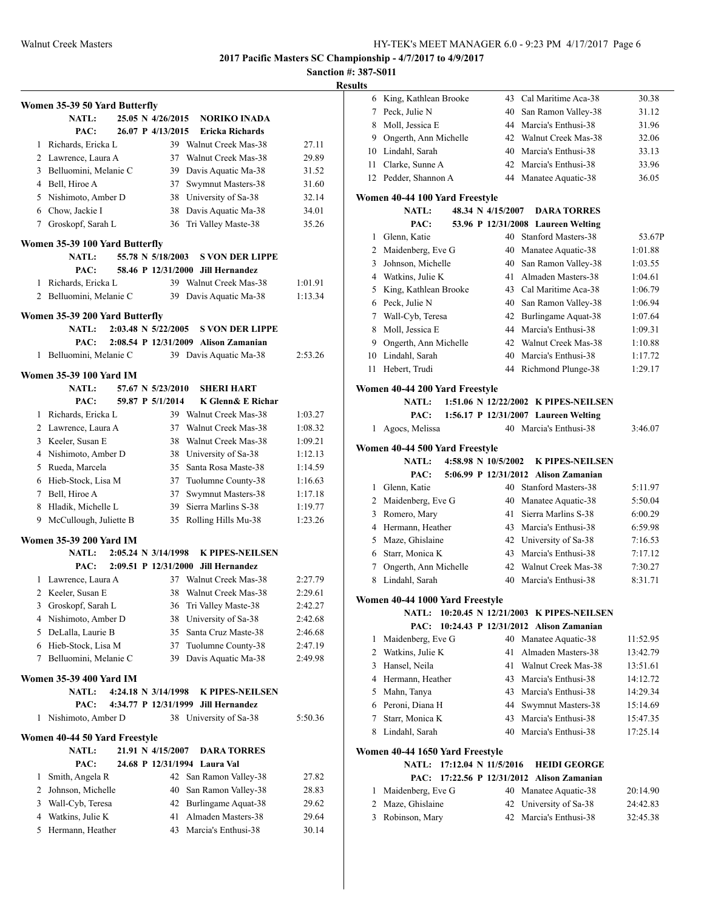## **Sanction #: 387-S011**

|   | Women 35-39 50 Yard Butterfly  |                      |                                      |         |
|---|--------------------------------|----------------------|--------------------------------------|---------|
|   | <b>NATL:</b>                   | 25.05 N 4/26/2015    | <b>NORIKO INADA</b>                  |         |
|   | PAC:                           | 26.07 P 4/13/2015    | <b>Ericka Richards</b>               |         |
| 1 | Richards, Ericka L             |                      | 39 Walnut Creek Mas-38               | 27.11   |
|   | 2 Lawrence, Laura A            | 37                   | Walnut Creek Mas-38                  | 29.89   |
|   | 3 Belluomini, Melanie C        |                      | 39 Davis Aquatic Ma-38               | 31.52   |
|   | 4 Bell, Hiroe A                | 37                   | Swymnut Masters-38                   | 31.60   |
|   | 5 Nishimoto, Amber D           |                      | 38 University of Sa-38               | 32.14   |
|   | 6 Chow, Jackie I               | 38                   | Davis Aquatic Ma-38                  | 34.01   |
|   | 7 Groskopf, Sarah L            | 36                   | Tri Valley Maste-38                  | 35.26   |
|   |                                |                      |                                      |         |
|   | Women 35-39 100 Yard Butterfly | 55.78 N 5/18/2003    |                                      |         |
|   | <b>NATL:</b>                   |                      | <b>S VON DER LIPPE</b>               |         |
|   | PAC:                           |                      | 58.46 P 12/31/2000 Jill Hernandez    |         |
| 1 | Richards, Ericka L             |                      | 39 Walnut Creek Mas-38               | 1:01.91 |
| 2 | Belluomini, Melanie C          | 39                   | Davis Aquatic Ma-38                  | 1:13.34 |
|   | Women 35-39 200 Yard Butterfly |                      |                                      |         |
|   | <b>NATL:</b>                   | 2:03.48 N 5/22/2005  | <b>S VON DER LIPPE</b>               |         |
|   | PAC:                           |                      | 2:08.54 P 12/31/2009 Alison Zamanian |         |
| 1 | Belluomini, Melanie C          |                      | 39 Davis Aquatic Ma-38               | 2:53.26 |
|   | Women 35-39 100 Yard IM        |                      |                                      |         |
|   | <b>NATL:</b>                   | 57.67 N 5/23/2010    | <b>SHERI HART</b>                    |         |
|   | PAC:                           | 59.87 P 5/1/2014     | K Glenn& E Richar                    |         |
| 1 | Richards, Ericka L             |                      | 39 Walnut Creek Mas-38               | 1:03.27 |
|   | 2 Lawrence, Laura A            | 37                   | Walnut Creek Mas-38                  | 1:08.32 |
|   |                                |                      |                                      |         |
|   | 3 Keeler, Susan E              | 38                   | Walnut Creek Mas-38                  | 1:09.21 |
|   | 4 Nishimoto, Amber D           | 38                   | University of Sa-38                  | 1:12.13 |
|   | 5 Rueda, Marcela               | 35                   | Santa Rosa Maste-38                  | 1:14.59 |
|   | 6 Hieb-Stock, Lisa M           | 37                   | Tuolumne County-38                   | 1:16.63 |
|   | 7 Bell, Hiroe A                | 37                   | Swymnut Masters-38                   | 1:17.18 |
| 8 | Hladik, Michelle L             | 39                   | Sierra Marlins S-38                  | 1:19.77 |
|   | 9 McCullough, Juliette B       | 35                   | Rolling Hills Mu-38                  | 1:23.26 |
|   | <b>Women 35-39 200 Yard IM</b> |                      |                                      |         |
|   | <b>NATL:</b>                   | 2:05.24 N 3/14/1998  | <b>K PIPES-NEILSEN</b>               |         |
|   | PAC:                           |                      | 2:09.51 P 12/31/2000 Jill Hernandez  |         |
| 1 | Lawrence, Laura A              |                      | 37 Walnut Creek Mas-38               | 2:27.79 |
| 2 | Keeler, Susan E                | 38                   | Walnut Creek Mas-38                  | 2:29.61 |
| 3 | Groskopf, Sarah L              | 36                   | Tri Valley Maste-38                  | 2:42.27 |
| 4 | Nishimoto, Amber D             | 38                   | University of Sa-38                  | 2:42.68 |
|   | 5 DeLalla, Laurie B            | 35                   | Santa Cruz Maste-38                  | 2:46.68 |
|   | 6 Hieb-Stock, Lisa M           | 37                   | Tuolumne County-38                   | 2:47.19 |
| 7 | Belluomini, Melanie C          | 39                   | Davis Aquatic Ma-38                  | 2:49.98 |
|   |                                |                      |                                      |         |
|   | <b>Women 35-39 400 Yard IM</b> |                      |                                      |         |
|   | <b>NATL:</b>                   | 4:24.18 N 3/14/1998  | K PIPES-NEILSEN                      |         |
|   | PAC:                           | 4:34.77 P 12/31/1999 | <b>Jill Hernandez</b>                |         |
| 1 | Nishimoto, Amber D             |                      | 38 University of Sa-38               | 5:50.36 |
|   | Women 40-44 50 Yard Freestyle  |                      |                                      |         |
|   | <b>NATL:</b>                   | 21.91 N 4/15/2007    | <b>DARA TORRES</b>                   |         |
|   | PAC:                           | 24.68 P 12/31/1994   | Laura Val                            |         |
| 1 | Smith, Angela R                |                      | 42 San Ramon Valley-38               | 27.82   |
| 2 | Johnson, Michelle              | 40                   | San Ramon Valley-38                  | 28.83   |
| 3 | Wall-Cyb, Teresa               | 42                   | Burlingame Aquat-38                  | 29.62   |
| 4 | Watkins, Julie K               | 41                   | Almaden Masters-38                   | 29.64   |
| 5 | Hermann, Heather               | 43                   | Marcia's Enthusi-38                  | 30.14   |
|   |                                |                      |                                      |         |

| 6              | King, Kathlean Brooke           | 43 Cal Maritime Aca-38                                         | 30.38    |
|----------------|---------------------------------|----------------------------------------------------------------|----------|
| 7              | Peck, Julie N                   | 40<br>San Ramon Valley-38                                      | 31.12    |
| 8              | Moll, Jessica E                 | 44<br>Marcia's Enthusi-38                                      | 31.96    |
|                | 9 Ongerth, Ann Michelle         | 42<br>Walnut Creek Mas-38                                      | 32.06    |
|                | 10 Lindahl, Sarah               | 40<br>Marcia's Enthusi-38                                      | 33.13    |
|                | 11 Clarke, Sunne A              | 42<br>Marcia's Enthusi-38                                      | 33.96    |
|                | 12 Pedder, Shannon A            | 44<br>Manatee Aquatic-38                                       | 36.05    |
|                | Women 40-44 100 Yard Freestyle  |                                                                |          |
|                | <b>NATL:</b>                    | 48.34 N 4/15/2007<br><b>DARA TORRES</b>                        |          |
|                | PAC:                            | 53.96 P 12/31/2008 Laureen Welting                             |          |
| 1              | Glenn, Katie                    | Stanford Masters-38<br>40                                      | 53.67P   |
|                | 2 Maidenberg, Eve G             | Manatee Aquatic-38<br>40                                       | 1:01.88  |
| 3              | Johnson, Michelle               | San Ramon Valley-38<br>40                                      | 1:03.55  |
|                | 4 Watkins, Julie K              | Almaden Masters-38<br>41                                       | 1:04.61  |
| 5              | King, Kathlean Brooke           | 43 Cal Maritime Aca-38                                         | 1:06.79  |
| 6              | Peck, Julie N                   | 40<br>San Ramon Valley-38                                      | 1:06.94  |
| 7              | Wall-Cyb, Teresa                | Burlingame Aquat-38<br>42                                      | 1:07.64  |
| 8              | Moll, Jessica E                 | 44<br>Marcia's Enthusi-38                                      | 1:09.31  |
|                | 9 Ongerth, Ann Michelle         | Walnut Creek Mas-38<br>42                                      | 1:10.88  |
|                | 10 Lindahl, Sarah               | Marcia's Enthusi-38<br>40                                      | 1:17.72  |
| 11             | Hebert, Trudi                   | 44<br>Richmond Plunge-38                                       | 1:29.17  |
|                |                                 |                                                                |          |
|                | Women 40-44 200 Yard Freestyle  |                                                                |          |
|                | <b>NATL:</b>                    | 1:51.06 N 12/22/2002 K PIPES-NEILSEN                           |          |
| 1              | PAC:                            | 1:56.17 P 12/31/2007 Laureen Welting<br>40 Marcia's Enthusi-38 |          |
|                | Agocs, Melissa                  |                                                                | 3:46.07  |
|                | Women 40-44 500 Yard Freestyle  |                                                                |          |
|                | <b>NATL:</b>                    | 4:58.98 N 10/5/2002<br><b>K PIPES-NEILSEN</b>                  |          |
|                | PAC:                            | 5:06.99 P 12/31/2012 Alison Zamanian                           |          |
| $\mathbf{1}$   | Glenn, Katie                    | <b>Stanford Masters-38</b><br>40                               | 5:11.97  |
|                | 2 Maidenberg, Eve G             | 40<br>Manatee Aquatic-38                                       | 5:50.04  |
| 3              | Romero, Mary                    | 41<br>Sierra Marlins S-38                                      | 6:00.29  |
| $\overline{4}$ | Hermann, Heather                | 43<br>Marcia's Enthusi-38                                      | 6:59.98  |
|                | 5 Maze, Ghislaine               | 42 University of Sa-38                                         | 7:16.53  |
|                | 6 Starr, Monica K               | 43<br>Marcia's Enthusi-38                                      | 7:17.12  |
| $7^{\circ}$    | Ongerth, Ann Michelle           | Walnut Creek Mas-38<br>42                                      | 7:30.27  |
| 8              | Lindahl, Sarah                  | 40<br>Marcia's Enthusi-38                                      | 8:31.71  |
|                | Women 40-44 1000 Yard Freestyle |                                                                |          |
|                | <b>NATL:</b>                    | 10:20.45 N 12/21/2003 K PIPES-NEILSEN                          |          |
|                | PAC:                            | 10:24.43 P 12/31/2012 Alison Zamanian                          |          |
| 1              | Maidenberg, Eve G               | 40<br>Manatee Aquatic-38                                       | 11:52.95 |
| 2              | Watkins, Julie K                | Almaden Masters-38<br>41                                       | 13:42.79 |
| 3              | Hansel, Neila                   | 41<br>Walnut Creek Mas-38                                      | 13:51.61 |
| 4              | Hermann, Heather                | 43<br>Marcia's Enthusi-38                                      | 14:12.72 |
| 5              | Mahn, Tanya                     | Marcia's Enthusi-38<br>43                                      | 14:29.34 |
| 6              | Peroni, Diana H                 | 44<br>Swymnut Masters-38                                       | 15:14.69 |
| 7              | Starr, Monica K                 | Marcia's Enthusi-38<br>43                                      | 15:47.35 |
| 8              | Lindahl, Sarah                  | Marcia's Enthusi-38<br>40                                      | 17:25.14 |
|                | Women 40-44 1650 Yard Freestyle |                                                                |          |
|                | <b>NATL:</b>                    | 17:12.04 N 11/5/2016<br><b>HEIDI GEORGE</b>                    |          |
|                | PAC:                            | 17:22.56 P 12/31/2012<br><b>Alison Zamanian</b>                |          |
| 1              | Maidenberg, Eve G               | Manatee Aquatic-38<br>40                                       | 20:14.90 |
| 2              | Maze, Ghislaine                 | University of Sa-38<br>42                                      | 24:42.83 |
| 3              | Robinson, Mary                  | Marcia's Enthusi-38<br>42                                      | 32:45.38 |
|                |                                 |                                                                |          |
|                |                                 |                                                                |          |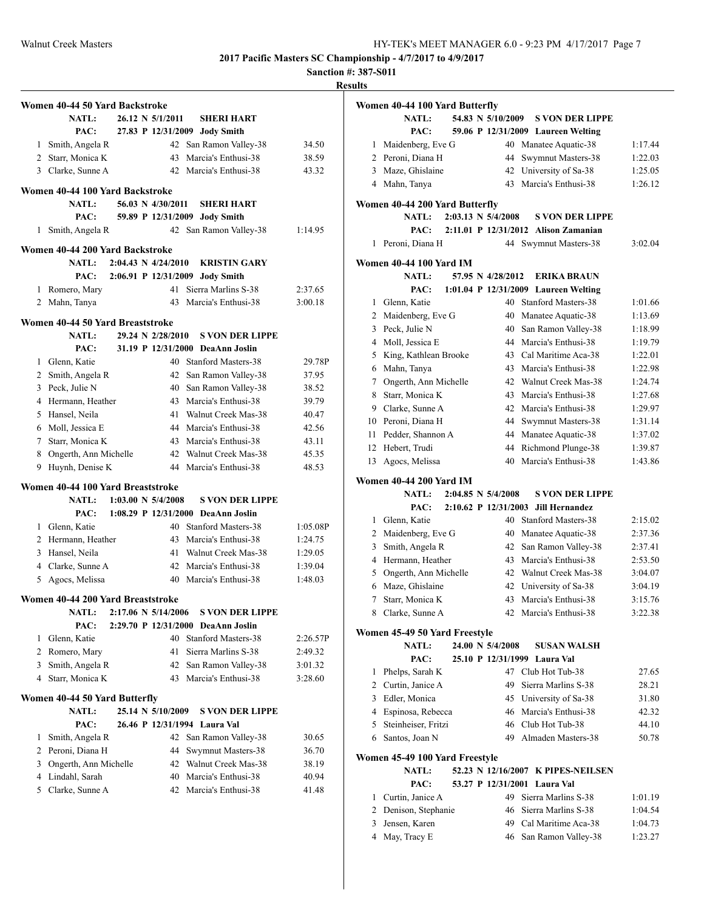**Sanction #: 387-S011**

#### **Results**

|                | Women 40-44 50 Yard Backstroke           |  |                                |                                                  |                |
|----------------|------------------------------------------|--|--------------------------------|--------------------------------------------------|----------------|
|                | <b>NATL:</b>                             |  | 26.12 N 5/1/2011               | <b>SHERI HART</b>                                |                |
|                | PAC:                                     |  |                                | 27.83 P 12/31/2009 Jody Smith                    |                |
| 1              | Smith, Angela R                          |  |                                | 42 San Ramon Valley-38                           | 34.50          |
|                | 2 Starr, Monica K                        |  |                                | 43 Marcia's Enthusi-38                           | 38.59          |
|                | 3 Clarke, Sunne A                        |  |                                | 42 Marcia's Enthusi-38                           | 43.32          |
|                | Women 40-44 100 Yard Backstroke          |  |                                |                                                  |                |
|                | <b>NATL:</b>                             |  | 56.03 N 4/30/2011              | <b>SHERI HART</b>                                |                |
|                | PAC:                                     |  |                                | 59.89 P 12/31/2009 Jody Smith                    |                |
| 1              | Smith, Angela R                          |  |                                | 42 San Ramon Valley-38                           | 1:14.95        |
|                | Women 40-44 200 Yard Backstroke          |  |                                |                                                  |                |
|                | <b>NATL:</b>                             |  | $2:04.43 \text{ N } 4/24/2010$ | <b>KRISTIN GARY</b>                              |                |
|                | PAC:                                     |  |                                | 2:06.91 P 12/31/2009 Jody Smith                  |                |
| 1              | Romero, Mary                             |  |                                | 41 Sierra Marlins S-38                           | 2:37.65        |
| 2              | Mahn, Tanya                              |  |                                | 43 Marcia's Enthusi-38                           | 3:00.18        |
|                | Women 40-44 50 Yard Breaststroke         |  |                                |                                                  |                |
|                | <b>NATL:</b>                             |  | 29.24 N 2/28/2010              | <b>S VON DER LIPPE</b>                           |                |
|                | PAC:                                     |  |                                | 31.19 P 12/31/2000 DeaAnn Joslin                 |                |
|                | 1 Glenn, Katie                           |  |                                | 40 Stanford Masters-38                           | 29.78P         |
|                | 2 Smith, Angela R                        |  |                                | 42 San Ramon Valley-38                           | 37.95          |
| 3              | Peck, Julie N                            |  | 40                             | San Ramon Valley-38                              | 38.52          |
| 4              | Hermann, Heather                         |  | 43                             | Marcia's Enthusi-38                              | 39.79          |
|                | 5 Hansel, Neila                          |  | 41                             | Walnut Creek Mas-38                              | 40.47          |
|                | 6 Moll, Jessica E                        |  |                                | 44 Marcia's Enthusi-38                           | 42.56          |
|                | 7 Starr, Monica K                        |  |                                | 43 Marcia's Enthusi-38                           | 43.11          |
|                |                                          |  |                                |                                                  |                |
| 8<br>9         | Ongerth, Ann Michelle<br>Huynh, Denise K |  |                                | 42 Walnut Creek Mas-38<br>44 Marcia's Enthusi-38 | 45.35<br>48.53 |
|                |                                          |  |                                |                                                  |                |
|                | Women 40-44 100 Yard Breaststroke        |  |                                |                                                  |                |
|                | <b>NATL:</b>                             |  | $1:03.00 \text{ N } 5/4/2008$  | <b>S VON DER LIPPE</b>                           |                |
|                | PAC:                                     |  |                                | 1:08.29 P 12/31/2000 DeaAnn Joslin               |                |
|                | 1 Glenn, Katie                           |  |                                | 40 Stanford Masters-38                           | 1:05.08P       |
|                | 2 Hermann, Heather                       |  |                                | 43 Marcia's Enthusi-38                           | 1:24.75        |
| 3              | Hansel, Neila                            |  | 41                             | Walnut Creek Mas-38                              | 1:29.05        |
|                | 4 Clarke, Sunne A                        |  | 42                             | Marcia's Enthusi-38                              | 1:39.04        |
| 5              | Agocs, Melissa                           |  |                                | 40 Marcia's Enthusi-38                           | 1:48.03        |
|                | Women 40-44 200 Yard Breaststroke        |  |                                |                                                  |                |
|                | <b>NATL:</b>                             |  | 2:17.06 N 5/14/2006            | <b>S VON DER LIPPE</b>                           |                |
|                | PAC:                                     |  |                                | 2:29.70 P 12/31/2000 DeaAnn Joslin               |                |
| 1              | Glenn, Katie                             |  |                                | 40 Stanford Masters-38                           | 2:26.57P       |
| $\overline{c}$ | Romero, Mary                             |  | 41                             | Sierra Marlins S-38                              | 2:49.32        |
| 3              | Smith, Angela R                          |  | 42                             | San Ramon Valley-38                              | 3:01.32        |
| 4              | Starr, Monica K                          |  | 43                             | Marcia's Enthusi-38                              | 3:28.60        |
|                | Women 40-44 50 Yard Butterfly            |  |                                |                                                  |                |
|                | <b>NATL:</b>                             |  | 25.14 N 5/10/2009              | <b>S VON DER LIPPE</b>                           |                |
|                | PAC:                                     |  |                                | 26.46 P 12/31/1994 Laura Val                     |                |
| 1              | Smith, Angela R                          |  | 42                             | San Ramon Valley-38                              | 30.65          |
| 2              | Peroni, Diana H                          |  | 44                             | Swymnut Masters-38                               | 36.70          |
| 3              | Ongerth, Ann Michelle                    |  | 42                             | Walnut Creek Mas-38                              | 38.19          |
| $\overline{4}$ | Lindahl, Sarah                           |  | 40                             | Marcia's Enthusi-38                              | 40.94          |
| 5              | Clarke, Sunne A                          |  |                                | 42 Marcia's Enthusi-38                           | 41.48          |
|                |                                          |  |                                |                                                  |                |

| Women 40-44 100 Yard Butterfly<br>NATL:<br>54.83 N 5/10/2009<br><b>S VON DER LIPPE</b> |         |
|----------------------------------------------------------------------------------------|---------|
|                                                                                        |         |
|                                                                                        |         |
| PAC:<br>59.06 P 12/31/2009 Laureen Welting                                             |         |
| Maidenberg, Eve G<br>40 Manatee Aquatic-38<br>1                                        | 1:17.44 |
| 2 Peroni, Diana H<br>44<br>Swymnut Masters-38                                          | 1:22.03 |
| 3 Maze, Ghislaine<br>42 University of Sa-38                                            | 1:25.05 |
| 43<br>Marcia's Enthusi-38<br>4 Mahn, Tanya                                             | 1:26.12 |
|                                                                                        |         |
| Women 40-44 200 Yard Butterfly                                                         |         |
| $2:03.13 \text{ N } 5/4/2008$<br><b>NATL:</b><br><b>S VON DER LIPPE</b>                |         |
| 2:11.01 P 12/31/2012 Alison Zamanian<br>PAC:                                           |         |
| Peroni, Diana H<br>44<br>Swymnut Masters-38<br>1                                       | 3:02.04 |
| Women 40-44 100 Yard IM                                                                |         |
| 57.95 N 4/28/2012<br><b>NATL:</b><br><b>ERIKA BRAUN</b>                                |         |
| PAC:<br>1:01.04 P 12/31/2009 Laureen Welting                                           |         |
| Glenn, Katie<br>Stanford Masters-38<br>1<br>40                                         | 1:01.66 |
| 2 Maidenberg, Eve G<br>40<br>Manatee Aquatic-38                                        | 1:13.69 |
| 3 Peck, Julie N<br>40 San Ramon Valley-38                                              | 1:18.99 |
| 4 Moll, Jessica E<br>44 Marcia's Enthusi-38                                            | 1:19.79 |
| King, Kathlean Brooke<br>43 Cal Maritime Aca-38<br>5                                   | 1:22.01 |
| Mahn, Tanya<br>43 Marcia's Enthusi-38<br>6                                             | 1:22.98 |
| Ongerth, Ann Michelle<br>42 Walnut Creek Mas-38<br>7                                   | 1:24.74 |
| Starr, Monica K<br>Marcia's Enthusi-38<br>8<br>43                                      | 1:27.68 |
| Clarke, Sunne A<br>42<br>Marcia's Enthusi-38<br>9                                      | 1:29.97 |
| 10 Peroni, Diana H<br>44<br>Swymnut Masters-38                                         | 1:31.14 |
| Pedder, Shannon A<br>Manatee Aquatic-38<br>11 -<br>44                                  | 1:37.02 |
| Hebert, Trudi<br>44<br>Richmond Plunge-38<br>12                                        | 1:39.87 |
| 40<br>Marcia's Enthusi-38<br>13<br>Agocs, Melissa                                      | 1:43.86 |
| <b>Women 40-44 200 Yard IM</b>                                                         |         |
| 2:04.85 N 5/4/2008<br><b>NATL:</b><br><b>S VON DER LIPPE</b>                           |         |
| PAC:<br>2:10.62 P 12/31/2003<br><b>Jill Hernandez</b>                                  |         |
| Glenn, Katie<br>40 Stanford Masters-38<br>1                                            | 2:15.02 |
| 2 Maidenberg, Eve G<br>40<br>Manatee Aquatic-38                                        | 2:37.36 |
| Smith, Angela R<br>San Ramon Valley-38<br>3<br>42                                      | 2:37.41 |
| Hermann, Heather<br>43 Marcia's Enthusi-38<br>$\overline{4}$                           | 2:53.50 |
| 42 Walnut Creek Mas-38<br>Ongerth, Ann Michelle<br>5                                   | 3:04.07 |
| 6 Maze, Ghislaine<br>University of Sa-38<br>42                                         | 3:04.19 |
| 7<br>Starr, Monica K<br>43<br>Marcia's Enthusi-38                                      | 3:15.76 |
| 8 Clarke, Sunne A<br>42 Marcia's Enthusi-38                                            | 3:22.38 |
| Women 45-49 50 Yard Freestyle                                                          |         |
| 24.00 N 5/4/2008<br><b>NATL:</b><br><b>SUSAN WALSH</b>                                 |         |
| PAC:<br>25.10 P 12/31/1999 Laura Val                                                   |         |
| 1 Phelps, Sarah K<br>47 Club Hot Tub-38                                                | 27.65   |
| 2 Curtin, Janice A<br>49 Sierra Marlins S-38                                           | 28.21   |
| 3 Edler, Monica<br>45 University of Sa-38                                              | 31.80   |
| 46 Marcia's Enthusi-38<br>4 Espinosa, Rebecca                                          | 42.32   |
| 46 Club Hot Tub-38<br>5 Steinheiser, Fritzi                                            | 44.10   |
| 6 Santos, Joan N<br>49 Almaden Masters-38                                              | 50.78   |
| Women 45-49 100 Yard Freestyle                                                         |         |
| <b>NATL:</b><br>52.23 N 12/16/2007 K PIPES-NEILSEN                                     |         |
| PAC:<br>53.27 P 12/31/2001 Laura Val                                                   |         |
| 49 Sierra Marlins S-38<br>1 Curtin, Janice A                                           | 1:01.19 |
| 2 Denison, Stephanie<br>46 Sierra Marlins S-38                                         | 1:04.54 |

3 Jensen, Karen 49 Cal Maritime Aca-38 1:04.73 4 May, Tracy E 46 San Ramon Valley-38 1:23.27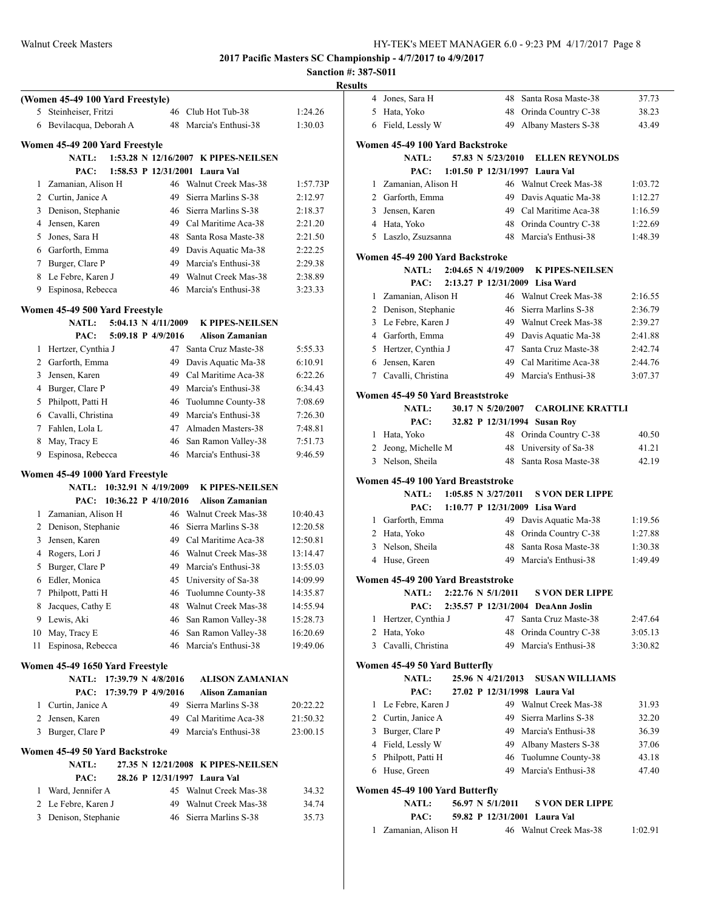|                |                                  |                     |                                      | Rε       |
|----------------|----------------------------------|---------------------|--------------------------------------|----------|
|                | (Women 45-49 100 Yard Freestyle) |                     |                                      |          |
| 5              | Steinheiser, Fritzi              |                     | 46 Club Hot Tub-38                   | 1:24.26  |
| 6              | Bevilacqua, Deborah A            |                     | 48 Marcia's Enthusi-38               | 1:30.03  |
|                | Women 45-49 200 Yard Freestyle   |                     |                                      |          |
|                | <b>NATL:</b>                     |                     | 1:53.28 N 12/16/2007 K PIPES-NEILSEN |          |
|                | PAC:                             |                     | 1:58.53 P 12/31/2001 Laura Val       |          |
| 1              | Zamanian, Alison H               |                     | 46 Walnut Creek Mas-38               | 1:57.73P |
| $\overline{2}$ | Curtin, Janice A                 | 49                  | Sierra Marlins S-38                  | 2:12.97  |
| 3              | Denison, Stephanie               | 46                  | Sierra Marlins S-38                  | 2:18.37  |
| 4              | Jensen, Karen                    |                     | 49 Cal Maritime Aca-38               | 2:21.20  |
| 5              | Jones, Sara H                    | 48                  | Santa Rosa Maste-38                  | 2:21.50  |
|                | 6 Garforth, Emma                 |                     | 49 Davis Aquatic Ma-38               | 2:22.25  |
| 7              | Burger, Clare P                  |                     | 49 Marcia's Enthusi-38               | 2:29.38  |
| 8              | Le Febre, Karen J                |                     | 49 Walnut Creek Mas-38               | 2:38.89  |
| 9              | Espinosa, Rebecca                |                     | 46 Marcia's Enthusi-38               | 3:23.33  |
|                |                                  |                     |                                      |          |
|                | Women 45-49 500 Yard Freestyle   |                     |                                      |          |
|                | <b>NATL:</b>                     | 5:04.13 N 4/11/2009 | <b>K PIPES-NEILSEN</b>               |          |
|                | PAC:                             | 5:09.18 P 4/9/2016  | Alison Zamanian                      |          |
| 1              | Hertzer, Cynthia J               | 47                  | Santa Cruz Maste-38                  | 5:55.33  |
| 2              | Garforth, Emma                   | 49                  | Davis Aquatic Ma-38                  | 6:10.91  |
| 3              | Jensen, Karen                    | 49                  | Cal Maritime Aca-38                  | 6:22.26  |
| 4              | Burger, Clare P                  | 49                  | Marcia's Enthusi-38                  | 6:34.43  |
| 5              | Philpott, Patti H                | 46                  | Tuolumne County-38                   | 7:08.69  |
|                | 6 Cavalli, Christina             | 49                  | Marcia's Enthusi-38                  | 7:26.30  |
| 7              | Fahlen, Lola L                   | 47                  | Almaden Masters-38                   | 7:48.81  |
| 8              | May, Tracy E                     |                     | 46 San Ramon Valley-38               | 7:51.73  |
| 9              | Espinosa, Rebecca                |                     | 46 Marcia's Enthusi-38               | 9:46.59  |
|                | Women 45-49 1000 Yard Freestyle  |                     |                                      |          |
|                | NATL: 10:32.91 N 4/19/2009       |                     | <b>K PIPES-NEILSEN</b>               |          |
|                | PAC: 10:36.22 P 4/10/2016        |                     | <b>Alison Zamanian</b>               |          |
| 1              | Zamanian, Alison H               |                     | 46 Walnut Creek Mas-38               | 10:40.43 |
| 2              | Denison, Stephanie               | 46                  | Sierra Marlins S-38                  | 12:20.58 |
| 3              | Jensen, Karen                    | 49                  | Cal Maritime Aca-38                  | 12:50.81 |
| 4              | Rogers, Lori J                   | 46                  | Walnut Creek Mas-38                  | 13:14.47 |
| 5              | Burger, Clare P                  | 49                  | Marcia's Enthusi-38                  | 13:55.03 |
| 6              | Edler, Monica                    |                     | 45 University of Sa-38               | 14:09.99 |
|                | 7 Philpott, Patti H              |                     | 46 Tuolumne County-38                | 14:35.87 |
|                | 8 Jacques, Cathy E               |                     | 48 Walnut Creek Mas-38               | 14:55.94 |
| 9              | Lewis, Aki                       | 46                  | San Ramon Valley-38                  | 15:28.73 |
|                | 10 May, Tracy E                  |                     | 46 San Ramon Valley-38               | 16:20.69 |
| 11             | Espinosa, Rebecca                |                     | 46 Marcia's Enthusi-38               | 19:49.06 |
|                | Women 45-49 1650 Yard Freestyle  |                     |                                      |          |
|                | NATL: 17:39.79 N 4/8/2016        |                     | <b>ALISON ZAMANIAN</b>               |          |
|                | PAC:                             | 17:39.79 P 4/9/2016 | <b>Alison Zamanian</b>               |          |
|                | 1 Curtin, Janice A               |                     | 49 Sierra Marlins S-38               | 20:22.22 |
| $\overline{2}$ | Jensen, Karen                    |                     | 49 Cal Maritime Aca-38               | 21:50.32 |
|                | 3 Burger, Clare P                |                     | 49 Marcia's Enthusi-38               | 23:00.15 |
|                | Women 45-49 50 Yard Backstroke   |                     |                                      |          |
|                | <b>NATL:</b>                     |                     | 27.35 N 12/21/2008 K PIPES-NEILSEN   |          |
|                | PAC:                             |                     | 28.26 P 12/31/1997 Laura Val         |          |
| 1              | Ward, Jennifer A                 |                     | 45 Walnut Creek Mas-38               | 34.32    |
| 2              | Le Febre, Karen J                |                     | 49 Walnut Creek Mas-38               | 34.74    |
| 3              | Denison, Stephanie               |                     | 46 Sierra Marlins S-38               | 35.73    |
|                |                                  |                     |                                      |          |
|                |                                  |                     |                                      |          |

| esults         |                                                  |  |                         |                                                              |                    |
|----------------|--------------------------------------------------|--|-------------------------|--------------------------------------------------------------|--------------------|
|                | 4 Jones, Sara H                                  |  |                         | 48 Santa Rosa Maste-38                                       | 37.73              |
|                | 5 Hata, Yoko                                     |  |                         | 48 Orinda Country C-38                                       | 38.23              |
|                | 6 Field, Lessly W                                |  | 49                      | Albany Masters S-38                                          | 43.49              |
|                | Women 45-49 100 Yard Backstroke                  |  |                         |                                                              |                    |
|                | NATL:                                            |  | 57.83 N 5/23/2010       | <b>ELLEN REYNOLDS</b>                                        |                    |
|                | PAC:                                             |  |                         | 1:01.50 P 12/31/1997 Laura Val                               |                    |
|                | 1 Zamanian, Alison H                             |  |                         | 46 Walnut Creek Mas-38                                       | 1:03.72            |
|                | 2 Garforth, Emma                                 |  |                         | 49 Davis Aquatic Ma-38                                       | 1:12.27            |
|                | 3 Jensen, Karen                                  |  |                         | 49 Cal Maritime Aca-38                                       | 1:16.59            |
|                | 4 Hata, Yoko                                     |  |                         | 48 Orinda Country C-38                                       | 1:22.69            |
|                | 5 Laszlo, Zsuzsanna                              |  |                         | 48 Marcia's Enthusi-38                                       | 1:48.39            |
|                | Women 45-49 200 Yard Backstroke                  |  |                         |                                                              |                    |
|                | <b>NATL:</b>                                     |  | 2:04.65 N 4/19/2009     | <b>K PIPES-NEILSEN</b>                                       |                    |
|                | PAC:                                             |  |                         | 2:13.27 P 12/31/2009 Lisa Ward                               |                    |
|                | 1 Zamanian, Alison H                             |  |                         | 46 Walnut Creek Mas-38                                       | 2:16.55            |
|                | 2 Denison, Stephanie                             |  | 46                      | Sierra Marlins S-38                                          | 2:36.79            |
|                | 3 Le Febre, Karen J                              |  |                         | 49 Walnut Creek Mas-38                                       | 2:39.27            |
|                | 4 Garforth, Emma                                 |  |                         | 49 Davis Aquatic Ma-38                                       | 2:41.88            |
|                | 5 Hertzer, Cynthia J                             |  |                         | 47 Santa Cruz Maste-38                                       | 2:42.74            |
|                | 6 Jensen, Karen                                  |  |                         | 49 Cal Maritime Aca-38                                       | 2:44.76            |
|                | 7 Cavalli, Christina                             |  |                         | 49 Marcia's Enthusi-38                                       | 3:07.37            |
|                |                                                  |  |                         |                                                              |                    |
|                | Women 45-49 50 Yard Breaststroke<br><b>NATL:</b> |  | 30.17 N 5/20/2007       | <b>CAROLINE KRATTLI</b>                                      |                    |
|                | PAC:                                             |  |                         | 32.82 P 12/31/1994 Susan Roy                                 |                    |
|                | 1 Hata, Yoko                                     |  |                         | 48 Orinda Country C-38                                       | 40.50              |
|                | 2 Jeong, Michelle M                              |  | 48                      | University of Sa-38                                          | 41.21              |
|                | 3 Nelson, Sheila                                 |  | 48                      | Santa Rosa Maste-38                                          | 42.19              |
|                |                                                  |  |                         |                                                              |                    |
|                | Women 45-49 100 Yard Breaststroke                |  |                         |                                                              |                    |
|                | <b>NATL:</b>                                     |  | $1:05.85$ N $3/27/2011$ | <b>S VON DER LIPPE</b>                                       |                    |
|                | PAC:                                             |  |                         | 1:10.77 P 12/31/2009 Lisa Ward                               |                    |
|                | 1 Garforth, Emma<br>2 Hata, Yoko                 |  |                         | 49 Davis Aquatic Ma-38<br>48 Orinda Country C-38             | 1:19.56<br>1:27.88 |
|                | 3 Nelson, Sheila                                 |  |                         | 48 Santa Rosa Maste-38                                       | 1:30.38            |
| $\overline{4}$ | Huse, Green                                      |  |                         | 49 Marcia's Enthusi-38                                       | 1:49.49            |
|                |                                                  |  |                         |                                                              |                    |
|                | Women 45-49 200 Yard Breaststroke                |  |                         |                                                              |                    |
|                | NATL: 2:22.76 N 5/1/2011                         |  |                         | <b>S VON DER LIPPE</b>                                       |                    |
|                | PAC:<br>1 Hertzer, Cynthia J                     |  |                         | 2:35.57 P 12/31/2004 DeaAnn Joslin<br>47 Santa Cruz Maste-38 |                    |
|                | 2 Hata, Yoko                                     |  |                         | 48 Orinda Country C-38                                       | 2:47.64<br>3:05.13 |
|                | 3 Cavalli, Christina                             |  |                         | 49 Marcia's Enthusi-38                                       | 3:30.82            |
|                |                                                  |  |                         |                                                              |                    |
|                | Women 45-49 50 Yard Butterfly                    |  |                         |                                                              |                    |
|                | <b>NATL:</b>                                     |  | 25.96 N 4/21/2013       | <b>SUSAN WILLIAMS</b>                                        |                    |
|                | PAC:                                             |  |                         | 27.02 P 12/31/1998 Laura Val                                 |                    |
|                | 1 Le Febre, Karen J                              |  |                         | 49 Walnut Creek Mas-38                                       | 31.93              |
|                | 2 Curtin, Janice A                               |  |                         | 49 Sierra Marlins S-38                                       | 32.20              |
|                | 3 Burger, Clare P                                |  |                         | 49 Marcia's Enthusi-38                                       | 36.39              |
|                | 4 Field, Lessly W<br>5 Philpott, Patti H         |  |                         | 49 Albany Masters S-38<br>46 Tuolumne County-38              | 37.06<br>43.18     |
|                | 6 Huse, Green                                    |  |                         | 49 Marcia's Enthusi-38                                       | 47.40              |
|                |                                                  |  |                         |                                                              |                    |
|                | Women 45-49 100 Yard Butterfly                   |  |                         |                                                              |                    |
|                | <b>NATL:</b>                                     |  | 56.97 N 5/1/2011        | <b>S VON DER LIPPE</b>                                       |                    |
|                | PAC:                                             |  |                         | 59.82 P 12/31/2001 Laura Val                                 |                    |
|                | 1 Zamanian, Alison H                             |  |                         | 46 Walnut Creek Mas-38                                       | 1:02.91            |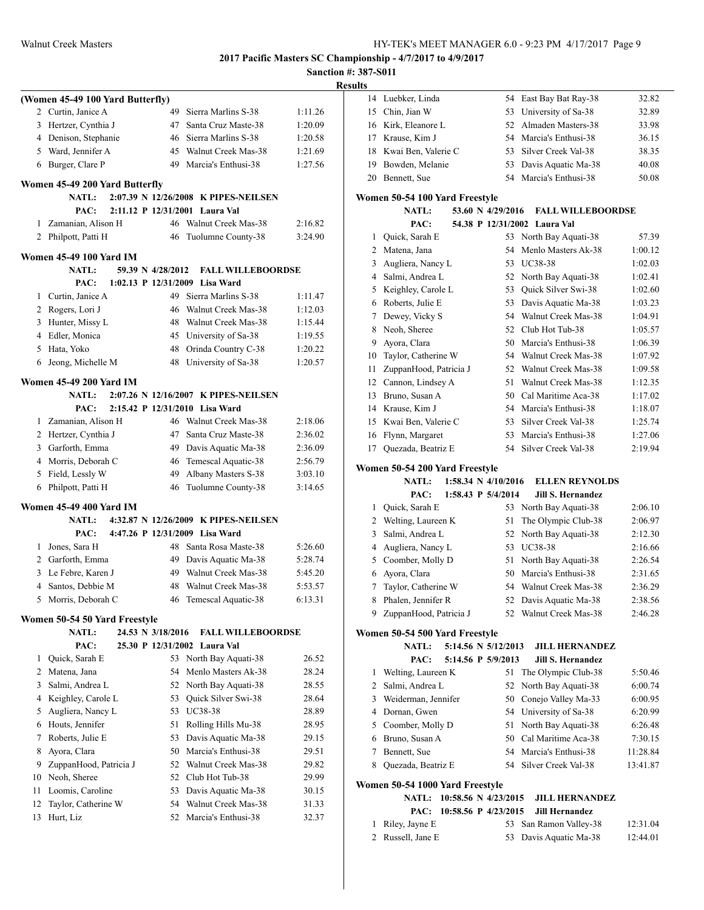|    |                                     |    |                                      | Sancti  |
|----|-------------------------------------|----|--------------------------------------|---------|
|    | (Women 45-49 100 Yard Butterfly)    |    |                                      |         |
|    | 2 Curtin, Janice A                  | 49 | Sierra Marlins S-38                  | 1:11.26 |
| 3  | Hertzer, Cynthia J                  | 47 | Santa Cruz Maste-38                  | 1:20.09 |
|    | 4 Denison, Stephanie                | 46 | Sierra Marlins S-38                  | 1:20.58 |
|    | 5 Ward, Jennifer A                  |    | 45 Walnut Creek Mas-38               | 1:21.69 |
|    | 6 Burger, Clare P                   | 49 | Marcia's Enthusi-38                  | 1:27.56 |
|    |                                     |    |                                      |         |
|    | Women 45-49 200 Yard Butterfly      |    |                                      |         |
|    | <b>NATL:</b>                        |    | 2:07.39 N 12/26/2008 K PIPES-NEILSEN |         |
|    | PAC:                                |    | 2:11.12 P 12/31/2001 Laura Val       |         |
| 1  | Zamanian, Alison H                  |    | 46 Walnut Creek Mas-38               | 2:16.82 |
| 2  | Philpott, Patti H                   | 46 | Tuolumne County-38                   | 3:24.90 |
|    | <b>Women 45-49 100 Yard IM</b>      |    |                                      |         |
|    | 59.39 N 4/28/2012<br><b>NATL:</b>   |    | <b>FALL WILLEBOORDSE</b>             |         |
|    | PAC:                                |    | 1:02.13 P 12/31/2009 Lisa Ward       |         |
| 1  | Curtin, Janice A                    | 49 | Sierra Marlins S-38                  | 1:11.47 |
|    | 2 Rogers, Lori J                    | 46 | Walnut Creek Mas-38                  | 1:12.03 |
|    | 3 Hunter, Missy L                   |    | 48 Walnut Creek Mas-38               | 1:15.44 |
|    | 4 Edler, Monica                     | 45 | University of Sa-38                  | 1:19.55 |
|    | 5 Hata, Yoko                        | 48 | Orinda Country C-38                  | 1:20.22 |
| 6  | Jeong, Michelle M                   | 48 | University of Sa-38                  | 1:20.57 |
|    | <b>Women 45-49 200 Yard IM</b>      |    |                                      |         |
|    | <b>NATL:</b>                        |    | 2:07.26 N 12/16/2007 K PIPES-NEILSEN |         |
|    | PAC:                                |    | 2:15.42 P 12/31/2010 Lisa Ward       |         |
|    | 1 Zamanian, Alison H                |    | 46 Walnut Creek Mas-38               | 2:18.06 |
|    | 2 Hertzer, Cynthia J                | 47 | Santa Cruz Maste-38                  | 2:36.02 |
|    | 3 Garforth, Emma                    |    | 49 Davis Aquatic Ma-38               | 2:36.09 |
|    | 4 Morris, Deborah C                 | 46 | Temescal Aquatic-38                  | 2:56.79 |
|    | 5 Field, Lessly W                   | 49 | Albany Masters S-38                  | 3:03.10 |
| 6  | Philpott, Patti H                   | 46 | Tuolumne County-38                   | 3:14.65 |
|    | <b>Women 45-49 400 Yard IM</b>      |    |                                      |         |
|    | <b>NATL:</b>                        |    | 4:32.87 N 12/26/2009 K PIPES-NEILSEN |         |
|    | PAC: 4:47.26 P 12/31/2009 Lisa Ward |    |                                      |         |
|    | 1 Jones, Sara H                     | 48 | Santa Rosa Maste-38                  | 5:26.60 |
|    | 2 Garforth, Emma                    |    | 49 Davis Aquatic Ma-38               | 5:28.74 |
| 3  | Le Febre, Karen J                   |    | 49 Walnut Creek Mas-38               | 5:45.20 |
|    | 4 Santos, Debbie M                  |    | 48 Walnut Creek Mas-38               | 5:53.57 |
| 5  | Morris, Deborah C                   | 46 | Temescal Aquatic-38                  | 6:13.31 |
|    | Women 50-54 50 Yard Freestyle       |    |                                      |         |
|    | <b>NATL:</b><br>24.53 N 3/18/2016   |    | <b>FALL WILLEBOORDSE</b>             |         |
|    | 25.30 P 12/31/2002<br>PAC:          |    | Laura Val                            |         |
| 1  | Quick, Sarah E                      | 53 | North Bay Aquati-38                  | 26.52   |
| 2  | Matena, Jana                        | 54 | Menlo Masters Ak-38                  | 28.24   |
| 3  | Salmi, Andrea L                     | 52 | North Bay Aquati-38                  | 28.55   |
| 4  | Keighley, Carole L                  | 53 | Quick Silver Swi-38                  | 28.64   |
| 5  | Augliera, Nancy L                   | 53 | UC38-38                              | 28.89   |
| 6  | Houts, Jennifer                     | 51 | Rolling Hills Mu-38                  | 28.95   |
| 7  | Roberts, Julie E                    | 53 | Davis Aquatic Ma-38                  | 29.15   |
| 8  | Ayora, Clara                        | 50 | Marcia's Enthusi-38                  | 29.51   |
| 9  | ZuppanHood, Patricia J              | 52 | Walnut Creek Mas-38                  | 29.82   |
| 10 | Neoh, Sheree                        | 52 | Club Hot Tub-38                      | 29.99   |
| 11 | Loomis, Caroline                    | 53 | Davis Aquatic Ma-38                  | 30.15   |
| 12 | Taylor, Catherine W                 | 54 | Walnut Creek Mas-38                  | 31.33   |
| 13 | Hurt, Liz                           | 52 | Marcia's Enthusi-38                  | 32.37   |
|    |                                     |    |                                      |         |

| <b>Results</b> |                                                |                   |                              |          |
|----------------|------------------------------------------------|-------------------|------------------------------|----------|
|                | 14 Luebker, Linda                              |                   | 54 East Bay Bat Ray-38       | 32.82    |
|                | 15 Chin, Jian W                                | 53                | University of Sa-38          | 32.89    |
|                | 16 Kirk, Eleanore L                            |                   | 52 Almaden Masters-38        | 33.98    |
|                | 17 Krause, Kim J                               |                   | 54 Marcia's Enthusi-38       | 36.15    |
|                | 18 Kwai Ben, Valerie C                         |                   | 53 Silver Creek Val-38       | 38.35    |
|                | 19 Bowden, Melanie                             | 53                | Davis Aquatic Ma-38          | 40.08    |
|                | 20 Bennett, Sue                                |                   | 54 Marcia's Enthusi-38       | 50.08    |
|                |                                                |                   |                              |          |
|                | Women 50-54 100 Yard Freestyle<br><b>NATL:</b> | 53.60 N 4/29/2016 | <b>FALL WILLEBOORDSE</b>     |          |
|                | PAC:                                           |                   | 54.38 P 12/31/2002 Laura Val |          |
|                | 1 Quick, Sarah E                               |                   | 53 North Bay Aquati-38       | 57.39    |
|                | 2 Matena, Jana                                 | 54                | Menlo Masters Ak-38          | 1:00.12  |
|                | 3 Augliera, Nancy L                            |                   | 53 UC38-38                   | 1:02.03  |
|                | 4 Salmi, Andrea L                              |                   | 52 North Bay Aquati-38       | 1:02.41  |
|                | 5 Keighley, Carole L                           |                   | 53 Quick Silver Swi-38       | 1:02.60  |
|                | 6 Roberts, Julie E                             |                   | 53 Davis Aquatic Ma-38       | 1:03.23  |
|                | 7 Dewey, Vicky S                               |                   | 54 Walnut Creek Mas-38       | 1:04.91  |
|                | 8 Neoh, Sheree                                 |                   | 52 Club Hot Tub-38           | 1:05.57  |
|                | 9 Ayora, Clara                                 |                   | 50 Marcia's Enthusi-38       | 1:06.39  |
|                | 10 Taylor, Catherine W                         |                   | 54 Walnut Creek Mas-38       | 1:07.92  |
|                | 11 ZuppanHood, Patricia J                      |                   | 52 Walnut Creek Mas-38       | 1:09.58  |
|                | 12 Cannon, Lindsey A                           | 51                | Walnut Creek Mas-38          | 1:12.35  |
|                | 13 Bruno, Susan A                              |                   | 50 Cal Maritime Aca-38       | 1:17.02  |
|                | 14 Krause, Kim J                               |                   | 54 Marcia's Enthusi-38       | 1:18.07  |
|                | 15 Kwai Ben, Valerie C                         |                   | 53 Silver Creek Val-38       | 1:25.74  |
|                | 16 Flynn, Margaret                             |                   | 53 Marcia's Enthusi-38       | 1:27.06  |
|                | 17 Quezada, Beatriz E                          |                   | 54 Silver Creek Val-38       | 2:19.94  |
|                |                                                |                   |                              |          |
|                | Women 50-54 200 Yard Freestyle                 |                   |                              |          |
|                | <b>NATL:</b><br>1:58.34 N 4/10/2016            |                   | <b>ELLEN REYNOLDS</b>        |          |
|                | PAC:<br>1:58.43 P 5/4/2014                     |                   | <b>Jill S. Hernandez</b>     |          |
|                | 1 Quick, Sarah E                               |                   | 53 North Bay Aquati-38       | 2:06.10  |
|                | 2 Welting, Laureen K                           | 51                | The Olympic Club-38          | 2:06.97  |
|                | 3 Salmi, Andrea L                              | 52                | North Bay Aquati-38          | 2:12.30  |
|                | 4 Augliera, Nancy L                            |                   | 53 UC38-38                   | 2:16.66  |
|                | 5 Coomber, Molly D                             | 51                | North Bay Aquati-38          | 2:26.54  |
|                | 6 Ayora, Clara                                 |                   | 50 Marcia's Enthusi-38       | 2:31.65  |
| 7              | Taylor, Catherine W                            |                   | 54 Walnut Creek Mas-38       | 2:36.29  |
| 8              | Phalen, Jennifer R                             | 52                | Davis Aquatic Ma-38          | 2:38.56  |
| 9              | ZuppanHood, Patricia J                         | 52                | Walnut Creek Mas-38          | 2:46.28  |
|                | Women 50-54 500 Yard Freestyle                 |                   |                              |          |
|                | NATL:<br>5:14.56 N 5/12/2013                   |                   | <b>JILL HERNANDEZ</b>        |          |
|                | PAC:<br>5:14.56 P 5/9/2013                     |                   | Jill S. Hernandez            |          |
| 1              | Welting, Laureen K                             | 51                | The Olympic Club-38          | 5:50.46  |
|                | 2 Salmi, Andrea L                              | 52                | North Bay Aquati-38          | 6:00.74  |
|                | 3 Weiderman, Jennifer                          | 50                | Conejo Valley Ma-33          | 6:00.95  |
|                | 4 Dornan, Gwen                                 | 54                | University of Sa-38          | 6:20.99  |
|                | 5 Coomber, Molly D                             | 51                | North Bay Aquati-38          | 6:26.48  |
|                | 6 Bruno, Susan A                               |                   | 50 Cal Maritime Aca-38       | 7:30.15  |
|                | 7 Bennett, Sue                                 |                   | 54 Marcia's Enthusi-38       | 11:28.84 |
|                | 8 Quezada, Beatriz E                           |                   | 54 Silver Creek Val-38       | 13:41.87 |
|                | Women 50-54 1000 Yard Freestyle                |                   |                              |          |
|                | <b>NATL:</b><br>10:58.56 N 4/23/2015           |                   | <b>JILL HERNANDEZ</b>        |          |
|                | PAC:<br>10:58.56 P 4/23/2015                   |                   | <b>Jill Hernandez</b>        |          |
| 1              | Riley, Jayne E                                 | 53                | San Ramon Valley-38          | 12:31.04 |
|                | 2 Russell, Jane E                              | 53                | Davis Aquatic Ma-38          | 12:44.01 |
|                |                                                |                   |                              |          |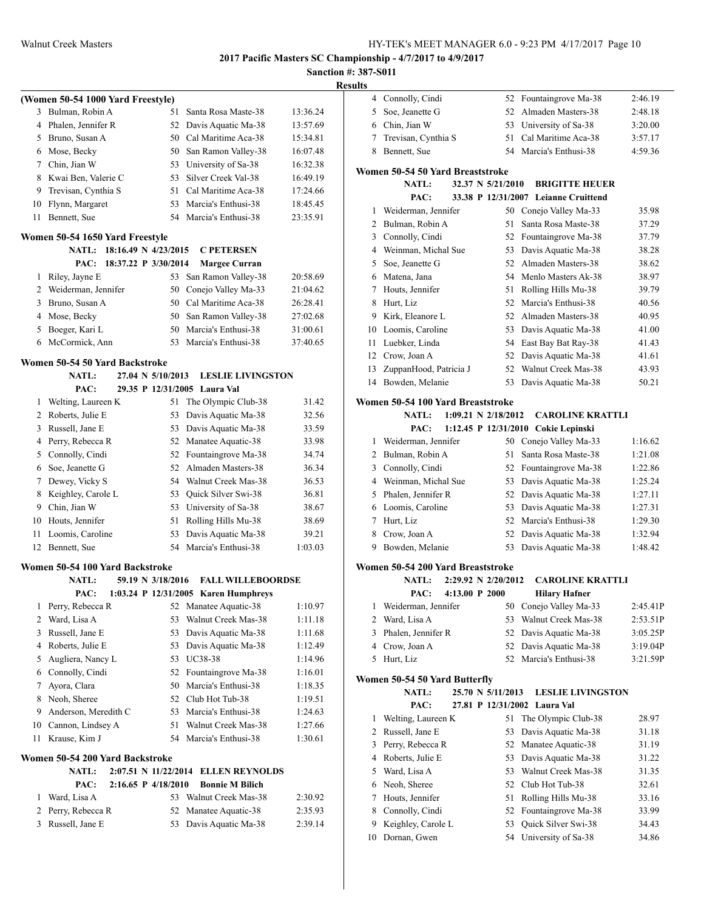|                |                                      |    |                                               |                    | Sanction #: 38<br><b>Results</b> |
|----------------|--------------------------------------|----|-----------------------------------------------|--------------------|----------------------------------|
|                | (Women 50-54 1000 Yard Freestyle)    |    |                                               |                    |                                  |
|                | 3 Bulman, Robin A                    | 51 | Santa Rosa Maste-38                           | 13:36.24           |                                  |
|                | 4 Phalen, Jennifer R                 |    | 52 Davis Aquatic Ma-38                        | 13:57.69           |                                  |
|                | 5 Bruno, Susan A                     |    | 50 Cal Maritime Aca-38                        | 15:34.81           |                                  |
|                | 6 Mose, Becky                        |    | 50 San Ramon Valley-38                        | 16:07.48           |                                  |
|                | 7 Chin, Jian W                       |    | 53 University of Sa-38                        | 16:32.38           |                                  |
|                | 8 Kwai Ben, Valerie C                |    | 53 Silver Creek Val-38                        | 16:49.19           | W0                               |
|                | 9 Trevisan, Cynthia S                |    | 51 Cal Maritime Aca-38                        | 17:24.66           |                                  |
|                | 10 Flynn, Margaret                   |    | 53 Marcia's Enthusi-38                        | 18:45.45           |                                  |
| 11             | Bennett, Sue                         |    | 54 Marcia's Enthusi-38                        | 23:35.91           |                                  |
|                | Women 50-54 1650 Yard Freestyle      |    |                                               |                    |                                  |
|                | NATL: 18:16.49 N 4/23/2015           |    | <b>C PETERSEN</b>                             |                    |                                  |
|                | PAC: 18:37.22 P 3/30/2014            |    | <b>Margee Curran</b>                          |                    |                                  |
|                | 1 Riley, Jayne E                     |    | 53 San Ramon Valley-38                        | 20:58.69           |                                  |
|                | 2 Weiderman, Jennifer                |    | 50 Conejo Valley Ma-33                        | 21:04.62           |                                  |
|                | 3 Bruno, Susan A                     |    | 50 Cal Maritime Aca-38                        | 26:28.41           |                                  |
|                | 4 Mose, Becky                        |    | 50 San Ramon Valley-38                        | 27:02.68           |                                  |
|                | 5 Boeger, Kari L                     |    | 50 Marcia's Enthusi-38                        | 31:00.61           |                                  |
|                | 6 McCormick, Ann                     |    | 53 Marcia's Enthusi-38                        | 37:40.65           |                                  |
|                | Women 50-54 50 Yard Backstroke       |    |                                               |                    |                                  |
|                | 27.04 N 5/10/2013<br><b>NATL:</b>    |    | <b>LESLIE LIVINGSTON</b>                      |                    |                                  |
|                | PAC:                                 |    | 29.35 P 12/31/2005 Laura Val                  |                    |                                  |
|                | 1 Welting, Laureen K                 |    | 51 The Olympic Club-38                        | 31.42              | Wo                               |
|                | 2 Roberts, Julie E                   |    | 53 Davis Aquatic Ma-38                        | 32.56              |                                  |
|                | 3 Russell, Jane E                    |    | 53 Davis Aquatic Ma-38                        | 33.59              |                                  |
|                | 4 Perry, Rebecca R                   |    | 52 Manatee Aquatic-38                         | 33.98              |                                  |
|                | 5 Connolly, Cindi                    |    | 52 Fountaingrove Ma-38                        | 34.74              |                                  |
|                | 6 Soe, Jeanette G                    |    | 52 Almaden Masters-38                         | 36.34              |                                  |
|                | 7 Dewey, Vicky S                     |    | 54 Walnut Creek Mas-38                        | 36.53              |                                  |
|                | 8 Keighley, Carole L                 |    | 53 Quick Silver Swi-38                        | 36.81              |                                  |
|                | 9 Chin, Jian W                       |    | 53 University of Sa-38                        | 38.67              |                                  |
|                | 10 Houts, Jennifer                   |    | 51 Rolling Hills Mu-38                        | 38.69              |                                  |
| 11 -           | Loomis, Caroline                     |    | 53 Davis Aquatic Ma-38                        | 39.21              |                                  |
|                | 12 Bennett, Sue                      |    | 54 Marcia's Enthusi-38                        | 1:03.03            |                                  |
|                | Women 50-54 100 Yard Backstroke      |    |                                               |                    | Wo                               |
|                | NATL:<br>59.19 N 3/18/2016           |    | <b>FALL WILLEBOORDSE</b>                      |                    |                                  |
|                | PAC:                                 |    | 1:03.24 P 12/31/2005 Karen Humphreys          |                    |                                  |
| 1              | Perry, Rebecca R                     |    | 52 Manatee Aquatic-38                         | 1:10.97            |                                  |
| $\overline{2}$ | Ward, Lisa A                         | 53 | Walnut Creek Mas-38                           | 1:11.18            |                                  |
| 3              | Russell, Jane E                      | 53 | Davis Aquatic Ma-38                           | 1:11.68            |                                  |
| 4              | Roberts, Julie E                     | 53 | Davis Aquatic Ma-38                           | 1:12.49            |                                  |
| 5              | Augliera, Nancy L                    | 53 | UC38-38                                       | 1:14.96            |                                  |
|                | 6 Connolly, Cindi                    |    | 52 Fountaingrove Ma-38                        | 1:16.01            | Wo                               |
| 7              | Ayora, Clara                         |    | 50 Marcia's Enthusi-38                        | 1:18.35            |                                  |
|                | 8 Neoh, Sheree                       |    | 52 Club Hot Tub-38                            | 1:19.51            |                                  |
|                | 9 Anderson, Meredith C               |    | 53 Marcia's Enthusi-38                        | 1:24.63            |                                  |
|                | 10 Cannon, Lindsey A                 | 54 | 51 Walnut Creek Mas-38                        | 1:27.66            |                                  |
| 11             | Krause, Kim J                        |    | Marcia's Enthusi-38                           | 1:30.61            |                                  |
|                | Women 50-54 200 Yard Backstroke      |    |                                               |                    |                                  |
|                | <b>NATL:</b><br>2:07.51 N 11/22/2014 |    | <b>ELLEN REYNOLDS</b>                         |                    |                                  |
|                | 2:16.65 P 4/18/2010<br>PAC:          | 53 | <b>Bonnie M Bilich</b><br>Walnut Creek Mas-38 |                    |                                  |
| 1<br>2         | Ward, Lisa A<br>Perry, Rebecca R     | 52 | Manatee Aquatic-38                            | 2:30.92<br>2:35.93 |                                  |
| 3              | Russell, Jane E                      | 53 | Davis Aquatic Ma-38                           | 2:39.14            |                                  |
|                |                                      |    |                                               |                    |                                  |
|                |                                      |    |                                               |                    |                                  |

| 4  | Connolly, Cindi                   |                         | 52 Fountaingrove Ma-38               | 2:46.19  |
|----|-----------------------------------|-------------------------|--------------------------------------|----------|
| 5  | Soe, Jeanette G                   | 52                      | Almaden Masters-38                   | 2:48.18  |
|    | 6 Chin, Jian W                    |                         | 53 University of Sa-38               | 3:20.00  |
| 7  | Trevisan, Cynthia S               | 51                      | Cal Maritime Aca-38                  | 3:57.17  |
| 8  | Bennett, Sue                      |                         | 54 Marcia's Enthusi-38               | 4:59.36  |
|    | Women 50-54 50 Yard Breaststroke  |                         |                                      |          |
|    | <b>NATL:</b>                      | 32.37 N 5/21/2010       | <b>BRIGITTE HEUER</b>                |          |
|    | PAC:                              |                         | 33.38 P 12/31/2007 Leianne Cruittend |          |
| 1  | Weiderman, Jennifer               |                         | 50 Conejo Valley Ma-33               | 35.98    |
| 2  | Bulman, Robin A                   | 51                      | Santa Rosa Maste-38                  | 37.29    |
| 3  | Connolly, Cindi                   | 52                      | Fountaingrove Ma-38                  | 37.79    |
| 4  | Weinman, Michal Sue               | 53                      | Davis Aquatic Ma-38                  | 38.28    |
| 5  | Soe, Jeanette G                   | 52                      | Almaden Masters-38                   | 38.62    |
|    | 6 Matena, Jana                    | 54                      | Menlo Masters Ak-38                  | 38.97    |
| 7  | Houts, Jennifer                   | 51                      | Rolling Hills Mu-38                  | 39.79    |
| 8  | Hurt, Liz                         | 52                      | Marcia's Enthusi-38                  | 40.56    |
| 9  | Kirk, Eleanore L                  | 52                      | Almaden Masters-38                   | 40.95    |
| 10 | Loomis, Caroline                  | 53                      | Davis Aquatic Ma-38                  | 41.00    |
| 11 | Luebker, Linda                    | 54                      | East Bay Bat Ray-38                  | 41.43    |
| 12 | Crow, Joan A                      | 52                      | Davis Aquatic Ma-38                  | 41.61    |
| 13 | ZuppanHood, Patricia J            | 52                      | Walnut Creek Mas-38                  | 43.93    |
| 14 | Bowden, Melanie                   | 53                      | Davis Aquatic Ma-38                  | 50.21    |
|    | Women 50-54 100 Yard Breaststroke |                         |                                      |          |
|    | <b>NATL:</b>                      | $1:09.21$ N $2/18/2012$ | <b>CAROLINE KRATTLI</b>              |          |
|    | PAC:                              |                         | 1:12.45 P 12/31/2010 Cokie Lepinski  |          |
| 1  | Weiderman, Jennifer               |                         | 50 Conejo Valley Ma-33               | 1:16.62  |
| 2  | Bulman, Robin A                   | 51                      | Santa Rosa Maste-38                  | 1:21.08  |
| 3  | Connolly, Cindi                   | 52                      | Fountaingrove Ma-38                  | 1:22.86  |
| 4  | Weinman, Michal Sue               | 53                      | Davis Aquatic Ma-38                  | 1:25.24  |
| 5  | Phalen, Jennifer R                | 52                      | Davis Aquatic Ma-38                  | 1:27.11  |
| 6  | Loomis, Caroline                  | 53                      | Davis Aquatic Ma-38                  | 1:27.31  |
| 7  | Hurt, Liz                         | 52                      | Marcia's Enthusi-38                  | 1:29.30  |
| 8  | Crow, Joan A                      | 52                      | Davis Aquatic Ma-38                  | 1:32.94  |
| 9  | Bowden, Melanie                   | 53                      | Davis Aquatic Ma-38                  | 1:48.42  |
|    | Women 50-54 200 Yard Breaststroke |                         |                                      |          |
|    | <b>NATL:</b>                      | 2:29.92 N 2/20/2012     | <b>CAROLINE KRATTLI</b>              |          |
|    | PAC:<br>$4:13.00$ P 2000          |                         | <b>Hilary Hafner</b>                 |          |
|    | 1 Weiderman, Jennifer             |                         | 50 Conejo Valley Ma-33               | 2:45.41P |
| 2  | Ward, Lisa A                      | 53                      | Walnut Creek Mas-38                  | 2:53.51P |
| 3  | Phalen, Jennifer R                | 52                      | Davis Aquatic Ma-38                  | 3:05.25P |
| 4  | Crow, Joan A                      | 52                      | Davis Aquatic Ma-38                  | 3:19.04P |
| 5  | Hurt, Liz                         | 52                      | Marcia's Enthusi-38                  | 3:21.59P |
|    | Women 50-54 50 Yard Butterfly     |                         |                                      |          |
|    | <b>NATL:</b>                      | 25.70 N 5/11/2013       | <b>LESLIE LIVINGSTON</b>             |          |
|    | PAC:                              | 27.81 P 12/31/2002      | Laura Val                            |          |
| 1  | Welting, Laureen K                | 51                      | The Olympic Club-38                  | 28.97    |
| 2  | Russell, Jane E                   | 53                      | Davis Aquatic Ma-38                  | 31.18    |
| 3  | Perry, Rebecca R                  | 52                      | Manatee Aquatic-38                   | 31.19    |
| 4  | Roberts, Julie E                  | 53                      | Davis Aquatic Ma-38                  | 31.22    |
| 5  | Ward, Lisa A                      | 53                      | Walnut Creek Mas-38                  | 31.35    |
| 6  | Neoh, Sheree                      | 52                      | Club Hot Tub-38                      | 32.61    |
| 7  | Houts, Jennifer                   | 51                      | Rolling Hills Mu-38                  | 33.16    |
| 8  | Connolly, Cindi                   | 52                      | Fountaingrove Ma-38                  | 33.99    |
| 9  | Keighley, Carole L                | 53                      | Quick Silver Swi-38                  | 34.43    |
| 10 | Dornan, Gwen                      | 54                      | University of Sa-38                  | 34.86    |
|    |                                   |                         |                                      |          |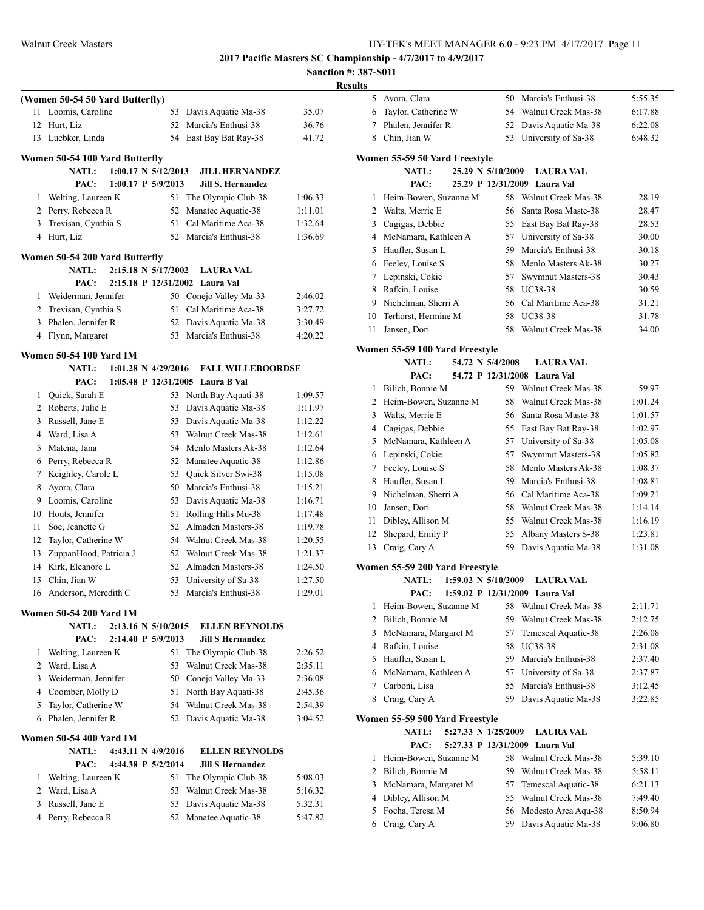## **Sanction #: 387-S011 Results**

|    | (Women 50-54 50 Yard Butterfly)                |                                |                                  |         |
|----|------------------------------------------------|--------------------------------|----------------------------------|---------|
| 11 | Loomis, Caroline                               | 53                             | Davis Aquatic Ma-38              | 35.07   |
| 12 | Hurt, Liz                                      |                                | 52 Marcia's Enthusi-38           | 36.76   |
| 13 | Luebker, Linda                                 |                                | 54 East Bay Bat Ray-38           | 41.72   |
|    |                                                |                                |                                  |         |
|    | Women 50-54 100 Yard Butterfly<br><b>NATL:</b> | $1:00.17 \text{ N } 5/12/2013$ | <b>JILL HERNANDEZ</b>            |         |
|    | PAC:                                           | $1:00.17$ P $5/9/2013$         | <b>Jill S. Hernandez</b>         |         |
| 1  | Welting, Laureen K                             | 51                             | The Olympic Club-38              | 1:06.33 |
|    | 2 Perry, Rebecca R                             | 52                             | Manatee Aquatic-38               | 1:11.01 |
| 3  | Trevisan, Cynthia S                            | 51                             | Cal Maritime Aca-38              | 1:32.64 |
|    | 4 Hurt, Liz                                    |                                | 52 Marcia's Enthusi-38           | 1:36.69 |
|    |                                                |                                |                                  |         |
|    | Women 50-54 200 Yard Butterfly                 |                                |                                  |         |
|    | <b>NATL:</b>                                   | 2:15.18 N 5/17/2002            | <b>LAURA VAL</b>                 |         |
|    | PAC:                                           | 2:15.18 P 12/31/2002           | Laura Val                        |         |
| 1  | Weiderman, Jennifer                            |                                | 50 Conejo Valley Ma-33           | 2:46.02 |
|    | 2 Trevisan, Cynthia S                          | 51                             | Cal Maritime Aca-38              | 3:27.72 |
| 3  | Phalen, Jennifer R                             |                                | 52 Davis Aquatic Ma-38           | 3:30.49 |
| 4  | Flynn, Margaret                                | 53                             | Marcia's Enthusi-38              | 4:20.22 |
|    | <b>Women 50-54 100 Yard IM</b>                 |                                |                                  |         |
|    | <b>NATL:</b>                                   | $1:01.28 \text{ N } 4/29/2016$ | <b>FALL WILLEBOORDSE</b>         |         |
|    | PAC:                                           |                                | 1:05.48 P 12/31/2005 Laura B Val |         |
| 1  | Quick, Sarah E                                 | 53                             | North Bay Aquati-38              | 1:09.57 |
|    | 2 Roberts, Julie E                             | 53                             | Davis Aquatic Ma-38              | 1:11.97 |
| 3  | Russell, Jane E                                |                                | 53 Davis Aquatic Ma-38           | 1:12.22 |
|    | 4 Ward, Lisa A                                 |                                | 53 Walnut Creek Mas-38           | 1:12.61 |
| 5  | Matena, Jana                                   |                                | 54 Menlo Masters Ak-38           | 1:12.64 |
|    | 6 Perry, Rebecca R                             |                                | 52 Manatee Aquatic-38            | 1:12.86 |
| 7  | Keighley, Carole L                             |                                | 53 Quick Silver Swi-38           | 1:15.08 |
| 8  | Ayora, Clara                                   |                                | 50 Marcia's Enthusi-38           | 1:15.21 |
| 9  | Loomis, Caroline                               |                                | 53 Davis Aquatic Ma-38           | 1:16.71 |
| 10 | Houts, Jennifer                                |                                | 51 Rolling Hills Mu-38           | 1:17.48 |
| 11 | Soe, Jeanette G                                | 52                             | Almaden Masters-38               | 1:19.78 |
| 12 | Taylor, Catherine W                            |                                | 54 Walnut Creek Mas-38           | 1:20.55 |
| 13 | ZuppanHood, Patricia J                         |                                | 52 Walnut Creek Mas-38           | 1:21.37 |
| 14 | Kirk, Eleanore L                               | 52                             | Almaden Masters-38               | 1:24.50 |
| 15 | Chin, Jian W                                   |                                | 53 University of Sa-38           | 1:27.50 |
|    | 16 Anderson, Meredith C                        |                                | 53 Marcia's Enthusi-38           | 1:29.01 |
|    | <b>Women 50-54 200 Yard IM</b>                 |                                |                                  |         |
|    | <b>NATL:</b>                                   | 2:13.16 N 5/10/2015            | <b>ELLEN REYNOLDS</b>            |         |
|    | PAC:                                           | 2:14.40 P 5/9/2013             | <b>Jill S Hernandez</b>          |         |
| 1  | Welting, Laureen K                             | 51                             | The Olympic Club-38              | 2:26.52 |
|    | 2 Ward, Lisa A                                 |                                | 53 Walnut Creek Mas-38           | 2:35.11 |
|    | 3 Weiderman, Jennifer                          |                                | 50 Conejo Valley Ma-33           | 2:36.08 |
|    | 4 Coomber, Molly D                             | 51                             | North Bay Aquati-38              | 2:45.36 |
| 5  | Taylor, Catherine W                            |                                | 54 Walnut Creek Mas-38           | 2:54.39 |
| 6  | Phalen, Jennifer R                             |                                | 52 Davis Aquatic Ma-38           | 3:04.52 |
|    |                                                |                                |                                  |         |
|    | <b>Women 50-54 400 Yard IM</b>                 |                                |                                  |         |
|    | <b>NATL:</b>                                   | 4:43.11 N 4/9/2016             | <b>ELLEN REYNOLDS</b>            |         |
|    | PAC:                                           | 4:44.38 P 5/2/2014             | <b>Jill S Hernandez</b>          |         |
| 1  | Welting, Laureen K                             | 51                             | The Olympic Club-38              | 5:08.03 |
|    | 2 Ward, Lisa A                                 | 53                             | Walnut Creek Mas-38              | 5:16.32 |
| 3  | Russell, Jane E                                | 53                             | Davis Aquatic Ma-38              | 5:32.31 |
| 4  | Perry, Rebecca R                               |                                | 52 Manatee Aquatic-38            | 5:47.82 |
|    |                                                |                                |                                  |         |
|    |                                                |                                |                                  |         |

| ПS             |                                                             |    |                                |         |
|----------------|-------------------------------------------------------------|----|--------------------------------|---------|
| 5              | Ayora, Clara                                                |    | 50 Marcia's Enthusi-38         | 5:55.35 |
| 6              | Taylor, Catherine W                                         |    | 54 Walnut Creek Mas-38         | 6:17.88 |
| $\overline{7}$ | Phalen, Jennifer R                                          | 52 | Davis Aquatic Ma-38            | 6:22.08 |
| 8              | Chin, Jian W                                                | 53 | University of Sa-38            | 6:48.32 |
|                |                                                             |    |                                |         |
|                | Women 55-59 50 Yard Freestyle<br>NATL:<br>25.29 N 5/10/2009 |    | <b>LAURA VAL</b>               |         |
|                | PAC:<br>25.29 P 12/31/2009                                  |    | Laura Val                      |         |
| 1              | Heim-Bowen, Suzanne M                                       | 58 | Walnut Creek Mas-38            | 28.19   |
| 2              | Walts, Merrie E                                             | 56 | Santa Rosa Maste-38            | 28.47   |
| 3              | Cagigas, Debbie                                             | 55 | East Bay Bat Ray-38            | 28.53   |
|                | 4 McNamara, Kathleen A                                      | 57 | University of Sa-38            | 30.00   |
| 5              | Haufler, Susan L                                            | 59 | Marcia's Enthusi-38            | 30.18   |
| 6              | Feeley, Louise S                                            | 58 | Menlo Masters Ak-38            | 30.27   |
| 7              | Lepinski, Cokie                                             | 57 | Swymnut Masters-38             | 30.43   |
| 8              | Rafkin, Louise                                              | 58 | <b>UC38-38</b>                 | 30.59   |
| 9              | Nichelman, Sherri A                                         | 56 | Cal Maritime Aca-38            | 31.21   |
| 10             | Terhorst, Hermine M                                         | 58 | UC38-38                        | 31.78   |
| 11             | Jansen, Dori                                                | 58 | Walnut Creek Mas-38            | 34.00   |
|                |                                                             |    |                                |         |
|                | Women 55-59 100 Yard Freestyle<br>NATL:<br>54.72 N 5/4/2008 |    | <b>LAURA VAL</b>               |         |
|                | PAC:                                                        |    | 54.72 P 12/31/2008 Laura Val   |         |
| 1              | Bilich, Bonnie M                                            |    | 59 Walnut Creek Mas-38         | 59.97   |
| 2              | Heim-Bowen, Suzanne M                                       | 58 | Walnut Creek Mas-38            | 1:01.24 |
| 3              | Walts, Merrie E                                             | 56 | Santa Rosa Maste-38            | 1:01.57 |
| 4              | Cagigas, Debbie                                             | 55 | East Bay Bat Ray-38            | 1:02.97 |
| 5              | McNamara, Kathleen A                                        | 57 | University of Sa-38            | 1:05.08 |
| 6              | Lepinski, Cokie                                             | 57 | Swymnut Masters-38             | 1:05.82 |
| 7              | Feeley, Louise S                                            | 58 | Menlo Masters Ak-38            | 1:08.37 |
| 8              | Haufler, Susan L                                            | 59 | Marcia's Enthusi-38            | 1:08.81 |
| 9              | Nichelman, Sherri A                                         | 56 | Cal Maritime Aca-38            | 1:09.21 |
| 10             | Jansen, Dori                                                | 58 | Walnut Creek Mas-38            | 1:14.14 |
| 11             | Dibley, Allison M                                           | 55 | Walnut Creek Mas-38            | 1:16.19 |
| 12             | Shepard, Emily P                                            | 55 | Albany Masters S-38            | 1:23.81 |
| 13             | Craig, Cary A                                               | 59 | Davis Aquatic Ma-38            | 1:31.08 |
|                | Women 55-59 200 Yard Freestyle                              |    |                                |         |
|                | <b>NATL:</b><br>$1:59.02 \text{ N } 5/10/2009$              |    | <b>LAURA VAL</b>               |         |
|                | PAC:                                                        |    | 1:59.02 P 12/31/2009 Laura Val |         |
| 1              | Heim-Bowen, Suzanne M                                       | 58 | Walnut Creek Mas-38            | 2:11.71 |
| 2              | Bilich, Bonnie M                                            | 59 | Walnut Creek Mas-38            | 2:12.75 |
| 3              | McNamara, Margaret M                                        | 57 | Temescal Aquatic-38            | 2:26.08 |
| 4              | Rafkin, Louise                                              | 58 | <b>UC38-38</b>                 | 2:31.08 |
| 5              | Haufler, Susan L                                            | 59 | Marcia's Enthusi-38            | 2:37.40 |
| 6              | McNamara, Kathleen A                                        | 57 | University of Sa-38            | 2:37.87 |
| 7              | Carboni, Lisa                                               | 55 | Marcia's Enthusi-38            | 3:12.45 |
| 8              | Craig, Cary A                                               | 59 | Davis Aquatic Ma-38            | 3:22.85 |
|                | Women 55-59 500 Yard Freestyle                              |    |                                |         |
|                | <b>NATL:</b><br>5:27.33 N 1/25/2009                         |    | <b>LAURA VAL</b>               |         |
|                | 5:27.33 P 12/31/2009<br>PAC:                                |    | Laura Val                      |         |
| 1              | Heim-Bowen, Suzanne M                                       | 58 | Walnut Creek Mas-38            | 5:39.10 |
| 2              | Bilich, Bonnie M                                            | 59 | Walnut Creek Mas-38            | 5:58.11 |
| 3              | McNamara, Margaret M                                        | 57 | Temescal Aquatic-38            | 6:21.13 |
| 4              | Dibley, Allison M                                           | 55 | Walnut Creek Mas-38            | 7:49.40 |
| 5              | Focha, Teresa M                                             | 56 | Modesto Area Aqu-38            | 8:50.94 |
| 6              | Craig, Cary A                                               | 59 | Davis Aquatic Ma-38            | 9:06.80 |
|                |                                                             |    |                                |         |
|                |                                                             |    |                                |         |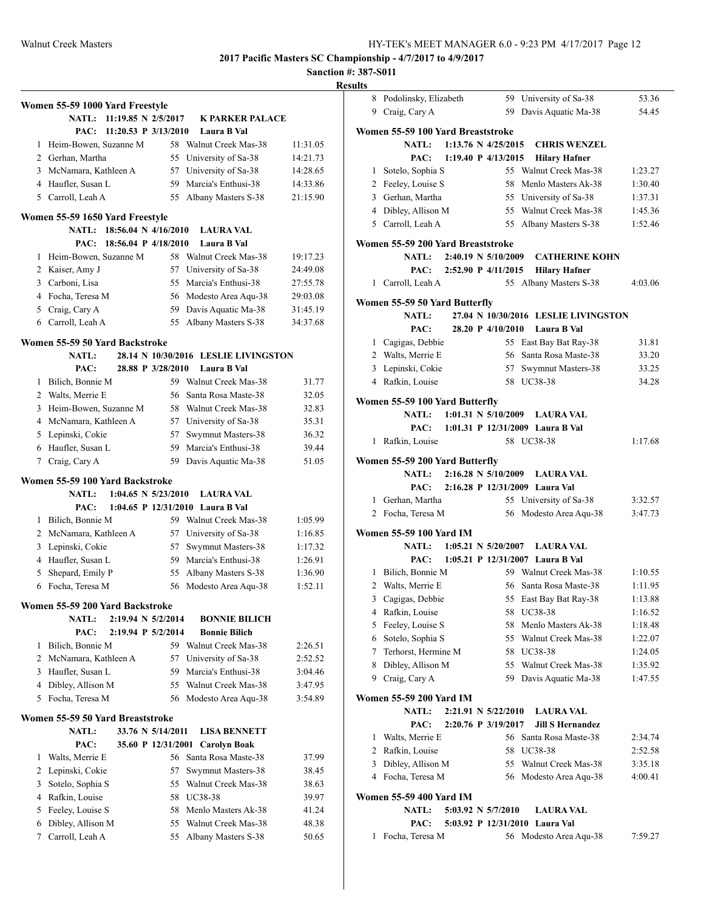| Results |
|---------|
|---------|

|        | Women 55-59 1000 Yard Freestyle          |           |                                            |                    |
|--------|------------------------------------------|-----------|--------------------------------------------|--------------------|
|        | <b>NATL:</b><br>11:19.85 N 2/5/2017      |           | <b>K PARKER PALACE</b>                     |                    |
|        | PAC:<br>11:20.53 P $3/13/2010$           |           | Laura B Val                                |                    |
| 1      | Heim-Bowen, Suzanne M                    |           | 58 Walnut Creek Mas-38                     | 11:31.05           |
|        | 2 Gerhan, Martha                         | 55        | University of Sa-38                        | 14:21.73           |
|        | 3 McNamara, Kathleen A                   | 57        | University of Sa-38                        | 14:28.65           |
|        | 4 Haufler, Susan L                       | 59.       | Marcia's Enthusi-38                        | 14:33.86           |
|        | 5 Carroll, Leah A                        | 55        | Albany Masters S-38                        | 21:15.90           |
|        | Women 55-59 1650 Yard Freestyle          |           |                                            |                    |
|        | NATL:<br>18:56.04 N 4/16/2010            |           | <b>LAURA VAL</b>                           |                    |
|        | 18:56.04 P 4/18/2010<br>PAC:             |           | Laura B Val                                |                    |
| 1      | Heim-Bowen, Suzanne M                    | 58        | Walnut Creek Mas-38                        | 19:17.23           |
|        | 2 Kaiser, Amy J                          | 57        | University of Sa-38                        | 24:49.08           |
| 3      | Carboni, Lisa                            | 55        | Marcia's Enthusi-38                        | 27:55.78           |
|        | 4 Focha, Teresa M                        | 56        | Modesto Area Aqu-38                        | 29:03.08           |
|        | 5 Craig, Cary A                          | 59        | Davis Aquatic Ma-38                        | 31:45.19           |
|        | 6 Carroll, Leah A                        | 55        | Albany Masters S-38                        | 34:37.68           |
|        | Women 55-59 50 Yard Backstroke           |           |                                            |                    |
|        | NATL:                                    |           | 28.14 N 10/30/2016 LESLIE LIVINGSTON       |                    |
|        | 28.88 P 3/28/2010<br>PAC:                |           | Laura B Val                                |                    |
| 1      | Bilich, Bonnie M                         |           | 59 Walnut Creek Mas-38                     | 31.77              |
|        | 2 Walts, Merrie E                        | 56        | Santa Rosa Maste-38                        | 32.05              |
| 3      | Heim-Bowen, Suzanne M                    | 58        | Walnut Creek Mas-38                        | 32.83              |
|        | 4 McNamara, Kathleen A                   |           | 57 University of Sa-38                     | 35.31              |
| 5      | Lepinski, Cokie                          | 57        | Swymnut Masters-38                         | 36.32              |
| 6      | Haufler, Susan L                         | 59        | Marcia's Enthusi-38                        | 39.44              |
| 7      | Craig, Cary A                            | 59        | Davis Aquatic Ma-38                        | 51.05              |
|        | Women 55-59 100 Yard Backstroke          |           |                                            |                    |
|        | <b>NATL:</b><br>$1:04.65$ N $5/23/2010$  |           | <b>LAURA VAL</b>                           |                    |
|        | PAC:                                     |           | 1:04.65 P 12/31/2010 Laura B Val           |                    |
| 1      | Bilich, Bonnie M                         |           | 59 Walnut Creek Mas-38                     | 1:05.99            |
|        | 2 McNamara, Kathleen A                   | 57        | University of Sa-38                        | 1:16.85            |
| 3      | Lepinski, Cokie<br>4 Haufler, Susan L    | 57<br>59. | Swymnut Masters-38<br>Marcia's Enthusi-38  | 1:17.32            |
| 5      | Shepard, Emily P                         | 55        | Albany Masters S-38                        | 1:26.91<br>1:36.90 |
| 6      | Focha, Teresa M                          | 56        | Modesto Area Aqu-38                        | 1:52.11            |
|        |                                          |           |                                            |                    |
|        | Women 55-59 200 Yard Backstroke          |           |                                            |                    |
|        | <b>NATL:</b><br>2:19.94 N 5/2/2014       |           | <b>BONNIE BILICH</b>                       |                    |
|        | PAC:<br>2:19.94 P 5/2/2014               |           | <b>Bonnie Bilich</b>                       |                    |
| 1      | Bilich, Bonnie M                         |           | 59 Walnut Creek Mas-38                     | 2:26.51            |
| 2      | McNamara, Kathleen A<br>Haufler, Susan L | 57        | University of Sa-38                        | 2:52.52            |
| 3<br>4 | Dibley, Allison M                        | 59<br>55  | Marcia's Enthusi-38<br>Walnut Creek Mas-38 | 3:04.46<br>3:47.95 |
| 5      | Focha, Teresa M                          | 56        | Modesto Area Aqu-38                        | 3:54.89            |
|        |                                          |           |                                            |                    |
|        | Women 55-59 50 Yard Breaststroke         |           |                                            |                    |
|        | 33.76 N 5/14/2011<br><b>NATL:</b>        |           | <b>LISA BENNETT</b>                        |                    |
|        | 35.60 P 12/31/2001<br>PAC:               |           | <b>Carolyn Boak</b>                        |                    |
| 1      | Walts, Merrie E                          |           | 56 Santa Rosa Maste-38                     | 37.99              |
| 2      | Lepinski, Cokie<br>Sotelo, Sophia S      | 57        | Swymnut Masters-38<br>Walnut Creek Mas-38  | 38.45              |
| 3<br>4 | Rafkin, Louise                           | 55<br>58  | UC38-38                                    | 38.63<br>39.97     |
| 5      | Feeley, Louise S                         | 58        | Menlo Masters Ak-38                        | 41.24              |
| 6      | Dibley, Allison M                        | 55        | Walnut Creek Mas-38                        | 48.38              |
| 7      | Carroll, Leah A                          | 55        | Albany Masters S-38                        | 50.65              |
|        |                                          |           |                                            |                    |

| 8 | Podolinsky, Elizabeth                             |                          |                   | 59 University of Sa-38               | 53.36   |
|---|---------------------------------------------------|--------------------------|-------------------|--------------------------------------|---------|
| 9 | Craig, Cary A                                     |                          | 59                | Davis Aquatic Ma-38                  | 54.45   |
|   |                                                   |                          |                   |                                      |         |
|   | Women 55-59 100 Yard Breaststroke<br><b>NATL:</b> | 1:13.76 N 4/25/2015      |                   |                                      |         |
|   |                                                   | 1:19.40 P $4/13/2015$    |                   | <b>CHRIS WENZEL</b>                  |         |
|   | PAC:                                              |                          |                   | <b>Hilary Hafner</b>                 |         |
|   | 1 Sotelo, Sophia S                                |                          |                   | 55 Walnut Creek Mas-38               | 1:23.27 |
|   | 2 Feeley, Louise S                                |                          |                   | 58 Menlo Masters Ak-38               | 1:30.40 |
|   | 3 Gerhan, Martha                                  |                          |                   | 55 University of Sa-38               | 1:37.31 |
|   | 4 Dibley, Allison M                               |                          |                   | 55 Walnut Creek Mas-38               | 1:45.36 |
|   | 5 Carroll, Leah A                                 |                          |                   | 55 Albany Masters S-38               | 1:52.46 |
|   | Women 55-59 200 Yard Breaststroke                 |                          |                   |                                      |         |
|   | <b>NATL:</b>                                      | 2:40.19 N 5/10/2009      |                   | <b>CATHERINE KOHN</b>                |         |
|   |                                                   | PAC: 2:52.90 P 4/11/2015 |                   | <b>Hilary Hafner</b>                 |         |
|   | 1 Carroll, Leah A                                 |                          | 55                | Albany Masters S-38                  | 4:03.06 |
|   |                                                   |                          |                   |                                      |         |
|   | Women 55-59 50 Yard Butterfly                     |                          |                   |                                      |         |
|   | <b>NATL:</b>                                      |                          |                   | 27.04 N 10/30/2016 LESLIE LIVINGSTON |         |
|   | PAC:                                              |                          | 28.20 P 4/10/2010 | Laura B Val                          |         |
|   | 1 Cagigas, Debbie                                 |                          |                   | 55 East Bay Bat Ray-38               | 31.81   |
|   | 2 Walts, Merrie E                                 |                          |                   | 56 Santa Rosa Maste-38               | 33.20   |
|   | 3 Lepinski, Cokie                                 |                          |                   | 57 Swymnut Masters-38                | 33.25   |
|   | 4 Rafkin, Louise                                  |                          |                   | 58 UC38-38                           | 34.28   |
|   | Women 55-59 100 Yard Butterfly                    |                          |                   |                                      |         |
|   | <b>NATL:</b>                                      | $1:01.31$ N $5/10/2009$  |                   | <b>LAURA VAL</b>                     |         |
|   | PAC:                                              |                          |                   | 1:01.31 P 12/31/2009 Laura B Val     |         |
| 1 |                                                   |                          |                   | 58 UC38-38                           | 1:17.68 |
|   | Rafkin, Louise                                    |                          |                   |                                      |         |
|   | Women 55-59 200 Yard Butterfly                    |                          |                   |                                      |         |
|   | NATL: 2:16.28 N 5/10/2009                         |                          |                   | <b>LAURA VAL</b>                     |         |
|   | PAC:                                              |                          |                   | 2:16.28 P 12/31/2009 Laura Val       |         |
|   | 1 Gerhan, Martha                                  |                          |                   | 55 University of Sa-38               | 3:32.57 |
|   | 2 Focha, Teresa M                                 |                          |                   | 56 Modesto Area Aqu-38               | 3:47.73 |
|   |                                                   |                          |                   |                                      |         |
|   | Women 55-59 100 Yard IM                           |                          |                   |                                      |         |
|   | <b>NATL:</b>                                      | $1:05.21$ N $5/20/2007$  |                   | <b>LAURA VAL</b>                     |         |
|   | PAC:                                              |                          |                   | 1:05.21 P 12/31/2007 Laura B Val     |         |
|   | 1 Bilich, Bonnie M                                |                          |                   | 59 Walnut Creek Mas-38               | 1:10.55 |
| 2 | Walts, Merrie E                                   |                          |                   | 56 Santa Rosa Maste-38               | 1:11.95 |
| 3 | Cagigas, Debbie                                   |                          | 55                | East Bay Bat Ray-38                  | 1:13.88 |
|   | 4 Rafkin, Louise                                  |                          |                   | 58 UC38-38                           | 1:16.52 |
| 5 | Feeley, Louise S                                  |                          |                   | 58 Menlo Masters Ak-38               | 1:18.48 |
|   | 6 Sotelo, Sophia S                                |                          |                   | 55 Walnut Creek Mas-38               | 1:22.07 |
|   | 7 Terhorst, Hermine M                             |                          |                   | 58 UC38-38                           | 1:24.05 |
| 8 | Dibley, Allison M                                 |                          |                   | 55 Walnut Creek Mas-38               | 1:35.92 |
|   | 9 Craig, Cary A                                   |                          |                   | 59 Davis Aquatic Ma-38               | 1:47.55 |
|   |                                                   |                          |                   |                                      |         |
|   | Women 55-59 200 Yard IM                           |                          |                   |                                      |         |
|   | <b>NATL:</b>                                      | 2:21.91 N 5/22/2010      |                   | <b>LAURA VAL</b>                     |         |
|   | PAC:                                              | 2:20.76 P 3/19/2017      |                   | <b>Jill S Hernandez</b>              |         |
| 1 | Walts, Merrie E                                   |                          |                   | 56 Santa Rosa Maste-38               | 2:34.74 |
|   | 2 Rafkin, Louise                                  |                          |                   | 58 UC38-38                           | 2:52.58 |
|   | 3 Dibley, Allison M                               |                          |                   | 55 Walnut Creek Mas-38               | 3:35.18 |
|   | 4 Focha, Teresa M                                 |                          |                   | 56 Modesto Area Aqu-38               | 4:00.41 |
|   |                                                   |                          |                   |                                      |         |
|   | Women 55-59 400 Yard IM                           |                          |                   |                                      |         |
|   | <b>NATL:</b>                                      | 5:03.92 N 5/7/2010       |                   | <b>LAURA VAL</b>                     |         |
|   | PAC:                                              |                          |                   | 5:03.92 P 12/31/2010 Laura Val       |         |
|   | 1 Focha, Teresa M                                 |                          |                   | 56 Modesto Area Aqu-38               | 7:59.27 |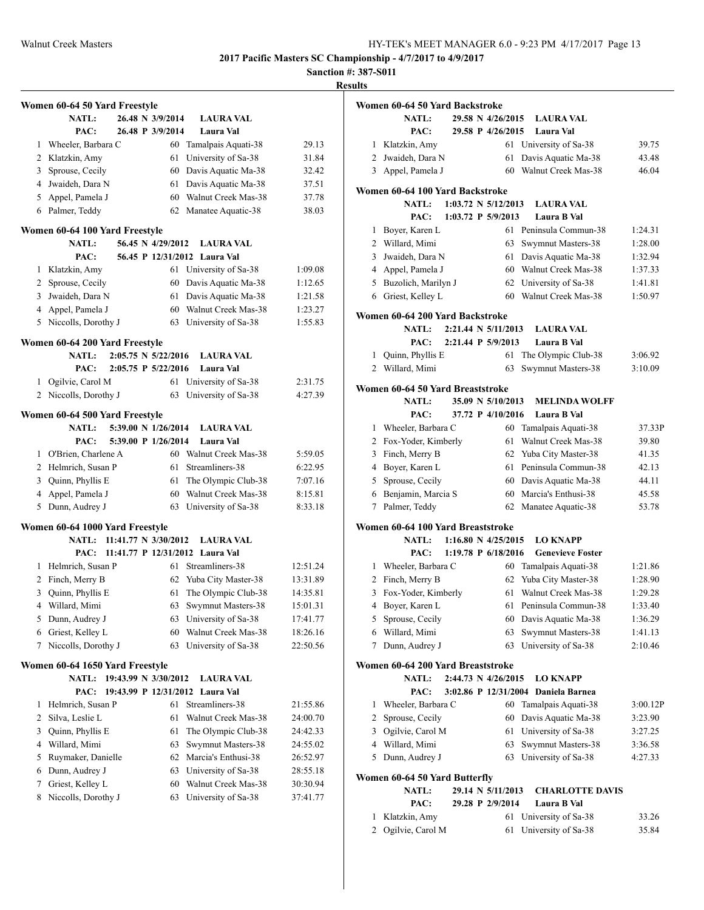**Sanction #: 387-S011**

|   | Women 60-64 50 Yard Freestyle   |  |                       |                                 |          |
|---|---------------------------------|--|-----------------------|---------------------------------|----------|
|   | <b>NATL:</b>                    |  | 26.48 N 3/9/2014      | <b>LAURA VAL</b>                |          |
|   | PAC:                            |  | 26.48 P 3/9/2014      | Laura Val                       |          |
| 1 | Wheeler, Barbara C              |  | 60                    | Tamalpais Aquati-38             | 29.13    |
| 2 | Klatzkin, Amy                   |  | 61                    | University of Sa-38             | 31.84    |
| 3 | Sprouse, Cecily                 |  | 60                    | Davis Aquatic Ma-38             | 32.42    |
| 4 | Jwaideh, Dara N                 |  | 61                    | Davis Aquatic Ma-38             | 37.51    |
| 5 | Appel, Pamela J                 |  | 60                    | Walnut Creek Mas-38             | 37.78    |
|   | 6 Palmer, Teddy                 |  | 62                    | Manatee Aquatic-38              | 38.03    |
|   | Women 60-64 100 Yard Freestyle  |  |                       |                                 |          |
|   | <b>NATL:</b>                    |  | 56.45 N 4/29/2012     | <b>LAURA VAL</b>                |          |
|   | PAC:                            |  |                       | 56.45 P 12/31/2012 Laura Val    |          |
| 1 | Klatzkin, Amy                   |  | 61                    | University of Sa-38             | 1:09.08  |
| 2 | Sprouse, Cecily                 |  | 60                    | Davis Aquatic Ma-38             | 1:12.65  |
| 3 | Jwaideh, Dara N                 |  | 61                    | Davis Aquatic Ma-38             | 1:21.58  |
| 4 | Appel, Pamela J                 |  | 60                    | Walnut Creek Mas-38             | 1:23.27  |
| 5 | Niccolls, Dorothy J             |  | 63                    | University of Sa-38             | 1:55.83  |
|   | Women 60-64 200 Yard Freestyle  |  |                       |                                 |          |
|   | NATL:                           |  | 2:05.75 N 5/22/2016   | <b>LAURA VAL</b>                |          |
|   | PAC:                            |  | 2:05.75 P 5/22/2016   | Laura Val                       |          |
| 1 | Ogilvie, Carol M                |  | 61                    | University of Sa-38             | 2:31.75  |
| 2 | Niccolls, Dorothy J             |  | 63                    | University of Sa-38             | 4:27.39  |
|   | Women 60-64 500 Yard Freestyle  |  |                       |                                 |          |
|   | <b>NATL:</b>                    |  | 5:39.00 N 1/26/2014   | <b>LAURA VAL</b>                |          |
|   | PAC:                            |  | 5:39.00 P 1/26/2014   | Laura Val                       |          |
| 1 | O'Brien, Charlene A             |  |                       | 60 Walnut Creek Mas-38          | 5:59.05  |
|   | 2 Helmrich, Susan P             |  | 61                    | Streamliners-38                 | 6:22.95  |
| 3 | Quinn, Phyllis E                |  | 61                    | The Olympic Club-38             | 7:07.16  |
| 4 | Appel, Pamela J                 |  | 60                    | Walnut Creek Mas-38             | 8:15.81  |
| 5 | Dunn, Audrey J                  |  | 63                    | University of Sa-38             | 8:33.18  |
|   | Women 60-64 1000 Yard Freestyle |  |                       |                                 |          |
|   | <b>NATL:</b>                    |  | 11:41.77 N 3/30/2012  | <b>LAURA VAL</b>                |          |
|   | PAC:                            |  |                       | 11:41.77 P 12/31/2012 Laura Val |          |
| 1 | Helmrich, Susan P               |  | 61                    | Streamliners-38                 | 12:51.24 |
| 2 | Finch, Merry B                  |  | 62                    | Yuba City Master-38             | 13:31.89 |
| 3 | Quinn, Phyllis E                |  | 61                    | The Olympic Club-38             | 14:35.81 |
| 4 | Willard, Mimi                   |  | 63                    | Swymnut Masters-38              | 15:01.31 |
| 5 | Dunn, Audrey J                  |  |                       | 63 University of Sa-38          | 17:41.77 |
| 6 | Griest, Kelley L                |  | 60                    | Walnut Creek Mas-38             | 18:26.16 |
| 7 | Niccolls, Dorothy J             |  | 63                    | University of Sa-38             | 22:50.56 |
|   | Women 60-64 1650 Yard Freestyle |  |                       |                                 |          |
|   | <b>NATL:</b>                    |  | 19:43.99 N 3/30/2012  | <b>LAURA VAL</b>                |          |
|   | PAC:                            |  | 19:43.99 P 12/31/2012 | Laura Val                       |          |
| 1 | Helmrich, Susan P               |  | 61                    | Streamliners-38                 | 21:55.86 |
| 2 | Silva, Leslie L                 |  | 61                    | Walnut Creek Mas-38             | 24:00.70 |
| 3 | Quinn, Phyllis E                |  | 61                    | The Olympic Club-38             | 24:42.33 |
| 4 | Willard, Mimi                   |  | 63                    | Swymnut Masters-38              | 24:55.02 |
| 5 | Ruymaker, Danielle              |  | 62                    | Marcia's Enthusi-38             | 26:52.97 |
| 6 | Dunn, Audrey J                  |  | 63                    | University of Sa-38             | 28:55.18 |
| 7 | Griest, Kelley L                |  | 60                    | Walnut Creek Mas-38             | 30:30.94 |
| 8 | Niccolls, Dorothy J             |  | 63                    | University of Sa-38             | 37:41.77 |
|   |                                 |  |                       |                                 |          |

|   | Women 60-64 50 Yard Backstroke    |  |                                |                                     |          |
|---|-----------------------------------|--|--------------------------------|-------------------------------------|----------|
|   | <b>NATL:</b>                      |  | 29.58 N 4/26/2015              | <b>LAURA VAL</b>                    |          |
|   | PAC:                              |  | 29.58 P 4/26/2015              | Laura Val                           |          |
| 1 | Klatzkin, Amy                     |  | 61                             | University of Sa-38                 | 39.75    |
| 2 | Jwaideh, Dara N                   |  | 61                             | Davis Aquatic Ma-38                 | 43.48    |
| 3 | Appel, Pamela J                   |  | 60                             | Walnut Creek Mas-38                 | 46.04    |
|   |                                   |  |                                |                                     |          |
|   | Women 60-64 100 Yard Backstroke   |  |                                |                                     |          |
|   | <b>NATL:</b>                      |  | $1:03.72 \text{ N } 5/12/2013$ | <b>LAURA VAL</b>                    |          |
|   | PAC:                              |  | 1:03.72 P 5/9/2013             | Laura B Val                         |          |
| 1 | Boyer, Karen L                    |  | 61                             | Peninsula Commun-38                 | 1:24.31  |
|   | 2 Willard, Mimi                   |  | 63                             | Swymnut Masters-38                  | 1:28.00  |
| 3 | Jwaideh, Dara N                   |  | 61                             | Davis Aquatic Ma-38                 | 1:32.94  |
| 4 | Appel, Pamela J                   |  | 60                             | Walnut Creek Mas-38                 | 1:37.33  |
| 5 | Buzolich, Marilyn J               |  | 62                             | University of Sa-38                 | 1:41.81  |
| 6 | Griest, Kelley L                  |  | 60                             | Walnut Creek Mas-38                 | 1:50.97  |
|   | Women 60-64 200 Yard Backstroke   |  |                                |                                     |          |
|   | <b>NATL:</b>                      |  | 2:21.44 N 5/11/2013            | <b>LAURA VAL</b>                    |          |
|   | PAC:                              |  | 2:21.44 P 5/9/2013             | Laura B Val                         |          |
| 1 | Quinn, Phyllis E                  |  | 61                             | The Olympic Club-38                 | 3:06.92  |
|   | 2 Willard, Mimi                   |  | 63                             | Swymnut Masters-38                  | 3:10.09  |
|   | Women 60-64 50 Yard Breaststroke  |  |                                |                                     |          |
|   | <b>NATL:</b>                      |  | 35.09 N 5/10/2013              |                                     |          |
|   | PAC:                              |  | 37.72 P 4/10/2016              | <b>MELINDA WOLFF</b><br>Laura B Val |          |
| 1 | Wheeler, Barbara C                |  | 60                             | Tamalpais Aquati-38                 | 37.33P   |
| 2 | Fox-Yoder, Kimberly               |  | 61                             | Walnut Creek Mas-38                 | 39.80    |
| 3 | Finch, Merry B                    |  | 62                             | Yuba City Master-38                 | 41.35    |
|   | 4 Boyer, Karen L                  |  | 61                             | Peninsula Commun-38                 | 42.13    |
| 5 | Sprouse, Cecily                   |  | 60                             | Davis Aquatic Ma-38                 | 44.11    |
|   | 6 Benjamin, Marcia S              |  | 60                             | Marcia's Enthusi-38                 | 45.58    |
| 7 | Palmer, Teddy                     |  | 62                             | Manatee Aquatic-38                  | 53.78    |
|   |                                   |  |                                |                                     |          |
|   | Women 60-64 100 Yard Breaststroke |  |                                |                                     |          |
|   | <b>NATL:</b>                      |  | $1:16.80 \text{ N } 4/25/2015$ | <b>LO KNAPP</b>                     |          |
|   | PAC:                              |  | 1:19.78 P 6/18/2016            | <b>Genevieve Foster</b>             |          |
|   | 1 Wheeler, Barbara C              |  | 60                             | Tamalpais Aquati-38                 | 1:21.86  |
| 2 | Finch, Merry B                    |  | 62                             | Yuba City Master-38                 | 1:28.90  |
| 3 | Fox-Yoder, Kimberly               |  | 61                             | Walnut Creek Mas-38                 | 1:29.28  |
| 4 | Boyer, Karen L                    |  | 61                             | Peninsula Commun-38                 | 1:33.40  |
| 5 | Sprouse, Cecily                   |  | 60                             | Davis Aquatic Ma-38                 | 1:36.29  |
|   | 6 Willard, Mimi                   |  | 63                             | Swymnut Masters-38                  | 1:41.13  |
| 7 | Dunn, Audrey J                    |  | 63                             | University of Sa-38                 | 2:10.46  |
|   | Women 60-64 200 Yard Breaststroke |  |                                |                                     |          |
|   | NATL:                             |  | 2:44.73 N 4/26/2015            | <b>LO KNAPP</b>                     |          |
|   | PAC:                              |  | 3:02.86 P 12/31/2004           | Daniela Barnea                      |          |
| 1 | Wheeler, Barbara C                |  | 60                             | Tamalpais Aquati-38                 | 3:00.12P |
| 2 | Sprouse, Cecily                   |  | 60                             | Davis Aquatic Ma-38                 | 3:23.90  |
|   | 3 Ogilvie, Carol M                |  | 61                             | University of Sa-38                 | 3:27.25  |
|   | 4 Willard, Mimi                   |  | 63                             | Swymnut Masters-38                  | 3:36.58  |
| 5 | Dunn, Audrey J                    |  | 63                             | University of Sa-38                 | 4:27.33  |
|   |                                   |  |                                |                                     |          |
|   | Women 60-64 50 Yard Butterfly     |  |                                |                                     |          |
|   | NATL:                             |  | 29.14 N 5/11/2013              | <b>CHARLOTTE DAVIS</b>              |          |
|   | PAC:                              |  | 29.28 P 2/9/2014               | Laura B Val                         |          |
| 1 | Klatzkin, Amy                     |  | 61                             | University of Sa-38                 | 33.26    |
| 2 | Ogilvie, Carol M                  |  | 61                             | University of Sa-38                 | 35.84    |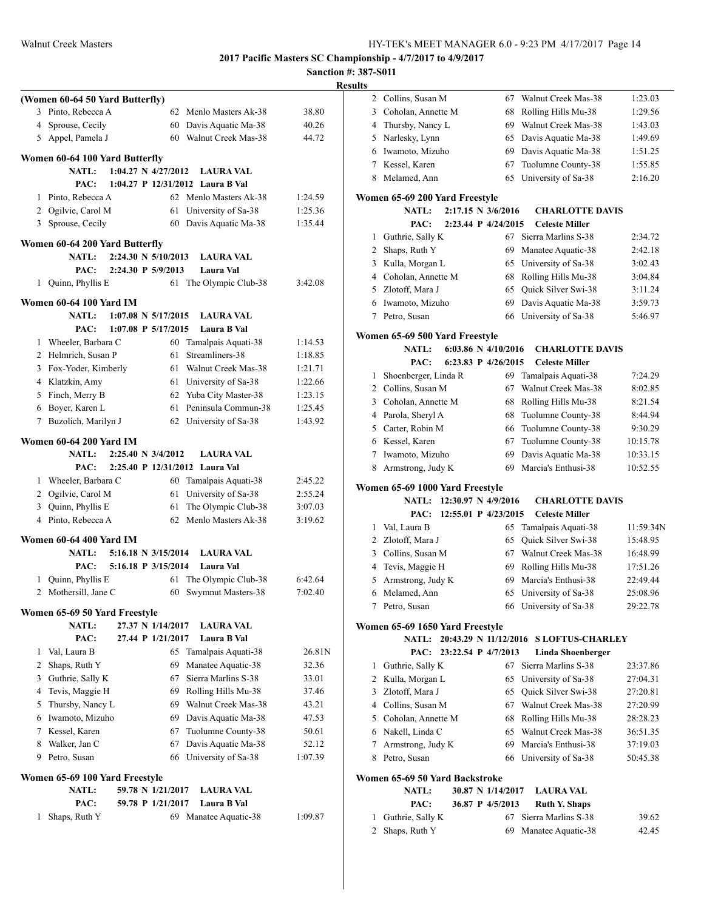**Sanction #: 387-S011 Results**

|                                                      | 11650165 |                                       |                                              |           |
|------------------------------------------------------|----------|---------------------------------------|----------------------------------------------|-----------|
| (Women 60-64 50 Yard Butterfly)                      |          | 2 Collins, Susan M                    | Walnut Creek Mas-38<br>67                    | 1:23.03   |
| 3 Pinto, Rebecca A<br>62 Menlo Masters Ak-38         | 38.80    | Coholan, Annette M<br>3               | Rolling Hills Mu-38<br>68                    | 1:29.56   |
| 4 Sprouse, Cecily<br>Davis Aquatic Ma-38<br>60       | 40.26    | Thursby, Nancy L<br>4                 | Walnut Creek Mas-38<br>69                    | 1:43.03   |
| 5 Appel, Pamela J<br>60 Walnut Creek Mas-38          | 44.72    | 5 Narlesky, Lynn                      | Davis Aquatic Ma-38<br>65                    | 1:49.69   |
|                                                      |          | Iwamoto, Mizuho<br>6                  | Davis Aquatic Ma-38<br>69                    | 1:51.25   |
| Women 60-64 100 Yard Butterfly                       |          | Kessel, Karen<br>7                    | Tuolumne County-38<br>67                     | 1:55.85   |
| 1:04.27 N 4/27/2012<br>NATL:<br><b>LAURA VAL</b>     |          | Melamed, Ann<br>8                     | University of Sa-38<br>65                    | 2:16.20   |
| PAC:<br>1:04.27 P 12/31/2012 Laura B Val             |          |                                       |                                              |           |
| 1 Pinto, Rebecca A<br>62 Menlo Masters Ak-38         | 1:24.59  | Women 65-69 200 Yard Freestyle        |                                              |           |
| 2 Ogilvie, Carol M<br>61 University of Sa-38         | 1:25.36  | <b>NATL:</b><br>2:17.15 N 3/6/2016    | <b>CHARLOTTE DAVIS</b>                       |           |
| 3 Sprouse, Cecily<br>60 Davis Aquatic Ma-38          | 1:35.44  | 2:23.44 P 4/24/2015<br>PAC:           | <b>Celeste Miller</b>                        |           |
| Women 60-64 200 Yard Butterfly                       |          | Guthrie, Sally K<br>1                 | 67 Sierra Marlins S-38                       | 2:34.72   |
| NATL:<br>2:24.30 N 5/10/2013<br><b>LAURA VAL</b>     |          | Shaps, Ruth Y<br>2                    | Manatee Aquatic-38<br>69                     | 2:42.18   |
| PAC:<br>2:24.30 P 5/9/2013<br>Laura Val              |          | Kulla, Morgan L<br>3                  | University of Sa-38<br>65                    | 3:02.43   |
| 1 Quinn, Phyllis E<br>61 The Olympic Club-38         | 3:42.08  | Coholan, Annette M<br>4               | Rolling Hills Mu-38<br>68                    | 3:04.84   |
|                                                      |          | Zlotoff, Mara J<br>5                  | Quick Silver Swi-38<br>65                    | 3:11.24   |
| Women 60-64 100 Yard IM                              |          | Iwamoto, Mizuho<br>6                  | Davis Aquatic Ma-38<br>69                    | 3:59.73   |
| $1:07.08$ N $5/17/2015$<br>NATL:<br><b>LAURA VAL</b> |          | 7 Petro, Susan                        | University of Sa-38<br>66                    | 5:46.97   |
| PAC:<br>1:07.08 P 5/17/2015<br>Laura B Val           |          | Women 65-69 500 Yard Freestyle        |                                              |           |
| 1 Wheeler, Barbara C<br>60 Tamalpais Aquati-38       | 1:14.53  | <b>NATL:</b><br>6:03.86 N $4/10/2016$ | <b>CHARLOTTE DAVIS</b>                       |           |
| 2 Helmrich, Susan P<br>61 Streamliners-38            | 1:18.85  | PAC:<br>6:23.83 P 4/26/2015           | <b>Celeste Miller</b>                        |           |
| 3 Fox-Yoder, Kimberly<br>Walnut Creek Mas-38<br>61   | 1:21.71  | Shoenberger, Linda R<br>1             | 69 Tamalpais Aquati-38                       | 7:24.29   |
| 4 Klatzkin, Amy<br>University of Sa-38<br>61         | 1:22.66  | Collins, Susan M<br>2                 | Walnut Creek Mas-38<br>67                    | 8:02.85   |
| Finch, Merry B<br>Yuba City Master-38<br>5<br>62     | 1:23.15  | Coholan, Annette M<br>3               | Rolling Hills Mu-38<br>68                    | 8:21.54   |
| Boyer, Karen L<br>Peninsula Commun-38<br>61<br>6     | 1:25.45  | Parola, Sheryl A<br>4                 | Tuolumne County-38<br>68                     | 8:44.94   |
| 7 Buzolich, Marilyn J<br>62 University of Sa-38      | 1:43.92  | Carter, Robin M<br>5                  | Tuolumne County-38<br>66                     | 9:30.29   |
| Women 60-64 200 Yard IM                              |          | Kessel, Karen<br>6                    | Tuolumne County-38<br>67                     | 10:15.78  |
| NATL:<br>2:25.40 N 3/4/2012<br><b>LAURA VAL</b>      |          | Iwamoto, Mizuho<br>7                  | Davis Aquatic Ma-38<br>69                    | 10:33.15  |
| PAC:<br>2:25.40 P 12/31/2012 Laura Val               |          | 8 Armstrong, Judy K                   | Marcia's Enthusi-38<br>69                    | 10:52.55  |
| 1 Wheeler, Barbara C<br>60 Tamalpais Aquati-38       | 2:45.22  |                                       |                                              |           |
| 2 Ogilvie, Carol M<br>61 University of Sa-38         | 2:55.24  | Women 65-69 1000 Yard Freestyle       |                                              |           |
| Quinn, Phyllis E<br>The Olympic Club-38<br>3<br>61   | 3:07.03  | NATL: 12:30.97 N 4/9/2016             | <b>CHARLOTTE DAVIS</b>                       |           |
| 4 Pinto, Rebecca A<br>62 Menlo Masters Ak-38         | 3:19.62  | PAC: 12:55.01 P 4/23/2015             | <b>Celeste Miller</b>                        |           |
|                                                      |          | Val, Laura B<br>1                     | Tamalpais Aquati-38<br>65                    | 11:59.34N |
| Women 60-64 400 Yard IM                              |          | Zlotoff, Mara J<br>2                  | Quick Silver Swi-38<br>65                    | 15:48.95  |
| NATL:<br>5:16.18 N 3/15/2014<br><b>LAURA VAL</b>     |          | Collins, Susan M<br>3                 | Walnut Creek Mas-38<br>67                    | 16:48.99  |
| PAC:<br>5:16.18 P 3/15/2014<br>Laura Val             |          | Tevis, Maggie H<br>4                  | Rolling Hills Mu-38<br>69                    | 17:51.26  |
| 1 Quinn, Phyllis E<br>61 The Olympic Club-38         | 6:42.64  | Armstrong, Judy K<br>5                | Marcia's Enthusi-38<br>69                    | 22:49.44  |
| 2 Mothersill, Jane C<br>60 Swymnut Masters-38        | 7:02.40  | 6 Melamed, Ann                        | 65 University of Sa-38                       | 25:08.96  |
| Women 65-69 50 Yard Freestyle                        |          | 7 Petro, Susan                        | 66 University of Sa-38                       | 29:22.78  |
| NATL:<br>27.37 N 1/14/2017<br><b>LAURA VAL</b>       |          | Women 65-69 1650 Yard Freestyle       |                                              |           |
| PAC:<br>Laura B Val<br>27.44 P 1/21/2017             |          |                                       | NATL: 20:43.29 N 11/12/2016 S LOFTUS-CHARLEY |           |
| Val, Laura B<br>65 Tamalpais Aquati-38<br>1          | 26.81N   | PAC: 23:22.54 P 4/7/2013              | Linda Shoenberger                            |           |
| 2 Shaps, Ruth Y<br>69<br>Manatee Aquatic-38          | 32.36    | Guthrie, Sally K<br>$\mathbf{1}$      | 67 Sierra Marlins S-38                       | 23:37.86  |
| 3 Guthrie, Sally K<br>67<br>Sierra Marlins S-38      | 33.01    | Kulla, Morgan L<br>$\overline{2}$     | University of Sa-38<br>65                    | 27:04.31  |
| Tevis, Maggie H<br>69<br>Rolling Hills Mu-38<br>4    | 37.46    | 3<br>Zlotoff, Mara J                  | Quick Silver Swi-38<br>65                    | 27:20.81  |
| Thursby, Nancy L<br>Walnut Creek Mas-38<br>69<br>5   | 43.21    | Collins, Susan M<br>4                 | Walnut Creek Mas-38<br>67                    | 27:20.99  |
| 6 Iwamoto, Mizuho<br>Davis Aquatic Ma-38<br>69       | 47.53    | Coholan, Annette M<br>5               | Rolling Hills Mu-38<br>68                    | 28:28.23  |
| 7 Kessel, Karen<br>Tuolumne County-38<br>67          | 50.61    | Nakell, Linda C<br>6                  | Walnut Creek Mas-38<br>65                    | 36:51.35  |
| Walker, Jan C<br>Davis Aquatic Ma-38<br>8<br>67      | 52.12    | Armstrong, Judy K<br>7                | Marcia's Enthusi-38<br>69                    | 37:19.03  |
| 9 Petro, Susan<br>66 University of Sa-38             | 1:07.39  | 8 Petro, Susan                        | University of Sa-38<br>66                    | 50:45.38  |
|                                                      |          |                                       |                                              |           |
| Women 65-69 100 Yard Freestyle                       |          | Women 65-69 50 Yard Backstroke        |                                              |           |
| NATL:<br>59.78 N 1/21/2017<br><b>LAURA VAL</b>       |          | 30.87 N 1/14/2017<br><b>NATL:</b>     | <b>LAURA VAL</b>                             |           |
| PAC:<br>Laura B Val<br>59.78 P 1/21/2017             |          | PAC:<br>36.87 P 4/5/2013              | <b>Ruth Y. Shaps</b>                         |           |
| 1 Shaps, Ruth Y<br>69 Manatee Aquatic-38             | 1:09.87  | Guthrie, Sally K<br>1                 | 67 Sierra Marlins S-38                       | 39.62     |
|                                                      |          | 2 Shaps, Ruth Y                       | Manatee Aquatic-38<br>69                     | 42.45     |
|                                                      |          |                                       |                                              |           |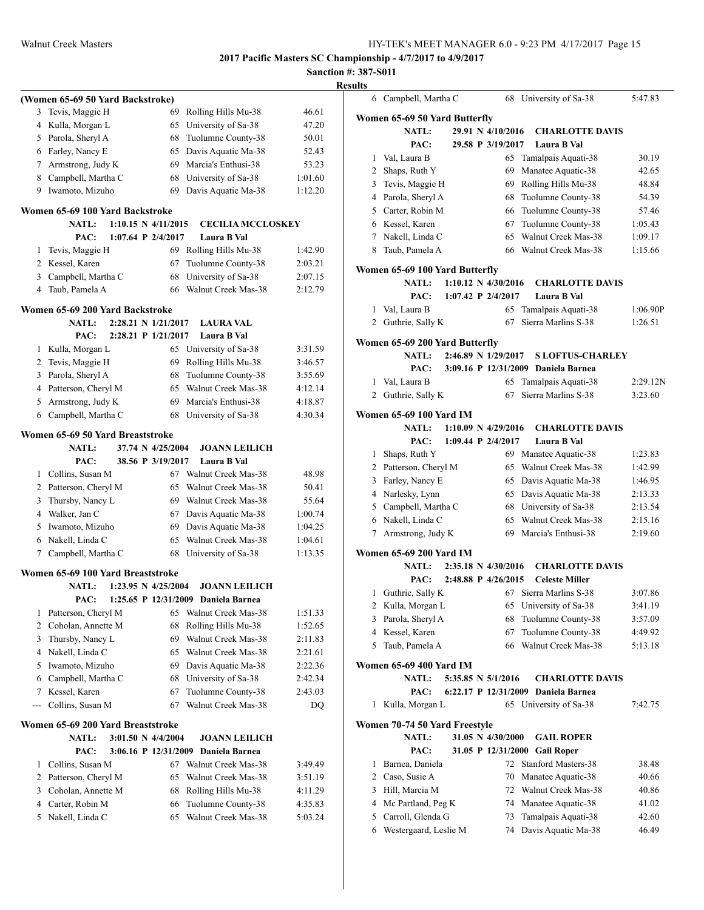|                |                                                     |                                |                                     | эапс    |
|----------------|-----------------------------------------------------|--------------------------------|-------------------------------------|---------|
|                |                                                     |                                |                                     |         |
| 3              | (Women 65-69 50 Yard Backstroke)<br>Tevis, Maggie H | 69                             | Rolling Hills Mu-38                 | 46.61   |
| 4              | Kulla, Morgan L                                     | 65                             | University of Sa-38                 | 47.20   |
| 5              | Parola, Sheryl A                                    | 68                             | Tuolumne County-38                  | 50.01   |
| 6              | Farley, Nancy E                                     | 65                             | Davis Aquatic Ma-38                 | 52.43   |
| 7              | Armstrong, Judy K                                   | 69                             | Marcia's Enthusi-38                 | 53.23   |
| 8              | Campbell, Martha C                                  | 68                             | University of Sa-38                 | 1:01.60 |
| 9              | Iwamoto, Mizuho                                     | 69                             | Davis Aquatic Ma-38                 | 1:12.20 |
|                |                                                     |                                |                                     |         |
|                | Women 65-69 100 Yard Backstroke                     |                                |                                     |         |
|                | NATL:                                               | $1:10.15 \text{ N } 4/11/2015$ | <b>CECILIA MCCLOSKEY</b>            |         |
|                | PAC:                                                | 1:07.64 P 2/4/2017             | Laura B Val                         |         |
| 1              | Tevis, Maggie H                                     | 69                             | Rolling Hills Mu-38                 | 1:42.90 |
| 2              | Kessel, Karen                                       | 67                             | Tuolumne County-38                  | 2:03.21 |
| 3              | Campbell, Martha C                                  | 68                             | University of Sa-38                 | 2:07.15 |
| 4              | Taub, Pamela A                                      | 66                             | Walnut Creek Mas-38                 | 2:12.79 |
|                | Women 65-69 200 Yard Backstroke                     |                                |                                     |         |
|                | <b>NATL:</b>                                        | 2:28.21 N 1/21/2017            | <b>LAURA VAL</b>                    |         |
|                | PAC:                                                | 2:28.21 P 1/21/2017            | Laura B Val                         |         |
| 1              | Kulla, Morgan L                                     | 65                             | University of Sa-38                 | 3:31.59 |
| $\overline{2}$ | Tevis, Maggie H                                     | 69                             | Rolling Hills Mu-38                 | 3:46.57 |
| 3              | Parola, Sheryl A                                    | 68                             | Tuolumne County-38                  | 3:55.69 |
|                | 4 Patterson, Cheryl M                               | 65                             | Walnut Creek Mas-38                 | 4:12.14 |
| 5              | Armstrong, Judy K                                   | 69                             | Marcia's Enthusi-38                 | 4:18.87 |
| 6              | Campbell, Martha C                                  | 68                             | University of Sa-38                 | 4:30.34 |
|                | Women 65-69 50 Yard Breaststroke                    |                                |                                     |         |
|                | <b>NATL:</b>                                        | 37.74 N 4/25/2004              | <b>JOANN LEILICH</b>                |         |
|                | PAC:                                                | 38.56 P 3/19/2017              | Laura B Val                         |         |
| 1              | Collins, Susan M                                    | 67                             | Walnut Creek Mas-38                 | 48.98   |
|                | 2 Patterson, Cheryl M                               | 65                             | Walnut Creek Mas-38                 | 50.41   |
| 3              | Thursby, Nancy L                                    | 69                             | Walnut Creek Mas-38                 | 55.64   |
|                | 4 Walker, Jan C                                     | 67                             | Davis Aquatic Ma-38                 | 1:00.74 |
| 5              | Iwamoto, Mizuho                                     | 69                             | Davis Aquatic Ma-38                 | 1:04.25 |
|                | 6 Nakell, Linda C                                   | 65                             | Walnut Creek Mas-38                 | 1:04.61 |
| 7              | Campbell, Martha C                                  | 68                             | University of Sa-38                 | 1:13.35 |
|                | Women 65-69 100 Yard Breaststroke                   |                                |                                     |         |
|                | NATL: 1:23.95 N 4/25/2004                           |                                | <b>JOANN LEILICH</b>                |         |
|                | PAC:                                                |                                | 1:25.65 P 12/31/2009 Daniela Barnea |         |
| 1              | Patterson, Cheryl M                                 | 65                             | Walnut Creek Mas-38                 | 1:51.33 |
| 2              | Coholan, Annette M                                  | 68                             | Rolling Hills Mu-38                 | 1:52.65 |
| 3              | Thursby, Nancy L                                    | 69                             | Walnut Creek Mas-38                 | 2:11.83 |
| $\overline{4}$ | Nakell, Linda C                                     | 65                             | Walnut Creek Mas-38                 | 2:21.61 |
| 5              | Iwamoto, Mizuho                                     | 69                             | Davis Aquatic Ma-38                 | 2:22.36 |
| 6              | Campbell, Martha C                                  | 68                             | University of Sa-38                 | 2:42.34 |
| 7              | Kessel, Karen                                       | 67                             | Tuolumne County-38                  | 2:43.03 |
|                | Collins, Susan M                                    | 67                             | Walnut Creek Mas-38                 | DQ      |
|                | Women 65-69 200 Yard Breaststroke                   |                                |                                     |         |
|                | <b>NATL:</b>                                        | 3:01.50 N 4/4/2004             | <b>JOANN LEILICH</b>                |         |
|                | PAC:                                                | 3:06.16 P 12/31/2009           | Daniela Barnea                      |         |
| 1              | Collins, Susan M                                    | 67                             | Walnut Creek Mas-38                 | 3:49.49 |
| 2              | Patterson, Cheryl M                                 | 65                             | Walnut Creek Mas-38                 | 3:51.19 |
| 3              | Coholan, Annette M                                  | 68                             | Rolling Hills Mu-38                 | 4:11.29 |
| $\overline{4}$ | Carter, Robin M                                     | 66                             | Tuolumne County-38                  | 4:35.83 |
| 5              | Nakell, Linda C                                     | 65                             | Walnut Creek Mas-38                 | 5:03.24 |
|                |                                                     |                                |                                     |         |
|                |                                                     |                                |                                     |         |

| <b>Results</b> |              |                                |  |                                |                                     |          |
|----------------|--------------|--------------------------------|--|--------------------------------|-------------------------------------|----------|
|                |              | 6 Campbell, Martha C           |  |                                | 68 University of Sa-38              | 5:47.83  |
|                |              | Women 65-69 50 Yard Butterfly  |  |                                |                                     |          |
|                |              | <b>NATL:</b>                   |  | 29.91 N 4/10/2016              | <b>CHARLOTTE DAVIS</b>              |          |
|                |              | PAC:                           |  | 29.58 P 3/19/2017              | Laura B Val                         |          |
|                |              | 1 Val, Laura B                 |  | 65                             | Tamalpais Aquati-38                 | 30.19    |
|                |              | 2 Shaps, Ruth Y                |  | 69                             | Manatee Aquatic-38                  | 42.65    |
|                |              | 3 Tevis, Maggie H              |  |                                | 69 Rolling Hills Mu-38              | 48.84    |
|                |              | 4 Parola, Sheryl A             |  |                                | 68 Tuolumne County-38               | 54.39    |
|                |              | 5 Carter, Robin M              |  |                                | 66 Tuolumne County-38               | 57.46    |
|                |              | 6 Kessel, Karen                |  |                                | 67 Tuolumne County-38               | 1:05.43  |
|                |              | 7 Nakell, Linda C              |  |                                | 65 Walnut Creek Mas-38              | 1:09.17  |
|                |              | 8 Taub, Pamela A               |  |                                | 66 Walnut Creek Mas-38              | 1:15.66  |
|                |              | Women 65-69 100 Yard Butterfly |  |                                |                                     |          |
|                |              | <b>NATL:</b>                   |  | $1:10.12 \text{ N } 4/30/2016$ | <b>CHARLOTTE DAVIS</b>              |          |
|                |              | PAC:                           |  | 1:07.42 P $2/4/2017$           | Laura B Val                         |          |
|                | 1            | Val, Laura B                   |  | 65                             | Tamalpais Aquati-38                 | 1:06.90P |
|                |              | 2 Guthrie, Sally K             |  | 67                             | Sierra Marlins S-38                 | 1:26.51  |
|                |              | Women 65-69 200 Yard Butterfly |  |                                |                                     |          |
|                |              | <b>NATL:</b>                   |  | 2:46.89 N 1/29/2017            | <b>S LOFTUS-CHARLEY</b>             |          |
|                |              | PAC:                           |  |                                | 3:09.16 P 12/31/2009 Daniela Barnea |          |
|                | 1            | Val, Laura B                   |  |                                | 65 Tamalpais Aquati-38              | 2:29.12N |
|                |              | 2 Guthrie, Sally K             |  | 67                             | Sierra Marlins S-38                 | 3:23.60  |
|                |              | <b>Women 65-69 100 Yard IM</b> |  |                                |                                     |          |
|                |              | <b>NATL:</b>                   |  | 1:10.09 N 4/29/2016            | <b>CHARLOTTE DAVIS</b>              |          |
|                |              | PAC:                           |  | 1:09.44 P $2/4/2017$           | Laura B Val                         |          |
|                | $\mathbf{1}$ | Shaps, Ruth Y                  |  |                                | 69 Manatee Aquatic-38               | 1:23.83  |
|                |              | 2 Patterson, Cheryl M          |  |                                | 65 Walnut Creek Mas-38              | 1:42.99  |
|                |              | 3 Farley, Nancy E              |  |                                | 65 Davis Aquatic Ma-38              | 1:46.95  |
|                |              | 4 Narlesky, Lynn               |  |                                | 65 Davis Aquatic Ma-38              | 2:13.33  |
|                |              | 5 Campbell, Martha C           |  |                                | 68 University of Sa-38              | 2:13.54  |
|                |              | 6 Nakell, Linda C              |  |                                | 65 Walnut Creek Mas-38              | 2:15.16  |
|                | 7            | Armstrong, Judy K              |  |                                | 69 Marcia's Enthusi-38              | 2:19.60  |
|                |              | <b>Women 65-69 200 Yard IM</b> |  |                                |                                     |          |
|                |              | <b>NATL:</b>                   |  | 2:35.18 N 4/30/2016            | <b>CHARLOTTE DAVIS</b>              |          |
|                |              | PAC:                           |  | 2:48.88 P 4/26/2015            | <b>Celeste Miller</b>               |          |
|                |              | 1 Guthrie, Sally K             |  |                                | 67 Sierra Marlins S-38              | 3:07.86  |
|                | 2            | Kulla, Morgan L                |  |                                | 65 University of Sa-38              | 3:41.19  |
|                | 3            | Parola, Sheryl A               |  | 68                             | Tuolumne County-38                  | 3:57.09  |
|                | 4            | Kessel, Karen                  |  | 67                             | Tuolumne County-38                  | 4:49.92  |
|                | 5            | Taub, Pamela A                 |  |                                | 66 Walnut Creek Mas-38              | 5:13.18  |
|                |              | Women 65-69 400 Yard IM        |  |                                |                                     |          |
|                |              | <b>NATL:</b>                   |  | 5:35.85 N 5/1/2016             | <b>CHARLOTTE DAVIS</b>              |          |
|                |              | PAC:                           |  | 6:22.17 P 12/31/2009           | Daniela Barnea                      |          |
|                | 1            | Kulla, Morgan L                |  |                                | 65 University of Sa-38              | 7:42.75  |
|                |              | Women 70-74 50 Yard Freestyle  |  |                                |                                     |          |
|                |              | NATL:                          |  | 31.05 N 4/30/2000              | <b>GAIL ROPER</b>                   |          |
|                |              | PAC:                           |  |                                | 31.05 P 12/31/2000 Gail Roper       |          |
|                | 1            | Barnea, Daniela                |  | 72                             | Stanford Masters-38                 | 38.48    |
|                | 2            | Caso, Susie A                  |  | 70                             | Manatee Aquatic-38                  | 40.66    |
|                | 3            | Hill, Marcia M                 |  |                                | 72 Walnut Creek Mas-38              | 40.86    |
|                | 4            | Mc Partland, Peg K             |  |                                | 74 Manatee Aquatic-38               | 41.02    |
|                | 5            | Carroll, Glenda G              |  | 73                             | Tamalpais Aquati-38                 | 42.60    |
|                | 6            | Westergaard, Leslie M          |  | 74                             | Davis Aquatic Ma-38                 | 46.49    |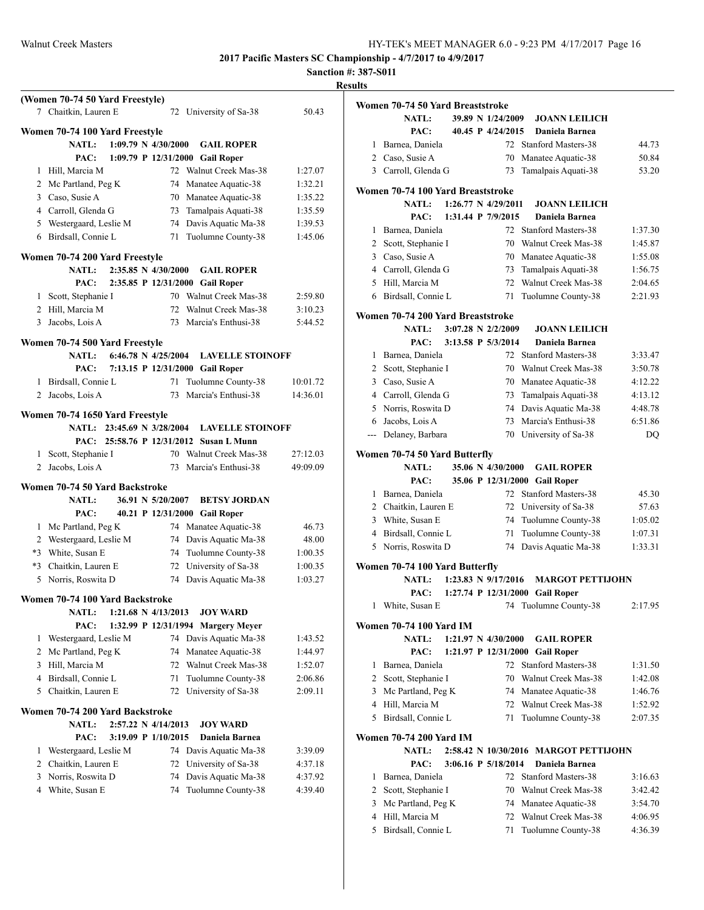**(Women 70-74 50 Yard Freestyle)**

**2017 Pacific Masters SC Championship - 4/7/2017 to 4/9/2017**

|   |       | ŀ |
|---|-------|---|
|   |       |   |
| 8 | 50.43 |   |

|                | 7 Chaitkin, Lauren E                           |  |                     | 72 University of Sa-38                          | 50.43              |
|----------------|------------------------------------------------|--|---------------------|-------------------------------------------------|--------------------|
|                | Women 70-74 100 Yard Freestyle                 |  |                     |                                                 |                    |
|                | <b>NATL:</b>                                   |  | 1:09.79 N 4/30/2000 | <b>GAIL ROPER</b>                               |                    |
|                | PAC:                                           |  |                     | 1:09.79 P 12/31/2000 Gail Roper                 |                    |
|                | 1 Hill, Marcia M                               |  |                     | 72 Walnut Creek Mas-38                          | 1:27.07            |
|                | 2 Mc Partland, Peg K                           |  |                     | 74 Manatee Aquatic-38                           | 1:32.21            |
|                | 3 Caso, Susie A                                |  |                     | 70 Manatee Aquatic-38                           | 1:35.22            |
|                | 4 Carroll, Glenda G                            |  |                     | 73 Tamalpais Aquati-38                          | 1:35.59            |
|                | 5 Westergaard, Leslie M                        |  |                     | 74 Davis Aquatic Ma-38                          | 1:39.53            |
|                | 6 Birdsall, Connie L                           |  |                     | 71 Tuolumne County-38                           | 1:45.06            |
|                |                                                |  |                     |                                                 |                    |
|                | Women 70-74 200 Yard Freestyle<br><b>NATL:</b> |  | 2:35.85 N 4/30/2000 | <b>GAIL ROPER</b>                               |                    |
|                | PAC:                                           |  |                     | 2:35.85 P 12/31/2000 Gail Roper                 |                    |
|                | 1 Scott, Stephanie I                           |  |                     | 70 Walnut Creek Mas-38                          | 2:59.80            |
|                | 2 Hill, Marcia M                               |  |                     | 72 Walnut Creek Mas-38                          | 3:10.23            |
|                | 3 Jacobs, Lois A                               |  |                     | 73 Marcia's Enthusi-38                          | 5:44.52            |
|                |                                                |  |                     |                                                 |                    |
|                | Women 70-74 500 Yard Freestyle                 |  |                     |                                                 |                    |
|                | NATL:                                          |  |                     | 6:46.78 N 4/25/2004 LAVELLE STOINOFF            |                    |
|                | PAC:                                           |  |                     | 7:13.15 P 12/31/2000 Gail Roper                 |                    |
|                | 1 Birdsall, Connie L                           |  |                     | 71 Tuolumne County-38                           | 10:01.72           |
| 2              | Jacobs, Lois A                                 |  |                     | 73 Marcia's Enthusi-38                          | 14:36.01           |
|                | Women 70-74 1650 Yard Freestyle                |  |                     |                                                 |                    |
|                | <b>NATL:</b>                                   |  |                     | 23:45.69 N 3/28/2004 LAVELLE STOINOFF           |                    |
|                |                                                |  |                     | PAC: 25:58.76 P 12/31/2012 Susan L Munn         |                    |
|                | 1 Scott, Stephanie I                           |  |                     | 70 Walnut Creek Mas-38                          | 27:12.03           |
| $\overline{2}$ | Jacobs, Lois A                                 |  | 73                  | Marcia's Enthusi-38                             | 49:09.09           |
|                |                                                |  |                     |                                                 |                    |
|                | Women 70-74 50 Yard Backstroke                 |  |                     |                                                 |                    |
|                | <b>NATL:</b>                                   |  |                     | 36.91 N 5/20/2007 BETSY JORDAN                  |                    |
|                | PAC:                                           |  |                     | 40.21 P 12/31/2000 Gail Roper                   |                    |
|                | 1 Mc Partland, Peg K                           |  |                     | 74 Manatee Aquatic-38                           | 46.73              |
|                | 2 Westergaard, Leslie M                        |  |                     | 74 Davis Aquatic Ma-38                          | 48.00              |
|                | *3 White, Susan E<br>*3 Chaitkin, Lauren E     |  |                     | 74 Tuolumne County-38<br>72 University of Sa-38 | 1:00.35            |
|                | 5 Norris, Roswita D                            |  |                     | 74 Davis Aquatic Ma-38                          | 1:00.35<br>1:03.27 |
|                |                                                |  |                     |                                                 |                    |
|                | Women 70-74 100 Yard Backstroke                |  |                     |                                                 |                    |
|                | NATL: 1:21.68 N 4/13/2013                      |  |                     | <b>JOY WARD</b>                                 |                    |
|                | PAC:                                           |  |                     | 1:32.99 P 12/31/1994 Margery Meyer              |                    |
| 1              | Westergaard, Leslie M                          |  | 74                  | Davis Aquatic Ma-38                             | 1:43.52            |
| 2              | Mc Partland, Peg K                             |  | 74                  | Manatee Aquatic-38                              | 1:44.97            |
| 3              | Hill, Marcia M                                 |  | 72                  | Walnut Creek Mas-38                             | 1:52.07            |
| 4              | Birdsall, Connie L                             |  | 71                  | Tuolumne County-38                              | 2:06.86            |
| 5              | Chaitkin, Lauren E                             |  | 72                  | University of Sa-38                             | 2:09.11            |
|                | Women 70-74 200 Yard Backstroke                |  |                     |                                                 |                    |
|                | <b>NATL:</b>                                   |  | 2:57.22 N 4/14/2013 | <b>JOY WARD</b>                                 |                    |
|                | PAC:                                           |  | 3:19.09 P 1/10/2015 | Daniela Barnea                                  |                    |
| 1              | Westergaard, Leslie M                          |  | 74                  | Davis Aquatic Ma-38                             | 3:39.09            |
| 2              | Chaitkin, Lauren E                             |  | 72                  | University of Sa-38                             | 4:37.18            |
| 3              | Norris, Roswita D                              |  | 74                  | Davis Aquatic Ma-38                             | 4:37.92            |
| 4              | White, Susan E                                 |  | 74                  | Tuolumne County-38                              | 4:39.40            |
|                |                                                |  |                     |                                                 |                    |

|                | Women 70-74 50 Yard Breaststroke  |                                |                                       |         |
|----------------|-----------------------------------|--------------------------------|---------------------------------------|---------|
|                | NATL:                             | 39.89 N 1/24/2009              | <b>JOANN LEILICH</b>                  |         |
|                | PAC:                              | 40.45 P 4/24/2015              | Daniela Barnea                        |         |
| 1              | Barnea, Daniela                   |                                | 72 Stanford Masters-38                | 44.73   |
|                | 2 Caso, Susie A                   | 70                             | Manatee Aquatic-38                    | 50.84   |
|                | 3 Carroll, Glenda G               | 73                             | Tamalpais Aquati-38                   | 53.20   |
|                | Women 70-74 100 Yard Breaststroke |                                |                                       |         |
|                | <b>NATL:</b>                      | $1:26.77 \text{ N } 4/29/2011$ | <b>JOANN LEILICH</b>                  |         |
|                | PAC:                              | 1:31.44 P 7/9/2015             | Daniela Barnea                        |         |
| 1              | Barnea, Daniela                   |                                | 72 Stanford Masters-38                | 1:37.30 |
| $\overline{2}$ | Scott, Stephanie I                |                                | 70 Walnut Creek Mas-38                | 1:45.87 |
| 3              | Caso, Susie A                     |                                | 70 Manatee Aquatic-38                 | 1:55.08 |
|                | 4 Carroll, Glenda G               | 73                             | Tamalpais Aquati-38                   | 1:56.75 |
| 5              | Hill, Marcia M                    |                                | 72 Walnut Creek Mas-38                | 2:04.65 |
|                | 6 Birdsall, Connie L              | 71                             | Tuolumne County-38                    | 2:21.93 |
|                | Women 70-74 200 Yard Breaststroke |                                |                                       |         |
|                | NATL:                             | $3:07.28$ N $2/2/2009$         | <b>JOANN LEILICH</b>                  |         |
|                | PAC:                              | 3:13.58 P 5/3/2014             | Daniela Barnea                        |         |
| 1              | Barnea, Daniela                   |                                | 72 Stanford Masters-38                | 3:33.47 |
|                | 2 Scott, Stephanie I              |                                | 70 Walnut Creek Mas-38                | 3:50.78 |
|                | 3 Caso, Susie A                   |                                | 70 Manatee Aquatic-38                 | 4:12.22 |
|                | 4 Carroll, Glenda G               | 73                             | Tamalpais Aquati-38                   | 4:13.12 |
| 5              | Norris, Roswita D                 |                                | 74 Davis Aquatic Ma-38                | 4:48.78 |
|                | 6 Jacobs, Lois A                  | 73                             | Marcia's Enthusi-38                   | 6:51.86 |
|                | --- Delaney, Barbara              |                                | 70 University of Sa-38                | DQ      |
|                | Women 70-74 50 Yard Butterfly     |                                |                                       |         |
|                | <b>NATL:</b>                      | 35.06 N 4/30/2000              | <b>GAIL ROPER</b>                     |         |
|                | PAC:                              |                                | 35.06 P 12/31/2000 Gail Roper         |         |
| 1              | Barnea, Daniela                   |                                | 72 Stanford Masters-38                | 45.30   |
|                | 2 Chaitkin, Lauren E              |                                | 72 University of Sa-38                | 57.63   |
|                | 3 White, Susan E                  |                                | 74 Tuolumne County-38                 | 1:05.02 |
| 4              | Birdsall, Connie L                | 71                             | Tuolumne County-38                    | 1:07.31 |
| 5              | Norris, Roswita D                 |                                | 74 Davis Aquatic Ma-38                | 1:33.31 |
|                | Women 70-74 100 Yard Butterfly    |                                |                                       |         |
|                | <b>NATL:</b>                      | 1:23.83 N 9/17/2016            | <b>MARGOT PETTIJOHN</b>               |         |
|                |                                   |                                | PAC: 1:27.74 P 12/31/2000 Gail Roper  |         |
| 1              | White, Susan E                    | 74                             | Tuolumne County-38                    | 2:17.95 |
|                | <b>Women 70-74 100 Yard IM</b>    |                                |                                       |         |
|                | <b>NATL:</b>                      | $1:21.97 \text{ N } 4/30/2000$ | <b>GAIL ROPER</b>                     |         |
|                | PAC:                              |                                | 1:21.97 P 12/31/2000 Gail Roper       |         |
| 1              | Barnea, Daniela                   |                                | 72 Stanford Masters-38                | 1:31.50 |
| $\overline{2}$ | Scott, Stephanie I                |                                | 70 Walnut Creek Mas-38                | 1:42.08 |
| 3              | Mc Partland, Peg K                |                                | 74 Manatee Aquatic-38                 | 1:46.76 |
| 4              | Hill, Marcia M                    |                                | 72 Walnut Creek Mas-38                | 1:52.92 |
| 5              | Birdsall, Connie L                | 71                             | Tuolumne County-38                    | 2:07.35 |
|                | <b>Women 70-74 200 Yard IM</b>    |                                |                                       |         |
|                | <b>NATL:</b>                      |                                | 2:58.42 N 10/30/2016 MARGOT PETTIJOHN |         |
|                | PAC:                              | 3:06.16 P 5/18/2014            | Daniela Barnea                        |         |
| 1              | Barnea, Daniela                   |                                | 72 Stanford Masters-38                | 3:16.63 |
| 2              | Scott, Stephanie I                |                                | 70 Walnut Creek Mas-38                | 3:42.42 |
| 3              | Mc Partland, Peg K                |                                | 74 Manatee Aquatic-38                 | 3:54.70 |
| 4              | Hill, Marcia M                    |                                | 72 Walnut Creek Mas-38                | 4:06.95 |
| 5              | Birdsall, Connie L                | 71                             | Tuolumne County-38                    | 4:36.39 |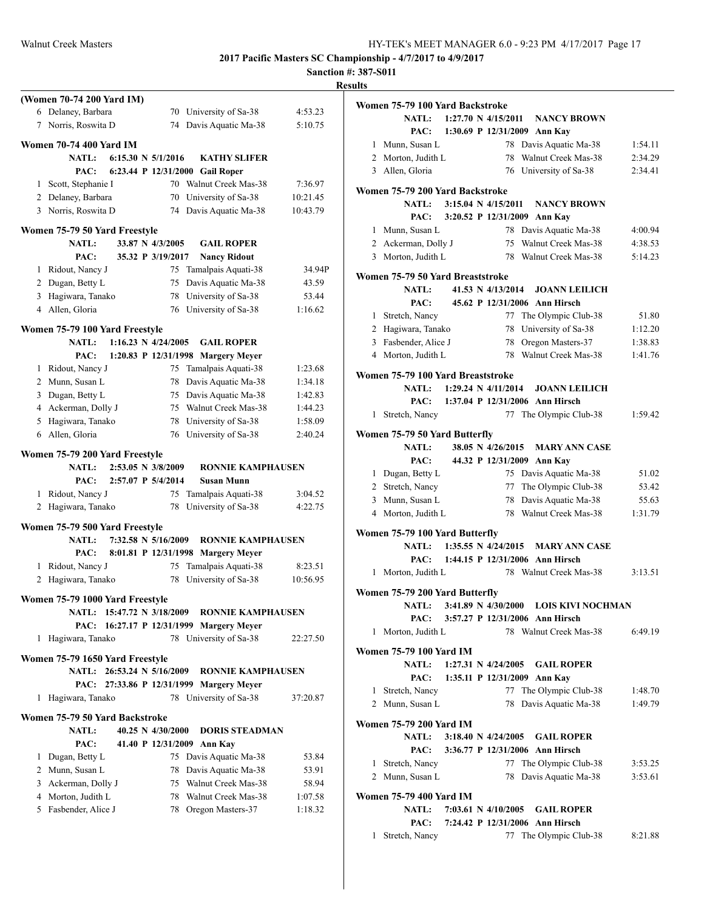|                                                | <b>Results</b>                                                                                                                                                                                                                                                                                                                                                                                                                                                                                                                                                                                                                                                                                                                                                                                                                                                                                                                                                                                                                                                                                                                                                                                   |                                                                                                                                                                                                                                                                                                                    |
|------------------------------------------------|--------------------------------------------------------------------------------------------------------------------------------------------------------------------------------------------------------------------------------------------------------------------------------------------------------------------------------------------------------------------------------------------------------------------------------------------------------------------------------------------------------------------------------------------------------------------------------------------------------------------------------------------------------------------------------------------------------------------------------------------------------------------------------------------------------------------------------------------------------------------------------------------------------------------------------------------------------------------------------------------------------------------------------------------------------------------------------------------------------------------------------------------------------------------------------------------------|--------------------------------------------------------------------------------------------------------------------------------------------------------------------------------------------------------------------------------------------------------------------------------------------------------------------|
|                                                |                                                                                                                                                                                                                                                                                                                                                                                                                                                                                                                                                                                                                                                                                                                                                                                                                                                                                                                                                                                                                                                                                                                                                                                                  |                                                                                                                                                                                                                                                                                                                    |
| 70 University of Sa-38                         | 4:53.23                                                                                                                                                                                                                                                                                                                                                                                                                                                                                                                                                                                                                                                                                                                                                                                                                                                                                                                                                                                                                                                                                                                                                                                          | Wα                                                                                                                                                                                                                                                                                                                 |
| 74 Davis Aquatic Ma-38                         | 5:10.75                                                                                                                                                                                                                                                                                                                                                                                                                                                                                                                                                                                                                                                                                                                                                                                                                                                                                                                                                                                                                                                                                                                                                                                          |                                                                                                                                                                                                                                                                                                                    |
|                                                |                                                                                                                                                                                                                                                                                                                                                                                                                                                                                                                                                                                                                                                                                                                                                                                                                                                                                                                                                                                                                                                                                                                                                                                                  |                                                                                                                                                                                                                                                                                                                    |
|                                                |                                                                                                                                                                                                                                                                                                                                                                                                                                                                                                                                                                                                                                                                                                                                                                                                                                                                                                                                                                                                                                                                                                                                                                                                  |                                                                                                                                                                                                                                                                                                                    |
|                                                |                                                                                                                                                                                                                                                                                                                                                                                                                                                                                                                                                                                                                                                                                                                                                                                                                                                                                                                                                                                                                                                                                                                                                                                                  |                                                                                                                                                                                                                                                                                                                    |
|                                                |                                                                                                                                                                                                                                                                                                                                                                                                                                                                                                                                                                                                                                                                                                                                                                                                                                                                                                                                                                                                                                                                                                                                                                                                  |                                                                                                                                                                                                                                                                                                                    |
|                                                |                                                                                                                                                                                                                                                                                                                                                                                                                                                                                                                                                                                                                                                                                                                                                                                                                                                                                                                                                                                                                                                                                                                                                                                                  | Wс                                                                                                                                                                                                                                                                                                                 |
|                                                |                                                                                                                                                                                                                                                                                                                                                                                                                                                                                                                                                                                                                                                                                                                                                                                                                                                                                                                                                                                                                                                                                                                                                                                                  |                                                                                                                                                                                                                                                                                                                    |
|                                                |                                                                                                                                                                                                                                                                                                                                                                                                                                                                                                                                                                                                                                                                                                                                                                                                                                                                                                                                                                                                                                                                                                                                                                                                  |                                                                                                                                                                                                                                                                                                                    |
|                                                |                                                                                                                                                                                                                                                                                                                                                                                                                                                                                                                                                                                                                                                                                                                                                                                                                                                                                                                                                                                                                                                                                                                                                                                                  |                                                                                                                                                                                                                                                                                                                    |
|                                                |                                                                                                                                                                                                                                                                                                                                                                                                                                                                                                                                                                                                                                                                                                                                                                                                                                                                                                                                                                                                                                                                                                                                                                                                  |                                                                                                                                                                                                                                                                                                                    |
|                                                |                                                                                                                                                                                                                                                                                                                                                                                                                                                                                                                                                                                                                                                                                                                                                                                                                                                                                                                                                                                                                                                                                                                                                                                                  |                                                                                                                                                                                                                                                                                                                    |
|                                                |                                                                                                                                                                                                                                                                                                                                                                                                                                                                                                                                                                                                                                                                                                                                                                                                                                                                                                                                                                                                                                                                                                                                                                                                  | Wс                                                                                                                                                                                                                                                                                                                 |
|                                                |                                                                                                                                                                                                                                                                                                                                                                                                                                                                                                                                                                                                                                                                                                                                                                                                                                                                                                                                                                                                                                                                                                                                                                                                  |                                                                                                                                                                                                                                                                                                                    |
|                                                |                                                                                                                                                                                                                                                                                                                                                                                                                                                                                                                                                                                                                                                                                                                                                                                                                                                                                                                                                                                                                                                                                                                                                                                                  |                                                                                                                                                                                                                                                                                                                    |
|                                                |                                                                                                                                                                                                                                                                                                                                                                                                                                                                                                                                                                                                                                                                                                                                                                                                                                                                                                                                                                                                                                                                                                                                                                                                  |                                                                                                                                                                                                                                                                                                                    |
|                                                |                                                                                                                                                                                                                                                                                                                                                                                                                                                                                                                                                                                                                                                                                                                                                                                                                                                                                                                                                                                                                                                                                                                                                                                                  |                                                                                                                                                                                                                                                                                                                    |
| <b>GAIL ROPER</b>                              |                                                                                                                                                                                                                                                                                                                                                                                                                                                                                                                                                                                                                                                                                                                                                                                                                                                                                                                                                                                                                                                                                                                                                                                                  |                                                                                                                                                                                                                                                                                                                    |
|                                                |                                                                                                                                                                                                                                                                                                                                                                                                                                                                                                                                                                                                                                                                                                                                                                                                                                                                                                                                                                                                                                                                                                                                                                                                  |                                                                                                                                                                                                                                                                                                                    |
|                                                | 1:23.68                                                                                                                                                                                                                                                                                                                                                                                                                                                                                                                                                                                                                                                                                                                                                                                                                                                                                                                                                                                                                                                                                                                                                                                          | Wα                                                                                                                                                                                                                                                                                                                 |
|                                                |                                                                                                                                                                                                                                                                                                                                                                                                                                                                                                                                                                                                                                                                                                                                                                                                                                                                                                                                                                                                                                                                                                                                                                                                  |                                                                                                                                                                                                                                                                                                                    |
|                                                |                                                                                                                                                                                                                                                                                                                                                                                                                                                                                                                                                                                                                                                                                                                                                                                                                                                                                                                                                                                                                                                                                                                                                                                                  |                                                                                                                                                                                                                                                                                                                    |
|                                                |                                                                                                                                                                                                                                                                                                                                                                                                                                                                                                                                                                                                                                                                                                                                                                                                                                                                                                                                                                                                                                                                                                                                                                                                  |                                                                                                                                                                                                                                                                                                                    |
|                                                |                                                                                                                                                                                                                                                                                                                                                                                                                                                                                                                                                                                                                                                                                                                                                                                                                                                                                                                                                                                                                                                                                                                                                                                                  |                                                                                                                                                                                                                                                                                                                    |
|                                                |                                                                                                                                                                                                                                                                                                                                                                                                                                                                                                                                                                                                                                                                                                                                                                                                                                                                                                                                                                                                                                                                                                                                                                                                  | Wα                                                                                                                                                                                                                                                                                                                 |
|                                                |                                                                                                                                                                                                                                                                                                                                                                                                                                                                                                                                                                                                                                                                                                                                                                                                                                                                                                                                                                                                                                                                                                                                                                                                  |                                                                                                                                                                                                                                                                                                                    |
|                                                |                                                                                                                                                                                                                                                                                                                                                                                                                                                                                                                                                                                                                                                                                                                                                                                                                                                                                                                                                                                                                                                                                                                                                                                                  |                                                                                                                                                                                                                                                                                                                    |
| <b>Susan Munn</b>                              |                                                                                                                                                                                                                                                                                                                                                                                                                                                                                                                                                                                                                                                                                                                                                                                                                                                                                                                                                                                                                                                                                                                                                                                                  |                                                                                                                                                                                                                                                                                                                    |
| 75                                             | 3:04.52                                                                                                                                                                                                                                                                                                                                                                                                                                                                                                                                                                                                                                                                                                                                                                                                                                                                                                                                                                                                                                                                                                                                                                                          |                                                                                                                                                                                                                                                                                                                    |
|                                                | 4:22.75                                                                                                                                                                                                                                                                                                                                                                                                                                                                                                                                                                                                                                                                                                                                                                                                                                                                                                                                                                                                                                                                                                                                                                                          |                                                                                                                                                                                                                                                                                                                    |
|                                                |                                                                                                                                                                                                                                                                                                                                                                                                                                                                                                                                                                                                                                                                                                                                                                                                                                                                                                                                                                                                                                                                                                                                                                                                  |                                                                                                                                                                                                                                                                                                                    |
|                                                |                                                                                                                                                                                                                                                                                                                                                                                                                                                                                                                                                                                                                                                                                                                                                                                                                                                                                                                                                                                                                                                                                                                                                                                                  | W <sub>0</sub>                                                                                                                                                                                                                                                                                                     |
|                                                |                                                                                                                                                                                                                                                                                                                                                                                                                                                                                                                                                                                                                                                                                                                                                                                                                                                                                                                                                                                                                                                                                                                                                                                                  |                                                                                                                                                                                                                                                                                                                    |
| Tamalpais Aquati-38<br>75                      | 8:23.51                                                                                                                                                                                                                                                                                                                                                                                                                                                                                                                                                                                                                                                                                                                                                                                                                                                                                                                                                                                                                                                                                                                                                                                          |                                                                                                                                                                                                                                                                                                                    |
| 78<br>University of Sa-38                      | 10:56.95                                                                                                                                                                                                                                                                                                                                                                                                                                                                                                                                                                                                                                                                                                                                                                                                                                                                                                                                                                                                                                                                                                                                                                                         |                                                                                                                                                                                                                                                                                                                    |
|                                                |                                                                                                                                                                                                                                                                                                                                                                                                                                                                                                                                                                                                                                                                                                                                                                                                                                                                                                                                                                                                                                                                                                                                                                                                  | Wα                                                                                                                                                                                                                                                                                                                 |
|                                                |                                                                                                                                                                                                                                                                                                                                                                                                                                                                                                                                                                                                                                                                                                                                                                                                                                                                                                                                                                                                                                                                                                                                                                                                  |                                                                                                                                                                                                                                                                                                                    |
|                                                |                                                                                                                                                                                                                                                                                                                                                                                                                                                                                                                                                                                                                                                                                                                                                                                                                                                                                                                                                                                                                                                                                                                                                                                                  |                                                                                                                                                                                                                                                                                                                    |
|                                                |                                                                                                                                                                                                                                                                                                                                                                                                                                                                                                                                                                                                                                                                                                                                                                                                                                                                                                                                                                                                                                                                                                                                                                                                  |                                                                                                                                                                                                                                                                                                                    |
|                                                |                                                                                                                                                                                                                                                                                                                                                                                                                                                                                                                                                                                                                                                                                                                                                                                                                                                                                                                                                                                                                                                                                                                                                                                                  | Wα                                                                                                                                                                                                                                                                                                                 |
|                                                |                                                                                                                                                                                                                                                                                                                                                                                                                                                                                                                                                                                                                                                                                                                                                                                                                                                                                                                                                                                                                                                                                                                                                                                                  |                                                                                                                                                                                                                                                                                                                    |
|                                                |                                                                                                                                                                                                                                                                                                                                                                                                                                                                                                                                                                                                                                                                                                                                                                                                                                                                                                                                                                                                                                                                                                                                                                                                  |                                                                                                                                                                                                                                                                                                                    |
|                                                |                                                                                                                                                                                                                                                                                                                                                                                                                                                                                                                                                                                                                                                                                                                                                                                                                                                                                                                                                                                                                                                                                                                                                                                                  |                                                                                                                                                                                                                                                                                                                    |
|                                                |                                                                                                                                                                                                                                                                                                                                                                                                                                                                                                                                                                                                                                                                                                                                                                                                                                                                                                                                                                                                                                                                                                                                                                                                  |                                                                                                                                                                                                                                                                                                                    |
|                                                |                                                                                                                                                                                                                                                                                                                                                                                                                                                                                                                                                                                                                                                                                                                                                                                                                                                                                                                                                                                                                                                                                                                                                                                                  | Wс                                                                                                                                                                                                                                                                                                                 |
|                                                |                                                                                                                                                                                                                                                                                                                                                                                                                                                                                                                                                                                                                                                                                                                                                                                                                                                                                                                                                                                                                                                                                                                                                                                                  |                                                                                                                                                                                                                                                                                                                    |
| 41.40 P 12/31/2009 Ann Kay                     |                                                                                                                                                                                                                                                                                                                                                                                                                                                                                                                                                                                                                                                                                                                                                                                                                                                                                                                                                                                                                                                                                                                                                                                                  |                                                                                                                                                                                                                                                                                                                    |
| 75 Davis Aquatic Ma-38                         | 53.84                                                                                                                                                                                                                                                                                                                                                                                                                                                                                                                                                                                                                                                                                                                                                                                                                                                                                                                                                                                                                                                                                                                                                                                            |                                                                                                                                                                                                                                                                                                                    |
|                                                |                                                                                                                                                                                                                                                                                                                                                                                                                                                                                                                                                                                                                                                                                                                                                                                                                                                                                                                                                                                                                                                                                                                                                                                                  |                                                                                                                                                                                                                                                                                                                    |
| 78 Davis Aquatic Ma-38                         | 53.91                                                                                                                                                                                                                                                                                                                                                                                                                                                                                                                                                                                                                                                                                                                                                                                                                                                                                                                                                                                                                                                                                                                                                                                            |                                                                                                                                                                                                                                                                                                                    |
| 75 Walnut Creek Mas-38                         | 58.94                                                                                                                                                                                                                                                                                                                                                                                                                                                                                                                                                                                                                                                                                                                                                                                                                                                                                                                                                                                                                                                                                                                                                                                            |                                                                                                                                                                                                                                                                                                                    |
| 78 Walnut Creek Mas-38<br>78 Oregon Masters-37 | 1:07.58<br>1:18.32                                                                                                                                                                                                                                                                                                                                                                                                                                                                                                                                                                                                                                                                                                                                                                                                                                                                                                                                                                                                                                                                                                                                                                               | Wс                                                                                                                                                                                                                                                                                                                 |
|                                                | 6:15.30 N $5/1/2016$<br><b>KATHY SLIFER</b><br>6:23.44 P 12/31/2000 Gail Roper<br>70 Walnut Creek Mas-38<br>70 University of Sa-38<br>74 Davis Aquatic Ma-38<br>Women 75-79 50 Yard Freestyle<br>33.87 N 4/3/2005<br><b>GAIL ROPER</b><br>35.32 P 3/19/2017<br><b>Nancy Ridout</b><br>75 Tamalpais Aquati-38<br>Davis Aquatic Ma-38<br>75<br>78 University of Sa-38<br>76 University of Sa-38<br>Women 75-79 100 Yard Freestyle<br>$1:16.23 \text{ N } 4/24/2005$<br>1:20.83 P 12/31/1998 Margery Meyer<br>75 Tamalpais Aquati-38<br>78 Davis Aquatic Ma-38<br>75 Davis Aquatic Ma-38<br>75 Walnut Creek Mas-38<br>78 University of Sa-38<br>76 University of Sa-38<br>Women 75-79 200 Yard Freestyle<br>2:53.05 N 3/8/2009<br>2:57.07 P 5/4/2014<br>Tamalpais Aquati-38<br>78<br>University of Sa-38<br>Women 75-79 500 Yard Freestyle<br>7:32.58 N 5/16/2009<br>8:01.81 P 12/31/1998 Margery Meyer<br>Women 75-79 1000 Yard Freestyle<br>PAC: 16:27.17 P 12/31/1999 Margery Meyer<br>78 University of Sa-38<br>Women 75-79 1650 Yard Freestyle<br>26:53.24 N 5/16/2009<br>27:33.86 P 12/31/1999 Margery Meyer<br>78 University of Sa-38<br>Women 75-79 50 Yard Backstroke<br>40.25 N 4/30/2000 | 7:36.97<br>10:21.45<br>10:43.79<br>34.94P<br>43.59<br>53.44<br>1:16.62<br>1:34.18<br>1:42.83<br>1:44.23<br>1:58.09<br>2:40.24<br><b>RONNIE KAMPHAUSEN</b><br><b>RONNIE KAMPHAUSEN</b><br>NATL: 15:47.72 N 3/18/2009 RONNIE KAMPHAUSEN<br>22:27.50<br><b>RONNIE KAMPHAUSEN</b><br>37:20.87<br><b>DORIS STEADMAN</b> |

|              | Women 75-79 100 Yard Backstroke   |  |                                |                                             |         |
|--------------|-----------------------------------|--|--------------------------------|---------------------------------------------|---------|
|              | <b>NATL:</b>                      |  | $1:27.70 \text{ N } 4/15/2011$ | <b>NANCY BROWN</b>                          |         |
|              |                                   |  |                                | PAC: 1:30.69 P 12/31/2009 Ann Kav           |         |
|              | 1 Munn, Susan L                   |  |                                | 78 Davis Aquatic Ma-38                      | 1:54.11 |
|              | 2 Morton, Judith L                |  | 78                             | Walnut Creek Mas-38                         | 2:34.29 |
|              | 3 Allen, Gloria                   |  |                                | 76 University of Sa-38                      | 2:34.41 |
|              |                                   |  |                                |                                             |         |
|              | Women 75-79 200 Yard Backstroke   |  |                                |                                             |         |
|              | <b>NATL:</b>                      |  | $3:15.04 \text{ N } 4/15/2011$ | <b>NANCY BROWN</b>                          |         |
|              | PAC:                              |  |                                | 3:20.52 P 12/31/2009 Ann Kay                |         |
|              | 1 Munn, Susan L                   |  |                                | 78 Davis Aquatic Ma-38                      | 4:00.94 |
|              | 2 Ackerman, Dolly J               |  |                                | 75 Walnut Creek Mas-38                      | 4:38.53 |
| 3            | Morton, Judith L                  |  | 78                             | Walnut Creek Mas-38                         | 5:14.23 |
|              | Women 75-79 50 Yard Breaststroke  |  |                                |                                             |         |
|              | <b>NATL:</b>                      |  | 41.53 N 4/13/2014              | <b>JOANN LEILICH</b>                        |         |
|              | PAC:                              |  |                                | 45.62 P 12/31/2006 Ann Hirsch               |         |
| 1            | Stretch, Nancy                    |  |                                | 77 The Olympic Club-38                      | 51.80   |
|              | 2 Hagiwara, Tanako                |  | 78                             | University of Sa-38                         | 1:12.20 |
|              | 3 Fasbender, Alice J              |  | 78                             | Oregon Masters-37                           | 1:38.83 |
|              | 4 Morton, Judith L                |  |                                | 78 Walnut Creek Mas-38                      | 1:41.76 |
|              |                                   |  |                                |                                             |         |
|              | Women 75-79 100 Yard Breaststroke |  |                                |                                             |         |
|              | <b>NATL:</b>                      |  | $1:29.24 \text{ N } 4/11/2014$ | <b>JOANN LEILICH</b>                        |         |
|              | PAC:                              |  |                                | 1:37.04 P 12/31/2006 Ann Hirsch             |         |
| 1            | Stretch, Nancy                    |  | 77                             | The Olympic Club-38                         | 1:59.42 |
|              | Women 75-79 50 Yard Butterfly     |  |                                |                                             |         |
|              | <b>NATL:</b>                      |  |                                | 38.05 N 4/26/2015 MARY ANN CASE             |         |
|              | PAC:                              |  |                                | 44.32 P 12/31/2009 Ann Kay                  |         |
|              | 1 Dugan, Betty L                  |  |                                | 75 Davis Aquatic Ma-38                      | 51.02   |
|              | 2 Stretch, Nancy                  |  |                                | 77 The Olympic Club-38                      | 53.42   |
|              | 3 Munn, Susan L                   |  | 78                             | Davis Aquatic Ma-38                         | 55.63   |
|              | 4 Morton, Judith L                |  |                                | 78 Walnut Creek Mas-38                      | 1:31.79 |
|              |                                   |  |                                |                                             |         |
|              | Women 75-79 100 Yard Butterfly    |  |                                |                                             |         |
|              | <b>NATL:</b>                      |  |                                | 1:35.55 N 4/24/2015 MARY ANN CASE           |         |
|              |                                   |  |                                | PAC: 1:44.15 P 12/31/2006 Ann Hirsch        |         |
| 1            | Morton, Judith L                  |  |                                | 78 Walnut Creek Mas-38                      | 3:13.51 |
|              | Women 75-79 200 Yard Butterfly    |  |                                |                                             |         |
|              |                                   |  |                                | NATL: 3:41.89 N 4/30/2000 LOIS KIVI NOCHMAN |         |
|              |                                   |  |                                | PAC: 3:57.27 P 12/31/2006 Ann Hirsch        |         |
|              | 1 Morton, Judith L                |  |                                | 78 Walnut Creek Mas-38                      | 6:49.19 |
|              |                                   |  |                                |                                             |         |
|              | Women 75-79 100 Yard IM           |  |                                |                                             |         |
|              | <b>NATL:</b>                      |  |                                | 1:27.31 N 4/24/2005 GAIL ROPER              |         |
|              |                                   |  |                                | PAC: 1:35.11 P 12/31/2009 Ann Kay           |         |
|              | 1 Stretch, Nancy                  |  |                                | 77 The Olympic Club-38                      | 1:48.70 |
|              | 2 Munn, Susan L                   |  |                                | 78 Davis Aquatic Ma-38                      | 1:49.79 |
|              | <b>Women 75-79 200 Yard IM</b>    |  |                                |                                             |         |
|              | <b>NATL:</b>                      |  |                                | 3:18.40 N 4/24/2005 GAIL ROPER              |         |
|              | PAC:                              |  |                                | 3:36.77 P 12/31/2006 Ann Hirsch             |         |
| $\mathbf{1}$ | Stretch, Nancy                    |  |                                | 77 The Olympic Club-38                      | 3:53.25 |
|              | 2 Munn, Susan L                   |  |                                | 78 Davis Aquatic Ma-38                      | 3:53.61 |
|              |                                   |  |                                |                                             |         |
|              | Women 75-79 400 Yard IM           |  |                                |                                             |         |
|              | <b>NATL:</b>                      |  |                                | 7:03.61 N 4/10/2005 GAIL ROPER              |         |
|              |                                   |  |                                | PAC: 7:24.42 P 12/31/2006 Ann Hirsch        |         |
| 1            | Stretch, Nancy                    |  |                                | 77 The Olympic Club-38                      | 8:21.88 |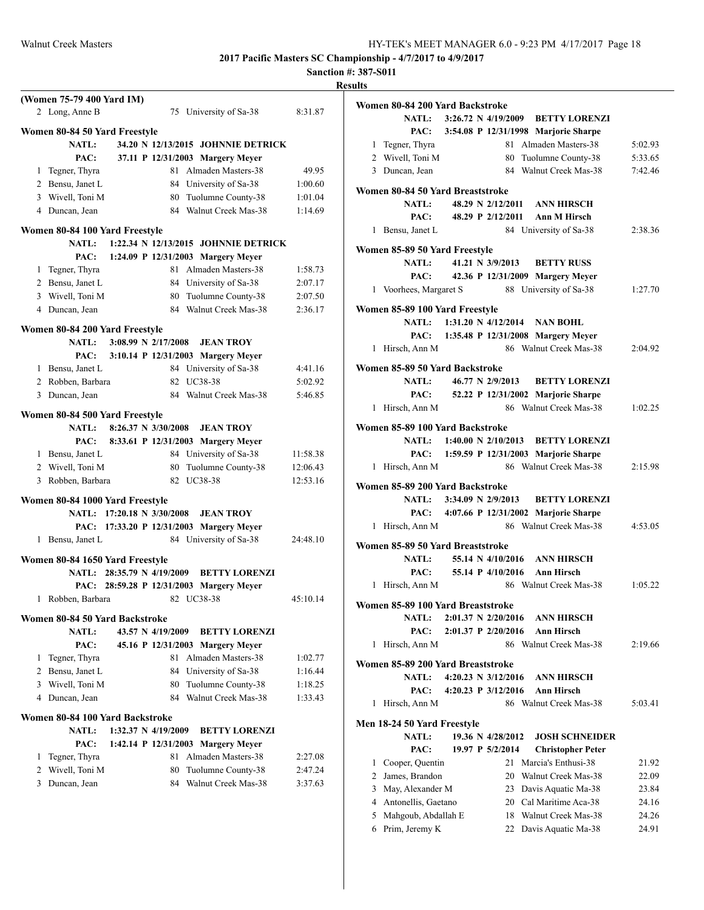| - esults -<br>m |  |
|-----------------|--|
|-----------------|--|

|                | (Women 75-79 400 Yard IM)<br>2 Long, Anne B                   |  |                         | 75 University of Sa-38                   | 8:31.87  |
|----------------|---------------------------------------------------------------|--|-------------------------|------------------------------------------|----------|
|                |                                                               |  |                         |                                          |          |
|                | Women 80-84 50 Yard Freestyle                                 |  |                         |                                          |          |
|                | <b>NATL:</b>                                                  |  |                         | 34.20 N 12/13/2015 JOHNNIE DETRICK       |          |
|                | PAC:                                                          |  |                         | 37.11 P 12/31/2003 Margery Meyer         |          |
|                | 1 Tegner, Thyra                                               |  |                         | 81 Almaden Masters-38                    | 49.95    |
|                | 2 Bensu, Janet L                                              |  |                         | 84 University of Sa-38                   | 1:00.60  |
|                | 3 Wivell, Toni M                                              |  |                         | 80 Tuolumne County-38                    | 1:01.04  |
|                | 4 Duncan, Jean                                                |  |                         | 84 Walnut Creek Mas-38                   | 1:14.69  |
|                | Women 80-84 100 Yard Freestyle                                |  |                         |                                          |          |
|                | <b>NATL:</b>                                                  |  |                         | 1:22.34 N 12/13/2015 JOHNNIE DETRICK     |          |
|                | PAC:                                                          |  |                         | 1:24.09 P 12/31/2003 Margery Meyer       |          |
|                | 1 Tegner, Thyra                                               |  |                         | 81 Almaden Masters-38                    | 1:58.73  |
|                | 2 Bensu, Janet L                                              |  |                         | 84 University of Sa-38                   | 2:07.17  |
|                | 3 Wivell, Toni M                                              |  |                         | 80 Tuolumne County-38                    | 2:07.50  |
|                | 4 Duncan, Jean                                                |  |                         | 84 Walnut Creek Mas-38                   | 2:36.17  |
|                |                                                               |  |                         |                                          |          |
|                | Women 80-84 200 Yard Freestyle<br><b>NATL:</b>                |  | $3:08.99$ N $2/17/2008$ | <b>JEAN TROY</b>                         |          |
|                |                                                               |  |                         | PAC: 3:10.14 P 12/31/2003 Margery Meyer  |          |
|                | 1 Bensu, Janet L                                              |  |                         | 84 University of Sa-38                   | 4:41.16  |
|                | 2 Robben, Barbara                                             |  | 82                      | UC38-38                                  | 5:02.92  |
|                | 3 Duncan, Jean                                                |  |                         | 84 Walnut Creek Mas-38                   | 5:46.85  |
|                |                                                               |  |                         |                                          |          |
|                | Women 80-84 500 Yard Freestyle                                |  |                         |                                          |          |
|                | NATL: 8:26.37 N 3/30/2008                                     |  |                         | <b>JEAN TROY</b>                         |          |
|                |                                                               |  |                         | PAC: 8:33.61 P 12/31/2003 Margery Meyer  |          |
|                | 1 Bensu, Janet L                                              |  |                         | 84 University of Sa-38                   | 11:58.38 |
|                | 2 Wivell, Toni M                                              |  |                         | 80 Tuolumne County-38                    | 12:06.43 |
| 3              | Robben, Barbara                                               |  |                         | 82 UC38-38                               | 12:53.16 |
|                | Women 80-84 1000 Yard Freestyle                               |  |                         |                                          |          |
|                | NATL: 17:20.18 N 3/30/2008                                    |  |                         | <b>JEAN TROY</b>                         |          |
|                |                                                               |  |                         | PAC: 17:33.20 P 12/31/2003 Margery Meyer |          |
| 1              | Bensu, Janet L                                                |  |                         | 84 University of Sa-38                   | 24:48.10 |
|                |                                                               |  |                         |                                          |          |
|                | Women 80-84 1650 Yard Freestyle<br>NATL: 28:35.79 N 4/19/2009 |  |                         | <b>BETTY LORENZI</b>                     |          |
|                |                                                               |  |                         | PAC: 28:59.28 P 12/31/2003 Margery Meyer |          |
|                | 1 Robben, Barbara                                             |  | 82 UC38-38              |                                          | 45:10.14 |
|                |                                                               |  |                         |                                          |          |
|                | Women 80-84 50 Yard Backstroke                                |  |                         |                                          |          |
|                | <b>NATL:</b>                                                  |  | 43.57 N 4/19/2009       | <b>BETTY LORENZI</b>                     |          |
|                | PAC:                                                          |  |                         | 45.16 P 12/31/2003 Margery Meyer         |          |
| 1              | Tegner, Thyra                                                 |  | 81                      | Almaden Masters-38                       | 1:02.77  |
| $\overline{2}$ | Bensu, Janet L                                                |  |                         | 84 University of Sa-38                   | 1:16.44  |
| 3              | Wivell, Toni M                                                |  | 80                      | Tuolumne County-38                       | 1:18.25  |
| 4              | Duncan, Jean                                                  |  | 84                      | Walnut Creek Mas-38                      | 1:33.43  |
|                | Women 80-84 100 Yard Backstroke                               |  |                         |                                          |          |
|                | <b>NATL:</b>                                                  |  | 1:32.37 N 4/19/2009     | <b>BETTY LORENZI</b>                     |          |
|                | PAC:                                                          |  | 1:42.14 P $12/31/2003$  | <b>Margery Meyer</b>                     |          |
| 1              | Tegner, Thyra                                                 |  | 81                      | Almaden Masters-38                       | 2:27.08  |
| $\overline{c}$ | Wivell, Toni M                                                |  | 80                      | Tuolumne County-38                       | 2:47.24  |
| 3              | Duncan, Jean                                                  |  |                         | 84 Walnut Creek Mas-38                   | 3:37.63  |
|                |                                                               |  |                         |                                          |          |
|                |                                                               |  |                         |                                          |          |

|   | Women 80-84 200 Yard Backstroke             |  |                       |                                               |         |
|---|---------------------------------------------|--|-----------------------|-----------------------------------------------|---------|
|   |                                             |  |                       | NATL: 3:26.72 N 4/19/2009 BETTY LORENZI       |         |
|   |                                             |  |                       | PAC: 3:54.08 P 12/31/1998 Marjorie Sharpe     |         |
|   | 1 Tegner, Thyra                             |  |                       | 81 Almaden Masters-38                         | 5:02.93 |
|   | 2 Wivell, Toni M                            |  |                       | 80 Tuolumne County-38                         | 5:33.65 |
|   | 3 Duncan, Jean                              |  |                       | 84 Walnut Creek Mas-38                        | 7:42.46 |
|   | Women 80-84 50 Yard Breaststroke            |  |                       |                                               |         |
|   | <b>NATL:</b>                                |  |                       | 48.29 N 2/12/2011 ANN HIRSCH                  |         |
|   | PAC:                                        |  |                       | 48.29 P 2/12/2011 Ann M Hirsch                |         |
|   | 1 Bensu, Janet L                            |  |                       | 84 University of Sa-38                        | 2:38.36 |
|   | Women 85-89 50 Yard Freestyle               |  |                       |                                               |         |
|   | <b>NATL:</b>                                |  |                       | 41.21 N 3/9/2013 BETTY RUSS                   |         |
|   | PAC:                                        |  |                       | 42.36 P 12/31/2009 Margery Meyer              |         |
|   |                                             |  |                       | 1 Voorhees, Margaret S 88 University of Sa-38 | 1:27.70 |
|   |                                             |  |                       |                                               |         |
|   | Women 85-89 100 Yard Freestyle              |  |                       |                                               |         |
|   |                                             |  |                       | NATL: 1:31.20 N 4/12/2014 NAN BOHL            |         |
|   |                                             |  |                       | PAC: 1:35.48 P 12/31/2008 Margery Meyer       |         |
|   | 1 Hirsch, Ann M                             |  |                       | 86 Walnut Creek Mas-38                        | 2:04.92 |
|   | Women 85-89 50 Yard Backstroke              |  |                       |                                               |         |
|   | <b>NATL:</b>                                |  |                       | 46.77 N 2/9/2013 BETTY LORENZI                |         |
|   |                                             |  |                       | PAC: 52.22 P 12/31/2002 Marjorie Sharpe       |         |
|   | 1 Hirsch, Ann M                             |  |                       | 86 Walnut Creek Mas-38                        | 1:02.25 |
|   | Women 85-89 100 Yard Backstroke             |  |                       |                                               |         |
|   |                                             |  |                       | NATL: 1:40.00 N 2/10/2013 BETTY LORENZI       |         |
|   |                                             |  |                       | PAC: 1:59.59 P 12/31/2003 Marjorie Sharpe     |         |
|   | 1 Hirsch, Ann M                             |  |                       | 86 Walnut Creek Mas-38                        | 2:15.98 |
|   |                                             |  |                       |                                               |         |
|   | Women 85-89 200 Yard Backstroke             |  |                       | NATL: 3:34.09 N 2/9/2013 BETTY LORENZI        |         |
|   |                                             |  |                       | PAC: 4:07.66 P 12/31/2002 Marjorie Sharpe     |         |
|   | 1 Hirsch, Ann M                             |  |                       | 86 Walnut Creek Mas-38                        | 4:53.05 |
|   |                                             |  |                       |                                               |         |
|   | Women 85-89 50 Yard Breaststroke            |  |                       |                                               |         |
|   | <b>NATL:</b>                                |  |                       | 55.14 N 4/10/2016 ANN HIRSCH                  |         |
|   | PAC:                                        |  |                       | 55.14 P 4/10/2016 Ann Hirsch                  |         |
|   | 1 Hirsch, Ann M                             |  |                       | 86 Walnut Creek Mas-38                        | 1:05.22 |
|   | Women 85-89 100 Yard Breaststroke           |  |                       |                                               |         |
|   | <b>NATL:</b>                                |  |                       | 2:01.37 N 2/20/2016 ANN HIRSCH                |         |
|   | PAC:                                        |  | 2:01.37 P 2/20/2016   | Ann Hirsch                                    |         |
| 1 | Hirsch, Ann M                               |  |                       | 86 Walnut Creek Mas-38                        | 2:19.66 |
|   | Women 85-89 200 Yard Breaststroke           |  |                       |                                               |         |
|   | <b>NATL:</b>                                |  | 4:20.23 N $3/12/2016$ | <b>ANN HIRSCH</b>                             |         |
|   | PAC:                                        |  | 4:20.23 P $3/12/2016$ | <b>Ann Hirsch</b>                             |         |
| 1 | Hirsch, Ann M                               |  |                       | 86 Walnut Creek Mas-38                        | 5:03.41 |
|   |                                             |  |                       |                                               |         |
|   | Men 18-24 50 Yard Freestyle<br><b>NATL:</b> |  | 19.36 N 4/28/2012     | <b>JOSH SCHNEIDER</b>                         |         |
|   | PAC:                                        |  | 19.97 P 5/2/2014      | <b>Christopher Peter</b>                      |         |
| 1 | Cooper, Quentin                             |  |                       | 21 Marcia's Enthusi-38                        | 21.92   |
|   | 2 James, Brandon                            |  |                       | 20 Walnut Creek Mas-38                        | 22.09   |
| 3 | May, Alexander M                            |  |                       | 23 Davis Aquatic Ma-38                        | 23.84   |
|   | 4 Antonellis, Gaetano                       |  |                       | 20 Cal Maritime Aca-38                        | 24.16   |
|   | 5 Mahgoub, Abdallah E                       |  |                       | 18 Walnut Creek Mas-38                        | 24.26   |
|   | 6 Prim, Jeremy K                            |  |                       | 22 Davis Aquatic Ma-38                        | 24.91   |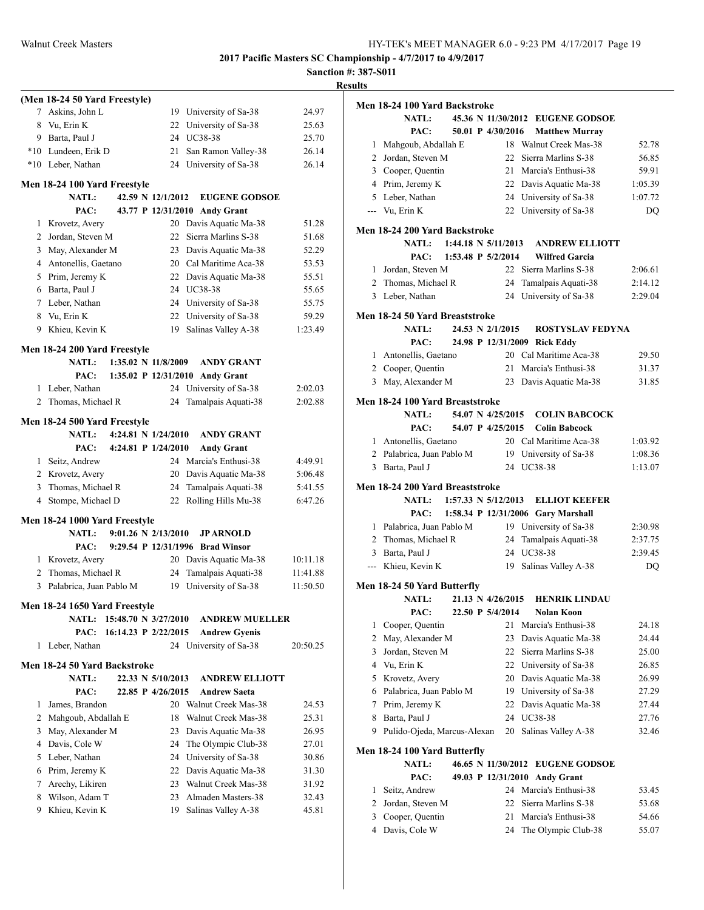|                |                                       |                                                    | <b>Results</b> |
|----------------|---------------------------------------|----------------------------------------------------|----------------|
|                | (Men 18-24 50 Yard Freestyle)         |                                                    | Me             |
| 7              | Askins, John L                        | 19 University of Sa-38                             | 24.97          |
| 8              | Vu, Erin K                            | 22 University of Sa-38                             | 25.63          |
|                | 9 Barta, Paul J                       | 24 UC38-38                                         | 25.70          |
|                | *10 Lundeen, Erik D                   | 21<br>San Ramon Valley-38                          | 26.14          |
|                | *10 Leber, Nathan                     | 24 University of Sa-38                             | 26.14          |
|                | Men 18-24 100 Yard Freestyle          |                                                    |                |
|                | <b>NATL:</b>                          | 42.59 N 12/1/2012<br><b>EUGENE GODSOE</b>          |                |
|                | PAC:                                  | 43.77 P 12/31/2010 Andy Grant                      |                |
|                | 1 Krovetz, Avery                      | 20 Davis Aquatic Ma-38                             | 51.28          |
| 2              | Jordan, Steven M                      | Sierra Marlins S-38<br>22                          | Me<br>51.68    |
| 3              | May, Alexander M                      | 23 Davis Aquatic Ma-38                             | 52.29          |
|                | 4 Antonellis, Gaetano                 | 20 Cal Maritime Aca-38                             | 53.53          |
|                | 5 Prim, Jeremy K                      | 22 Davis Aquatic Ma-38                             | 55.51          |
|                | 6 Barta, Paul J                       | 24 UC38-38                                         | 55.65          |
|                | 7 Leber, Nathan                       | 24 University of Sa-38                             | 55.75          |
| 8              | Vu, Erin K                            | 22 University of Sa-38                             | 59.29<br>Me    |
| 9.             | Khieu, Kevin K                        | Salinas Valley A-38<br>19                          | 1:23.49        |
|                |                                       |                                                    |                |
|                | Men 18-24 200 Yard Freestyle<br>NATL: | $1:35.02 \text{ N}$ 11/8/2009<br><b>ANDY GRANT</b> |                |
|                | PAC:                                  | 1:35.02 P 12/31/2010 Andy Grant                    |                |
| 1              | Leber, Nathan                         | 24 University of Sa-38                             | 2:02.03        |
| $\overline{2}$ | Thomas, Michael R                     | Tamalpais Aquati-38<br>24                          | Me<br>2:02.88  |
|                |                                       |                                                    |                |
|                | Men 18-24 500 Yard Freestyle          |                                                    |                |
|                | <b>NATL:</b>                          | 4:24.81 N $1/24/2010$<br><b>ANDY GRANT</b>         |                |
|                | PAC:                                  | 4:24.81 P 1/24/2010<br><b>Andy Grant</b>           |                |
|                | 1 Seitz, Andrew                       | 24 Marcia's Enthusi-38                             | 4:49.91        |
|                | 2 Krovetz, Avery                      | 20 Davis Aquatic Ma-38                             | 5:06.48        |
| 3              | Thomas, Michael R                     | Tamalpais Aquati-38<br>24                          | Me<br>5:41.55  |
|                | 4 Stompe, Michael D                   | 22 Rolling Hills Mu-38                             | 6:47.26        |
|                | Men 18-24 1000 Yard Freestyle         |                                                    |                |
|                | <b>NATL:</b>                          | $9:01.26 \text{ N } 2/13/2010$<br><b>JP ARNOLD</b> |                |
|                | PAC:                                  | 9:29.54 P 12/31/1996 Brad Winsor                   |                |
|                | 1 Krovetz, Avery                      | 20 Davis Aquatic Ma-38                             | 10:11.18       |
| 2              | Thomas, Michael R                     | 24<br>Tamalpais Aquati-38                          | 11:41.88       |
| 3              | Palabrica, Juan Pablo M               | 19 University of Sa-38                             | 11:50.50<br>Me |
|                | Men 18-24 1650 Yard Freestyle         |                                                    |                |
|                | NATL: 15:48.70 N 3/27/2010            | <b>ANDREW MUELLER</b>                              |                |
|                | PAC: 16:14.23 P 2/22/2015             | <b>Andrew Gyenis</b>                               |                |
|                | 1 Leber, Nathan                       | 24 University of Sa-38                             | 20:50.25       |
|                |                                       |                                                    |                |
|                | Men 18-24 50 Yard Backstroke          |                                                    |                |
|                | <b>NATL:</b>                          | 22.33 N 5/10/2013<br><b>ANDREW ELLIOTT</b>         |                |
|                | PAC:                                  | 22.85 P 4/26/2015<br><b>Andrew Saeta</b>           |                |
| 1              | James, Brandon                        | 20 Walnut Creek Mas-38                             | 24.53          |
| 2              | Mahgoub, Abdallah E                   | 18<br>Walnut Creek Mas-38                          | 25.31          |
| 3              | May, Alexander M                      | 23 Davis Aquatic Ma-38                             | 26.95          |
|                | 4 Davis, Cole W                       | 24<br>The Olympic Club-38                          | 27.01<br>Me    |
| 5              | Leber, Nathan                         | University of Sa-38<br>24                          | 30.86          |
| 6              | Prim, Jeremy K                        | Davis Aquatic Ma-38<br>22                          | 31.30          |
| 7              | Arechy, Likiren                       | Walnut Creek Mas-38<br>23                          | 31.92          |
| 8              | Wilson, Adam T                        | 23 Almaden Masters-38                              | 32.43          |
| 9.             | Khieu, Kevin K                        | Salinas Valley A-38<br>19                          | 45.81          |
|                |                                       |                                                    |                |

|                | Men 18-24 100 Yard Backstroke                   |  |                                |                                    |         |
|----------------|-------------------------------------------------|--|--------------------------------|------------------------------------|---------|
|                | <b>NATL:</b>                                    |  |                                | 45.36 N 11/30/2012 EUGENE GODSOE   |         |
|                | PAC:                                            |  | 50.01 P 4/30/2016              | <b>Matthew Murray</b>              |         |
| 1              | Mahgoub, Abdallah E                             |  |                                | 18 Walnut Creek Mas-38             | 52.78   |
|                | 2 Jordan, Steven M                              |  |                                | 22 Sierra Marlins S-38             | 56.85   |
|                | 3 Cooper, Quentin                               |  |                                | 21 Marcia's Enthusi-38             | 59.91   |
|                | 4 Prim, Jeremy K                                |  |                                | 22 Davis Aquatic Ma-38             | 1:05.39 |
|                | 5 Leber, Nathan                                 |  |                                | 24 University of Sa-38             | 1:07.72 |
|                | --- Vu, Erin K                                  |  |                                | 22 University of Sa-38             | DQ      |
|                | Men 18-24 200 Yard Backstroke                   |  |                                |                                    |         |
|                | <b>NATL:</b>                                    |  | 1:44.18 N 5/11/2013            | <b>ANDREW ELLIOTT</b>              |         |
|                | PAC:                                            |  | 1:53.48 P $5/2/2014$           | <b>Wilfred Garcia</b>              |         |
|                | 1 Jordan, Steven M                              |  |                                | 22 Sierra Marlins S-38             | 2:06.61 |
| 2              | Thomas, Michael R                               |  | 24                             | Tamalpais Aquati-38                | 2:14.12 |
| 3              | Leber, Nathan                                   |  | 24                             | University of Sa-38                | 2:29.04 |
|                |                                                 |  |                                |                                    |         |
|                | Men 18-24 50 Yard Breaststroke<br><b>NATL:</b>  |  | 24.53 N 2/1/2015               | <b>ROSTYSLAV FEDYNA</b>            |         |
|                |                                                 |  |                                |                                    |         |
|                | PAC:                                            |  |                                | 24.98 P 12/31/2009 Rick Eddy       |         |
| $\mathbf{1}$   | Antonellis, Gaetano                             |  |                                | 20 Cal Maritime Aca-38             | 29.50   |
|                | 2 Cooper, Quentin                               |  | 21                             | Marcia's Enthusi-38                | 31.37   |
|                | 3 May, Alexander M                              |  | 23                             | Davis Aquatic Ma-38                | 31.85   |
|                | Men 18-24 100 Yard Breaststroke                 |  |                                |                                    |         |
|                | <b>NATL:</b>                                    |  | 54.07 N 4/25/2015              | <b>COLIN BABCOCK</b>               |         |
|                | PAC:                                            |  | 54.07 P 4/25/2015              | <b>Colin Babcock</b>               |         |
|                | 1 Antonellis, Gaetano                           |  |                                | 20 Cal Maritime Aca-38             | 1:03.92 |
|                | 2 Palabrica, Juan Pablo M                       |  |                                | 19 University of Sa-38             | 1:08.36 |
|                | 3 Barta, Paul J                                 |  |                                | 24 UC38-38                         | 1:13.07 |
|                |                                                 |  |                                |                                    |         |
|                | Men 18-24 200 Yard Breaststroke<br><b>NATL:</b> |  | $1:57.33 \text{ N } 5/12/2013$ | <b>ELLIOT KEEFER</b>               |         |
|                | PAC:                                            |  |                                | 1:58.34 P 12/31/2006 Gary Marshall |         |
|                | 1 Palabrica, Juan Pablo M                       |  |                                | 19 University of Sa-38             | 2:30.98 |
| 2              | Thomas, Michael R                               |  | 24                             | Tamalpais Aquati-38                | 2:37.75 |
|                | 3 Barta, Paul J                                 |  | 24                             | UC38-38                            | 2:39.45 |
|                | --- Khieu, Kevin K                              |  | 19                             | Salinas Valley A-38                | DQ      |
|                |                                                 |  |                                |                                    |         |
|                | Men 18-24 50 Yard Butterfly                     |  |                                |                                    |         |
|                | <b>NATL:</b>                                    |  | 21.13 N 4/26/2015              | <b>HENRIK LINDAU</b>               |         |
|                | PAC:                                            |  | 22.50 P 5/4/2014               | <b>Nolan Koon</b>                  |         |
| 1              | Cooper, Quentin                                 |  | 21                             | Marcia's Enthusi-38                | 24.18   |
| $\overline{c}$ | May, Alexander M                                |  | 23                             | Davis Aquatic Ma-38                | 24.44   |
| 3              | Jordan, Steven M                                |  | 22                             | Sierra Marlins S-38                | 25.00   |
| 4              | Vu, Erin K                                      |  | 22                             | University of Sa-38                | 26.85   |
| 5              | Krovetz, Avery                                  |  | 20                             | Davis Aquatic Ma-38                | 26.99   |
| 6              | Palabrica, Juan Pablo M                         |  |                                | 19 University of Sa-38             | 27.29   |
| 7              | Prim, Jeremy K                                  |  | 22                             | Davis Aquatic Ma-38                | 27.44   |
| 8              | Barta, Paul J                                   |  | 24                             | UC38-38                            | 27.76   |
| 9              | Pulido-Ojeda, Marcus-Alexan                     |  | 20                             | Salinas Valley A-38                | 32.46   |
|                | Men 18-24 100 Yard Butterfly                    |  |                                |                                    |         |
|                | <b>NATL:</b>                                    |  |                                | 46.65 N 11/30/2012 EUGENE GODSOE   |         |
|                | PAC:                                            |  |                                | 49.03 P 12/31/2010 Andy Grant      |         |
| 1              | Seitz, Andrew                                   |  |                                | 24 Marcia's Enthusi-38             | 53.45   |
| 2              | Jordan, Steven M                                |  | 22                             | Sierra Marlins S-38                | 53.68   |
| 3              | Cooper, Quentin                                 |  | 21                             | Marcia's Enthusi-38                | 54.66   |
| 4              | Davis, Cole W                                   |  | 24                             | The Olympic Club-38                | 55.07   |
|                |                                                 |  |                                |                                    |         |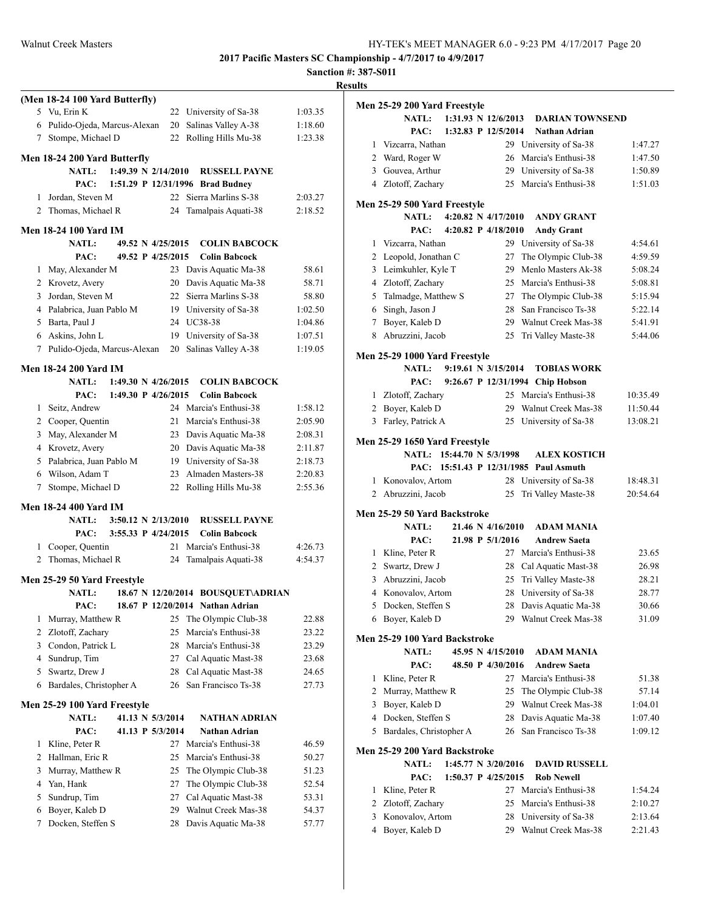## **Sanction #: 387-S011 Results**

|                | (Men 18-24 100 Yard Butterfly)                             |          |                                            |                |
|----------------|------------------------------------------------------------|----------|--------------------------------------------|----------------|
|                | 5 Vu, Erin K                                               |          | 22 University of Sa-38                     | 1:03.35        |
|                | 6 Pulido-Ojeda, Marcus-Alexan                              | 20       | Salinas Valley A-38                        | 1:18.60        |
| 7              | Stompe, Michael D                                          | 22       | Rolling Hills Mu-38                        | 1:23.38        |
|                | Men 18-24 200 Yard Butterfly                               |          |                                            |                |
|                | 1:49.39 N 2/14/2010<br><b>NATL:</b>                        |          | <b>RUSSELL PAYNE</b>                       |                |
|                | 1:51.29 P 12/31/1996<br>PAC:                               |          | <b>Brad Budney</b>                         |                |
| 1              | Jordan, Steven M                                           | 22       | Sierra Marlins S-38                        | 2:03.27        |
|                | 2 Thomas, Michael R                                        | 24       | Tamalpais Aquati-38                        | 2:18.52        |
|                |                                                            |          |                                            |                |
|                | Men 18-24 100 Yard IM<br><b>NATL:</b><br>49.52 N 4/25/2015 |          | <b>COLIN BABCOCK</b>                       |                |
|                | PAC:<br>49.52 P 4/25/2015                                  |          | <b>Colin Babcock</b>                       |                |
| 1              | May, Alexander M                                           | 23       | Davis Aquatic Ma-38                        | 58.61          |
|                | 2 Krovetz, Avery                                           | 20       | Davis Aquatic Ma-38                        | 58.71          |
| 3              | Jordan, Steven M                                           | 22       | Sierra Marlins S-38                        | 58.80          |
|                | 4 Palabrica, Juan Pablo M                                  |          | 19 University of Sa-38                     | 1:02.50        |
|                | 5 Barta, Paul J                                            |          | 24 UC38-38                                 | 1:04.86        |
|                | 6 Askins, John L                                           |          | 19 University of Sa-38                     | 1:07.51        |
|                | 7 Pulido-Ojeda, Marcus-Alexan                              | 20       | Salinas Valley A-38                        | 1:19.05        |
|                |                                                            |          |                                            |                |
|                | Men 18-24 200 Yard IM                                      |          |                                            |                |
|                | 1:49.30 N $4/26/2015$<br><b>NATL:</b>                      |          | <b>COLIN BABCOCK</b>                       |                |
|                | PAC:<br>1:49.30 P 4/26/2015                                |          | <b>Colin Babcock</b>                       |                |
|                | 1 Seitz, Andrew                                            |          | 24 Marcia's Enthusi-38                     | 1:58.12        |
|                | 2 Cooper, Quentin                                          | 21       | Marcia's Enthusi-38                        | 2:05.90        |
| 3              | May, Alexander M                                           | 23       | Davis Aquatic Ma-38                        | 2:08.31        |
|                | 4 Krovetz, Avery                                           | 20       | Davis Aquatic Ma-38                        | 2:11.87        |
|                | 5 Palabrica, Juan Pablo M                                  |          | 19 University of Sa-38                     | 2:18.73        |
|                | 6 Wilson, Adam T                                           | 23       | Almaden Masters-38                         | 2:20.83        |
| 7              | Stompe, Michael D                                          | 22       | Rolling Hills Mu-38                        | 2:55.36        |
|                | Men 18-24 400 Yard IM                                      |          |                                            |                |
|                | $3:50.12 \text{ N } 2/13/2010$<br><b>NATL:</b>             |          | <b>RUSSELL PAYNE</b>                       |                |
|                | 3:55.33 P 4/24/2015<br>PAC:                                |          | <b>Colin Babcock</b>                       |                |
| 1              | Cooper, Quentin                                            | 21       | Marcia's Enthusi-38                        | 4:26.73        |
| 2              | Thomas, Michael R                                          | 24       | Tamalpais Aquati-38                        | 4:54.37        |
|                | Men 25-29 50 Yard Freestyle                                |          |                                            |                |
|                | <b>NATL:</b>                                               |          | 18.67 N 12/20/2014 BOUSQUET\ADRIAN         |                |
|                | PAC:                                                       |          | 18.67 P 12/20/2014 Nathan Adrian           |                |
| 1              | Murray, Matthew R                                          | 25       | The Olympic Club-38                        | 22.88          |
| $\overline{c}$ | Zlotoff, Zachary                                           | 25       | Marcia's Enthusi-38                        | 23.22          |
|                | 3 Condon, Patrick L                                        | 28       | Marcia's Enthusi-38                        | 23.29          |
|                | 4 Sundrup, Tim                                             | 27       | Cal Aquatic Mast-38                        | 23.68          |
| 5              | Swartz, Drew J                                             | 28       | Cal Aquatic Mast-38                        | 24.65          |
| 6              | Bardales, Christopher A                                    | 26       | San Francisco Ts-38                        | 27.73          |
|                |                                                            |          |                                            |                |
|                | Men 25-29 100 Yard Freestyle                               |          |                                            |                |
|                | 41.13 N 5/3/2014<br><b>NATL:</b>                           |          | <b>NATHAN ADRIAN</b>                       |                |
|                | PAC:<br>41.13 P 5/3/2014                                   |          | <b>Nathan Adrian</b>                       |                |
| 1              | Kline, Peter R                                             | 27       | Marcia's Enthusi-38                        | 46.59          |
| $\overline{2}$ | Hallman, Eric R                                            | 25       | Marcia's Enthusi-38                        | 50.27          |
| 3              | Murray, Matthew R                                          | 25       | The Olympic Club-38                        | 51.23          |
| 4              | Yan, Hank                                                  | 27       | The Olympic Club-38                        | 52.54          |
| 5              |                                                            | 27       | Cal Aquatic Mast-38                        | 53.31          |
|                | Sundrup, Tim                                               |          |                                            |                |
| 6<br>7         | Boyer, Kaleb D<br>Docken, Steffen S                        | 29<br>28 | Walnut Creek Mas-38<br>Davis Aquatic Ma-38 | 54.37<br>57.77 |

|                | Men 25-29 200 Yard Freestyle                  |                     |                                |                                   |          |
|----------------|-----------------------------------------------|---------------------|--------------------------------|-----------------------------------|----------|
|                | <b>NATL:</b>                                  |                     | $1:31.93 \text{ N } 12/6/2013$ | <b>DARIAN TOWNSEND</b>            |          |
|                | PAC:                                          |                     | 1:32.83 P 12/5/2014            | Nathan Adrian                     |          |
| 1              | Vizcarra, Nathan                              |                     |                                | 29 University of Sa-38            | 1:47.27  |
|                | 2 Ward, Roger W                               |                     | 26                             | Marcia's Enthusi-38               | 1:47.50  |
| 3              | Gouvea, Arthur                                |                     |                                | 29 University of Sa-38            | 1:50.89  |
|                | 4 Zlotoff, Zachary                            |                     | 25                             | Marcia's Enthusi-38               | 1:51.03  |
|                | Men 25-29 500 Yard Freestyle                  |                     |                                |                                   |          |
|                | NATL:                                         |                     | 4:20.82 N $4/17/2010$          | <b>ANDY GRANT</b>                 |          |
|                | PAC:                                          |                     | 4:20.82 P 4/18/2010            | <b>Andy Grant</b>                 |          |
| 1              | Vizcarra, Nathan                              |                     |                                | 29 University of Sa-38            | 4:54.61  |
|                | 2 Leopold, Jonathan C                         |                     | 27                             | The Olympic Club-38               | 4:59.59  |
| 3              | Leimkuhler, Kyle T                            |                     | 29                             | Menlo Masters Ak-38               | 5:08.24  |
|                | 4 Zlotoff, Zachary                            |                     | 25                             | Marcia's Enthusi-38               | 5:08.81  |
| 5              | Talmadge, Matthew S                           |                     | 27                             | The Olympic Club-38               | 5:15.94  |
|                | 6 Singh, Jason J                              |                     | 28                             | San Francisco Ts-38               | 5:22.14  |
| 7              | Boyer, Kaleb D                                |                     | 29                             | Walnut Creek Mas-38               | 5:41.91  |
| 8              | Abruzzini, Jacob                              |                     | 25                             | Tri Valley Maste-38               | 5:44.06  |
|                |                                               |                     |                                |                                   |          |
|                | Men 25-29 1000 Yard Freestyle<br><b>NATL:</b> |                     | $9:19.61$ N $3/15/2014$        | <b>TOBIAS WORK</b>                |          |
|                | PAC:                                          |                     |                                | 9:26.67 P 12/31/1994 Chip Hobson  |          |
|                | 1 Zlotoff, Zachary                            |                     |                                | 25 Marcia's Enthusi-38            | 10:35.49 |
|                | 2 Boyer, Kaleb D                              |                     |                                | 29 Walnut Creek Mas-38            | 11:50.44 |
| 3              | Farley, Patrick A                             |                     | 25                             | University of Sa-38               | 13:08.21 |
|                |                                               |                     |                                |                                   |          |
|                | Men 25-29 1650 Yard Freestyle                 |                     |                                |                                   |          |
|                | <b>NATL:</b>                                  | 15:44.70 N 5/3/1998 |                                | <b>ALEX KOSTICH</b>               |          |
|                | PAC:                                          |                     |                                | 15:51.43 P 12/31/1985 Paul Asmuth |          |
| 1              | Konovalov, Artom                              |                     | 28                             | University of Sa-38               | 18:48.31 |
| 2              | Abruzzini, Jacob                              |                     | 25                             | Tri Valley Maste-38               | 20:54.64 |
|                | Men 25-29 50 Yard Backstroke                  |                     |                                |                                   |          |
|                | <b>NATL:</b>                                  |                     | 21.46 N 4/16/2010              | <b>ADAM MANIA</b>                 |          |
|                | PAC:                                          |                     | 21.98 P 5/1/2016               | <b>Andrew Saeta</b>               |          |
|                | 1 Kline, Peter R                              |                     |                                | 27 Marcia's Enthusi-38            | 23.65    |
|                | 2 Swartz, Drew J                              |                     |                                | 28 Cal Aquatic Mast-38            | 26.98    |
| 3              | Abruzzini, Jacob                              |                     | 25                             | Tri Valley Maste-38               | 28.21    |
| $\overline{4}$ | Konovalov, Artom                              |                     | 28                             | University of Sa-38               | 28.77    |
| 5              | Docken, Steffen S                             |                     | 28                             | Davis Aquatic Ma-38               | 30.66    |
|                | 6 Boyer, Kaleb D                              |                     |                                | 29 Walnut Creek Mas-38            | 31.09    |
|                | Men 25-29 100 Yard Backstroke                 |                     |                                |                                   |          |
|                | <b>NATL:</b>                                  |                     | 45.95 N 4/15/2010              | <b>ADAM MANIA</b>                 |          |
|                | PAC:                                          |                     | 48.50 P 4/30/2016              | <b>Andrew Saeta</b>               |          |
| 1              | Kline, Peter R                                |                     |                                | 27 Marcia's Enthusi-38            | 51.38    |
|                | 2 Murray, Matthew R                           |                     |                                | 25 The Olympic Club-38            | 57.14    |
| 3              | Boyer, Kaleb D                                |                     |                                | 29 Walnut Creek Mas-38            | 1:04.01  |
|                | 4 Docken, Steffen S                           |                     | 28                             | Davis Aquatic Ma-38               | 1:07.40  |
| 5              | Bardales, Christopher A                       |                     | 26                             | San Francisco Ts-38               | 1:09.12  |
|                |                                               |                     |                                |                                   |          |
|                | Men 25-29 200 Yard Backstroke                 |                     |                                |                                   |          |
|                | <b>NATL:</b>                                  |                     | 1:45.77 N 3/20/2016            | <b>DAVID RUSSELL</b>              |          |
|                | PAC:                                          |                     | 1:50.37 P 4/25/2015            | <b>Rob Newell</b>                 |          |
| 1              | Kline, Peter R                                |                     |                                | 27 Marcia's Enthusi-38            | 1:54.24  |
| 2              | Zlotoff, Zachary                              |                     |                                | 25 Marcia's Enthusi-38            | 2:10.27  |
| 3              | Konovalov, Artom                              |                     |                                | 28 University of Sa-38            | 2:13.64  |
| 4              | Boyer, Kaleb D                                |                     | 29                             | Walnut Creek Mas-38               | 2:21.43  |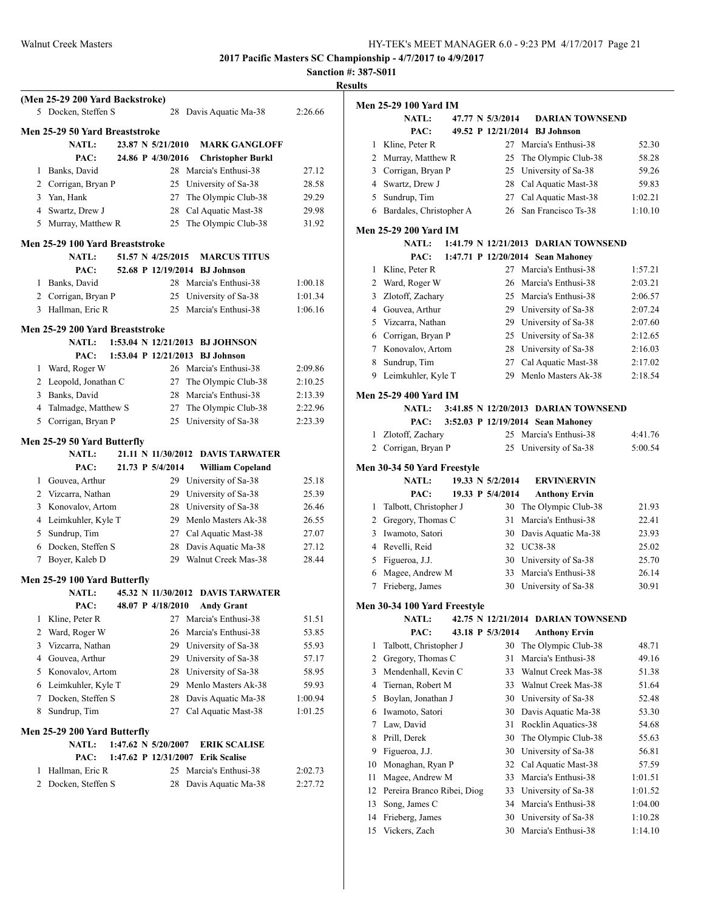# **Sanction #: 387-S011**

|   | (Men 25-29 200 Yard Backstroke)<br>5 Docken, Steffen S |  |                                             | 28 Davis Aquatic Ma-38            | 2:26.66 |
|---|--------------------------------------------------------|--|---------------------------------------------|-----------------------------------|---------|
|   | <b>Men 25-29 50 Yard Breaststroke</b>                  |  |                                             |                                   |         |
|   | <b>NATL:</b>                                           |  | 23.87 N 5/21/2010                           | <b>MARK GANGLOFF</b>              |         |
|   | PAC:                                                   |  | 24.86 P 4/30/2016                           | <b>Christopher Burkl</b>          |         |
| 1 | Banks, David                                           |  |                                             | 28 Marcia's Enthusi-38            | 27.12   |
|   | 2 Corrigan, Bryan P                                    |  |                                             | 25 University of Sa-38            | 28.58   |
|   | 3 Yan, Hank                                            |  |                                             | 27 The Olympic Club-38            | 29.29   |
|   | 4 Swartz, Drew J                                       |  |                                             | 28 Cal Aquatic Mast-38            | 29.98   |
| 5 | Murray, Matthew R                                      |  | 25                                          | The Olympic Club-38               | 31.92   |
|   | Men 25-29 100 Yard Breaststroke                        |  |                                             |                                   |         |
|   | <b>NATL:</b>                                           |  | 51.57 N 4/25/2015                           | <b>MARCUS TITUS</b>               |         |
|   | PAC:                                                   |  |                                             | 52.68 P 12/19/2014 BJ Johnson     |         |
| 1 | Banks, David                                           |  |                                             | 28 Marcia's Enthusi-38            | 1:00.18 |
|   | 2 Corrigan, Bryan P                                    |  | 25                                          | University of Sa-38               | 1:01.34 |
|   | 3 Hallman, Eric R                                      |  | 25                                          | Marcia's Enthusi-38               | 1:06.16 |
|   | Men 25-29 200 Yard Breaststroke                        |  |                                             |                                   |         |
|   | <b>NATL:</b>                                           |  | 1:53.04 N 12/21/2013                        | <b>BJ JOHNSON</b>                 |         |
|   | PAC:                                                   |  |                                             | 1:53.04 P 12/21/2013 BJ Johnson   |         |
|   | 1 Ward, Roger W                                        |  |                                             | 26 Marcia's Enthusi-38            | 2:09.86 |
|   | 2 Leopold, Jonathan C                                  |  | 27                                          | The Olympic Club-38               | 2:10.25 |
|   | 3 Banks, David                                         |  |                                             | 28 Marcia's Enthusi-38            | 2:13.39 |
|   | 4 Talmadge, Matthew S                                  |  | 27                                          | The Olympic Club-38               | 2:22.96 |
|   | 5 Corrigan, Bryan P                                    |  | 25                                          | University of Sa-38               | 2:23.39 |
|   | Men 25-29 50 Yard Butterfly                            |  |                                             |                                   |         |
|   | <b>NATL:</b>                                           |  | 21.11 N 11/30/2012                          | <b>DAVIS TARWATER</b>             |         |
|   | PAC:                                                   |  | 21.73 P 5/4/2014                            | <b>William Copeland</b>           |         |
|   | 1 Gouvea, Arthur                                       |  |                                             | 29 University of Sa-38            | 25.18   |
|   | 2 Vizcarra, Nathan                                     |  | 29                                          | University of Sa-38               | 25.39   |
|   | 3 Konovalov, Artom                                     |  |                                             | 28 University of Sa-38            | 26.46   |
|   | 4 Leimkuhler, Kyle T                                   |  |                                             | 29 Menlo Masters Ak-38            | 26.55   |
|   | 5 Sundrup, Tim                                         |  |                                             | 27 Cal Aquatic Mast-38            | 27.07   |
|   | 6 Docken, Steffen S                                    |  | 28                                          | Davis Aquatic Ma-38               | 27.12   |
| 7 | Boyer, Kaleb D                                         |  | 29                                          | Walnut Creek Mas-38               | 28.44   |
|   | Men 25-29 100 Yard Butterfly                           |  |                                             |                                   |         |
|   | <b>NATL:</b>                                           |  |                                             | 45.32 N 11/30/2012 DAVIS TARWATER |         |
|   | PAC:                                                   |  | 48.07 P 4/18/2010                           | <b>Andy Grant</b>                 |         |
| 1 | Kline, Peter R                                         |  | 27                                          | Marcia's Enthusi-38               | 51.51   |
| 2 | Ward, Roger W                                          |  | 26                                          | Marcia's Enthusi-38               | 53.85   |
| 3 | Vizcarra, Nathan                                       |  | 29                                          | University of Sa-38               | 55.93   |
| 4 | Gouvea, Arthur                                         |  | 29                                          | University of Sa-38               | 57.17   |
| 5 | Konovalov, Artom                                       |  | 28                                          | University of Sa-38               | 58.95   |
|   | 6 Leimkuhler, Kyle T                                   |  |                                             | 29 Menlo Masters Ak-38            | 59.93   |
| 7 |                                                        |  | 28                                          | Davis Aquatic Ma-38               | 1:00.94 |
|   | Docken, Steffen S                                      |  |                                             |                                   |         |
| 8 | Sundrup, Tim                                           |  | 27                                          | Cal Aquatic Mast-38               | 1:01.25 |
|   |                                                        |  |                                             |                                   |         |
|   | Men 25-29 200 Yard Butterfly<br><b>NATL:</b>           |  |                                             | <b>ERIK SCALISE</b>               |         |
|   | PAC:                                                   |  | 1:47.62 N 5/20/2007<br>1:47.62 P 12/31/2007 | <b>Erik Scalise</b>               |         |
| 1 | Hallman, Eric R                                        |  |                                             | 25 Marcia's Enthusi-38            | 2:02.73 |
| 2 | Docken, Steffen S                                      |  | 28                                          | Davis Aquatic Ma-38               | 2:27.72 |

| ults |                                              |                  |                                      |         |
|------|----------------------------------------------|------------------|--------------------------------------|---------|
|      | <b>Men 25-29 100 Yard IM</b>                 |                  |                                      |         |
|      | NATL:                                        | 47.77 N 5/3/2014 | <b>DARIAN TOWNSEND</b>               |         |
|      | PAC:                                         |                  | 49.52 P 12/21/2014 BJ Johnson        |         |
| 1    | Kline, Peter R                               |                  | 27 Marcia's Enthusi-38               | 52.30   |
|      | 2 Murray, Matthew R                          | 25               | The Olympic Club-38                  | 58.28   |
|      | 3 Corrigan, Bryan P                          |                  | 25 University of Sa-38               | 59.26   |
|      | 4 Swartz, Drew J                             |                  | 28 Cal Aquatic Mast-38               | 59.83   |
|      | 5 Sundrup, Tim                               | 27               | Cal Aquatic Mast-38                  | 1:02.21 |
|      | 6 Bardales, Christopher A                    | 26               | San Francisco Ts-38                  | 1:10.10 |
|      |                                              |                  |                                      |         |
|      | <b>Men 25-29 200 Yard IM</b>                 |                  |                                      |         |
|      | <b>NATL:</b>                                 |                  | 1:41.79 N 12/21/2013 DARIAN TOWNSEND |         |
|      | PAC:                                         |                  | 1:47.71 P 12/20/2014 Sean Mahoney    |         |
| 1    | Kline, Peter R                               | 27               | Marcia's Enthusi-38                  | 1:57.21 |
|      | 2 Ward, Roger W                              | 26               | Marcia's Enthusi-38                  | 2:03.21 |
| 3    | Zlotoff, Zachary                             |                  | 25 Marcia's Enthusi-38               | 2:06.57 |
|      | 4 Gouvea, Arthur                             |                  | 29 University of Sa-38               | 2:07.24 |
|      | 5 Vizcarra, Nathan                           |                  | 29 University of Sa-38               | 2:07.60 |
|      | 6 Corrigan, Bryan P                          |                  | 25 University of Sa-38               | 2:12.65 |
| 7    | Konovalov, Artom                             |                  | 28 University of Sa-38               | 2:16.03 |
| 8    | Sundrup, Tim                                 | 27               | Cal Aquatic Mast-38                  | 2:17.02 |
| 9    | Leimkuhler, Kyle T                           | 29               | Menlo Masters Ak-38                  | 2:18.54 |
|      | <b>Men 25-29 400 Yard IM</b>                 |                  |                                      |         |
|      | NATL:                                        |                  | 3:41.85 N 12/20/2013 DARIAN TOWNSEND |         |
|      | PAC:                                         |                  | 3:52.03 P 12/19/2014 Sean Mahoney    |         |
|      |                                              |                  |                                      |         |
| 1    | Zlotoff, Zachary                             | 25               | Marcia's Enthusi-38                  | 4:41.76 |
|      | 2 Corrigan, Bryan P                          | 25               | University of Sa-38                  | 5:00.54 |
|      | Men 30-34 50 Yard Freestyle                  |                  |                                      |         |
|      | <b>NATL:</b>                                 | 19.33 N 5/2/2014 | <b>ERVIN\ERVIN</b>                   |         |
|      | PAC:                                         | 19.33 P 5/4/2014 | <b>Anthony Ervin</b>                 |         |
| 1    | Talbott, Christopher J                       | 30               | The Olympic Club-38                  | 21.93   |
| 2    | Gregory, Thomas C                            | 31               | Marcia's Enthusi-38                  | 22.41   |
| 3    | Iwamoto, Satori                              | 30               | Davis Aquatic Ma-38                  | 23.93   |
|      | 4 Revelli, Reid                              | 32               | UC38-38                              | 25.02   |
| 5    | Figueroa, J.J.                               | 30               | University of Sa-38                  | 25.70   |
| 6    | Magee, Andrew M                              | 33               | Marcia's Enthusi-38                  | 26.14   |
| 7    | Frieberg, James                              | 30               | University of Sa-38                  | 30.91   |
|      |                                              |                  |                                      |         |
|      | Men 30-34 100 Yard Freestyle<br><b>NATL:</b> |                  | 42.75 N 12/21/2014 DARIAN TOWNSEND   |         |
|      | PAC:                                         | 43.18 P 5/3/2014 | <b>Anthony Ervin</b>                 |         |
| 1    | Talbott, Christopher J                       | 30               | The Olympic Club-38                  | 48.71   |
|      |                                              |                  |                                      |         |
| 2    | Gregory, Thomas C                            | 31               | Marcia's Enthusi-38                  | 49.16   |
| 3    | Mendenhall, Kevin C                          | 33               | Walnut Creek Mas-38                  | 51.38   |
| 4    | Tiernan, Robert M                            | 33               | Walnut Creek Mas-38                  | 51.64   |
| 5    | Boylan, Jonathan J                           | 30               | University of Sa-38                  | 52.48   |
| 6    | Iwamoto, Satori                              | 30               | Davis Aquatic Ma-38                  | 53.30   |
| 7    | Law, David                                   | 31               | Rocklin Aquatics-38                  | 54.68   |
| 8    | Prill, Derek                                 | 30               | The Olympic Club-38                  | 55.63   |
| 9    | Figueroa, J.J.                               | 30               | University of Sa-38                  | 56.81   |
| 10   | Monaghan, Ryan P                             | 32               | Cal Aquatic Mast-38                  | 57.59   |
| 11   | Magee, Andrew M                              | 33               | Marcia's Enthusi-38                  | 1:01.51 |

 Song, James C 34 Marcia's Enthusi-38 1:04.00 14 Frieberg, James 30 University of Sa-38 1:10.28

Pereira Branco Ribei, Diog 33 University of Sa-38 1:01.52

Vickers, Zach 30 Marcia's Enthusi-38 1:14.10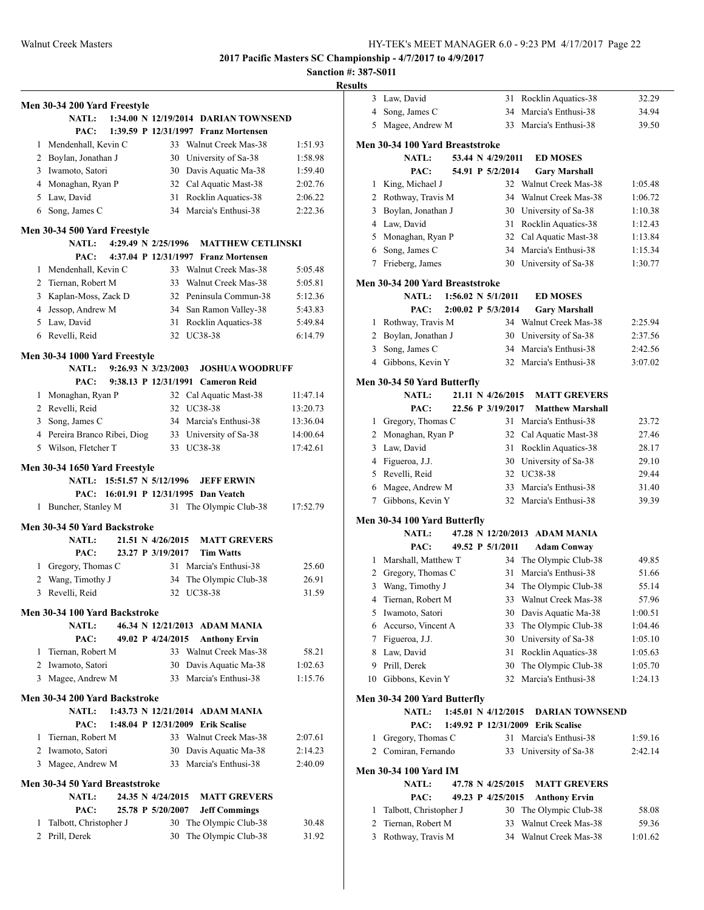# **Sanction #: 387-S011**

|   | Men 30-34 200 Yard Freestyle                  |  |                                |                                       |          |
|---|-----------------------------------------------|--|--------------------------------|---------------------------------------|----------|
|   | <b>NATL:</b>                                  |  |                                | 1:34.00 N 12/19/2014 DARIAN TOWNSEND  |          |
|   | PAC:                                          |  |                                | 1:39.59 P 12/31/1997 Franz Mortensen  |          |
| 1 | Mendenhall, Kevin C                           |  |                                | 33 Walnut Creek Mas-38                | 1:51.93  |
|   | 2 Boylan, Jonathan J                          |  |                                | 30 University of Sa-38                | 1:58.98  |
|   | 3 Iwamoto, Satori                             |  |                                | 30 Davis Aquatic Ma-38                | 1:59.40  |
|   | 4 Monaghan, Ryan P                            |  |                                | 32 Cal Aquatic Mast-38                | 2:02.76  |
|   | 5 Law, David                                  |  |                                | 31 Rocklin Aquatics-38                | 2:06.22  |
| 6 | Song, James C                                 |  |                                | 34 Marcia's Enthusi-38                | 2:22.36  |
|   | Men 30-34 500 Yard Freestyle                  |  |                                |                                       |          |
|   | <b>NATL:</b>                                  |  | 4:29.49 N 2/25/1996            | <b>MATTHEW CETLINSKI</b>              |          |
|   | PAC:                                          |  |                                | 4:37.04 P 12/31/1997 Franz Mortensen  |          |
| 1 | Mendenhall, Kevin C                           |  |                                | 33 Walnut Creek Mas-38                | 5:05.48  |
|   | 2 Tiernan, Robert M                           |  |                                | 33 Walnut Creek Mas-38                | 5:05.81  |
| 3 | Kaplan-Moss, Zack D                           |  |                                | 32 Peninsula Commun-38                | 5:12.36  |
|   | 4 Jessop, Andrew M                            |  |                                | 34 San Ramon Valley-38                | 5:43.83  |
|   | 5 Law, David                                  |  | 31                             | Rocklin Aquatics-38                   | 5:49.84  |
|   | 6 Revelli, Reid                               |  |                                | 32 UC38-38                            | 6:14.79  |
|   |                                               |  |                                |                                       |          |
|   | Men 30-34 1000 Yard Freestyle                 |  |                                |                                       |          |
|   | NATL:                                         |  | $9:26.93 \text{ N } 3/23/2003$ | <b>JOSHUA WOODRUFF</b>                |          |
|   | PAC:                                          |  | 9:38.13 P 12/31/1991           | <b>Cameron Reid</b>                   |          |
| 1 | Monaghan, Ryan P                              |  |                                | 32 Cal Aquatic Mast-38                | 11:47.14 |
|   | 2 Revelli, Reid                               |  | 32                             | UC38-38                               | 13:20.73 |
|   | 3 Song, James C                               |  |                                | 34 Marcia's Enthusi-38                | 13:36.04 |
|   | 4 Pereira Branco Ribei, Diog                  |  |                                | 33 University of Sa-38                | 14:00.64 |
|   | 5 Wilson, Fletcher T                          |  |                                | 33 UC38-38                            | 17:42.61 |
|   | Men 30-34 1650 Yard Freestyle                 |  |                                |                                       |          |
|   | NATL: 15:51.57 N 5/12/1996                    |  |                                | <b>JEFF ERWIN</b>                     |          |
|   |                                               |  |                                | PAC: 16:01.91 P 12/31/1995 Dan Veatch |          |
| 1 | Buncher, Stanley M                            |  | 31                             | The Olympic Club-38                   | 17:52.79 |
|   | Men 30-34 50 Yard Backstroke                  |  |                                |                                       |          |
|   | <b>NATL:</b>                                  |  | 21.51 N 4/26/2015              | <b>MATT GREVERS</b>                   |          |
|   | PAC:                                          |  | 23.27 P 3/19/2017              | <b>Tim Watts</b>                      |          |
|   | 1 Gregory, Thomas C                           |  | 31                             | Marcia's Enthusi-38                   | 25.60    |
|   | 2 Wang, Timothy J                             |  | 34                             | The Olympic Club-38                   | 26.91    |
| 3 | Revelli, Reid                                 |  | 32                             | <b>UC38-38</b>                        | 31.59    |
|   | Men 30-34 100 Yard Backstroke                 |  |                                |                                       |          |
|   | <b>NATL:</b>                                  |  |                                | 46.34 N 12/21/2013 ADAM MANIA         |          |
|   | PAC:                                          |  | 49.02 P 4/24/2015              | <b>Anthony Ervin</b>                  |          |
|   | 1 Tiernan, Robert M                           |  |                                | 33 Walnut Creek Mas-38                | 58.21    |
|   | 2 Iwamoto, Satori                             |  |                                | 30 Davis Aquatic Ma-38                | 1:02.63  |
|   | 3 Magee, Andrew M                             |  | 33                             | Marcia's Enthusi-38                   | 1:15.76  |
|   |                                               |  |                                |                                       |          |
|   | Men 30-34 200 Yard Backstroke<br><b>NATL:</b> |  |                                | 1:43.73 N 12/21/2014 ADAM MANIA       |          |
|   | PAC:                                          |  |                                | 1:48.04 P 12/31/2009 Erik Scalise     |          |
| 1 | Tiernan, Robert M                             |  |                                | 33 Walnut Creek Mas-38                | 2:07.61  |
|   | 2 Iwamoto, Satori                             |  |                                | 30 Davis Aquatic Ma-38                | 2:14.23  |
| 3 | Magee, Andrew M                               |  |                                | 33 Marcia's Enthusi-38                | 2:40.09  |
|   |                                               |  |                                |                                       |          |
|   | Men 30-34 50 Yard Breaststroke                |  |                                |                                       |          |
|   | <b>NATL:</b>                                  |  | 24.35 N 4/24/2015              | <b>MATT GREVERS</b>                   |          |
|   | PAC:                                          |  | 25.78 P 5/20/2007              | <b>Jeff Commings</b>                  |          |
| 1 | Talbott, Christopher J                        |  | 30                             | The Olympic Club-38                   | 30.48    |
| 2 | Prill, Derek                                  |  | 30                             | The Olympic Club-38                   | 31.92    |

| ιιз            |                                     |                               |                                   |                |
|----------------|-------------------------------------|-------------------------------|-----------------------------------|----------------|
| 3              | Law, David                          | 31                            | Rocklin Aquatics-38               | 32.29          |
| 4              | Song, James C                       | 34                            | Marcia's Enthusi-38               | 34.94          |
| 5              | Magee, Andrew M                     | 33                            | Marcia's Enthusi-38               | 39.50          |
|                |                                     |                               |                                   |                |
|                | Men 30-34 100 Yard Breaststroke     |                               |                                   |                |
|                | NATL:                               | 53.44 N 4/29/2011             | <b>ED MOSES</b>                   |                |
|                | PAC:                                | 54.91 P 5/2/2014              | <b>Gary Marshall</b>              |                |
| 1              | King, Michael J                     |                               | 32 Walnut Creek Mas-38            | 1:05.48        |
| 2              | Rothway, Travis M                   | 34                            | Walnut Creek Mas-38               | 1:06.72        |
| 3              | Boylan, Jonathan J                  |                               | 30 University of Sa-38            | 1:10.38        |
|                | 4 Law, David                        | 31                            | Rocklin Aquatics-38               | 1:12.43        |
|                | 5 Monaghan, Ryan P                  | 32                            | Cal Aquatic Mast-38               | 1:13.84        |
| 6              | Song, James C                       | 34                            | Marcia's Enthusi-38               | 1:15.34        |
| 7              | Frieberg, James                     | 30                            | University of Sa-38               | 1:30.77        |
|                | Men 30-34 200 Yard Breaststroke     |                               |                                   |                |
|                | <b>NATL:</b>                        | $1:56.02 \text{ N } 5/1/2011$ | <b>ED MOSES</b>                   |                |
|                | PAC:                                | 2:00.02 P 5/3/2014            | <b>Gary Marshall</b>              |                |
| 1              | Rothway, Travis M                   |                               | 34 Walnut Creek Mas-38            | 2:25.94        |
| 2              | Boylan, Jonathan J                  | 30                            | University of Sa-38               | 2:37.56        |
| 3              | Song, James C                       | 34                            | Marcia's Enthusi-38               | 2:42.56        |
|                | 4 Gibbons, Kevin Y                  |                               | 32 Marcia's Enthusi-38            | 3:07.02        |
|                | Men 30-34 50 Yard Butterfly         |                               |                                   |                |
|                | <b>NATL:</b>                        | 21.11 N 4/26/2015             | <b>MATT GREVERS</b>               |                |
|                | PAC:                                | 22.56 P 3/19/2017             | <b>Matthew Marshall</b>           |                |
| 1              | Gregory, Thomas C                   | 31                            | Marcia's Enthusi-38               | 23.72          |
| $\overline{2}$ | Monaghan, Ryan P                    | 32                            | Cal Aquatic Mast-38               | 27.46          |
| 3              | Law, David                          | 31                            | Rocklin Aquatics-38               | 28.17          |
| 4              | Figueroa, J.J.                      | 30                            | University of Sa-38               | 29.10          |
|                | 5 Revelli, Reid                     | 32                            | UC38-38                           | 29.44          |
| 6              |                                     | 33                            | Marcia's Enthusi-38               |                |
| 7              | Magee, Andrew M<br>Gibbons, Kevin Y |                               | 32 Marcia's Enthusi-38            | 31.40<br>39.39 |
|                |                                     |                               |                                   |                |
|                | Men 30-34 100 Yard Butterfly        |                               |                                   |                |
|                | <b>NATL:</b>                        |                               | 47.28 N 12/20/2013 ADAM MANIA     |                |
|                | PAC:                                | 49.52 P 5/1/2011              | <b>Adam Conway</b>                |                |
| 1              | Marshall, Matthew T                 | 34                            | The Olympic Club-38               | 49.85          |
| 2              | Gregory, Thomas C                   | 31                            | Marcia's Enthusi-38               | 51.66          |
| 3              | Wang, Timothy J                     | 34                            | The Olympic Club-38               | 55.14          |
| 4              | Tiernan, Robert M                   |                               | 33 Walnut Creek Mas-38            | 57.96          |
| 5              | Iwamoto, Satori                     | 30                            | Davis Aquatic Ma-38               | 1:00.51        |
| 6              | Accurso, Vincent A                  | 33                            | The Olympic Club-38               | 1:04.46        |
| 7              | Figueroa, J.J.                      | 30                            | University of Sa-38               | 1:05.10        |
| 8              | Law, David                          | 31                            | Rocklin Aquatics-38               | 1:05.63        |
| 9              | Prill, Derek                        | 30                            | The Olympic Club-38               | 1:05.70        |
| 10             | Gibbons, Kevin Y                    | 32                            | Marcia's Enthusi-38               | 1:24.13        |
|                | Men 30-34 200 Yard Butterfly        |                               |                                   |                |
|                | <b>NATL:</b>                        | 1:45.01 N 4/12/2015           | <b>DARIAN TOWNSEND</b>            |                |
|                | PAC:                                |                               | 1:49.92 P 12/31/2009 Erik Scalise |                |
| 1              | Gregory, Thomas C                   | 31                            | Marcia's Enthusi-38               | 1:59.16        |
| 2              | Comiran, Fernando                   | 33                            | University of Sa-38               | 2:42.14        |
|                | Men 30-34 100 Yard IM               |                               |                                   |                |
|                | <b>NATL:</b>                        | 47.78 N 4/25/2015             | <b>MATT GREVERS</b>               |                |
|                | PAC:                                | 49.23 P 4/25/2015             | <b>Anthony Ervin</b>              |                |
| 1              | Talbott, Christopher J              | 30                            | The Olympic Club-38               | 58.08          |
| 2              | Tiernan, Robert M                   | 33                            | Walnut Creek Mas-38               | 59.36          |
| 3              | Rothway, Travis M                   | 34                            | Walnut Creek Mas-38               | 1:01.62        |
|                |                                     |                               |                                   |                |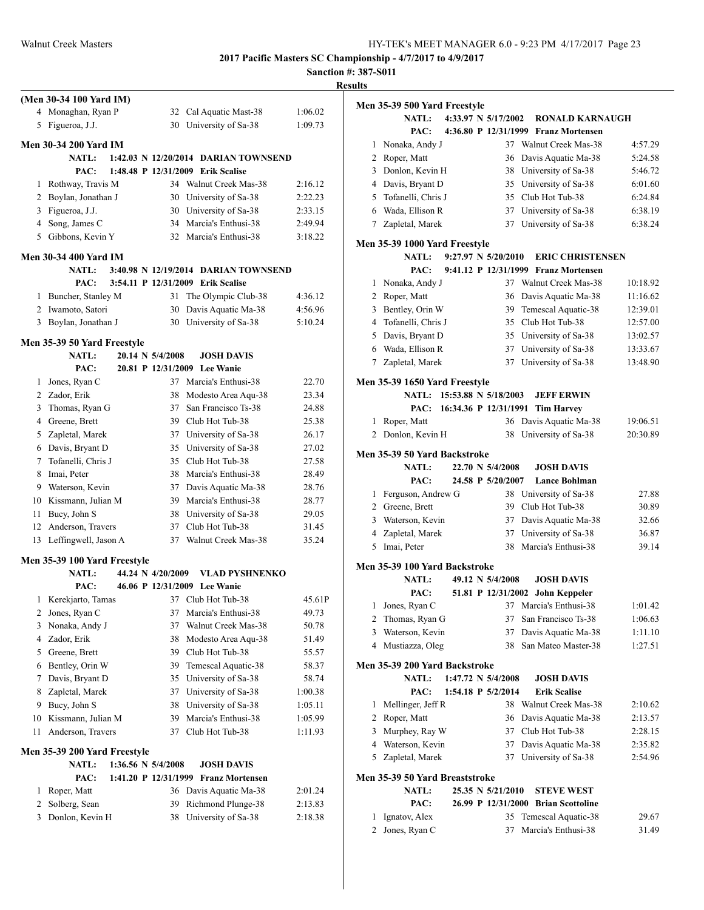**Sanction #: 387-S011 Results**

|              | (Men 30-34 100 Yard IM)                  |                                            |                                                  |                    |
|--------------|------------------------------------------|--------------------------------------------|--------------------------------------------------|--------------------|
|              | 4 Monaghan, Ryan P                       |                                            | 32 Cal Aquatic Mast-38                           | 1:06.02            |
| 5            | Figueroa, J.J.                           |                                            | 30 University of Sa-38                           | 1:09.73            |
|              |                                          |                                            |                                                  |                    |
|              | Men 30-34 200 Yard IM                    |                                            |                                                  |                    |
|              | <b>NATL:</b>                             |                                            | 1:42.03 N 12/20/2014 DARIAN TOWNSEND             |                    |
|              | PAC:                                     |                                            | 1:48.48 P 12/31/2009 Erik Scalise                |                    |
| 1            | Rothway, Travis M                        |                                            | 34 Walnut Creek Mas-38                           | 2:16.12<br>2:22.23 |
|              | 2 Boylan, Jonathan J                     |                                            | 30 University of Sa-38                           |                    |
|              | 3 Figueroa, J.J.                         |                                            | 30 University of Sa-38                           | 2:33.15            |
|              | 4 Song, James C                          |                                            | 34 Marcia's Enthusi-38<br>32 Marcia's Enthusi-38 | 2:49.94            |
|              | 5 Gibbons, Kevin Y                       |                                            |                                                  | 3:18.22            |
|              | Men 30-34 400 Yard IM                    |                                            |                                                  |                    |
|              | <b>NATL:</b>                             |                                            | 3:40.98 N 12/19/2014 DARIAN TOWNSEND             |                    |
|              | PAC:                                     |                                            | 3:54.11 P 12/31/2009 Erik Scalise                |                    |
| 1            | Buncher, Stanley M                       | 31                                         | The Olympic Club-38                              | 4:36.12            |
| 2            | Iwamoto, Satori                          | 30                                         | Davis Aquatic Ma-38                              | 4:56.96            |
| 3            | Boylan, Jonathan J                       | 30                                         | University of Sa-38                              | 5:10.24            |
|              |                                          |                                            |                                                  |                    |
|              | Men 35-39 50 Yard Freestyle<br>NATL:     | 20.14 N 5/4/2008                           | <b>JOSH DAVIS</b>                                |                    |
|              | PAC:                                     |                                            | 20.81 P 12/31/2009 Lee Wanie                     |                    |
| 1            | Jones, Ryan C                            |                                            | 37 Marcia's Enthusi-38                           | 22.70              |
|              | 2 Zador, Erik                            | 38                                         | Modesto Area Aqu-38                              | 23.34              |
| 3            | Thomas, Ryan G                           | 37                                         | San Francisco Ts-38                              | 24.88              |
| 4            | Greene, Brett                            |                                            | 39 Club Hot Tub-38                               | 25.38              |
| 5            | Zapletal, Marek                          |                                            | 37 University of Sa-38                           | 26.17              |
|              | 6 Davis, Bryant D                        | 35                                         | University of Sa-38                              | 27.02              |
| 7            | Tofanelli, Chris J                       | 35                                         | Club Hot Tub-38                                  | 27.58              |
| 8            | Imai, Peter                              | 38                                         | Marcia's Enthusi-38                              | 28.49              |
| 9            |                                          | 37                                         | Davis Aquatic Ma-38                              | 28.76              |
|              | Waterson, Kevin<br>10 Kissmann, Julian M | 39                                         | Marcia's Enthusi-38                              | 28.77              |
| 11           | Bucy, John S                             |                                            | 38 University of Sa-38                           |                    |
| 12           | Anderson, Travers                        | 37                                         | Club Hot Tub-38                                  | 29.05<br>31.45     |
| 13           | Leffingwell, Jason A                     | 37                                         | Walnut Creek Mas-38                              | 35.24              |
|              |                                          |                                            |                                                  |                    |
|              | Men 35-39 100 Yard Freestyle             |                                            |                                                  |                    |
|              | NATL:                                    | 44.24 N 4/20/2009                          | VLAD PYSHNENKO                                   |                    |
|              | PAC:                                     |                                            | 46.06 P 12/31/2009 Lee Wanie                     |                    |
| 1            | Kerekjarto, Tamas                        | 37                                         | Club Hot Tub-38                                  | 45.61P             |
| $\mathbf{2}$ | Jones, Ryan C                            | 37                                         | Marcia's Enthusi-38                              | 49.73              |
| 3            | Nonaka, Andy J                           | 37                                         | Walnut Creek Mas-38                              | 50.78              |
| 4            | Zador, Erik                              | 38                                         | Modesto Area Aqu-38                              | 51.49              |
| 5            | Greene, Brett                            | 39                                         | Club Hot Tub-38                                  | 55.57              |
| 6            | Bentley, Orin W                          | 39                                         | Temescal Aquatic-38                              | 58.37              |
| 7            | Davis, Bryant D                          | 35                                         | University of Sa-38                              | 58.74              |
| 8            | Zapletal, Marek                          | 37                                         | University of Sa-38                              | 1:00.38            |
| 9            | Bucy, John S                             | 38                                         | University of Sa-38                              | 1:05.11            |
| 10           | Kissmann, Julian M                       | 39                                         | Marcia's Enthusi-38                              | 1:05.99            |
| 11           | Anderson, Travers                        | 37                                         | Club Hot Tub-38                                  | 1:11.93            |
|              |                                          |                                            |                                                  |                    |
|              | Men 35-39 200 Yard Freestyle             |                                            |                                                  |                    |
|              | <b>NATL:</b><br>PAC:                     | 1:36.56 N 5/4/2008<br>1:41.20 P 12/31/1999 | <b>JOSH DAVIS</b><br><b>Franz Mortensen</b>      |                    |
| 1            | Roper, Matt                              |                                            | 36 Davis Aquatic Ma-38                           | 2:01.24            |
| 2            | Solberg, Sean                            | 39                                         | Richmond Plunge-38                               | 2:13.83            |
| 3            | Donlon, Kevin H                          | 38                                         | University of Sa-38                              | 2:18.38            |
|              |                                          |                                            |                                                  |                    |
|              |                                          |                                            |                                                  |                    |

|                | Men 35-39 500 Yard Freestyle                  |                                         |                                                |                    |
|----------------|-----------------------------------------------|-----------------------------------------|------------------------------------------------|--------------------|
|                | <b>NATL:</b>                                  | 4:33.97 N 5/17/2002                     | <b>RONALD KARNAUGH</b>                         |                    |
|                | PAC:                                          |                                         | 4:36.80 P 12/31/1999 Franz Mortensen           |                    |
| 1              | Nonaka, Andy J                                |                                         | 37 Walnut Creek Mas-38                         | 4:57.29            |
| 2              | Roper, Matt                                   |                                         | 36 Davis Aquatic Ma-38                         | 5:24.58            |
|                | 3 Donlon, Kevin H                             |                                         | 38 University of Sa-38                         | 5:46.72            |
|                | 4 Davis, Bryant D                             |                                         | 35 University of Sa-38                         | 6:01.60            |
| 5              | Tofanelli, Chris J                            |                                         | 35 Club Hot Tub-38                             | 6:24.84            |
| 6              | Wada, Ellison R                               |                                         | 37 University of Sa-38                         | 6:38.19            |
|                | 7 Zapletal, Marek                             |                                         | 37 University of Sa-38                         | 6:38.24            |
|                | Men 35-39 1000 Yard Freestyle                 |                                         |                                                |                    |
|                | NATL:                                         | 9:27.97 N 5/20/2010                     | <b>ERIC CHRISTENSEN</b>                        |                    |
|                | PAC:                                          |                                         | 9:41.12 P 12/31/1999 Franz Mortensen           |                    |
| 1              | Nonaka, Andy J                                |                                         | 37 Walnut Creek Mas-38                         | 10:18.92           |
| 2              | Roper, Matt                                   | 36                                      | Davis Aquatic Ma-38                            | 11:16.62           |
| 3              | Bentley, Orin W                               |                                         | 39 Temescal Aquatic-38                         | 12:39.01           |
| $\overline{4}$ | Tofanelli, Chris J                            |                                         | 35 Club Hot Tub-38                             | 12:57.00           |
| 5              | Davis, Bryant D                               |                                         | 35 University of Sa-38                         | 13:02.57           |
|                | 6 Wada, Ellison R                             |                                         | 37 University of Sa-38                         | 13:33.67           |
|                | 7 Zapletal, Marek                             |                                         | 37 University of Sa-38                         | 13:48.90           |
|                | Men 35-39 1650 Yard Freestyle                 |                                         |                                                |                    |
|                | <b>NATL:</b>                                  | 15:53.88 N 5/18/2003                    | <b>JEFF ERWIN</b>                              |                    |
|                | PAC:                                          | 16:34.36 P 12/31/1991                   | <b>Tim Harvey</b>                              |                    |
| 1              | Roper, Matt                                   |                                         | 36 Davis Aquatic Ma-38                         | 19:06.51           |
| 2              | Donlon, Kevin H                               | 38                                      | University of Sa-38                            | 20:30.89           |
|                | Men 35-39 50 Yard Backstroke                  |                                         |                                                |                    |
|                | <b>NATL:</b>                                  | 22.70 N 5/4/2008                        | <b>JOSH DAVIS</b>                              |                    |
|                | PAC:                                          | 24.58 P 5/20/2007                       | <b>Lance Bohlman</b>                           |                    |
|                |                                               |                                         |                                                |                    |
| 1              | Ferguson, Andrew G                            |                                         | 38 University of Sa-38                         | 27.88              |
|                | 2 Greene, Brett                               |                                         | 39 Club Hot Tub-38                             | 30.89              |
| 3              | Waterson, Kevin                               |                                         | 37 Davis Aquatic Ma-38                         | 32.66              |
| $\overline{4}$ | Zapletal, Marek                               | 37                                      | University of Sa-38                            | 36.87              |
| 5              | Imai, Peter                                   | 38                                      | Marcia's Enthusi-38                            | 39.14              |
|                |                                               |                                         |                                                |                    |
|                | Men 35-39 100 Yard Backstroke<br><b>NATL:</b> | 49.12 N 5/4/2008                        |                                                |                    |
|                | PAC:                                          |                                         | <b>JOSH DAVIS</b>                              |                    |
|                |                                               |                                         | 51.81 P 12/31/2002 John Keppeler               |                    |
| 2              | 1 Jones, Ryan C<br>Thomas, Ryan G             | 37                                      | 37 Marcia's Enthusi-38<br>San Francisco Ts-38  | 1:01.42<br>1:06.63 |
| 3              | Waterson, Kevin                               | 37                                      | Davis Aquatic Ma-38                            | 1:11.10            |
| 4              | Mustiazza, Oleg                               | 38                                      | San Mateo Master-38                            | 1:27.51            |
|                |                                               |                                         |                                                |                    |
|                | Men 35-39 200 Yard Backstroke<br><b>NATL:</b> | 1:47.72 N 5/4/2008                      | <b>JOSH DAVIS</b>                              |                    |
|                | PAC:                                          | 1:54.18 P 5/2/2014                      | <b>Erik Scalise</b>                            |                    |
| 1              | Mellinger, Jeff R                             | 38                                      | Walnut Creek Mas-38                            | 2:10.62            |
| 2              |                                               | 36                                      | Davis Aquatic Ma-38                            | 2:13.57            |
| 3              | Roper, Matt<br>Murphey, Ray W                 | 37                                      | Club Hot Tub-38                                | 2:28.15            |
| 4              | Waterson, Kevin                               | 37                                      | Davis Aquatic Ma-38                            | 2:35.82            |
| 5              | Zapletal, Marek                               | 37                                      | University of Sa-38                            | 2:54.96            |
|                |                                               |                                         |                                                |                    |
|                | Men 35-39 50 Yard Breaststroke                |                                         |                                                |                    |
|                | <b>NATL:</b><br>PAC:                          | 25.35 N 5/21/2010<br>26.99 P 12/31/2000 | <b>STEVE WEST</b>                              |                    |
| 1              | Ignatov, Alex                                 | 35                                      | <b>Brian Scottoline</b><br>Temescal Aquatic-38 | 29.67              |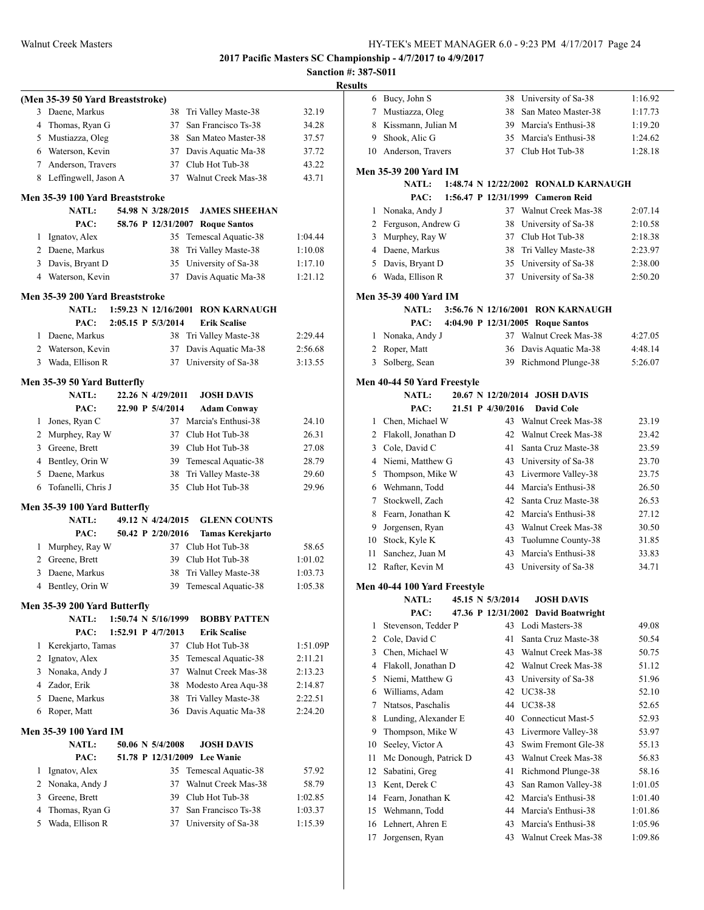|   |                                             |  |                     |                                                | Sanct    |
|---|---------------------------------------------|--|---------------------|------------------------------------------------|----------|
|   | (Men 35-39 50 Yard Breaststroke)            |  |                     |                                                |          |
| 3 | Daene, Markus                               |  | 38                  | Tri Valley Maste-38                            | 32.19    |
| 4 | Thomas, Ryan G                              |  | 37                  | San Francisco Ts-38                            | 34.28    |
|   | 5 Mustiazza, Oleg                           |  | 38                  | San Mateo Master-38                            | 37.57    |
|   | 6 Waterson, Kevin                           |  | 37                  | Davis Aquatic Ma-38                            | 37.72    |
|   | 7 Anderson, Travers                         |  | 37                  | Club Hot Tub-38                                | 43.22    |
|   | 8 Leffingwell, Jason A                      |  | 37                  | Walnut Creek Mas-38                            | 43.71    |
|   | Men 35-39 100 Yard Breaststroke             |  |                     |                                                |          |
|   | NATL:                                       |  | 54.98 N 3/28/2015   | <b>JAMES SHEEHAN</b>                           |          |
|   | PAC:                                        |  |                     | 58.76 P 12/31/2007 Roque Santos                |          |
| 1 | Ignatov, Alex                               |  | 35                  | Temescal Aquatic-38                            | 1:04.44  |
|   | 2 Daene, Markus                             |  | 38                  | Tri Valley Maste-38                            | 1:10.08  |
| 3 | Davis, Bryant D                             |  | 35                  | University of Sa-38                            | 1:17.10  |
|   | 4 Waterson, Kevin                           |  | 37                  | Davis Aquatic Ma-38                            | 1:21.12  |
|   | Men 35-39 200 Yard Breaststroke             |  |                     |                                                |          |
|   | <b>NATL:</b>                                |  |                     | 1:59.23 N 12/16/2001 RON KARNAUGH              |          |
|   | PAC:                                        |  | 2:05.15 P 5/3/2014  | <b>Erik Scalise</b>                            |          |
| 1 | Daene, Markus                               |  | 38                  | Tri Valley Maste-38                            | 2:29.44  |
| 2 | Waterson, Kevin                             |  | 37                  | Davis Aquatic Ma-38                            | 2:56.68  |
| 3 | Wada, Ellison R                             |  | 37                  | University of Sa-38                            | 3:13.55  |
|   |                                             |  |                     |                                                |          |
|   | Men 35-39 50 Yard Butterfly<br><b>NATL:</b> |  | 22.26 N 4/29/2011   | <b>JOSH DAVIS</b>                              |          |
|   | PAC:                                        |  | 22.90 P 5/4/2014    | <b>Adam Conway</b>                             |          |
| 1 | Jones, Ryan C                               |  |                     | 37 Marcia's Enthusi-38                         | 24.10    |
|   | 2 Murphey, Ray W                            |  |                     | 37 Club Hot Tub-38                             | 26.31    |
|   | 3 Greene, Brett                             |  |                     | 39 Club Hot Tub-38                             | 27.08    |
|   | 4 Bentley, Orin W                           |  | 39                  | Temescal Aquatic-38                            | 28.79    |
|   | 5 Daene, Markus                             |  | 38                  | Tri Valley Maste-38                            | 29.60    |
| 6 | Tofanelli, Chris J                          |  | 35                  | Club Hot Tub-38                                | 29.96    |
|   |                                             |  |                     |                                                |          |
|   | Men 35-39 100 Yard Butterfly<br>NATL:       |  | 49.12 N 4/24/2015   |                                                |          |
|   | PAC:                                        |  | 50.42 P 2/20/2016   | <b>GLENN COUNTS</b><br><b>Tamas Kerekjarto</b> |          |
| 1 | Murphey, Ray W                              |  |                     | 37 Club Hot Tub-38                             | 58.65    |
|   | 2 Greene, Brett                             |  |                     | 39 Club Hot Tub-38                             | 1:01.02  |
| 3 | Daene, Markus                               |  | 38                  | Tri Valley Maste-38                            | 1:03.73  |
|   | 4 Bentley, Orin W                           |  |                     | 39 Temescal Aquatic-38                         | 1:05.38  |
|   |                                             |  |                     |                                                |          |
|   | Men 35-39 200 Yard Butterfly                |  |                     |                                                |          |
|   | <b>NATL:</b>                                |  | 1:50.74 N 5/16/1999 | <b>BOBBY PATTEN</b>                            |          |
|   | PAC:                                        |  | 1:52.91 P 4/7/2013  | <b>Erik Scalise</b>                            |          |
| 1 | Kerekjarto, Tamas                           |  |                     | 37 Club Hot Tub-38                             | 1:51.09P |
| 2 | Ignatov, Alex                               |  | 35                  | Temescal Aquatic-38                            | 2:11.21  |
| 3 | Nonaka, Andy J                              |  | 37                  | Walnut Creek Mas-38                            | 2:13.23  |
| 4 | Zador, Erik                                 |  | 38                  | Modesto Area Aqu-38                            | 2:14.87  |
| 5 | Daene, Markus                               |  | 38                  | Tri Valley Maste-38                            | 2:22.51  |
| 6 | Roper, Matt                                 |  | 36                  | Davis Aquatic Ma-38                            | 2:24.20  |
|   | <b>Men 35-39 100 Yard IM</b>                |  |                     |                                                |          |
|   | <b>NATL:</b>                                |  | 50.06 N 5/4/2008    | <b>JOSH DAVIS</b>                              |          |
|   | PAC:                                        |  | 51.78 P 12/31/2009  | <b>Lee Wanie</b>                               |          |
| 1 | Ignatov, Alex                               |  | 35                  | Temescal Aquatic-38                            | 57.92    |
| 2 | Nonaka, Andy J                              |  | 37                  | Walnut Creek Mas-38                            | 58.79    |
| 3 | Greene, Brett                               |  | 39                  | Club Hot Tub-38                                | 1:02.85  |
| 4 | Thomas, Ryan G                              |  | 37                  | San Francisco Ts-38                            | 1:03.37  |
| 5 | Wada, Ellison R                             |  | 37                  | University of Sa-38                            | 1:15.39  |
|   |                                             |  |                     |                                                |          |

|   | <b>Results</b> |                              |                   |                                      |         |
|---|----------------|------------------------------|-------------------|--------------------------------------|---------|
|   |                | 6 Bucy, John S               |                   | 38 University of Sa-38               | 1:16.92 |
|   |                | 7 Mustiazza, Oleg            |                   | 38 San Mateo Master-38               | 1:17.73 |
|   |                | 8 Kissmann, Julian M         |                   | 39 Marcia's Enthusi-38               | 1:19.20 |
|   |                | 9 Shook, Alic G              |                   | 35 Marcia's Enthusi-38               | 1:24.62 |
|   |                | 10 Anderson, Travers         |                   | 37 Club Hot Tub-38                   | 1:28.18 |
|   |                |                              |                   |                                      |         |
|   |                | <b>Men 35-39 200 Yard IM</b> |                   |                                      |         |
|   |                | <b>NATL:</b>                 |                   | 1:48.74 N 12/22/2002 RONALD KARNAUGH |         |
|   |                | PAC:                         |                   | 1:56.47 P 12/31/1999 Cameron Reid    |         |
|   |                | 1 Nonaka, Andy J             |                   | 37 Walnut Creek Mas-38               | 2:07.14 |
|   |                | 2 Ferguson, Andrew G         |                   | 38 University of Sa-38               | 2:10.58 |
|   |                | 3 Murphey, Ray W             |                   | 37 Club Hot Tub-38                   | 2:18.38 |
|   |                | 4 Daene, Markus              |                   | 38 Tri Valley Maste-38               | 2:23.97 |
|   |                | 5 Davis, Bryant D            |                   | 35 University of Sa-38               | 2:38.00 |
|   |                | 6 Wada, Ellison R            |                   | 37 University of Sa-38               | 2:50.20 |
|   |                | <b>Men 35-39 400 Yard IM</b> |                   |                                      |         |
|   |                | <b>NATL:</b>                 |                   | 3:56.76 N 12/16/2001 RON KARNAUGH    |         |
|   |                | PAC:                         |                   | 4:04.90 P 12/31/2005 Roque Santos    |         |
|   |                | 1 Nonaka, Andy J             |                   | 37 Walnut Creek Mas-38               | 4:27.05 |
|   |                | 2 Roper, Matt                |                   | 36 Davis Aquatic Ma-38               | 4:48.14 |
|   | 3              | Solberg, Sean                |                   | 39 Richmond Plunge-38                | 5:26.07 |
|   |                |                              |                   |                                      |         |
|   |                | Men 40-44 50 Yard Freestyle  |                   |                                      |         |
|   |                | <b>NATL:</b>                 |                   | 20.67 N 12/20/2014 JOSH DAVIS        |         |
|   |                | PAC:                         | 21.51 P 4/30/2016 | <b>David Cole</b>                    |         |
|   |                | 1 Chen, Michael W            |                   | 43 Walnut Creek Mas-38               | 23.19   |
|   |                | 2 Flakoll, Jonathan D        |                   | 42 Walnut Creek Mas-38               | 23.42   |
|   |                | 3 Cole, David C              | 41                | Santa Cruz Maste-38                  | 23.59   |
|   |                | 4 Niemi, Matthew G           |                   | 43 University of Sa-38               | 23.70   |
|   | 5              | Thompson, Mike W             |                   | 43 Livermore Valley-38               | 23.75   |
|   |                | 6 Wehmann, Todd              |                   | 44 Marcia's Enthusi-38               | 26.50   |
|   |                | 7 Stockwell, Zach            |                   | 42 Santa Cruz Maste-38               | 26.53   |
|   |                | 8 Fearn, Jonathan K          |                   | 42 Marcia's Enthusi-38               | 27.12   |
|   |                | 9 Jorgensen, Ryan            |                   | 43 Walnut Creek Mas-38               | 30.50   |
|   |                | 10 Stock, Kyle K             |                   | 43 Tuolumne County-38                | 31.85   |
|   | 11 -           | Sanchez, Juan M              |                   | 43 Marcia's Enthusi-38               | 33.83   |
|   |                | 12 Rafter, Kevin M           |                   | 43 University of Sa-38               | 34.71   |
|   |                | Men 40-44 100 Yard Freestyle |                   |                                      |         |
|   |                | <b>NATL:</b>                 | 45.15 N 5/3/2014  | <b>JOSH DAVIS</b>                    |         |
|   |                | PAC:                         |                   | 47.36 P 12/31/2002 David Boatwright  |         |
|   | 1              | Stevenson, Tedder P          |                   | 43 Lodi Masters-38                   | 49.08   |
|   | 2              | Cole, David C                | 41                | Santa Cruz Maste-38                  | 50.54   |
| J | 3              | Chen, Michael W              |                   | 43 Walnut Creek Mas-38               | 50.75   |
|   | 4              | Flakoll, Jonathan D          |                   | 42 Walnut Creek Mas-38               | 51.12   |
|   |                | 5 Niemi, Matthew G           |                   | 43 University of Sa-38               | 51.96   |
|   | 6              | Williams, Adam               |                   | 42 UC38-38                           | 52.10   |
|   | 7              | Ntatsos, Paschalis           |                   | 44 UC38-38                           | 52.65   |
|   | 8              | Lunding, Alexander E         |                   | 40 Connecticut Mast-5                | 52.93   |
|   | 9              | Thompson, Mike W             | 43                | Livermore Valley-38                  | 53.97   |
|   | 10             | Seeley, Victor A             | 43                | Swim Fremont Gle-38                  | 55.13   |
|   | 11             | Mc Donough, Patrick D        | 43                | Walnut Creek Mas-38                  | 56.83   |
|   | 12             | Sabatini, Greg               | 41                | Richmond Plunge-38                   | 58.16   |
|   | 13             | Kent, Derek C                | 43                | San Ramon Valley-38                  | 1:01.05 |
|   | 14             | Fearn, Jonathan K            | 42                | Marcia's Enthusi-38                  | 1:01.40 |
|   | 15             | Wehmann, Todd                |                   | 44 Marcia's Enthusi-38               | 1:01.86 |
|   | 16             | Lehnert, Ahren E             | 43                | Marcia's Enthusi-38                  | 1:05.96 |
|   |                |                              |                   | 43 Walnut Creek Mas-38               |         |
|   | 17             | Jorgensen, Ryan              |                   |                                      | 1:09.86 |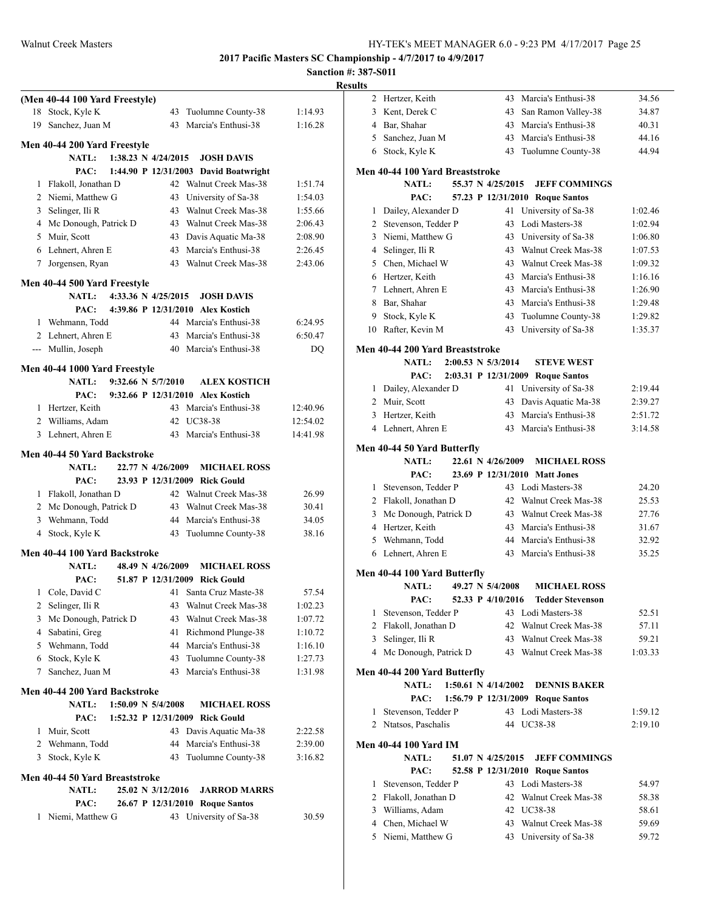$1:02.46$  $1:02.94$ 

 $1:07.53$  $1:09.32$  $1:16.16$  $1:26.90$  $1:29.48$  $1:29.82$  $1:35.37$ 

 $2:39.27$ 2:51.72  $3:14.58$ 

 $1:59.12$  $2:19.10$ 

**2017 Pacific Masters SC Championship - 4/7/2017 to 4/9/2017**

|                                                                                                      |           | <b>Results</b>                         |                                                        |                    |
|------------------------------------------------------------------------------------------------------|-----------|----------------------------------------|--------------------------------------------------------|--------------------|
| (Men 40-44 100 Yard Freestyle)                                                                       |           | 2 Hertzer, Keith                       | 43 Marcia's Enthusi-38                                 | 34.56              |
| 43 Tuolumne County-38<br>18 Stock, Kyle K                                                            | 1:14.93   | 3 Kent, Derek C                        | 43 San Ramon Valley-38                                 | 34.87              |
| 43 Marcia's Enthusi-38<br>19 Sanchez, Juan M                                                         | 1:16.28   | 4 Bar, Shahar                          | Marcia's Enthusi-38<br>43                              | 40.31              |
| Men 40-44 200 Yard Freestyle                                                                         |           | Sanchez, Juan M<br>5                   | Marcia's Enthusi-38<br>43                              | 44.16<br>44.94     |
| NATL:<br>1:38.23 N $4/24/2015$<br><b>JOSH DAVIS</b>                                                  |           | 6 Stock, Kyle K                        | 43 Tuolumne County-38                                  |                    |
| PAC:<br>1:44.90 P 12/31/2003 David Boatwright                                                        |           | Men 40-44 100 Yard Breaststroke        |                                                        |                    |
| Flakoll, Jonathan D<br>42 Walnut Creek Mas-38<br>1                                                   | 1:51.74   | NATL:                                  | 55.37 N 4/25/2015<br><b>JEFF COMMINGS</b>              |                    |
| 2 Niemi, Matthew G<br>University of Sa-38<br>43                                                      | 1:54.03   | PAC:                                   | 57.23 P 12/31/2010 Roque Santos                        |                    |
| Selinger, Ili R<br>Walnut Creek Mas-38<br>3<br>43                                                    | 1:55.66   | 1 Dailey, Alexander D                  | 41 University of Sa-38                                 | 1:02.46            |
| Mc Donough, Patrick D<br>Walnut Creek Mas-38<br>43<br>4                                              | 2:06.43   | Stevenson, Tedder P<br>$\overline{2}$  | 43 Lodi Masters-38                                     | 1:02.94            |
| Muir, Scott<br>Davis Aquatic Ma-38<br>5<br>43                                                        | 2:08.90   | Niemi, Matthew G<br>3                  | 43 University of Sa-38                                 | 1:06.80            |
| 6 Lehnert, Ahren E<br>Marcia's Enthusi-38<br>43                                                      | 2:26.45   | 4 Selinger, Ili R                      | Walnut Creek Mas-38<br>43                              | 1:07.53            |
| Walnut Creek Mas-38<br>7 Jorgensen, Ryan<br>43                                                       | 2:43.06   | Chen, Michael W<br>5                   | Walnut Creek Mas-38<br>43                              | 1:09.32            |
| Men 40-44 500 Yard Freestyle                                                                         |           | 6 Hertzer, Keith                       | Marcia's Enthusi-38<br>43                              | 1:16.16<br>1:26.90 |
| NATL:<br>4:33.36 N 4/25/2015<br><b>JOSH DAVIS</b>                                                    |           | 7 Lehnert, Ahren E<br>Bar, Shahar<br>8 | Marcia's Enthusi-38<br>43<br>43<br>Marcia's Enthusi-38 | 1:29.48            |
| PAC:<br>4:39.86 P 12/31/2010 Alex Kostich                                                            |           | 9<br>Stock, Kyle K                     | Tuolumne County-38<br>43                               | 1:29.82            |
| Wehmann, Todd<br>44 Marcia's Enthusi-38<br>1                                                         | 6:24.95   | 10 Rafter, Kevin M                     | 43 University of Sa-38                                 | 1:35.37            |
| Marcia's Enthusi-38<br>Lehnert, Ahren E<br>2<br>43                                                   | 6:50.47   |                                        |                                                        |                    |
| 40 Marcia's Enthusi-38<br>--- Mullin, Joseph                                                         | <b>DQ</b> | Men 40-44 200 Yard Breaststroke        |                                                        |                    |
| Men 40-44 1000 Yard Freestyle                                                                        |           | NATL:<br>$2:00.53 \text{ N } 5/3/2014$ | <b>STEVE WEST</b>                                      |                    |
| <b>ALEX KOSTICH</b><br>NATL:<br>$9:32.66 \text{ N } 5/7/2010$                                        |           | PAC:                                   | 2:03.31 P 12/31/2009 Roque Santos                      |                    |
| PAC:<br>9:32.66 P 12/31/2010 Alex Kostich                                                            |           | 1 Dailey, Alexander D                  | 41 University of Sa-38                                 | 2:19.44            |
| 1 Hertzer, Keith<br>43 Marcia's Enthusi-38                                                           | 12:40.96  | 2 Muir, Scott                          | 43 Davis Aquatic Ma-38                                 | 2:39.27            |
| 42 UC38-38<br>2 Williams, Adam                                                                       | 12:54.02  | 3 Hertzer, Keith                       | Marcia's Enthusi-38<br>43                              | 2:51.72            |
| 3 Lehnert, Ahren E<br>43 Marcia's Enthusi-38                                                         | 14:41.98  | 4 Lehnert, Ahren E                     | 43 Marcia's Enthusi-38                                 | 3:14.58            |
| Men 40-44 50 Yard Backstroke                                                                         |           | Men 40-44 50 Yard Butterfly            |                                                        |                    |
| NATL:<br>22.77 N 4/26/2009<br><b>MICHAEL ROSS</b>                                                    |           | <b>NATL:</b>                           | 22.61 N 4/26/2009<br><b>MICHAEL ROSS</b>               |                    |
| PAC:<br>23.93 P 12/31/2009 Rick Gould                                                                |           | PAC:                                   | 23.69 P 12/31/2010 Matt Jones                          |                    |
| Flakoll, Jonathan D<br>42 Walnut Creek Mas-38<br>1                                                   | 26.99     | Stevenson, Tedder P<br>1               | 43 Lodi Masters-38                                     | 24.20              |
| 2 Mc Donough, Patrick D<br>Walnut Creek Mas-38<br>43                                                 | 30.41     | 2 Flakoll, Jonathan D                  | 42 Walnut Creek Mas-38                                 | 25.53              |
| 3 Wehmann, Todd<br>Marcia's Enthusi-38<br>44                                                         | 34.05     | 3 Mc Donough, Patrick D                | Walnut Creek Mas-38<br>43                              | 27.76              |
| 4 Stock, Kyle K<br>Tuolumne County-38<br>43                                                          | 38.16     | 4 Hertzer, Keith                       | 43<br>Marcia's Enthusi-38                              | 31.67              |
|                                                                                                      |           | Wehmann, Todd<br>5                     | Marcia's Enthusi-38<br>44                              | 32.92              |
| Men 40-44 100 Yard Backstroke<br>NATL:<br><b>MICHAEL ROSS</b><br>48.49 N 4/26/2009                   |           | 6 Lehnert, Ahren E                     | 43 Marcia's Enthusi-38                                 | 35.25              |
| PAC:<br>51.87 P 12/31/2009 Rick Gould                                                                |           | Men 40-44 100 Yard Butterfly           |                                                        |                    |
| Cole, David C<br>41 Santa Cruz Maste-38<br>1                                                         | 57.54     | <b>NATL:</b>                           | 49.27 N 5/4/2008<br><b>MICHAEL ROSS</b>                |                    |
| 2 Selinger, Ili R<br>Walnut Creek Mas-38<br>43                                                       | 1:02.23   | PAC:                                   | 52.33 P 4/10/2016<br><b>Tedder Stevenson</b>           |                    |
| Mc Donough, Patrick D<br>Walnut Creek Mas-38<br>3<br>43                                              | 1:07.72   | 1 Stevenson, Tedder P                  | 43 Lodi Masters-38                                     | 52.51              |
| Sabatini, Greg<br>Richmond Plunge-38<br>4<br>41                                                      | 1:10.72   | 2 Flakoll, Jonathan D                  | 42 Walnut Creek Mas-38                                 | 57.11              |
| Marcia's Enthusi-38<br>Wehmann, Todd<br>5<br>44                                                      | 1:16.10   | 3 Selinger, Ili R                      | Walnut Creek Mas-38<br>43                              | 59.21              |
| Stock, Kyle K<br>Tuolumne County-38<br>43<br>6                                                       | 1:27.73   | 4 Mc Donough, Patrick D                | 43 Walnut Creek Mas-38                                 | 1:03.33            |
| Marcia's Enthusi-38<br>Sanchez, Juan M<br>7<br>43                                                    | 1:31.98   | Men 40-44 200 Yard Butterfly           |                                                        |                    |
|                                                                                                      |           | <b>NATL:</b>                           | 1:50.61 N $4/14/2002$<br><b>DENNIS BAKER</b>           |                    |
| Men 40-44 200 Yard Backstroke                                                                        |           | PAC:                                   | 1:56.79 P 12/31/2009 Roque Santos                      |                    |
| <b>NATL:</b><br>1:50.09 N 5/4/2008<br><b>MICHAEL ROSS</b><br>1:52.32 P 12/31/2009 Rick Gould<br>PAC: |           | 1 Stevenson, Tedder P                  | 43 Lodi Masters-38                                     | 1:59.12            |
| Muir, Scott<br>43 Davis Aquatic Ma-38<br>1                                                           | 2:22.58   | 2 Ntatsos, Paschalis                   | 44 UC38-38                                             | 2:19.10            |
| 2 Wehmann, Todd<br>Marcia's Enthusi-38<br>44                                                         | 2:39.00   | <b>Men 40-44 100 Yard IM</b>           |                                                        |                    |
| Tuolumne County-38<br>3 Stock, Kyle K<br>43                                                          | 3:16.82   | <b>NATL:</b>                           | 51.07 N 4/25/2015<br><b>JEFF COMMINGS</b>              |                    |
|                                                                                                      |           | PAC:                                   | 52.58 P 12/31/2010 Roque Santos                        |                    |
| Men 40-44 50 Yard Breaststroke                                                                       |           | 1 Stevenson, Tedder P                  | 43 Lodi Masters-38                                     | 54.97              |
| <b>NATL:</b><br>25.02 N 3/12/2016<br><b>JARROD MARRS</b>                                             |           | Flakoll, Jonathan D<br>$\overline{2}$  | 42 Walnut Creek Mas-38                                 | 58.38              |
| PAC:<br>26.67 P 12/31/2010 Roque Santos                                                              |           | Williams, Adam<br>3                    | 42 UC38-38                                             | 58.61              |
| Niemi, Matthew G<br>43 University of Sa-38<br>1                                                      | 30.59     | Chen, Michael W<br>4                   | 43 Walnut Creek Mas-38                                 | 59.69              |
|                                                                                                      |           | 5 Niemi, Matthew G                     | 43 University of Sa-38                                 | 59.72              |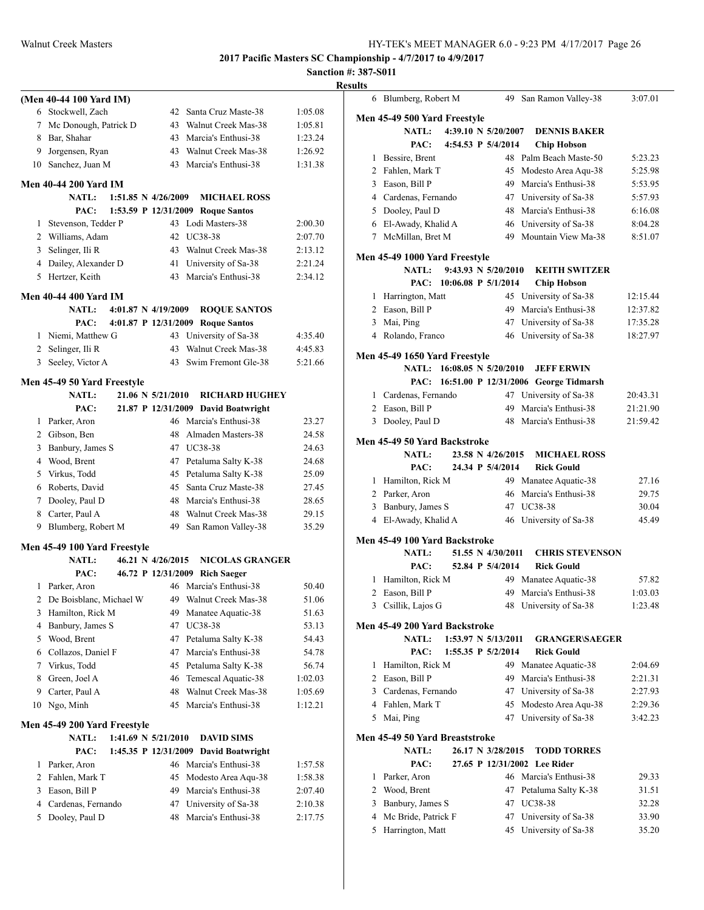**Sanction #: 387-S011 Results**

|                | (Men 40-44 100 Yard IM)                        |                   |    |                                               |                    |
|----------------|------------------------------------------------|-------------------|----|-----------------------------------------------|--------------------|
|                | 6 Stockwell, Zach                              |                   | 42 | Santa Cruz Maste-38                           | 1:05.08            |
|                | 7 Mc Donough, Patrick D                        |                   | 43 | Walnut Creek Mas-38                           | 1:05.81            |
|                | 8 Bar, Shahar                                  |                   | 43 | Marcia's Enthusi-38                           | 1:23.24            |
| 9              | Jorgensen, Ryan                                |                   | 43 | Walnut Creek Mas-38                           | 1:26.92            |
| 10             | Sanchez, Juan M                                |                   |    | 43 Marcia's Enthusi-38                        | 1:31.38            |
|                | Men 40-44 200 Yard IM                          |                   |    |                                               |                    |
|                | $1:51.85$ N $4/26/2009$<br><b>NATL:</b>        |                   |    | <b>MICHAEL ROSS</b>                           |                    |
|                | PAC:                                           |                   |    | 1:53.59 P 12/31/2009 Roque Santos             |                    |
|                | 1 Stevenson, Tedder P                          |                   |    | 43 Lodi Masters-38                            | 2:00.30            |
|                | 2 Williams, Adam                               |                   | 42 | UC38-38                                       | 2:07.70            |
| 3              | Selinger, Ili R                                |                   | 43 | Walnut Creek Mas-38                           | 2:13.12            |
| 4              | Dailey, Alexander D                            |                   | 41 | University of Sa-38                           | 2:21.24            |
| 5              | Hertzer, Keith                                 |                   | 43 | Marcia's Enthusi-38                           | 2:34.12            |
|                |                                                |                   |    |                                               |                    |
|                | Men 40-44 400 Yard IM                          |                   |    |                                               |                    |
|                | <b>NATL:</b><br>$4:01.87 \text{ N } 4/19/2009$ |                   |    | <b>ROOUE SANTOS</b>                           |                    |
|                | PAC:<br>4:01.87 P 12/31/2009                   |                   |    | <b>Roque Santos</b>                           |                    |
|                | 1 Niemi, Matthew G                             |                   |    | 43 University of Sa-38<br>Walnut Creek Mas-38 | 4:35.40            |
|                | 2 Selinger, Ili R                              |                   | 43 | 43 Swim Fremont Gle-38                        | 4:45.83<br>5:21.66 |
| 3              | Seeley, Victor A                               |                   |    |                                               |                    |
|                | Men 45-49 50 Yard Freestyle                    |                   |    |                                               |                    |
|                | <b>NATL:</b>                                   | 21.06 N 5/21/2010 |    | <b>RICHARD HUGHEY</b>                         |                    |
|                | PAC:                                           |                   |    | 21.87 P 12/31/2009 David Boatwright           |                    |
|                | 1 Parker, Aron                                 |                   |    | 46 Marcia's Enthusi-38                        | 23.27              |
|                | 2 Gibson, Ben                                  |                   | 48 | Almaden Masters-38                            | 24.58              |
|                | 3 Banbury, James S                             |                   |    | 47 UC38-38                                    | 24.63              |
|                | 4 Wood, Brent                                  |                   | 47 | Petaluma Salty K-38                           | 24.68              |
|                | 5 Virkus, Todd                                 |                   |    | 45 Petaluma Salty K-38                        | 25.09              |
|                | 6 Roberts, David                               |                   | 45 | Santa Cruz Maste-38                           | 27.45              |
|                | 7 Dooley, Paul D                               |                   | 48 | Marcia's Enthusi-38                           | 28.65              |
|                | 8 Carter, Paul A                               |                   | 48 | Walnut Creek Mas-38                           | 29.15              |
|                | 9 Blumberg, Robert M                           |                   | 49 | San Ramon Valley-38                           | 35.29              |
|                | Men 45-49 100 Yard Freestyle                   |                   |    |                                               |                    |
|                | <b>NATL:</b>                                   | 46.21 N 4/26/2015 |    | <b>NICOLAS GRANGER</b>                        |                    |
|                | PAC:                                           |                   |    | 46.72 P 12/31/2009 Rich Saeger                |                    |
| 1              | Parker, Aron                                   |                   |    | 46 Marcia's Enthusi-38                        | 50.40              |
| 2              | De Boisblanc, Michael W                        |                   | 49 | Walnut Creek Mas-38                           | 51.06              |
| 3              | Hamilton, Rick M                               |                   | 49 | Manatee Aquatic-38                            | 51.63              |
| 4              | Banbury, James S                               |                   | 47 | <b>UC38-38</b>                                | 53.13              |
| 5              | Wood, Brent                                    |                   | 47 | Petaluma Salty K-38                           | 54.43              |
| 6              | Collazos, Daniel F                             |                   | 47 | Marcia's Enthusi-38                           | 54.78              |
| 7              | Virkus, Todd                                   |                   | 45 | Petaluma Salty K-38                           | 56.74              |
| 8              | Green, Joel A                                  |                   | 46 | Temescal Aquatic-38                           | 1:02.03            |
| 9              | Carter, Paul A                                 |                   | 48 | Walnut Creek Mas-38                           | 1:05.69            |
|                | 10 Ngo, Minh                                   |                   | 45 | Marcia's Enthusi-38                           | 1:12.21            |
|                | Men 45-49 200 Yard Freestyle                   |                   |    |                                               |                    |
|                | <b>NATL:</b><br>1:41.69 N 5/21/2010            |                   |    | <b>DAVID SIMS</b>                             |                    |
|                | PAC:<br>1:45.35 P 12/31/2009                   |                   |    | <b>David Boatwright</b>                       |                    |
| 1              | Parker, Aron                                   |                   | 46 | Marcia's Enthusi-38                           | 1:57.58            |
| $\overline{2}$ | Fahlen, Mark T                                 |                   | 45 | Modesto Area Aqu-38                           | 1:58.38            |
| 3              | Eason, Bill P                                  |                   | 49 | Marcia's Enthusi-38                           | 2:07.40            |
| 4              | Cardenas, Fernando                             |                   | 47 | University of Sa-38                           | 2:10.38            |
| 5              | Dooley, Paul D                                 |                   | 48 | Marcia's Enthusi-38                           | 2:17.75            |
|                |                                                |                   |    |                                               |                    |
|                |                                                |                   |    |                                               |                    |

|              | 6 Blumberg, Robert M                    |                                | 49 San Ramon Valley-38                          | 3:07.01        |
|--------------|-----------------------------------------|--------------------------------|-------------------------------------------------|----------------|
|              | Men 45-49 500 Yard Freestyle            |                                |                                                 |                |
|              | <b>NATL:</b>                            | 4:39.10 N 5/20/2007            | <b>DENNIS BAKER</b>                             |                |
|              | PAC:                                    | 4:54.53 P 5/4/2014             | <b>Chip Hobson</b>                              |                |
| $\mathbf{1}$ | Bessire, Brent                          |                                | 48 Palm Beach Maste-50                          | 5:23.23        |
|              | 2 Fahlen, Mark T                        | 45                             | Modesto Area Aqu-38                             | 5:25.98        |
|              | 3 Eason, Bill P                         | 49                             | Marcia's Enthusi-38                             | 5:53.95        |
|              | 4 Cardenas, Fernando                    |                                | 47 University of Sa-38                          | 5:57.93        |
|              | 5 Dooley, Paul D                        | 48                             | Marcia's Enthusi-38                             | 6:16.08        |
|              | 6 El-Awady, Khalid A                    |                                | 46 University of Sa-38                          | 8:04.28        |
|              | 7 McMillan, Bret M                      |                                | 49 Mountain View Ma-38                          | 8:51.07        |
|              |                                         |                                |                                                 |                |
|              | Men 45-49 1000 Yard Freestyle           |                                |                                                 |                |
|              | <b>NATL:</b>                            | $9:43.93 \text{ N } 5/20/2010$ | <b>KEITH SWITZER</b>                            |                |
|              |                                         | PAC: 10:06.08 P 5/1/2014       | <b>Chip Hobson</b>                              |                |
| $\mathbf{1}$ | Harrington, Matt                        |                                | 45 University of Sa-38                          | 12:15.44       |
|              | 2 Eason, Bill P                         | 49                             | Marcia's Enthusi-38                             | 12:37.82       |
|              | 3 Mai, Ping                             | 47                             | University of Sa-38                             | 17:35.28       |
|              | 4 Rolando, Franco                       |                                | 46 University of Sa-38                          | 18:27.97       |
|              | Men 45-49 1650 Yard Freestyle           |                                |                                                 |                |
|              |                                         | NATL: 16:08.05 N 5/20/2010     | <b>JEFF ERWIN</b>                               |                |
|              |                                         |                                | PAC: 16:51.00 P 12/31/2006 George Tidmarsh      |                |
|              | 1 Cardenas, Fernando                    |                                | 47 University of Sa-38                          | 20:43.31       |
|              | 2 Eason, Bill P                         |                                | 49 Marcia's Enthusi-38                          | 21:21.90       |
|              | 3 Dooley, Paul D                        | 48                             | Marcia's Enthusi-38                             | 21:59.42       |
|              |                                         |                                |                                                 |                |
|              | Men 45-49 50 Yard Backstroke            |                                |                                                 |                |
|              | <b>NATL:</b>                            | 23.58 N 4/26/2015              | <b>MICHAEL ROSS</b>                             |                |
|              | PAC:                                    | 24.34 P 5/4/2014               | <b>Rick Gould</b>                               |                |
|              | 1 Hamilton, Rick M                      |                                | 49 Manatee Aquatic-38<br>46 Marcia's Enthusi-38 | 27.16          |
|              | 2 Parker, Aron                          |                                | 47 UC38-38                                      | 29.75          |
|              | 3 Banbury, James S                      |                                |                                                 | 30.04          |
|              | 4 El-Awady, Khalid A                    | 46                             | University of Sa-38                             | 45.49          |
|              | Men 45-49 100 Yard Backstroke           |                                |                                                 |                |
|              | <b>NATL:</b>                            | 51.55 N 4/30/2011              | <b>CHRIS STEVENSON</b>                          |                |
|              | PAC:                                    | 52.84 P 5/4/2014               | <b>Rick Gould</b>                               |                |
|              | 1 Hamilton, Rick M                      |                                | 49 Manatee Aquatic-38                           | 57.82          |
|              | 2 Eason, Bill P                         |                                | 49 Marcia's Enthusi-38                          | 1:03.03        |
|              | 3 Csillik, Lajos G                      |                                | 48 University of Sa-38                          | 1:23.48        |
|              | Men 45-49 200 Yard Backstroke           |                                |                                                 |                |
|              | <b>NATL:</b>                            | 1:53.97 N 5/13/2011            | <b>GRANGER\SAEGER</b>                           |                |
|              | PAC:                                    | 1:55.35 P 5/2/2014             | <b>Rick Gould</b>                               |                |
| 1            | Hamilton, Rick M                        |                                | 49 Manatee Aquatic-38                           | 2:04.69        |
|              | 2 Eason, Bill P                         |                                | 49 Marcia's Enthusi-38                          | 2:21.31        |
|              | 3 Cardenas, Fernando                    |                                | 47 University of Sa-38                          | 2:27.93        |
|              | 4 Fahlen, Mark T                        | 45                             | Modesto Area Aqu-38                             | 2:29.36        |
|              | 5 Mai, Ping                             | 47                             | University of Sa-38                             | 3:42.23        |
|              |                                         |                                |                                                 |                |
|              | Men 45-49 50 Yard Breaststroke          |                                |                                                 |                |
|              | <b>NATL:</b>                            | 26.17 N 3/28/2015              | <b>TODD TORRES</b>                              |                |
|              | PAC:                                    | 27.65 P 12/31/2002             | <b>Lee Rider</b>                                |                |
| 1            | Parker, Aron                            |                                | 46 Marcia's Enthusi-38                          | 29.33          |
| 2            |                                         |                                |                                                 | 31.51          |
|              | Wood, Brent                             | 47                             | Petaluma Salty K-38                             |                |
| 3            | Banbury, James S                        | 47                             | UC38-38                                         | 32.28          |
| 4<br>5       | Mc Bride, Patrick F<br>Harrington, Matt | 47<br>45                       | University of Sa-38<br>University of Sa-38      | 33.90<br>35.20 |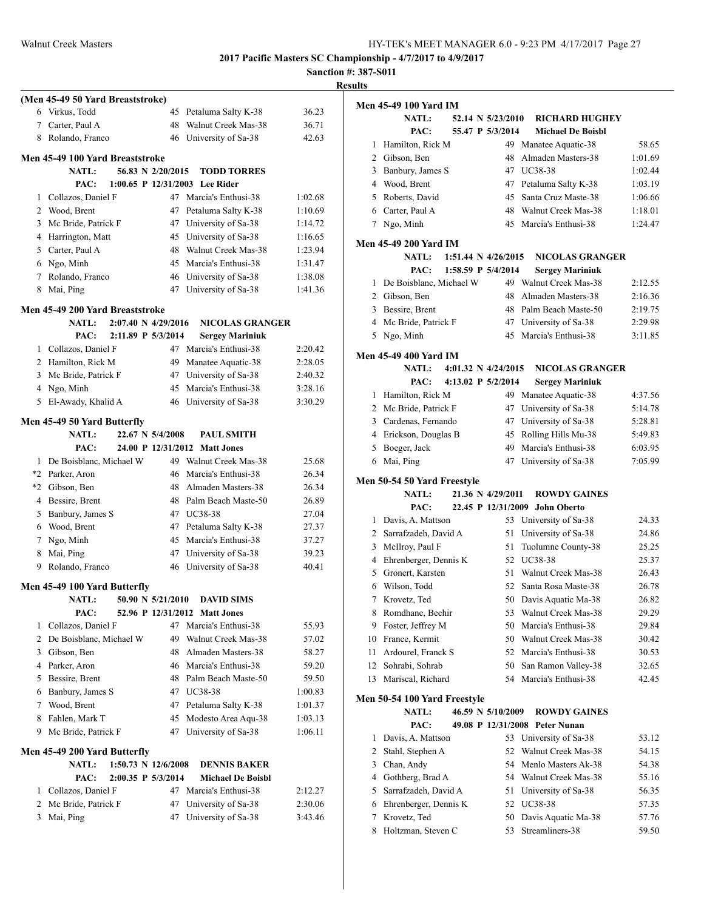|                |                                                   |     |                                                  |                | <b>Results</b> |
|----------------|---------------------------------------------------|-----|--------------------------------------------------|----------------|----------------|
|                | (Men 45-49 50 Yard Breaststroke)                  |     |                                                  |                | Me             |
|                | 6 Virkus, Todd                                    |     | 45 Petaluma Salty K-38                           | 36.23          |                |
|                | 7 Carter, Paul A                                  | 48  | Walnut Creek Mas-38                              | 36.71          |                |
|                | 8 Rolando, Franco                                 |     | 46 University of Sa-38                           | 42.63          |                |
|                | Men 45-49 100 Yard Breaststroke                   |     |                                                  |                |                |
|                | <b>NATL:</b><br>56.83 N 2/20/2015                 |     | <b>TODD TORRES</b>                               |                |                |
|                | PAC:                                              |     | 1:00.65 P 12/31/2003 Lee Rider                   |                |                |
|                | 1 Collazos, Daniel F                              |     | 47 Marcia's Enthusi-38                           | 1:02.68        |                |
|                | 2 Wood, Brent                                     |     | 47 Petaluma Salty K-38                           | 1:10.69        |                |
| 3              | Mc Bride, Patrick F                               |     | 47 University of Sa-38                           | 1:14.72        |                |
|                | 4 Harrington, Matt                                |     | 45 University of Sa-38                           | 1:16.65        | Me             |
|                | 5 Carter, Paul A                                  |     | 48 Walnut Creek Mas-38                           | 1:23.94        |                |
|                | 6 Ngo, Minh                                       |     | 45 Marcia's Enthusi-38                           | 1:31.47        |                |
|                | 7 Rolando, Franco                                 |     | 46 University of Sa-38                           | 1:38.08        |                |
|                | 8 Mai, Ping                                       |     | 47 University of Sa-38                           | 1:41.36        |                |
|                | Men 45-49 200 Yard Breaststroke                   |     |                                                  |                |                |
|                | <b>NATL:</b><br>2:07.40 N 4/29/2016               |     | <b>NICOLAS GRANGER</b>                           |                |                |
|                | 2:11.89 P 5/3/2014<br>PAC:                        |     | <b>Sergey Mariniuk</b>                           |                |                |
|                | 1 Collazos, Daniel F                              |     | 47 Marcia's Enthusi-38                           | 2:20.42        | Me             |
|                | 2 Hamilton, Rick M                                | 49  | Manatee Aquatic-38                               | 2:28.05        |                |
|                | 3 Mc Bride, Patrick F                             |     | 47 University of Sa-38                           | 2:40.32        |                |
|                | 4 Ngo, Minh                                       |     | 45 Marcia's Enthusi-38                           | 3:28.16        |                |
|                | 5 El-Awady, Khalid A                              |     | 46 University of Sa-38                           | 3:30.29        |                |
|                | Men 45-49 50 Yard Butterfly                       |     |                                                  |                |                |
|                | 22.67 N 5/4/2008<br>NATL:                         |     | <b>PAUL SMITH</b>                                |                |                |
|                | PAC:                                              |     | 24.00 P 12/31/2012 Matt Jones                    |                |                |
|                | 1 De Boisblanc, Michael W                         |     | 49 Walnut Creek Mas-38                           | 25.68          |                |
|                | *2 Parker, Aron                                   |     | 46 Marcia's Enthusi-38                           | 26.34          | Me             |
|                | *2 Gibson, Ben                                    |     | 48 Almaden Masters-38                            | 26.34          |                |
|                | 4 Bessire, Brent                                  |     | 48 Palm Beach Maste-50                           | 26.89          |                |
|                | 5 Banbury, James S                                |     | 47 UC38-38                                       | 27.04          |                |
|                | 6 Wood, Brent                                     |     | 47 Petaluma Salty K-38<br>45 Marcia's Enthusi-38 | 27.37          |                |
| 8              | 7 Ngo, Minh                                       |     | 47 University of Sa-38                           | 37.27<br>39.23 |                |
|                | Mai, Ping<br>9 Rolando, Franco                    |     | 46 University of Sa-38                           | 40.41          |                |
|                |                                                   |     |                                                  |                |                |
|                | Men 45-49 100 Yard Butterfly<br>50.90 N 5/21/2010 |     | <b>DAVID SIMS</b>                                |                |                |
|                | <b>NATL:</b><br>PAC:                              |     | 52.96 P 12/31/2012 Matt Jones                    |                |                |
| 1              | Collazos, Daniel F                                |     | 47 Marcia's Enthusi-38                           | 55.93          |                |
| 2              | De Boisblanc, Michael W                           |     | 49 Walnut Creek Mas-38                           | 57.02          |                |
| 3              | Gibson, Ben                                       | 48. | Almaden Masters-38                               | 58.27          |                |
| 4              | Parker, Aron                                      |     | 46 Marcia's Enthusi-38                           | 59.20          |                |
| 5              | Bessire, Brent                                    |     | 48 Palm Beach Maste-50                           | 59.50          |                |
| 6              | Banbury, James S                                  |     | 47 UC38-38                                       | 1:00.83        |                |
| 7              | Wood, Brent                                       |     | 47 Petaluma Salty K-38                           | 1:01.37        | Me             |
| 8              | Fahlen, Mark T                                    | 45  | Modesto Area Aqu-38                              | 1:03.13        |                |
| 9              | Mc Bride, Patrick F                               | 47  | University of Sa-38                              | 1:06.11        |                |
|                | Men 45-49 200 Yard Butterfly                      |     |                                                  |                |                |
|                | $1:50.73 \text{ N } 12/6/2008$<br><b>NATL:</b>    |     | <b>DENNIS BAKER</b>                              |                |                |
|                | PAC:<br>2:00.35 P 5/3/2014                        |     | <b>Michael De Boisbl</b>                         |                |                |
|                | 1 Collazos, Daniel F                              |     | 47 Marcia's Enthusi-38                           | 2:12.27        |                |
| $\overline{2}$ | Mc Bride, Patrick F                               | 47  | University of Sa-38                              | 2:30.06        |                |
| 3              | Mai, Ping                                         | 47  | University of Sa-38                              | 3:43.46        |                |
|                |                                                   |     |                                                  |                |                |

|    | Men 45-49 100 Yard IM        |  |                     |                                |         |
|----|------------------------------|--|---------------------|--------------------------------|---------|
|    | <b>NATL:</b>                 |  | 52.14 N 5/23/2010   | <b>RICHARD HUGHEY</b>          |         |
|    | PAC:                         |  | 55.47 P 5/3/2014    | <b>Michael De Boisbl</b>       |         |
| 1  | Hamilton, Rick M             |  |                     | 49 Manatee Aquatic-38          | 58.65   |
|    | 2 Gibson, Ben                |  | 48                  | Almaden Masters-38             | 1:01.69 |
| 3  | Banbury, James S             |  |                     | 47 UC38-38                     | 1:02.44 |
| 4  | Wood, Brent                  |  |                     | 47 Petaluma Salty K-38         | 1:03.19 |
|    | 5 Roberts, David             |  |                     | 45 Santa Cruz Maste-38         | 1:06.66 |
|    | 6 Carter, Paul A             |  |                     | 48 Walnut Creek Mas-38         | 1:18.01 |
| 7  | Ngo, Minh                    |  | 45                  | Marcia's Enthusi-38            | 1:24.47 |
|    | Men 45-49 200 Yard IM        |  |                     |                                |         |
|    | <b>NATL:</b>                 |  | 1:51.44 N 4/26/2015 | <b>NICOLAS GRANGER</b>         |         |
|    | PAC:                         |  | 1:58.59 P 5/4/2014  | <b>Sergey Mariniuk</b>         |         |
| 1  | De Boisblanc, Michael W      |  |                     | 49 Walnut Creek Mas-38         | 2:12.55 |
|    | 2 Gibson, Ben                |  | 48                  | Almaden Masters-38             | 2:16.36 |
| 3  | Bessire, Brent               |  |                     | 48 Palm Beach Maste-50         | 2:19.75 |
| 4  | Mc Bride, Patrick F          |  |                     | 47 University of Sa-38         | 2:29.98 |
|    | 5 Ngo, Minh                  |  | 45                  | Marcia's Enthusi-38            | 3:11.85 |
|    |                              |  |                     |                                |         |
|    | Men 45-49 400 Yard IM        |  |                     |                                |         |
|    | <b>NATL:</b>                 |  | 4:01.32 N 4/24/2015 | <b>NICOLAS GRANGER</b>         |         |
|    | PAC:                         |  | 4:13.02 P 5/2/2014  | <b>Sergey Mariniuk</b>         |         |
| 1  | Hamilton, Rick M             |  | 49                  | Manatee Aquatic-38             | 4:37.56 |
| 2  | Mc Bride, Patrick F          |  | 47                  | University of Sa-38            | 5:14.78 |
| 3  | Cardenas, Fernando           |  | 47                  | University of Sa-38            | 5:28.81 |
| 4  | Erickson, Douglas B          |  | 45                  | Rolling Hills Mu-38            | 5:49.83 |
| 5  | Boeger, Jack                 |  | 49                  | Marcia's Enthusi-38            | 6:03.95 |
| 6  | Mai, Ping                    |  |                     | 47 University of Sa-38         | 7:05.99 |
|    | Men 50-54 50 Yard Freestyle  |  |                     |                                |         |
|    | <b>NATL:</b>                 |  | 21.36 N 4/29/2011   | <b>ROWDY GAINES</b>            |         |
|    | PAC:                         |  | 22.45 P 12/31/2009  | <b>John Oberto</b>             |         |
| 1  | Davis, A. Mattson            |  | 53                  | University of Sa-38            | 24.33   |
| 2  | Sarrafzadeh, David A         |  | 51                  | University of Sa-38            | 24.86   |
| 3  | McIlroy, Paul F              |  | 51                  | Tuolumne County-38             | 25.25   |
| 4  | Ehrenberger, Dennis K        |  | 52                  | UC38-38                        | 25.37   |
| 5  | Gronert, Karsten             |  | 51                  | Walnut Creek Mas-38            | 26.43   |
| 6  | Wilson, Todd                 |  |                     | 52 Santa Rosa Maste-38         | 26.78   |
| 7  | Krovetz, Ted                 |  |                     | 50 Davis Aquatic Ma-38         | 26.82   |
|    | 8 Romdhane, Bechir           |  |                     | 53 Walnut Creek Mas-38         | 29.29   |
|    | 9 Foster, Jeffrey M          |  |                     | 50 Marcia's Enthusi-38         | 29.84   |
| 10 | France, Kermit               |  |                     | 50 Walnut Creek Mas-38         | 30.42   |
| 11 | Ardourel, Franck S           |  |                     | 52 Marcia's Enthusi-38         | 30.53   |
| 12 | Sohrabi, Sohrab              |  | 50                  | San Ramon Valley-38            | 32.65   |
| 13 | Mariscal, Richard            |  |                     | 54 Marcia's Enthusi-38         | 42.45   |
|    | Men 50-54 100 Yard Freestyle |  |                     |                                |         |
|    | <b>NATL:</b>                 |  | 46.59 N 5/10/2009   | <b>ROWDY GAINES</b>            |         |
|    | PAC:                         |  |                     | 49.08 P 12/31/2008 Peter Nunan |         |
| 1  | Davis, A. Mattson            |  | 53                  | University of Sa-38            | 53.12   |
| 2  | Stahl, Stephen A             |  | 52                  | Walnut Creek Mas-38            | 54.15   |
| 3  | Chan, Andy                   |  |                     | 54 Menlo Masters Ak-38         | 54.38   |
| 4  | Gothberg, Brad A             |  |                     | 54 Walnut Creek Mas-38         | 55.16   |
| 5  | Sarrafzadeh, David A         |  | 51                  | University of Sa-38            | 56.35   |
| 6  | Ehrenberger, Dennis K        |  |                     | 52 UC38-38                     | 57.35   |
| 7  | Krovetz, Ted                 |  |                     | 50 Davis Aquatic Ma-38         | 57.76   |
| 8  | Holtzman, Steven C           |  |                     | 53 Streamliners-38             | 59.50   |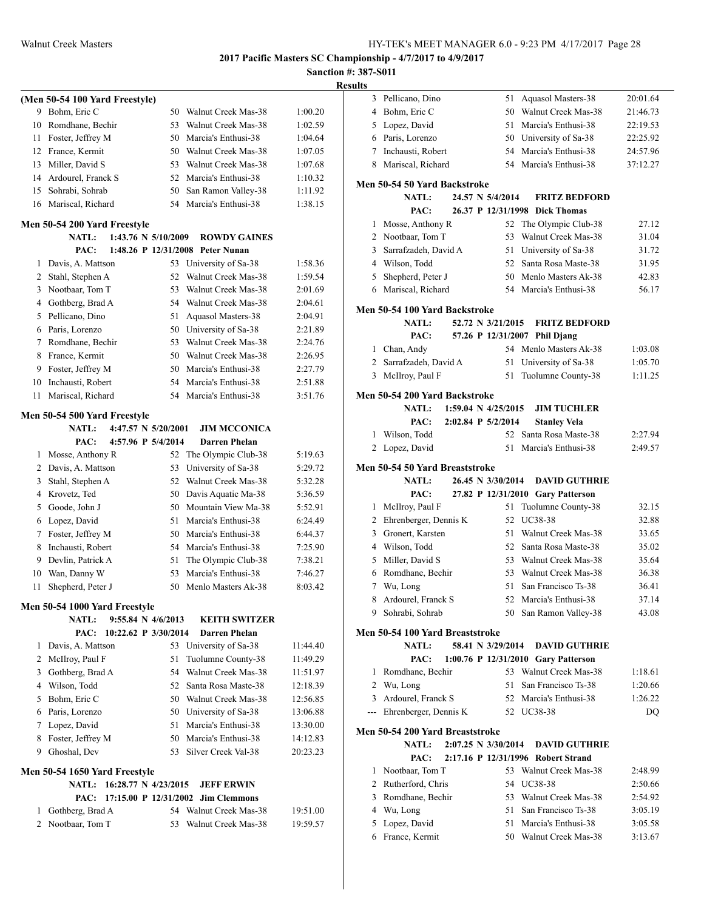## **Sanction #: 387-S011 Results**

|                | (Men 50-54 100 Yard Freestyle)                |                               |                                             |          |
|----------------|-----------------------------------------------|-------------------------------|---------------------------------------------|----------|
| 9              | Bohm, Eric C                                  | 50                            | Walnut Creek Mas-38                         | 1:00.20  |
| 10             | Romdhane, Bechir                              | 53                            | Walnut Creek Mas-38                         | 1:02.59  |
| 11             | Foster, Jeffrey M                             | 50                            | Marcia's Enthusi-38                         | 1:04.64  |
| 12             | France, Kermit                                | 50                            | Walnut Creek Mas-38                         | 1:07.05  |
| 13             | Miller, David S                               | 53                            | Walnut Creek Mas-38                         | 1:07.68  |
|                | 14 Ardourel, Franck S                         |                               | 52 Marcia's Enthusi-38                      | 1:10.32  |
| 15             | Sohrabi, Sohrab                               | 50                            | San Ramon Valley-38                         | 1:11.92  |
| 16             | Mariscal, Richard                             | 54                            | Marcia's Enthusi-38                         | 1:38.15  |
|                | Men 50-54 200 Yard Freestyle                  |                               |                                             |          |
|                | <b>NATL:</b>                                  | 1:43.76 N 5/10/2009           | <b>ROWDY GAINES</b>                         |          |
|                | PAC:                                          |                               | 1:48.26 P 12/31/2008 Peter Nunan            |          |
| 1              | Davis, A. Mattson                             | 53                            | University of Sa-38                         | 1:58.36  |
| 2              | Stahl, Stephen A                              | 52                            | Walnut Creek Mas-38                         | 1:59.54  |
| 3              | Nootbaar, Tom T                               | 53                            | Walnut Creek Mas-38                         | 2:01.69  |
| 4              | Gothberg, Brad A                              | 54                            | Walnut Creek Mas-38                         | 2:04.61  |
| 5              | Pellicano, Dino                               | 51                            | Aquasol Masters-38                          | 2:04.91  |
| 6              | Paris, Lorenzo                                | 50                            | University of Sa-38                         | 2:21.89  |
| 7              | Romdhane, Bechir                              | 53                            | Walnut Creek Mas-38                         | 2:24.76  |
| 8              | France, Kermit                                | 50                            | Walnut Creek Mas-38                         | 2:26.95  |
| 9              | Foster, Jeffrey M                             |                               | 50 Marcia's Enthusi-38                      | 2:27.79  |
| 10             | Inchausti, Robert                             | 54                            | Marcia's Enthusi-38                         | 2:51.88  |
| 11             | Mariscal, Richard                             | 54                            | Marcia's Enthusi-38                         | 3:51.76  |
|                | Men 50-54 500 Yard Freestyle                  | 4:47.57 N 5/20/2001           |                                             |          |
|                | <b>NATL:</b><br>PAC:                          | 4:57.96 P 5/4/2014            | <b>JIM MCCONICA</b><br><b>Darren Phelan</b> |          |
| 1              | Mosse, Anthony R                              | 52                            | The Olympic Club-38                         | 5:19.63  |
| $\overline{2}$ | Davis, A. Mattson                             | 53                            | University of Sa-38                         | 5:29.72  |
| 3              | Stahl, Stephen A                              | 52                            | Walnut Creek Mas-38                         | 5:32.28  |
| 4              | Krovetz, Ted                                  | 50                            | Davis Aquatic Ma-38                         | 5:36.59  |
| 5              | Goode, John J                                 |                               | 50 Mountain View Ma-38                      | 5:52.91  |
| 6              | Lopez, David                                  | 51                            | Marcia's Enthusi-38                         | 6:24.49  |
| 7              | Foster, Jeffrey M                             | 50                            | Marcia's Enthusi-38                         | 6:44.37  |
| 8              | Inchausti, Robert                             | 54                            | Marcia's Enthusi-38                         | 7:25.90  |
| 9              | Devlin, Patrick A                             | 51                            | The Olympic Club-38                         | 7:38.21  |
| 10             | Wan, Danny W                                  | 53                            | Marcia's Enthusi-38                         | 7:46.27  |
| 11             | Shepherd, Peter J                             | 50                            | Menlo Masters Ak-38                         | 8:03.42  |
|                |                                               |                               |                                             |          |
|                | Men 50-54 1000 Yard Freestyle<br><b>NATL:</b> | $9:55.84 \text{ N } 4/6/2013$ | <b>KEITH SWITZER</b>                        |          |
|                | PAC:                                          | 10:22.62 P 3/30/2014          | Darren Phelan                               |          |
|                | 1 Davis, A. Mattson                           | 53                            | University of Sa-38                         | 11:44.40 |
|                | 2 McIlroy, Paul F                             | 51                            | Tuolumne County-38                          | 11:49.29 |
| 3              | Gothberg, Brad A                              |                               | 54 Walnut Creek Mas-38                      | 11:51.97 |
|                | 4 Wilson, Todd                                |                               | 52 Santa Rosa Maste-38                      | 12:18.39 |
|                | 5 Bohm, Eric C                                |                               | 50 Walnut Creek Mas-38                      | 12:56.85 |
|                | 6 Paris, Lorenzo                              |                               | 50 University of Sa-38                      | 13:06.88 |
| 7              | Lopez, David                                  |                               | 51 Marcia's Enthusi-38                      | 13:30.00 |
| 8              | Foster, Jeffrey M                             |                               | 50 Marcia's Enthusi-38                      | 14:12.83 |
|                | 9 Ghoshal, Dev                                | 53                            | Silver Creek Val-38                         | 20:23.23 |
|                | Men 50-54 1650 Yard Freestyle                 |                               |                                             |          |
|                | NATL: 16:28.77 N 4/23/2015                    |                               | <b>JEFF ERWIN</b>                           |          |
|                |                                               |                               | PAC: 17:15.00 P 12/31/2002 Jim Clemmons     |          |
|                |                                               |                               |                                             |          |
|                | 1 Gothberg, Brad A                            |                               | 54 Walnut Creek Mas-38                      | 19:51.00 |
| $\overline{2}$ | Nootbaar, Tom T                               | 53                            | Walnut Creek Mas-38                         | 19:59.57 |

| ,,,,,,                           |                                |                                     |          |
|----------------------------------|--------------------------------|-------------------------------------|----------|
| 3<br>Pellicano, Dino             | 51                             | Aquasol Masters-38                  | 20:01.64 |
| Bohm, Eric C<br>4                |                                | 50 Walnut Creek Mas-38              | 21:46.73 |
| Lopez, David<br>5                |                                | 51 Marcia's Enthusi-38              | 22:19.53 |
| 6 Paris, Lorenzo                 |                                | 50 University of Sa-38              | 22:25.92 |
| 7 Inchausti, Robert              |                                | 54 Marcia's Enthusi-38              | 24:57.96 |
| 8 Mariscal, Richard              |                                | 54 Marcia's Enthusi-38              | 37:12.27 |
| Men 50-54 50 Yard Backstroke     |                                |                                     |          |
| <b>NATL:</b>                     | 24.57 N 5/4/2014               | <b>FRITZ BEDFORD</b>                |          |
| PAC:                             |                                | 26.37 P 12/31/1998 Dick Thomas      |          |
| Mosse, Anthony R<br>$\mathbf{1}$ |                                | 52 The Olympic Club-38              | 27.12    |
| 2 Nootbaar, Tom T                | 53                             | Walnut Creek Mas-38                 | 31.04    |
| 3<br>Sarrafzadeh, David A        |                                | 51 University of Sa-38              | 31.72    |
| 4 Wilson, Todd                   | 52                             | Santa Rosa Maste-38                 | 31.95    |
| 5<br>Shepherd, Peter J           |                                | 50 Menlo Masters Ak-38              | 42.83    |
| 6 Mariscal, Richard              |                                | 54 Marcia's Enthusi-38              | 56.17    |
| Men 50-54 100 Yard Backstroke    |                                |                                     |          |
| NATL:                            | 52.72 N 3/21/2015              | <b>FRITZ BEDFORD</b>                |          |
| PAC:                             |                                | 57.26 P 12/31/2007 Phil Djang       |          |
| 1 Chan, Andy                     |                                | 54 Menlo Masters Ak-38              | 1:03.08  |
| 2 Sarrafzadeh, David A           | 51                             | University of Sa-38                 | 1:05.70  |
| 3 McIlroy, Paul F                | 51                             | Tuolumne County-38                  | 1:11.25  |
| Men 50-54 200 Yard Backstroke    |                                |                                     |          |
| NATL:                            | 1:59.04 N 4/25/2015            | <b>JIM TUCHLER</b>                  |          |
| PAC:                             | 2:02.84 P 5/2/2014             | <b>Stanley Vela</b>                 |          |
| Wilson, Todd<br>1                | 52                             | Santa Rosa Maste-38                 | 2:27.94  |
| Lopez, David<br>2                | 51                             | Marcia's Enthusi-38                 | 2:49.57  |
| Men 50-54 50 Yard Breaststroke   |                                |                                     |          |
|                                  |                                |                                     |          |
| <b>NATL:</b>                     | 26.45 N 3/30/2014              | <b>DAVID GUTHRIE</b>                |          |
| PAC:                             |                                | 27.82 P 12/31/2010 Gary Patterson   |          |
| McIlroy, Paul F<br>$\mathbf{1}$  | 51                             | Tuolumne County-38                  | 32.15    |
| 2 Ehrenberger, Dennis K          | 52                             | UC38-38                             | 32.88    |
| Gronert, Karsten<br>3            |                                | 51 Walnut Creek Mas-38              | 33.65    |
| 4 Wilson, Todd                   |                                | 52 Santa Rosa Maste-38              | 35.02    |
| Miller, David S<br>5             |                                | 53 Walnut Creek Mas-38              | 35.64    |
| Romdhane, Bechir<br>6            |                                | 53 Walnut Creek Mas-38              | 36.38    |
| 7<br>Wu, Long                    | 51                             | San Francisco Ts-38                 | 36.41    |
| 8<br>Ardourel, Franck S          | 52                             | Marcia's Enthusi-38                 | 37.14    |
| 9 Sohrabi, Sohrab                |                                | 50 San Ramon Valley-38              | 43.08    |
| Men 50-54 100 Yard Breaststroke  |                                |                                     |          |
| <b>NATL:</b>                     | 58.41 N 3/29/2014              | <b>DAVID GUTHRIE</b>                |          |
| PAC:                             |                                | 1:00.76 P 12/31/2010 Gary Patterson |          |
| Romdhane, Bechir<br>$\mathbf{1}$ |                                | 53 Walnut Creek Mas-38              | 1:18.61  |
| 2 Wu, Long                       | 51                             | San Francisco Ts-38                 | 1:20.66  |
| 3 Ardourel, Franck S             |                                | 52 Marcia's Enthusi-38              | 1:26.22  |
| --- Ehrenberger, Dennis K        |                                | 52 UC38-38                          | DQ       |
| Men 50-54 200 Yard Breaststroke  |                                |                                     |          |
| <b>NATL:</b>                     | $2:07.25 \text{ N } 3/30/2014$ | <b>DAVID GUTHRIE</b>                |          |
| PAC:                             |                                | 2:17.16 P 12/31/1996 Robert Strand  |          |
| Nootbaar, Tom T<br>$\mathbf{1}$  |                                | 53 Walnut Creek Mas-38              | 2:48.99  |
| 2 Rutherford, Chris              |                                | 54 UC38-38                          | 2:50.66  |
| 3 Romdhane, Bechir               |                                | 53 Walnut Creek Mas-38              | 2:54.92  |
| 4 Wu, Long                       |                                | 51 San Francisco Ts-38              | 3:05.19  |
| 5 Lopez, David                   |                                | 51 Marcia's Enthusi-38              | 3:05.58  |
| 6 France, Kermit                 |                                | 50 Walnut Creek Mas-38              | 3:13.67  |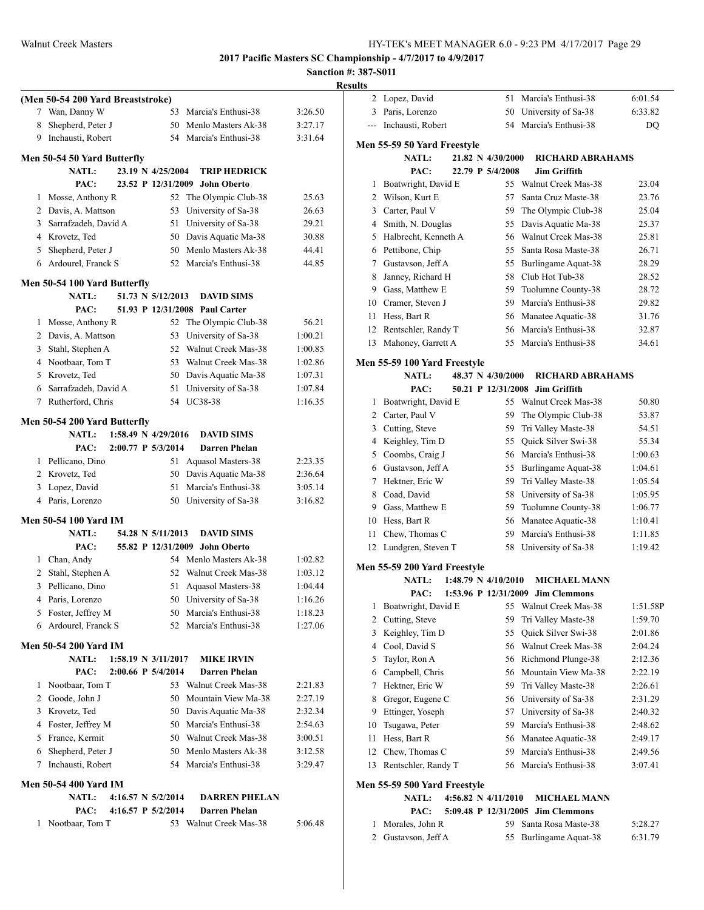## **Sanction #: 387-S011**

|    | (Men 50-54 200 Yard Breaststroke) |                     |                        |         |
|----|-----------------------------------|---------------------|------------------------|---------|
| 7  | Wan, Danny W                      | 53                  | Marcia's Enthusi-38    | 3:26.50 |
| 8  | Shepherd, Peter J                 | 50                  | Menlo Masters Ak-38    | 3:27.17 |
| 9. | Inchausti, Robert                 | 54                  | Marcia's Enthusi-38    | 3:31.64 |
|    |                                   |                     |                        |         |
|    | Men 50-54 50 Yard Butterfly       |                     |                        |         |
|    | <b>NATL:</b>                      | 23.19 N 4/25/2004   | <b>TRIP HEDRICK</b>    |         |
|    | PAC:                              | 23.52 P 12/31/2009  | <b>John Oberto</b>     |         |
| 1  | Mosse, Anthony R                  | 52                  | The Olympic Club-38    | 25.63   |
|    | 2 Davis, A. Mattson               | 53                  | University of Sa-38    | 26.63   |
|    | 3 Sarrafzadeh, David A            | 51                  | University of Sa-38    | 29.21   |
|    | 4 Krovetz, Ted                    | 50                  | Davis Aquatic Ma-38    | 30.88   |
|    | 5 Shepherd, Peter J               |                     | 50 Menlo Masters Ak-38 | 44.41   |
|    | 6 Ardourel, Franck S              | 52                  | Marcia's Enthusi-38    | 44.85   |
|    | Men 50-54 100 Yard Butterfly      |                     |                        |         |
|    | <b>NATL:</b>                      | 51.73 N 5/12/2013   | <b>DAVID SIMS</b>      |         |
|    | PAC:                              | 51.93 P 12/31/2008  | <b>Paul Carter</b>     |         |
| 1  | Mosse, Anthony R                  | 52                  | The Olympic Club-38    | 56.21   |
|    | 2 Davis, A. Mattson               | 53                  | University of Sa-38    | 1:00.21 |
|    | 3 Stahl, Stephen A                | 52                  | Walnut Creek Mas-38    | 1:00.85 |
|    | 4 Nootbaar, Tom T                 | 53                  | Walnut Creek Mas-38    | 1:02.86 |
|    | 5 Krovetz, Ted                    | 50                  | Davis Aquatic Ma-38    | 1:07.31 |
|    | 6 Sarrafzadeh, David A            | 51                  | University of Sa-38    | 1:07.84 |
| 7  | Rutherford, Chris                 | 54                  | UC38-38                | 1:16.35 |
|    |                                   |                     |                        |         |
|    | Men 50-54 200 Yard Butterfly      |                     |                        |         |
|    | <b>NATL:</b>                      | 1:58.49 N 4/29/2016 | <b>DAVID SIMS</b>      |         |
|    | PAC:                              | 2:00.77 P 5/3/2014  | <b>Darren Phelan</b>   |         |
| 1  | Pellicano, Dino                   | 51                  | Aquasol Masters-38     | 2:23.35 |
| 2  | Krovetz, Ted                      | 50                  | Davis Aquatic Ma-38    | 2:36.64 |
|    | 3 Lopez, David                    | 51                  | Marcia's Enthusi-38    | 3:05.14 |
|    | 4 Paris, Lorenzo                  | 50                  | University of Sa-38    | 3:16.82 |
|    | <b>Men 50-54 100 Yard IM</b>      |                     |                        |         |
|    | NATL:                             | 54.28 N 5/11/2013   | <b>DAVID SIMS</b>      |         |
|    | PAC:                              | 55.82 P 12/31/2009  | John Oberto            |         |
|    | 1 Chan, Andy                      |                     | 54 Menlo Masters Ak-38 | 1:02.82 |
| 2  | Stahl, Stephen A                  | 52                  | Walnut Creek Mas-38    | 1:03.12 |
| 3  | Pellicano, Dino                   | 51                  | Aquasol Masters-38     | 1:04.44 |
| 4  | Paris, Lorenzo                    | 50                  | University of Sa-38    | 1:16.26 |
| 5  | Foster, Jeffrey M                 | 50                  | Marcia's Enthusi-38    | 1:18.23 |
| 6  | Ardourel, Franck S                | 52                  | Marcia's Enthusi-38    | 1:27.06 |
|    |                                   |                     |                        |         |
|    | <b>Men 50-54 200 Yard IM</b>      |                     |                        |         |
|    | <b>NATL:</b>                      | 1:58.19 N 3/11/2017 | <b>MIKE IRVIN</b>      |         |
|    | PAC:                              | 2:00.66 P 5/4/2014  | <b>Darren Phelan</b>   |         |
| 1  | Nootbaar, Tom T                   | 53                  | Walnut Creek Mas-38    | 2:21.83 |
|    | 2 Goode, John J                   | 50                  | Mountain View Ma-38    | 2:27.19 |
|    | 3 Krovetz, Ted                    |                     | 50 Davis Aquatic Ma-38 | 2:32.34 |
| 4  | Foster, Jeffrey M                 |                     | 50 Marcia's Enthusi-38 | 2:54.63 |
| 5  | France, Kermit                    |                     | 50 Walnut Creek Mas-38 | 3:00.51 |
| 6  | Shepherd, Peter J                 |                     | 50 Menlo Masters Ak-38 | 3:12.58 |
| 7  | Inchausti, Robert                 | 54                  | Marcia's Enthusi-38    | 3:29.47 |
|    | <b>Men 50-54 400 Yard IM</b>      |                     |                        |         |
|    | <b>NATL:</b>                      | 4:16.57 N 5/2/2014  | <b>DARREN PHELAN</b>   |         |
|    | PAC:                              | 4:16.57 P 5/2/2014  | <b>Darren Phelan</b>   |         |
| 1  | Nootbaar, Tom T                   |                     | 53 Walnut Creek Mas-38 | 5:06.48 |
|    |                                   |                     |                        |         |
|    |                                   |                     |                        |         |

| <b>Results</b> |                                    |  |                                |                                                 |                    |
|----------------|------------------------------------|--|--------------------------------|-------------------------------------------------|--------------------|
|                | 2 Lopez, David                     |  |                                | 51 Marcia's Enthusi-38                          | 6:01.54            |
|                | 3 Paris, Lorenzo                   |  |                                | 50 University of Sa-38                          | 6:33.82            |
| ---            | Inchausti, Robert                  |  |                                | 54 Marcia's Enthusi-38                          | DQ                 |
|                | Men 55-59 50 Yard Freestyle        |  |                                |                                                 |                    |
|                | <b>NATL:</b>                       |  | 21.82 N 4/30/2000              | <b>RICHARD ABRAHAMS</b>                         |                    |
|                | PAC:                               |  | 22.79 P 5/4/2008               | <b>Jim Griffith</b>                             |                    |
| 1              | Boatwright, David E                |  |                                | 55 Walnut Creek Mas-38                          | 23.04              |
|                | 2 Wilson, Kurt E                   |  | 57                             | Santa Cruz Maste-38                             | 23.76              |
|                | 3 Carter, Paul V                   |  |                                | 59 The Olympic Club-38                          | 25.04              |
|                | 4 Smith, N. Douglas                |  |                                | 55 Davis Aquatic Ma-38                          | 25.37              |
|                | 5 Halbrecht, Kenneth A             |  |                                | 56 Walnut Creek Mas-38                          | 25.81              |
|                | 6 Pettibone, Chip                  |  |                                | 55 Santa Rosa Maste-38                          | 26.71              |
|                | 7 Gustavson, Jeff A                |  |                                | 55 Burlingame Aquat-38                          | 28.29              |
| 8              | Janney, Richard H                  |  |                                | 58 Club Hot Tub-38                              | 28.52              |
| 9              | Gass, Matthew E                    |  |                                | 59 Tuolumne County-38                           | 28.72              |
|                | 10 Cramer, Steven J                |  |                                | 59 Marcia's Enthusi-38                          | 29.82              |
| 11             | Hess, Bart R                       |  |                                | 56 Manatee Aquatic-38                           | 31.76              |
| 12             | Rentschler, Randy T                |  |                                | 56 Marcia's Enthusi-38                          | 32.87              |
|                | 13 Mahoney, Garrett A              |  |                                | 55 Marcia's Enthusi-38                          | 34.61              |
|                |                                    |  |                                |                                                 |                    |
|                | Men 55-59 100 Yard Freestyle       |  |                                |                                                 |                    |
|                | <b>NATL:</b>                       |  | 48.37 N 4/30/2000              | <b>RICHARD ABRAHAMS</b>                         |                    |
|                | PAC:                               |  |                                | 50.21 P 12/31/2008 Jim Griffith                 |                    |
| 1              | Boatwright, David E                |  |                                | 55 Walnut Creek Mas-38                          | 50.80              |
|                | 2 Carter, Paul V                   |  | 59                             | The Olympic Club-38                             | 53.87              |
|                | 3 Cutting, Steve                   |  |                                | 59 Tri Valley Maste-38                          | 54.51              |
|                | 4 Keighley, Tim D                  |  |                                | 55 Quick Silver Swi-38                          | 55.34              |
|                | 5 Coombs, Craig J                  |  |                                | 56 Marcia's Enthusi-38                          | 1:00.63            |
|                | 6 Gustavson, Jeff A                |  |                                | 55 Burlingame Aquat-38                          | 1:04.61            |
|                | 7 Hektner, Eric W                  |  |                                | 59 Tri Valley Maste-38                          | 1:05.54            |
|                | 8 Coad, David<br>9 Gass, Matthew E |  |                                | 58 University of Sa-38<br>59 Tuolumne County-38 | 1:05.95            |
|                | 10 Hess, Bart R                    |  |                                | 56 Manatee Aquatic-38                           | 1:06.77<br>1:10.41 |
| 11             | Chew, Thomas C                     |  |                                | 59 Marcia's Enthusi-38                          | 1:11.85            |
|                | 12 Lundgren, Steven T              |  | 58                             | University of Sa-38                             | 1:19.42            |
|                |                                    |  |                                |                                                 |                    |
|                | Men 55-59 200 Yard Freestyle       |  |                                |                                                 |                    |
|                | <b>NATL:</b>                       |  | $1:48.79 \text{ N } 4/10/2010$ | <b>MICHAEL MANN</b>                             |                    |
|                |                                    |  |                                | PAC: 1:53.96 P 12/31/2009 Jim Clemmons          |                    |
| 1              | Boatwright, David E                |  |                                | 55 Walnut Creek Mas-38                          | 1:51.58P           |
| 2              | Cutting, Steve                     |  | 59                             | Tri Valley Maste-38                             | 1:59.70            |
| 3              | Keighley, Tim D                    |  | 55                             | Quick Silver Swi-38                             | 2:01.86            |
| 4              | Cool, David S                      |  | 56                             | Walnut Creek Mas-38                             | 2:04.24            |
| 5              | Taylor, Ron A                      |  | 56                             | Richmond Plunge-38                              | 2:12.36            |
| 6              | Campbell, Chris                    |  | 56                             | Mountain View Ma-38                             | 2:22.19            |
| 7              | Hektner, Eric W                    |  |                                | 59 Tri Valley Maste-38                          | 2:26.61            |
| 8              | Gregor, Eugene C                   |  |                                | 56 University of Sa-38                          | 2:31.29            |
| 9              | Ettinger, Yoseph                   |  |                                | 57 University of Sa-38                          | 2:40.32            |
| 10             | Tsugawa, Peter                     |  |                                | 59 Marcia's Enthusi-38                          | 2:48.62            |
| 11             | Hess, Bart R                       |  |                                | 56 Manatee Aquatic-38                           | 2:49.17            |
| 12             | Chew, Thomas C                     |  |                                | 59 Marcia's Enthusi-38                          | 2:49.56            |
| 13             | Rentschler, Randy T                |  |                                | 56 Marcia's Enthusi-38                          | 3:07.41            |
|                | Men 55-59 500 Yard Freestyle       |  |                                |                                                 |                    |
|                | <b>NATL:</b>                       |  | 4:56.82 N 4/11/2010            | <b>MICHAEL MANN</b>                             |                    |
|                | PAC:                               |  |                                | 5:09.48 P 12/31/2005 Jim Clemmons               |                    |
|                | 1 Morales, John R                  |  |                                | 59 Santa Rosa Maste-38                          | 5:28.27            |

2 Gustavson, Jeff A 55 Burlingame Aquat-38 6:31.79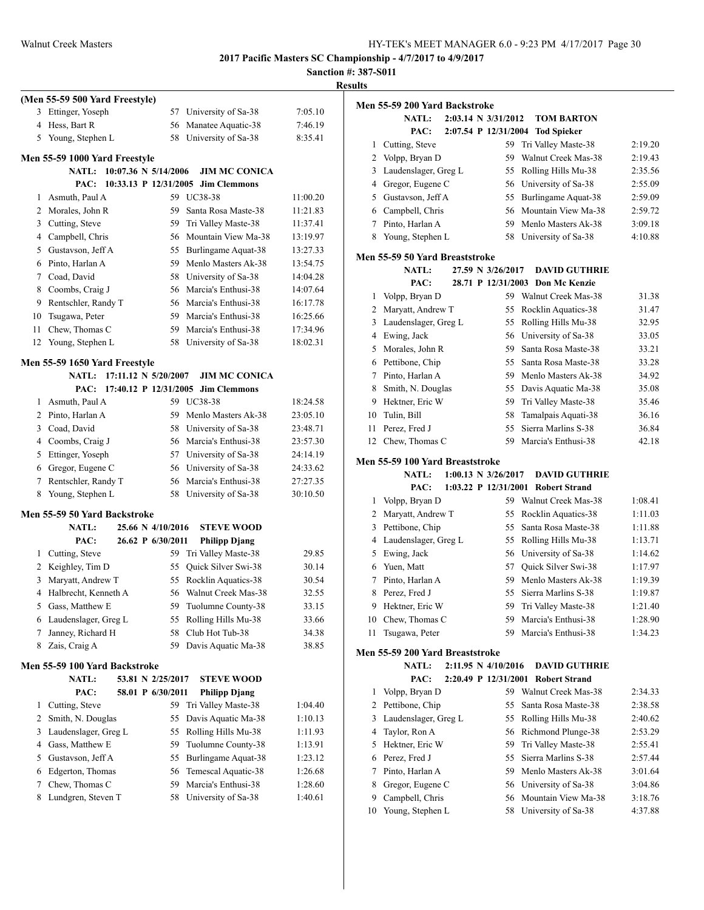**Sanction #: 387-S011**

| 57 University of Sa-38<br>56 Manatee Aquatic-38<br>58 University of Sa-38 |                                                                   | <b>Results</b>                |
|---------------------------------------------------------------------------|-------------------------------------------------------------------|-------------------------------|
|                                                                           |                                                                   |                               |
|                                                                           | 7:05.10                                                           | Me                            |
|                                                                           | 7:46.19                                                           |                               |
|                                                                           | 8:35.41                                                           |                               |
|                                                                           |                                                                   |                               |
|                                                                           |                                                                   |                               |
| 10:07.36 N 5/14/2006<br><b>JIM MC CONICA</b>                              |                                                                   |                               |
| PAC: 10:33.13 P 12/31/2005 Jim Clemmons<br>59 UC38-38                     | 11:00.20                                                          |                               |
| 59 Santa Rosa Maste-38                                                    | 11:21.83                                                          |                               |
| 59 Tri Valley Maste-38                                                    | 11:37.41                                                          |                               |
| 56 Mountain View Ma-38                                                    | 13:19.97                                                          |                               |
| 55 Burlingame Aquat-38                                                    | 13:27.33                                                          |                               |
| 59 Menlo Masters Ak-38                                                    | 13:54.75                                                          | Me                            |
| 58 University of Sa-38                                                    | 14:04.28                                                          |                               |
| 56 Marcia's Enthusi-38                                                    | 14:07.64                                                          |                               |
| 56 Marcia's Enthusi-38                                                    | 16:17.78                                                          |                               |
| 59 Marcia's Enthusi-38                                                    | 16:25.66                                                          |                               |
| 59 Marcia's Enthusi-38                                                    | 17:34.96                                                          |                               |
| 58 University of Sa-38                                                    | 18:02.31                                                          |                               |
|                                                                           |                                                                   |                               |
| NATL: 17:11.12 N 5/20/2007<br><b>JIM MC CONICA</b>                        |                                                                   |                               |
| PAC: 17:40.12 P 12/31/2005 Jim Clemmons                                   |                                                                   |                               |
| 59 UC38-38                                                                | 18:24.58                                                          |                               |
| 59 Menlo Masters Ak-38                                                    | 23:05.10                                                          |                               |
| 58 University of Sa-38                                                    | 23:48.71                                                          |                               |
| 56 Marcia's Enthusi-38                                                    | 23:57.30                                                          |                               |
| 57 University of Sa-38                                                    | 24:14.19                                                          |                               |
| 56 University of Sa-38                                                    | 24:33.62                                                          | Me                            |
| 56 Marcia's Enthusi-38                                                    | 27:27.35                                                          |                               |
| 58 University of Sa-38                                                    | 30:10.50                                                          |                               |
|                                                                           |                                                                   |                               |
|                                                                           |                                                                   |                               |
| 25.66 N 4/10/2016<br><b>STEVE WOOD</b>                                    |                                                                   |                               |
| 26.62 P 6/30/2011<br><b>Philipp Djang</b><br>59 Tri Valley Maste-38       | 29.85                                                             |                               |
| Quick Silver Swi-38                                                       | 30.14                                                             |                               |
| Rocklin Aquatics-38                                                       | 30.54                                                             |                               |
| Walnut Creek Mas-38                                                       | 32.55                                                             |                               |
| Tuolumne County-38                                                        | 33.15                                                             |                               |
| Rolling Hills Mu-38                                                       | 33.66                                                             |                               |
| Club Hot Tub-38                                                           | 34.38                                                             |                               |
| Davis Aquatic Ma-38                                                       | 38.85                                                             |                               |
|                                                                           |                                                                   | Me                            |
|                                                                           |                                                                   |                               |
| 53.81 N 2/25/2017<br><b>STEVE WOOD</b>                                    |                                                                   |                               |
| 58.01 P 6/30/2011<br><b>Philipp Djang</b>                                 |                                                                   |                               |
| Tri Valley Maste-38                                                       | 1:04.40                                                           |                               |
| Davis Aquatic Ma-38<br>Rolling Hills Mu-38                                | 1:10.13                                                           |                               |
| Tuolumne County-38                                                        | 1:11.93<br>1:13.91                                                |                               |
| Burlingame Aquat-38                                                       | 1:23.12                                                           |                               |
|                                                                           |                                                                   |                               |
|                                                                           |                                                                   |                               |
|                                                                           |                                                                   |                               |
|                                                                           |                                                                   |                               |
|                                                                           | Temescal Aquatic-38<br>Marcia's Enthusi-38<br>University of Sa-38 | 1:26.68<br>1:28.60<br>1:40.61 |

**Men 55-59 200 Yard Backstroke NATL: 2:03.14 N 3/31/2012 TOM BARTON PAC: 2:07.54 P 12/31/2004 Tod Spieker** 1 Cutting, Steve 59 Tri Valley Maste-38 2:19.20 2 Volpp, Bryan D 59 Walnut Creek Mas-38 2:19.43 3 Laudenslager, Greg L 55 Rolling Hills Mu-38 2:35.56 4 Gregor, Eugene C 56 University of Sa-38 2:55.09 5 Gustavson, Jeff A 55 Burlingame Aquat-38 2:59.09 6 Campbell, Chris 56 Mountain View Ma-38 2:59.72 7 Pinto, Harlan A 59 Menlo Masters Ak-38 3:09.18 8 Young, Stephen L 58 University of Sa-38 4:10.88 **Men 55-59 50 Yard Breaststroke NATL: 27.59 N 3/26/2017 DAVID GUTHRIE PAC: 28.71 P 12/31/2003 Don Mc Kenzie** 1 Volpp, Bryan D 59 Walnut Creek Mas-38 31.38 2 Maryatt, Andrew T 55 Rocklin Aquatics-38 31.47 3 Laudenslager, Greg L 55 Rolling Hills Mu-38 32.95 4 Ewing, Jack 56 University of Sa-38 33.05 5 Morales, John R 59 Santa Rosa Maste-38 33.21 6 Pettibone, Chip 55 Santa Rosa Maste-38 33.28 7 Pinto, Harlan A 59 Menlo Masters Ak-38 34.92 8 Smith, N. Douglas 55 Davis Aquatic Ma-38 35.08 9 Hektner, Eric W 59 Tri Valley Maste-38 35.46 10 Tulin, Bill 58 Tamalpais Aquati-38 36.16 11 Perez, Fred J 55 Sierra Marlins S-38 36.84 12 Chew, Thomas C 59 Marcia's Enthusi-38 42.18 **Men 55-59 100 Yard Breaststroke NATL: 1:00.13 N 3/26/2017 DAVID GUTHRIE PAC: 1:03.22 P 12/31/2001 Robert Strand** 1 Volpp, Bryan D 59 Walnut Creek Mas-38 1:08.41 2 Maryatt, Andrew T 55 Rocklin Aquatics-38 1:11.03 3 Pettibone, Chip 55 Santa Rosa Maste-38 1:11.88 4 Laudenslager, Greg L 55 Rolling Hills Mu-38 1:13.71 5 Ewing, Jack 56 University of Sa-38 1:14.62 6 Yuen, Matt 57 Quick Silver Swi-38 1:17.97 7 Pinto, Harlan A 59 Menlo Masters Ak-38 1:19.39 8 Perez, Fred J 55 Sierra Marlins S-38 1:19.87 9 Hektner, Eric W 59 Tri Valley Maste-38 1:21.40 10 Chew, Thomas C 59 Marcia's Enthusi-38 1:28.90 11 Tsugawa, Peter 59 Marcia's Enthusi-38 1:34.23 **Men 55-59 200 Yard Breaststroke NATL: 2:11.95 N 4/10/2016 DAVID GUTHRIE PAC: 2:20.49 P 12/31/2001 Robert Strand** 1 Volpp, Bryan D 59 Walnut Creek Mas-38 2:34.33 2 Pettibone, Chip 55 Santa Rosa Maste-38 2:38.58 3 Laudenslager, Greg L 55 Rolling Hills Mu-38 2:40.62 4 Taylor, Ron A 56 Richmond Plunge-38 2:53.29 5 Hektner, Eric W 59 Tri Valley Maste-38 2:55.41 6 Perez, Fred J 55 Sierra Marlins S-38 2:57.44 7 Pinto, Harlan A 59 Menlo Masters Ak-38 3:01.64 8 Gregor, Eugene C 56 University of Sa-38 3:04.86 9 Campbell, Chris 56 Mountain View Ma-38 3:18.76 10 Young, Stephen L 58 University of Sa-38 4:37.88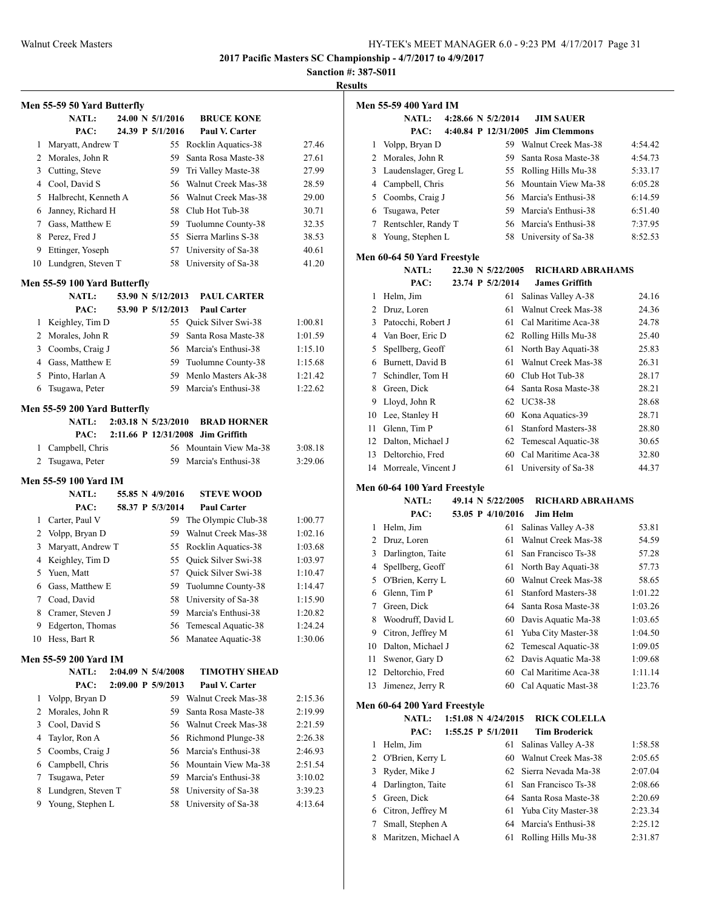**Sanction #: 387-S011**

|                | Men 55-59 50 Yard Butterfly  |  |                                |                        |         |
|----------------|------------------------------|--|--------------------------------|------------------------|---------|
|                | <b>NATL:</b>                 |  | 24.00 N 5/1/2016               | <b>BRUCE KONE</b>      |         |
|                | PAC:                         |  | 24.39 P 5/1/2016               | Paul V. Carter         |         |
| 1              | Maryatt, Andrew T            |  |                                | 55 Rocklin Aquatics-38 | 27.46   |
| 2              | Morales, John R              |  | 59                             | Santa Rosa Maste-38    | 27.61   |
| 3              | Cutting, Steve               |  |                                | 59 Tri Valley Maste-38 | 27.99   |
|                | 4 Cool, David S              |  |                                | 56 Walnut Creek Mas-38 | 28.59   |
| 5              | Halbrecht, Kenneth A         |  |                                | 56 Walnut Creek Mas-38 | 29.00   |
| 6              | Janney, Richard H            |  |                                | 58 Club Hot Tub-38     | 30.71   |
| 7              | Gass, Matthew E              |  |                                | 59 Tuolumne County-38  | 32.35   |
| 8              | Perez, Fred J                |  | 55                             | Sierra Marlins S-38    | 38.53   |
| 9              | Ettinger, Yoseph             |  | 57                             | University of Sa-38    | 40.61   |
| 10             | Lundgren, Steven T           |  | 58                             | University of Sa-38    | 41.20   |
|                | Men 55-59 100 Yard Butterfly |  |                                |                        |         |
|                | <b>NATL:</b>                 |  | 53.90 N 5/12/2013              | <b>PAUL CARTER</b>     |         |
|                | PAC:                         |  | 53.90 P 5/12/2013              | <b>Paul Carter</b>     |         |
| 1              | Keighley, Tim D              |  |                                | 55 Quick Silver Swi-38 | 1:00.81 |
|                | 2 Morales, John R            |  |                                | 59 Santa Rosa Maste-38 | 1:01.59 |
| 3              | Coombs, Craig J              |  |                                | 56 Marcia's Enthusi-38 | 1:15.10 |
| 4              | Gass, Matthew E              |  |                                | 59 Tuolumne County-38  | 1:15.68 |
| 5              | Pinto, Harlan A              |  |                                | 59 Menlo Masters Ak-38 | 1:21.42 |
| 6              | Tsugawa, Peter               |  | 59                             | Marcia's Enthusi-38    | 1:22.62 |
|                | Men 55-59 200 Yard Butterfly |  |                                |                        |         |
|                | <b>NATL:</b>                 |  | $2:03.18 \text{ N } 5/23/2010$ | <b>BRAD HORNER</b>     |         |
|                | PAC:                         |  | 2:11.66 P 12/31/2008           | <b>Jim Griffith</b>    |         |
| 1              | Campbell, Chris              |  |                                | 56 Mountain View Ma-38 | 3:08.18 |
| 2              | Tsugawa, Peter               |  | 59                             | Marcia's Enthusi-38    | 3:29.06 |
|                | Men 55-59 100 Yard IM        |  |                                |                        |         |
|                | <b>NATL:</b>                 |  | 55.85 N 4/9/2016               | <b>STEVE WOOD</b>      |         |
|                | PAC:                         |  | 58.37 P 5/3/2014               | <b>Paul Carter</b>     |         |
| 1              | Carter, Paul V               |  | 59                             | The Olympic Club-38    | 1:00.77 |
| 2              | Volpp, Bryan D               |  | 59                             | Walnut Creek Mas-38    | 1:02.16 |
| 3              | Maryatt, Andrew T            |  | 55                             | Rocklin Aquatics-38    | 1:03.68 |
| 4              | Keighley, Tim D              |  | 55                             | Quick Silver Swi-38    | 1:03.97 |
| 5              | Yuen, Matt                   |  | 57                             | Quick Silver Swi-38    | 1:10.47 |
| 6              | Gass. Matthew E              |  | 59                             | Tuolumne County-38     | 1:14.47 |
| 7              | Coad, David                  |  | 58                             | University of Sa-38    | 1:15.90 |
| 8              | Cramer, Steven J             |  | 59                             | Marcia's Enthusi-38    | 1:20.82 |
| 9              | Edgerton, Thomas             |  | 56                             | Temescal Aquatic-38    | 1:24.24 |
| 10             | Hess, Bart R                 |  | 56                             | Manatee Aquatic-38     | 1:30.06 |
|                | Men 55-59 200 Yard IM        |  |                                |                        |         |
|                | <b>NATL:</b>                 |  | 2:04.09 N 5/4/2008             | <b>TIMOTHY SHEAD</b>   |         |
|                | PAC:                         |  | 2:09.00 P 5/9/2013             | Paul V. Carter         |         |
| 1              | Volpp, Bryan D               |  | 59.                            | Walnut Creek Mas-38    | 2:15.36 |
| $\overline{2}$ | Morales, John R              |  | 59                             | Santa Rosa Maste-38    | 2:19.99 |
| 3              | Cool, David S                |  | 56                             | Walnut Creek Mas-38    | 2:21.59 |
| 4              | Taylor, Ron A                |  | 56                             | Richmond Plunge-38     | 2:26.38 |
| 5              | Coombs, Craig J              |  | 56                             | Marcia's Enthusi-38    | 2:46.93 |
| 6              | Campbell, Chris              |  | 56                             | Mountain View Ma-38    | 2:51.54 |
| 7              | Tsugawa, Peter               |  | 59                             | Marcia's Enthusi-38    | 3:10.02 |
| 8              | Lundgren, Steven T           |  | 58                             | University of Sa-38    | 3:39.23 |
| 9              | Young, Stephen L             |  | 58                             | University of Sa-38    | 4:13.64 |
|                |                              |  |                                |                        |         |

|    | <b>Men 55-59 400 Yard IM</b> |                         |                                   |         |
|----|------------------------------|-------------------------|-----------------------------------|---------|
|    | <b>NATL:</b>                 | 4:28.66 N 5/2/2014      | <b>JIM SAUER</b>                  |         |
|    | PAC:                         |                         | 4:40.84 P 12/31/2005 Jim Clemmons |         |
| 1  | Volpp, Bryan D               |                         | 59 Walnut Creek Mas-38            | 4:54.42 |
|    | 2 Morales, John R            | 59                      | Santa Rosa Maste-38               | 4:54.73 |
|    | 3 Laudenslager, Greg L       |                         | 55 Rolling Hills Mu-38            | 5:33.17 |
|    |                              |                         |                                   | 6:05.28 |
| 4  | Campbell, Chris              |                         | 56 Mountain View Ma-38            |         |
| 5  | Coombs, Craig J              |                         | 56 Marcia's Enthusi-38            | 6:14.59 |
| 6  | Tsugawa, Peter               |                         | 59 Marcia's Enthusi-38            | 6:51.40 |
| 7  | Rentschler, Randy T          |                         | 56 Marcia's Enthusi-38            | 7:37.95 |
| 8  | Young, Stephen L             |                         | 58 University of Sa-38            | 8:52.53 |
|    | Men 60-64 50 Yard Freestyle  |                         |                                   |         |
|    | <b>NATL:</b>                 | 22.30 N 5/22/2005       | <b>RICHARD ABRAHAMS</b>           |         |
|    | PAC:                         | 23.74 P 5/2/2014        | <b>James Griffith</b>             |         |
| 1  | Helm, Jim                    | 61                      | Salinas Valley A-38               | 24.16   |
|    | 2 Druz, Loren                | 61                      | Walnut Creek Mas-38               | 24.36   |
| 3  | Patocchi, Robert J           | 61                      | Cal Maritime Aca-38               | 24.78   |
| 4  | Van Boer, Eric D             |                         | 62 Rolling Hills Mu-38            | 25.40   |
| 5  | Spellberg, Geoff             | 61                      | North Bay Aquati-38               | 25.83   |
|    | 6 Burnett, David B           | 61                      | Walnut Creek Mas-38               | 26.31   |
| 7  | Schindler, Tom H             |                         | 60 Club Hot Tub-38                | 28.17   |
| 8  | Green, Dick                  | 64                      | Santa Rosa Maste-38               | 28.21   |
| 9  | Lloyd, John R                |                         | 62 UC38-38                        | 28.68   |
| 10 | Lee, Stanley H               |                         | 60 Kona Aquatics-39               | 28.71   |
| 11 | Glenn, Tim P                 | 61                      | Stanford Masters-38               | 28.80   |
|    |                              |                         |                                   |         |
|    | 12 Dalton, Michael J         |                         | 62 Temescal Aquatic-38            | 30.65   |
|    | 13 Deltorchio, Fred          |                         | 60 Cal Maritime Aca-38            | 32.80   |
|    | 14 Morreale, Vincent J       | 61                      | University of Sa-38               | 44.37   |
|    | Men 60-64 100 Yard Freestyle |                         |                                   |         |
|    | <b>NATL:</b>                 | 49.14 N 5/22/2005       | RICHARD ABRAHAMS                  |         |
|    | PAC:                         | 53.05 P 4/10/2016       | <b>Jim Helm</b>                   |         |
| 1  | Helm, Jim                    | 61                      | Salinas Valley A-38               | 53.81   |
|    | 2 Druz, Loren                | 61                      | Walnut Creek Mas-38               | 54.59   |
|    | 3 Darlington, Taite          | 61                      | San Francisco Ts-38               | 57.28   |
| 4  | Spellberg, Geoff             | 61                      | North Bay Aquati-38               | 57.73   |
| 5  | O'Brien, Kerry L             |                         | 60 Walnut Creek Mas-38            | 58.65   |
| 6  | Glenn, Tim P                 | 61                      | <b>Stanford Masters-38</b>        | 1:01.22 |
|    | 7 Green, Dick                |                         | 64 Santa Rosa Maste-38            | 1:03.26 |
| 8  | Woodruff, David L            | 60                      | Davis Aquatic Ma-38               | 1:03.65 |
| 9. | Citron, Jeffrey M            | 61                      | Yuba City Master-38               | 1:04.50 |
| 10 | Dalton, Michael J            | 62                      | Temescal Aquatic-38               | 1:09.05 |
| 11 | Swenor, Gary D               | 62                      | Davis Aquatic Ma-38               | 1:09.68 |
| 12 | Deltorchio, Fred             | 60                      | Cal Maritime Aca-38               | 1:11.14 |
|    |                              |                         | Cal Aquatic Mast-38               |         |
| 13 | Jimenez, Jerry R             | 60                      |                                   | 1:23.76 |
|    | Men 60-64 200 Yard Freestyle |                         |                                   |         |
|    | <b>NATL:</b>                 | $1:51.08$ N $4/24/2015$ | <b>RICK COLELLA</b>               |         |
|    | PAC:                         | 1:55.25 P 5/1/2011      | <b>Tim Broderick</b>              |         |
| 1  | Helm, Jim                    | 61                      | Salinas Valley A-38               | 1:58.58 |
| 2  | O'Brien, Kerry L             | 60                      | Walnut Creek Mas-38               | 2:05.65 |
| 3  | Ryder, Mike J                | 62                      | Sierra Nevada Ma-38               | 2:07.04 |
| 4  | Darlington, Taite            | 61                      | San Francisco Ts-38               | 2:08.66 |
| 5  | Green, Dick                  | 64                      | Santa Rosa Maste-38               | 2:20.69 |
| 6  | Citron, Jeffrey M            | 61                      | Yuba City Master-38               | 2:23.34 |
| 7  | Small, Stephen A             | 64                      | Marcia's Enthusi-38               | 2:25.12 |
| 8  | Maritzen, Michael A          | 61                      | Rolling Hills Mu-38               | 2:31.87 |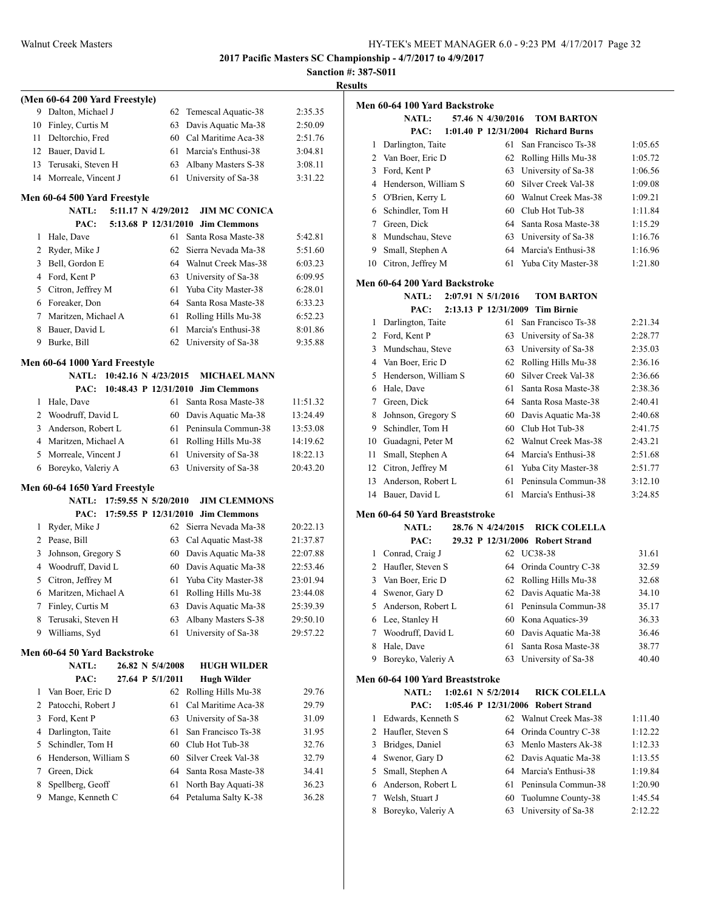|    |                                      |    |                      | Sancti   |
|----|--------------------------------------|----|----------------------|----------|
|    | (Men 60-64 200 Yard Freestyle)       |    |                      |          |
| 9  | Dalton, Michael J                    | 62 | Temescal Aquatic-38  | 2:35.35  |
| 10 | Finley, Curtis M                     | 63 | Davis Aquatic Ma-38  | 2:50.09  |
| 11 | Deltorchio, Fred                     | 60 | Cal Maritime Aca-38  | 2:51.76  |
|    | 12 Bauer, David L                    | 61 | Marcia's Enthusi-38  | 3:04.81  |
|    | 13 Terusaki, Steven H                | 63 | Albany Masters S-38  | 3:08.11  |
| 14 | Morreale, Vincent J                  | 61 | University of Sa-38  | 3:31.22  |
|    | Men 60-64 500 Yard Freestyle         |    |                      |          |
|    | <b>NATL:</b><br>5:11.17 N 4/29/2012  |    | <b>JIM MC CONICA</b> |          |
|    | PAC:<br>5:13.68 P 12/31/2010         |    | <b>Jim Clemmons</b>  |          |
| 1  | Hale, Dave                           | 61 | Santa Rosa Maste-38  | 5:42.81  |
| 2  | Ryder, Mike J                        | 62 | Sierra Nevada Ma-38  | 5:51.60  |
| 3  | Bell, Gordon E                       | 64 | Walnut Creek Mas-38  | 6:03.23  |
| 4  | Ford, Kent P                         | 63 | University of Sa-38  | 6:09.95  |
|    | 5 Citron, Jeffrey M                  | 61 | Yuba City Master-38  | 6:28.01  |
| 6  | Foreaker, Don                        | 64 | Santa Rosa Maste-38  | 6:33.23  |
| 7  | Maritzen, Michael A                  | 61 | Rolling Hills Mu-38  | 6:52.23  |
| 8  | Bauer, David L                       | 61 | Marcia's Enthusi-38  | 8:01.86  |
| 9  | Burke, Bill                          | 62 | University of Sa-38  | 9:35.88  |
|    | Men 60-64 1000 Yard Freestyle        |    |                      |          |
|    | 10:42.16 N 4/23/2015<br><b>NATL:</b> |    | <b>MICHAEL MANN</b>  |          |
|    | PAC:<br>10:48.43 P 12/31/2010        |    | <b>Jim Clemmons</b>  |          |
| 1  | Hale, Dave                           | 61 | Santa Rosa Maste-38  | 11:51.32 |
| 2  | Woodruff, David L                    | 60 | Davis Aquatic Ma-38  | 13:24.49 |
| 3  | Anderson, Robert L                   | 61 | Peninsula Commun-38  | 13:53.08 |
|    | 4 Maritzen, Michael A                | 61 | Rolling Hills Mu-38  | 14:19.62 |
| 5  | Morreale, Vincent J                  | 61 | University of Sa-38  | 18:22.13 |
| 6  | Boreyko, Valeriy A                   | 63 | University of Sa-38  | 20:43.20 |
|    | Men 60-64 1650 Yard Freestyle        |    |                      |          |
|    | NATL: 17:59.55 N 5/20/2010           |    | <b>JIM CLEMMONS</b>  |          |
|    | PAC:<br>17:59.55 P 12/31/2010        |    | <b>Jim Clemmons</b>  |          |
| 1  | Ryder, Mike J                        | 62 | Sierra Nevada Ma-38  | 20:22.13 |
|    | 2 Pease, Bill                        | 63 | Cal Aquatic Mast-38  | 21:37.87 |
| 3  | Johnson, Gregory S                   | 60 | Davis Aquatic Ma-38  | 22:07.88 |
| 4  | Woodruff, David L                    | 60 | Davis Aquatic Ma-38  | 22:53.46 |
| 5  | Citron, Jeffrey M                    | 61 | Yuba City Master-38  | 23:01.94 |
| 6  | Maritzen, Michael A                  | 61 | Rolling Hills Mu-38  | 23:44.08 |
| 7  | Finley, Curtis M                     | 63 | Davis Aquatic Ma-38  | 25:39.39 |
| 8  | Terusaki, Steven H                   | 63 | Albany Masters S-38  | 29:50.10 |
| 9  | Williams, Syd                        | 61 | University of Sa-38  | 29:57.22 |
|    | Men 60-64 50 Yard Backstroke         |    |                      |          |
|    | 26.82 N 5/4/2008<br><b>NATL:</b>     |    | <b>HUGH WILDER</b>   |          |
|    | PAC:<br>27.64 P 5/1/2011             |    | <b>Hugh Wilder</b>   |          |
| 1  | Van Boer, Eric D                     | 62 | Rolling Hills Mu-38  | 29.76    |
| 2  | Patocchi, Robert J                   | 61 | Cal Maritime Aca-38  | 29.79    |
| 3  | Ford, Kent P                         | 63 | University of Sa-38  | 31.09    |
| 4  | Darlington, Taite                    | 61 | San Francisco Ts-38  | 31.95    |
| 5  | Schindler, Tom H                     | 60 | Club Hot Tub-38      | 32.76    |
| 6  | Henderson, William S                 | 60 | Silver Creek Val-38  | 32.79    |
| 7  | Green, Dick                          | 64 | Santa Rosa Maste-38  | 34.41    |
| 8  | Spellberg, Geoff                     | 61 | North Bay Aquati-38  | 36.23    |
| 9  | Mange, Kenneth C                     | 64 | Petaluma Salty K-38  | 36.28    |
|    |                                      |    |                      |          |
|    |                                      |    |                      |          |

| <b>Results</b> |                                               |                        |                                    |         |
|----------------|-----------------------------------------------|------------------------|------------------------------------|---------|
|                | Men 60-64 100 Yard Backstroke                 |                        |                                    |         |
|                | <b>NATL:</b>                                  | 57.46 N 4/30/2016      | <b>TOM BARTON</b>                  |         |
|                | PAC:                                          |                        | 1:01.40 P 12/31/2004 Richard Burns |         |
| $\mathbf{1}$   | Darlington, Taite                             | 61                     | San Francisco Ts-38                | 1:05.65 |
|                | 2 Van Boer, Eric D                            | 62                     | Rolling Hills Mu-38                | 1:05.72 |
|                | 3 Ford, Kent P                                |                        | 63 University of Sa-38             | 1:06.56 |
|                | 4 Henderson, William S                        |                        | 60 Silver Creek Val-38             | 1:09.08 |
|                | 5 O'Brien, Kerry L                            |                        | 60 Walnut Creek Mas-38             | 1:09.21 |
|                | 6 Schindler, Tom H                            |                        | 60 Club Hot Tub-38                 | 1:11.84 |
|                | 7 Green, Dick                                 |                        | 64 Santa Rosa Maste-38             | 1:15.29 |
|                | 8 Mundschau, Steve                            |                        | 63 University of Sa-38             | 1:16.76 |
|                | 9 Small, Stephen A                            |                        | 64 Marcia's Enthusi-38             | 1:16.96 |
|                | 10 Citron, Jeffrey M                          |                        | 61 Yuba City Master-38             | 1:21.80 |
|                |                                               |                        |                                    |         |
|                | Men 60-64 200 Yard Backstroke<br><b>NATL:</b> | $2:07.91$ N $5/1/2016$ | <b>TOM BARTON</b>                  |         |
|                | PAC:                                          | 2:13.13 P 12/31/2009   | <b>Tim Birnie</b>                  |         |
|                | 1 Darlington, Taite                           | 61                     | San Francisco Ts-38                | 2:21.34 |
|                | 2 Ford, Kent P                                |                        | 63 University of Sa-38             | 2:28.77 |
|                | 3 Mundschau, Steve                            |                        | 63 University of Sa-38             | 2:35.03 |
|                | 4 Van Boer, Eric D                            |                        | 62 Rolling Hills Mu-38             | 2:36.16 |
|                | 5 Henderson, William S                        |                        | 60 Silver Creek Val-38             | 2:36.66 |
|                | 6 Hale, Dave                                  | 61                     | Santa Rosa Maste-38                | 2:38.36 |
|                | 7 Green, Dick                                 |                        | 64 Santa Rosa Maste-38             | 2:40.41 |
|                |                                               |                        |                                    |         |
|                | 8 Johnson, Gregory S                          |                        | 60 Davis Aquatic Ma-38             | 2:40.68 |
|                | 9 Schindler, Tom H                            |                        | 60 Club Hot Tub-38                 | 2:41.75 |
|                | 10 Guadagni, Peter M                          |                        | 62 Walnut Creek Mas-38             | 2:43.21 |
| 11             | Small, Stephen A                              |                        | 64 Marcia's Enthusi-38             | 2:51.68 |
|                | 12 Citron, Jeffrey M                          |                        | 61 Yuba City Master-38             | 2:51.77 |
| 13             | Anderson, Robert L                            | 61                     | Peninsula Commun-38                | 3:12.10 |
|                | 14 Bauer, David L                             | 61                     | Marcia's Enthusi-38                | 3:24.85 |
|                | Men 60-64 50 Yard Breaststroke                |                        |                                    |         |
|                | <b>NATL:</b>                                  | 28.76 N 4/24/2015      | <b>RICK COLELLA</b>                |         |
|                | PAC:                                          |                        | 29.32 P 12/31/2006 Robert Strand   |         |
|                | 1 Conrad, Craig J                             |                        | 62 UC38-38                         | 31.61   |
|                | 2 Haufler, Steven S                           |                        | 64 Orinda Country C-38             | 32.59   |
|                | 3 Van Boer, Eric D                            |                        | 62 Rolling Hills Mu-38             | 32.68   |
| 4              | Swenor, Gary D                                |                        | 62 Davis Aquatic Ma-38             | 34.10   |
|                | 5 Anderson, Robert L                          |                        | 61 Peninsula Commun-38             | 35.17   |
|                | 6 Lee, Stanley H                              |                        | 60 Kona Aquatics-39                | 36.33   |
|                | 7 Woodruff, David L                           |                        | 60 Davis Aquatic Ma-38             | 36.46   |
|                | 8 Hale, Dave                                  | 61                     | Santa Rosa Maste-38                | 38.77   |
|                | 9 Boreyko, Valeriy A                          | 63                     | University of Sa-38                | 40.40   |
|                | Men 60-64 100 Yard Breaststroke               |                        |                                    |         |
|                | <b>NATL:</b>                                  | $1:02.61$ N $5/2/2014$ | <b>RICK COLELLA</b>                |         |
|                | PAC:                                          |                        | 1:05.46 P 12/31/2006 Robert Strand |         |
|                | 1 Edwards, Kenneth S                          |                        | 62 Walnut Creek Mas-38             | 1:11.40 |
|                | 2 Haufler, Steven S                           | 64                     | Orinda Country C-38                | 1:12.22 |
| 3              | Bridges, Daniel                               | 63                     | Menlo Masters Ak-38                | 1:12.33 |
| 4              | Swenor, Gary D                                |                        | 62 Davis Aquatic Ma-38             | 1:13.55 |
| 5              | Small, Stephen A                              |                        | 64 Marcia's Enthusi-38             | 1:19.84 |
| 6              | Anderson, Robert L                            | 61                     | Peninsula Commun-38                | 1:20.90 |
|                | 7 Welsh, Stuart J                             | 60                     | Tuolumne County-38                 | 1:45.54 |
| 8              | Boreyko, Valeriy A                            | 63                     | University of Sa-38                | 2:12.22 |
|                |                                               |                        |                                    |         |
|                |                                               |                        |                                    |         |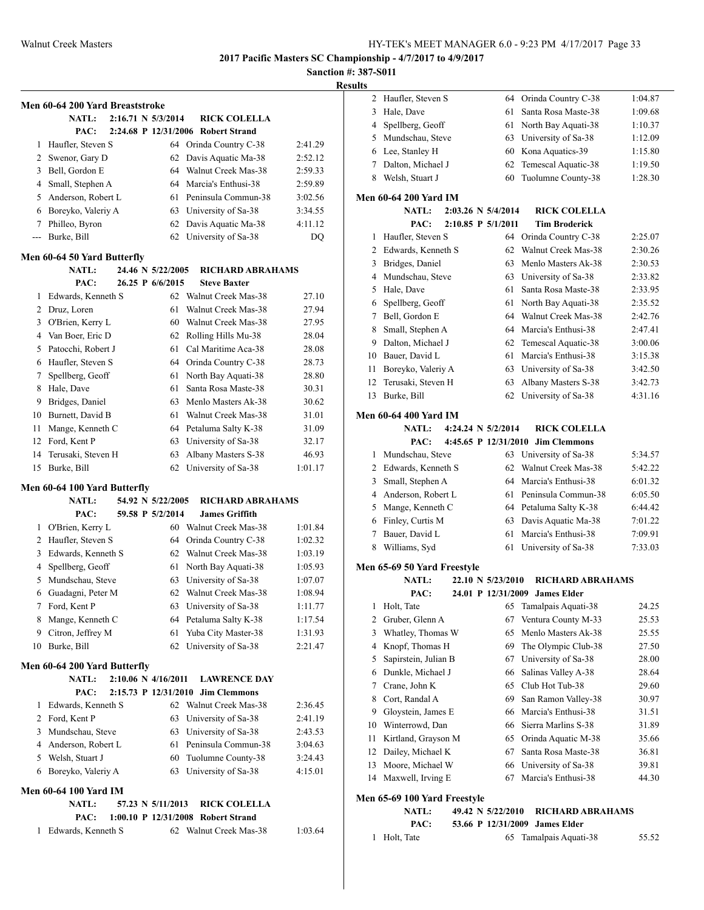## **Sanction #: 387-S011**

|                | Men 60-64 200 Yard Breaststroke              |  |                      |                                                           |         |
|----------------|----------------------------------------------|--|----------------------|-----------------------------------------------------------|---------|
|                | <b>NATL:</b>                                 |  | 2:16.71 N 5/3/2014   | <b>RICK COLELLA</b>                                       |         |
|                | PAC:                                         |  |                      | 2:24.68 P 12/31/2006 Robert Strand                        |         |
| 1              | Haufler, Steven S                            |  |                      | 64 Orinda Country C-38                                    | 2:41.29 |
| $\overline{2}$ | Swenor, Gary D                               |  | 62                   | Davis Aquatic Ma-38                                       | 2:52.12 |
| 3              | Bell, Gordon E                               |  | 64                   | Walnut Creek Mas-38                                       | 2:59.33 |
|                | 4 Small, Stephen A                           |  | 64                   | Marcia's Enthusi-38                                       | 2:59.89 |
|                | 5 Anderson, Robert L                         |  | 61                   | Peninsula Commun-38                                       | 3:02.56 |
|                | 6 Boreyko, Valeriy A                         |  |                      | 63 University of Sa-38                                    | 3:34.55 |
| 7              | Philleo, Byron                               |  | 62                   | Davis Aquatic Ma-38                                       | 4:11.12 |
| ---            | Burke, Bill                                  |  | 62                   | University of Sa-38                                       | DQ      |
|                | Men 60-64 50 Yard Butterfly                  |  |                      |                                                           |         |
|                | <b>NATL:</b>                                 |  | 24.46 N 5/22/2005    | <b>RICHARD ABRAHAMS</b>                                   |         |
|                | PAC:                                         |  | 26.25 P 6/6/2015     | <b>Steve Baxter</b>                                       |         |
| 1              | Edwards, Kenneth S                           |  | 62                   | Walnut Creek Mas-38                                       | 27.10   |
|                | 2 Druz, Loren                                |  | 61                   | Walnut Creek Mas-38                                       | 27.94   |
|                | 3 O'Brien, Kerry L                           |  | 60                   | Walnut Creek Mas-38                                       | 27.95   |
|                | 4 Van Boer, Eric D                           |  | 62                   | Rolling Hills Mu-38                                       | 28.04   |
|                | 5 Patocchi, Robert J                         |  | 61                   | Cal Maritime Aca-38                                       | 28.08   |
|                | 6 Haufler, Steven S                          |  |                      | 64 Orinda Country C-38                                    | 28.73   |
| 7              | Spellberg, Geoff                             |  | 61                   | North Bay Aquati-38                                       | 28.80   |
|                | 8 Hale, Dave                                 |  | 61                   | Santa Rosa Maste-38                                       | 30.31   |
| 9.             | Bridges, Daniel                              |  | 63                   | Menlo Masters Ak-38                                       | 30.62   |
|                | 10 Burnett, David B                          |  | 61                   | Walnut Creek Mas-38                                       | 31.01   |
| 11             | Mange, Kenneth C                             |  | 64                   | Petaluma Salty K-38                                       | 31.09   |
| 12             | Ford, Kent P                                 |  | 63                   | University of Sa-38                                       | 32.17   |
| 14             | Terusaki, Steven H                           |  | 63                   | Albany Masters S-38                                       | 46.93   |
| 15             | Burke, Bill                                  |  | 62                   | University of Sa-38                                       | 1:01.17 |
|                |                                              |  |                      |                                                           |         |
|                | Men 60-64 100 Yard Butterfly<br><b>NATL:</b> |  | 54.92 N 5/22/2005    | RICHARD ABRAHAMS                                          |         |
|                | PAC:                                         |  | 59.58 P 5/2/2014     | <b>James Griffith</b>                                     |         |
| 1              | O'Brien, Kerry L                             |  |                      | 60 Walnut Creek Mas-38                                    | 1:01.84 |
|                | 2 Haufler, Steven S                          |  | 64                   | Orinda Country C-38                                       | 1:02.32 |
|                | 3 Edwards, Kenneth S                         |  | 62                   | Walnut Creek Mas-38                                       | 1:03.19 |
|                | 4 Spellberg, Geoff                           |  | 61                   | North Bay Aquati-38                                       | 1:05.93 |
| 5.             | Mundschau, Steve                             |  | 63                   | University of Sa-38                                       | 1:07.07 |
| 6              | Guadagni, Peter M                            |  | 62                   | Walnut Creek Mas-38                                       | 1:08.94 |
| 7              | Ford, Kent P                                 |  | 63                   | University of Sa-38                                       | 1:11.77 |
| 8              | Mange, Kenneth C                             |  | 64                   | Petaluma Salty K-38                                       | 1:17.54 |
| 9.             | Citron, Jeffrey M                            |  | 61                   | Yuba City Master-38                                       | 1:31.93 |
| 10             | Burke, Bill                                  |  | 62                   | University of Sa-38                                       | 2:21.47 |
|                |                                              |  |                      |                                                           |         |
|                | Men 60-64 200 Yard Butterfly<br><b>NATL:</b> |  | 2:10.06 N 4/16/2011  | <b>LAWRENCE DAY</b>                                       |         |
|                | PAC:                                         |  | 2:15.73 P 12/31/2010 | <b>Jim Clemmons</b>                                       |         |
| 1              | Edwards, Kenneth S                           |  |                      | 62 Walnut Creek Mas-38                                    | 2:36.45 |
|                | 2 Ford, Kent P                               |  | 63                   | University of Sa-38                                       | 2:41.19 |
|                | 3 Mundschau, Steve                           |  | 63                   | University of Sa-38                                       | 2:43.53 |
| 4              | Anderson, Robert L                           |  | 61                   | Peninsula Commun-38                                       | 3:04.63 |
|                | 5 Welsh, Stuart J                            |  | 60                   | Tuolumne County-38                                        | 3:24.43 |
| 6              | Boreyko, Valeriy A                           |  | 63                   | University of Sa-38                                       | 4:15.01 |
|                |                                              |  |                      |                                                           |         |
|                | <b>Men 60-64 100 Yard IM</b>                 |  |                      |                                                           |         |
|                | <b>NATL:</b>                                 |  | 57.23 N 5/11/2013    | <b>RICK COLELLA</b><br>1:00.10 P 12/31/2008 Robert Strand |         |
| 1              | PAC:<br>Edwards, Kenneth S                   |  |                      | 62 Walnut Creek Mas-38                                    | 1:03.64 |
|                |                                              |  |                      |                                                           |         |
|                |                                              |  |                      |                                                           |         |

| 11 L.J |                              |                      |                                |         |
|--------|------------------------------|----------------------|--------------------------------|---------|
| 2      | Haufler, Steven S            | 64                   | Orinda Country C-38            | 1:04.87 |
| 3      | Hale, Dave                   | 61                   | Santa Rosa Maste-38            | 1:09.68 |
| 4      | Spellberg, Geoff             | 61                   | North Bay Aquati-38            | 1:10.37 |
| 5      | Mundschau, Steve             | 63                   | University of Sa-38            | 1:12.09 |
| 6      | Lee, Stanley H               | 60                   | Kona Aquatics-39               | 1:15.80 |
| 7      | Dalton, Michael J            | 62                   | Temescal Aquatic-38            | 1:19.50 |
| 8      | Welsh, Stuart J              | 60                   | Tuolumne County-38             | 1:28.30 |
|        | <b>Men 60-64 200 Yard IM</b> |                      |                                |         |
|        | <b>NATL:</b>                 | 2:03.26 N 5/4/2014   | <b>RICK COLELLA</b>            |         |
|        | PAC:                         | 2:10.85 P 5/1/2011   | <b>Tim Broderick</b>           |         |
| 1      | Haufler, Steven S            |                      | 64 Orinda Country C-38         | 2:25.07 |
| 2      | Edwards, Kenneth S           | 62                   | Walnut Creek Mas-38            | 2:30.26 |
| 3      | Bridges, Daniel              | 63                   | Menlo Masters Ak-38            | 2:30.53 |
| 4      | Mundschau, Steve             | 63                   | University of Sa-38            | 2:33.82 |
| 5      | Hale, Dave                   | 61                   | Santa Rosa Maste-38            | 2:33.95 |
| 6      | Spellberg, Geoff             | 61                   | North Bay Aquati-38            | 2:35.52 |
| 7      | Bell, Gordon E               | 64                   | Walnut Creek Mas-38            | 2:42.76 |
| 8      | Small, Stephen A             | 64                   | Marcia's Enthusi-38            | 2:47.41 |
| 9      | Dalton, Michael J            | 62                   | Temescal Aquatic-38            | 3:00.06 |
| 10     | Bauer, David L               | 61                   | Marcia's Enthusi-38            | 3:15.38 |
| 11     | Boreyko, Valeriy A           | 63                   | University of Sa-38            | 3:42.50 |
| 12     | Terusaki, Steven H           | 63                   | Albany Masters S-38            | 3:42.73 |
| 13     | Burke, Bill                  | 62                   | University of Sa-38            | 4:31.16 |
|        |                              |                      |                                |         |
|        | <b>Men 60-64 400 Yard IM</b> |                      |                                |         |
|        | <b>NATL:</b>                 | 4:24.24 N 5/2/2014   | <b>RICK COLELLA</b>            |         |
|        | PAC:                         | 4:45.65 P 12/31/2010 | <b>Jim Clemmons</b>            |         |
| 1      | Mundschau, Steve             | 63                   | University of Sa-38            | 5:34.57 |
| 2      | Edwards, Kenneth S           | 62                   | Walnut Creek Mas-38            | 5:42.22 |
| 3      | Small, Stephen A             | 64                   | Marcia's Enthusi-38            | 6:01.32 |
| 4      | Anderson, Robert L           | 61                   | Peninsula Commun-38            | 6:05.50 |
| 5      | Mange, Kenneth C             |                      | 64 Petaluma Salty K-38         | 6:44.42 |
| 6      | Finley, Curtis M             | 63                   | Davis Aquatic Ma-38            | 7:01.22 |
| 7      | Bauer, David L               | 61                   | Marcia's Enthusi-38            | 7:09.91 |
| 8      | Williams, Syd                | 61                   | University of Sa-38            | 7:33.03 |
|        | Men 65-69 50 Yard Freestyle  |                      |                                |         |
|        | <b>NATL:</b>                 | 22.10 N 5/23/2010    | RICHARD ABRAHAMS               |         |
|        | PAC:                         |                      | 24.01 P 12/31/2009 James Elder |         |
| 1      | Holt, Tate                   | 65                   | Tamalpais Aquati-38            | 24.25   |
| 2      | Gruber, Glenn A              | 67                   | Ventura County M-33            | 25.53   |
| 3      | Whatley, Thomas W            | 65                   | Menlo Masters Ak-38            | 25.55   |
| 4      | Knopf, Thomas H              | 69                   | The Olympic Club-38            | 27.50   |
| 5      | Sapirstein, Julian B         | 67                   | University of Sa-38            | 28.00   |
| 6      | Dunkle, Michael J            | 66                   | Salinas Valley A-38            | 28.64   |
| 7      | Crane, John K                | 65                   | Club Hot Tub-38                | 29.60   |
| 8      | Cort, Randal A               | 69                   | San Ramon Valley-38            | 30.97   |
| 9      | Gloystein, James E           | 66                   | Marcia's Enthusi-38            | 31.51   |
| 10     | Winterrowd, Dan              | 66                   | Sierra Marlins S-38            | 31.89   |
| 11     | Kirtland, Grayson M          | 65                   | Orinda Aquatic M-38            | 35.66   |
| 12     | Dailey, Michael K            | 67                   | Santa Rosa Maste-38            | 36.81   |
| 13     | Moore, Michael W             | 66                   | University of Sa-38            | 39.81   |
| 14     | Maxwell, Irving E            | 67                   | Marcia's Enthusi-38            | 44.30   |
|        |                              |                      |                                |         |
|        | Men 65-69 100 Yard Freestyle |                      |                                |         |

| NATL:        | 49.42 N 5/22/2010              | RICHARD ABRAHAMS       |       |
|--------------|--------------------------------|------------------------|-------|
| PAC:         | 53.66 P 12/31/2009 James Elder |                        |       |
| 1 Holt, Tate |                                | 65 Tamalpais Aquati-38 | 55.52 |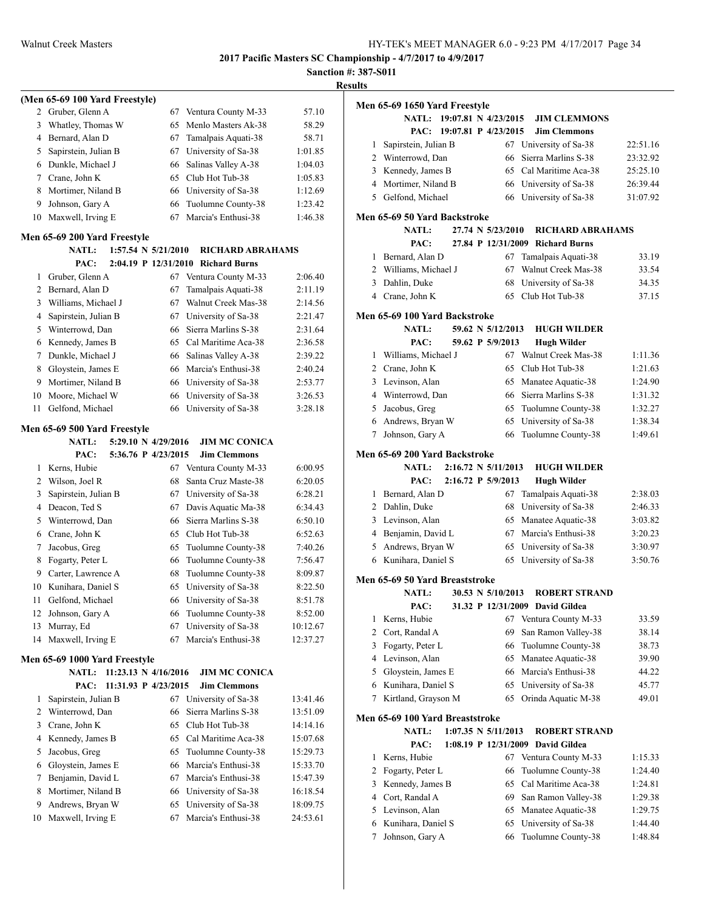## **Sanction #: 387-S011 Results**

|                |                                                                       |    |                         | Sanct    |
|----------------|-----------------------------------------------------------------------|----|-------------------------|----------|
|                | (Men 65-69 100 Yard Freestyle)                                        |    |                         |          |
|                | 2 Gruber, Glenn A                                                     | 67 | Ventura County M-33     | 57.10    |
| 3              | Whatley, Thomas W                                                     | 65 | Menlo Masters Ak-38     | 58.29    |
|                | 4 Bernard, Alan D                                                     | 67 | Tamalpais Aquati-38     | 58.71    |
| 5              | Sapirstein, Julian B                                                  | 67 | University of Sa-38     | 1:01.85  |
|                | 6 Dunkle, Michael J                                                   | 66 | Salinas Valley A-38     | 1:04.03  |
|                | 7 Crane, John K                                                       | 65 | Club Hot Tub-38         | 1:05.83  |
| 8              | Mortimer, Niland B                                                    | 66 | University of Sa-38     | 1:12.69  |
| 9              | Johnson, Gary A                                                       | 66 | Tuolumne County-38      | 1:23.42  |
| 10             | Maxwell, Irving E                                                     | 67 | Marcia's Enthusi-38     | 1:46.38  |
|                |                                                                       |    |                         |          |
|                | Men 65-69 200 Yard Freestyle<br>1:57.54 N 5/21/2010<br><b>NATL:</b>   |    | <b>RICHARD ABRAHAMS</b> |          |
|                | PAC:<br>2:04.19 P 12/31/2010                                          |    | <b>Richard Burns</b>    |          |
| 1              | Gruber, Glenn A                                                       | 67 | Ventura County M-33     | 2:06.40  |
| $\overline{2}$ | Bernard, Alan D                                                       | 67 | Tamalpais Aquati-38     | 2:11.19  |
| 3              | Williams, Michael J                                                   | 67 | Walnut Creek Mas-38     | 2:14.56  |
| 4              | Sapirstein, Julian B                                                  | 67 | University of Sa-38     | 2:21.47  |
| 5              | Winterrowd, Dan                                                       | 66 | Sierra Marlins S-38     | 2:31.64  |
| 6              | Kennedy, James B                                                      | 65 | Cal Maritime Aca-38     | 2:36.58  |
| 7              | Dunkle, Michael J                                                     | 66 | Salinas Valley A-38     | 2:39.22  |
| 8              | Gloystein, James E                                                    | 66 | Marcia's Enthusi-38     | 2:40.24  |
| 9              | Mortimer, Niland B                                                    | 66 | University of Sa-38     | 2:53.77  |
| 10             | Moore, Michael W                                                      | 66 | University of Sa-38     | 3:26.53  |
| 11             | Gelfond, Michael                                                      | 66 | University of Sa-38     | 3:28.18  |
|                |                                                                       |    |                         |          |
|                | Men 65-69 500 Yard Freestyle<br>5:29.10 N 4/29/2016<br><b>NATL:</b>   |    | <b>JIM MC CONICA</b>    |          |
|                | 5:36.76 P 4/23/2015<br>PAC:                                           |    | <b>Jim Clemmons</b>     |          |
| 1              | Kerns, Hubie                                                          | 67 | Ventura County M-33     | 6:00.95  |
|                | 2 Wilson, Joel R                                                      | 68 | Santa Cruz Maste-38     | 6:20.05  |
| 3              | Sapirstein, Julian B                                                  | 67 | University of Sa-38     | 6:28.21  |
| 4              | Deacon, Ted S                                                         | 67 | Davis Aquatic Ma-38     | 6:34.43  |
| 5              | Winterrowd, Dan                                                       | 66 | Sierra Marlins S-38     | 6:50.10  |
| 6              | Crane, John K                                                         | 65 | Club Hot Tub-38         | 6:52.63  |
| 7              | Jacobus, Greg                                                         | 65 | Tuolumne County-38      | 7:40.26  |
| 8              | Fogarty, Peter L                                                      | 66 | Tuolumne County-38      | 7:56.47  |
| 9              | Carter, Lawrence A                                                    | 68 | Tuolumne County-38      | 8:09.87  |
| 10             | Kunihara, Daniel S                                                    | 65 | University of Sa-38     | 8:22.50  |
| 11             | Gelfond, Michael                                                      | 66 | University of Sa-38     | 8:51.78  |
| 12             | Johnson, Gary A                                                       | 66 | Tuolumne County-38      | 8:52.00  |
| 13             | Murray, Ed                                                            | 67 | University of Sa-38     | 10:12.67 |
| 14             | Maxwell, Irving E                                                     | 67 | Marcia's Enthusi-38     | 12:37.27 |
|                |                                                                       |    |                         |          |
|                | Men 65-69 1000 Yard Freestyle<br>11:23.13 N 4/16/2016<br><b>NATL:</b> |    | <b>JIM MC CONICA</b>    |          |
|                | PAC:<br>11:31.93 P 4/23/2015                                          |    | <b>Jim Clemmons</b>     |          |
| 1              | Sapirstein, Julian B                                                  | 67 | University of Sa-38     | 13:41.46 |
| 2              | Winterrowd, Dan                                                       | 66 | Sierra Marlins S-38     | 13:51.09 |
| 3              | Crane, John K                                                         | 65 | Club Hot Tub-38         | 14:14.16 |
| 4              | Kennedy, James B                                                      | 65 | Cal Maritime Aca-38     | 15:07.68 |
| 5              | Jacobus, Greg                                                         | 65 | Tuolumne County-38      | 15:29.73 |
| 6              | Gloystein, James E                                                    | 66 | Marcia's Enthusi-38     | 15:33.70 |
| 7              | Benjamin, David L                                                     | 67 | Marcia's Enthusi-38     | 15:47.39 |
| 8              | Mortimer, Niland B                                                    | 66 | University of Sa-38     | 16:18.54 |
| 9              | Andrews, Bryan W                                                      | 65 | University of Sa-38     | 18:09.75 |
| 10             | Maxwell, Irving E                                                     | 67 | Marcia's Enthusi-38     | 24:53.61 |
|                |                                                                       |    |                         |          |

| 11 L J         |                                          |                         |                                            |                |
|----------------|------------------------------------------|-------------------------|--------------------------------------------|----------------|
|                | Men 65-69 1650 Yard Freestyle            |                         |                                            |                |
|                | <b>NATL:</b>                             | 19:07.81 N 4/23/2015    | <b>JIM CLEMMONS</b>                        |                |
|                | PAC:                                     | 19:07.81 P 4/23/2015    | <b>Jim Clemmons</b>                        |                |
| 1              | Sapirstein, Julian B                     | 67                      | University of Sa-38                        | 22:51.16       |
|                | 2 Winterrowd, Dan                        | 66                      | Sierra Marlins S-38                        | 23:32.92       |
|                | 3 Kennedy, James B                       | 65                      | Cal Maritime Aca-38                        | 25:25.10       |
|                | 4 Mortimer, Niland B                     | 66                      | University of Sa-38                        | 26:39.44       |
| 5              | Gelfond, Michael                         | 66                      | University of Sa-38                        | 31:07.92       |
|                | Men 65-69 50 Yard Backstroke             |                         |                                            |                |
|                | <b>NATL:</b>                             | 27.74 N 5/23/2010       | <b>RICHARD ABRAHAMS</b>                    |                |
|                | PAC:                                     | 27.84 P 12/31/2009      | <b>Richard Burns</b>                       |                |
|                |                                          |                         |                                            |                |
| 1              | Bernard, Alan D<br>2 Williams, Michael J | 67<br>67                | Tamalpais Aquati-38<br>Walnut Creek Mas-38 | 33.19<br>33.54 |
|                |                                          |                         |                                            |                |
| 3              | Dahlin, Duke                             | 68                      | University of Sa-38                        | 34.35          |
| 4              | Crane, John K                            | 65                      | Club Hot Tub-38                            | 37.15          |
|                | Men 65-69 100 Yard Backstroke            |                         |                                            |                |
|                | <b>NATL:</b>                             | 59.62 N 5/12/2013       | <b>HUGH WILDER</b>                         |                |
|                | PAC:                                     | 59.62 P 5/9/2013        | <b>Hugh Wilder</b>                         |                |
| 1              | Williams, Michael J                      |                         | 67 Walnut Creek Mas-38                     | 1:11.36        |
|                | 2 Crane, John K                          | 65                      | Club Hot Tub-38                            | 1:21.63        |
| 3              | Levinson, Alan                           | 65                      | Manatee Aquatic-38                         | 1:24.90        |
|                | 4 Winterrowd, Dan                        | 66                      | Sierra Marlins S-38                        | 1:31.32        |
| 5              | Jacobus, Greg                            | 65                      | Tuolumne County-38                         | 1:32.27        |
| 6              | Andrews, Bryan W                         | 65                      | University of Sa-38                        | 1:38.34        |
| 7              | Johnson, Gary A                          | 66                      | Tuolumne County-38                         | 1:49.61        |
|                |                                          |                         |                                            |                |
|                | Men 65-69 200 Yard Backstroke            | 2:16.72 N 5/11/2013     |                                            |                |
|                | <b>NATL:</b>                             |                         | <b>HUGH WILDER</b>                         |                |
|                | PAC:                                     | 2:16.72 P 5/9/2013      | <b>Hugh Wilder</b>                         |                |
| 1              | Bernard, Alan D                          | 67                      | Tamalpais Aquati-38                        | 2:38.03        |
|                | 2 Dahlin, Duke                           | 68                      | University of Sa-38                        | 2:46.33        |
| 3              | Levinson, Alan                           | 65                      | Manatee Aquatic-38                         | 3:03.82        |
| $\overline{4}$ | Benjamin, David L                        | 67                      | Marcia's Enthusi-38                        | 3:20.23        |
| 5              | Andrews, Bryan W                         | 65                      | University of Sa-38                        | 3:30.97        |
|                | 6 Kunihara, Daniel S                     | 65                      | University of Sa-38                        | 3:50.76        |
|                | Men 65-69 50 Yard Breaststroke           |                         |                                            |                |
|                | <b>NATL:</b>                             | 30.53 N 5/10/2013       | <b>ROBERT STRAND</b>                       |                |
|                | PAC:                                     |                         | 31.32 P 12/31/2009 David Gildea            |                |
| 1              | Kerns, Hubie                             | 67                      | Ventura County M-33                        | 33.59          |
| 2              | Cort, Randal A                           | 69                      | San Ramon Valley-38                        | 38.14          |
| 3              | Fogarty, Peter L                         | 66                      | Tuolumne County-38                         | 38.73          |
| $\overline{4}$ | Levinson, Alan                           | 65                      | Manatee Aquatic-38                         | 39.90          |
| 5              | Gloystein, James E                       | 66                      | Marcia's Enthusi-38                        | 44.22          |
| 6              | Kunihara, Daniel S                       | 65                      | University of Sa-38                        | 45.77          |
| 7              | Kirtland, Grayson M                      | 65                      | Orinda Aquatic M-38                        | 49.01          |
|                |                                          |                         |                                            |                |
|                | Men 65-69 100 Yard Breaststroke          |                         |                                            |                |
|                | <b>NATL:</b>                             | $1:07.35$ N $5/11/2013$ | <b>ROBERT STRAND</b>                       |                |
|                | PAC:                                     | 1:08.19 P 12/31/2009    | <b>David Gildea</b>                        |                |
| 1              | Kerns, Hubie                             | 67                      | Ventura County M-33                        | 1:15.33        |
| 2              | Fogarty, Peter L                         | 66                      | Tuolumne County-38                         | 1:24.40        |
| 3              | Kennedy, James B                         | 65                      | Cal Maritime Aca-38                        | 1:24.81        |
| 4              | Cort, Randal A                           | 69                      | San Ramon Valley-38                        | 1:29.38        |
| 5              | Levinson, Alan                           | 65                      | Manatee Aquatic-38                         | 1:29.75        |
| 6              | Kunihara, Daniel S                       | 65                      | University of Sa-38                        | 1:44.40        |
| 7              | Johnson, Gary A                          | 66                      | Tuolumne County-38                         | 1:48.84        |
|                |                                          |                         |                                            |                |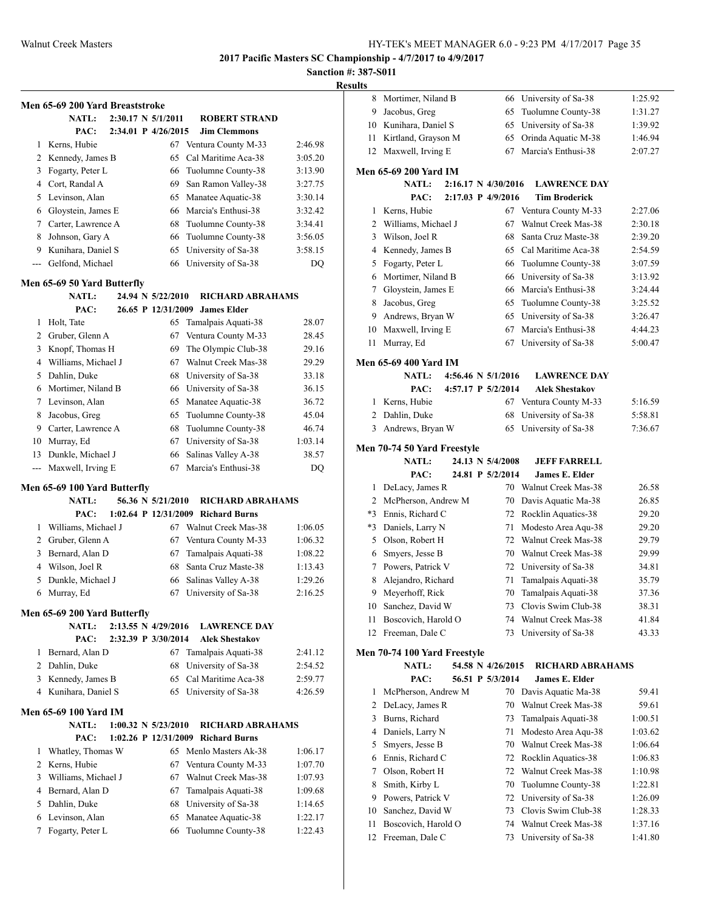| Results |
|---------|
|---------|

|                | Men 65-69 200 Yard Breaststroke |  |                                |                                                  |                    |
|----------------|---------------------------------|--|--------------------------------|--------------------------------------------------|--------------------|
|                | <b>NATL:</b>                    |  | $2:30.17 \text{ N } 5/1/2011$  | <b>ROBERT STRAND</b>                             |                    |
|                | PAC:                            |  | 2:34.01 P 4/26/2015            | <b>Jim Clemmons</b>                              |                    |
| 1              | Kerns, Hubie                    |  |                                | 67 Ventura County M-33                           | 2:46.98            |
|                | 2 Kennedy, James B              |  |                                | 65 Cal Maritime Aca-38                           | 3:05.20            |
|                | 3 Fogarty, Peter L              |  |                                | 66 Tuolumne County-38                            | 3:13.90            |
|                | 4 Cort, Randal A                |  |                                |                                                  | 3:27.75            |
|                | 5 Levinson, Alan                |  |                                | 69 San Ramon Valley-38                           |                    |
|                |                                 |  |                                | 65 Manatee Aquatic-38                            | 3:30.14            |
|                | 6 Gloystein, James E            |  |                                | 66 Marcia's Enthusi-38                           | 3:32.42            |
|                | 7 Carter, Lawrence A            |  |                                | 68 Tuolumne County-38                            | 3:34.41            |
|                | 8 Johnson, Gary A               |  |                                | 66 Tuolumne County-38                            | 3:56.05            |
|                | 9 Kunihara, Daniel S            |  |                                | 65 University of Sa-38                           | 3:58.15            |
| ---            | Gelfond, Michael                |  | 66                             | University of Sa-38                              | DQ                 |
|                | Men 65-69 50 Yard Butterfly     |  |                                |                                                  |                    |
|                | <b>NATL:</b>                    |  | 24.94 N 5/22/2010              | <b>RICHARD ABRAHAMS</b>                          |                    |
|                | PAC:                            |  | 26.65 P 12/31/2009             | <b>James Elder</b>                               |                    |
| 1              | Holt, Tate                      |  |                                | 65 Tamalpais Aquati-38                           | 28.07              |
|                | 2 Gruber, Glenn A               |  |                                | 67 Ventura County M-33                           | 28.45              |
|                | 3 Knopf, Thomas H               |  |                                | 69 The Olympic Club-38                           | 29.16              |
|                | 4 Williams, Michael J           |  |                                | 67 Walnut Creek Mas-38                           | 29.29              |
|                | 5 Dahlin, Duke                  |  |                                | 68 University of Sa-38                           | 33.18              |
|                | 6 Mortimer, Niland B            |  |                                | 66 University of Sa-38                           | 36.15              |
|                | 7 Levinson, Alan                |  |                                | 65 Manatee Aquatic-38                            | 36.72              |
| 8              | Jacobus, Greg                   |  | 65                             | Tuolumne County-38                               | 45.04              |
| 9              | Carter, Lawrence A              |  |                                | 68 Tuolumne County-38                            | 46.74              |
|                | 10 Murray, Ed                   |  |                                | 67 University of Sa-38                           | 1:03.14            |
| 13             | Dunkle, Michael J               |  | 66                             | Salinas Valley A-38                              | 38.57              |
| $\overline{a}$ | Maxwell, Irving E               |  | 67                             | Marcia's Enthusi-38                              | DQ                 |
|                | Men 65-69 100 Yard Butterfly    |  |                                |                                                  |                    |
|                | <b>NATL:</b>                    |  | 56.36 N 5/21/2010              | <b>RICHARD ABRAHAMS</b>                          |                    |
|                | PAC:                            |  |                                | 1:02.64 P 12/31/2009 Richard Burns               |                    |
| 1              | Williams, Michael J             |  |                                | 67 Walnut Creek Mas-38                           | 1:06.05            |
|                | 2 Gruber, Glenn A               |  |                                | 67 Ventura County M-33                           | 1:06.32            |
|                | 3 Bernard, Alan D               |  |                                | 67 Tamalpais Aquati-38                           | 1:08.22            |
|                | 4 Wilson, Joel R                |  | 68                             | Santa Cruz Maste-38                              | 1:13.43            |
| 5              | Dunkle, Michael J               |  |                                | 66 Salinas Valley A-38                           | 1:29.26            |
| 6              | Murray, Ed                      |  |                                | 67 University of Sa-38                           | 2:16.25            |
|                | Men 65-69 200 Yard Butterfly    |  |                                |                                                  |                    |
|                | <b>NATL:</b>                    |  | 2:13.55 N 4/29/2016            | <b>LAWRENCE DAY</b>                              |                    |
|                | PAC:                            |  | 2:32.39 P 3/30/2014            | <b>Alek Shestakov</b>                            |                    |
| 1              | Bernard, Alan D                 |  | 67                             | Tamalpais Aquati-38                              | 2:41.12            |
|                | 2 Dahlin, Duke                  |  | 68                             | University of Sa-38                              | 2:54.52            |
|                | 3 Kennedy, James B              |  |                                | 65 Cal Maritime Aca-38                           | 2:59.77            |
| 4              | Kunihara, Daniel S              |  |                                | 65 University of Sa-38                           | 4:26.59            |
|                | <b>Men 65-69 100 Yard IM</b>    |  |                                |                                                  |                    |
|                | NATL:                           |  | $1:00.32 \text{ N } 5/23/2010$ | RICHARD ABRAHAMS                                 |                    |
|                | PAC:                            |  | $1:02.26$ P $12/31/2009$       | <b>Richard Burns</b>                             |                    |
| 1              | Whatley, Thomas W               |  |                                | 65 Menlo Masters Ak-38                           | 1:06.17            |
|                | 2 Kerns, Hubie                  |  | 67                             | Ventura County M-33                              | 1:07.70            |
|                | 3 Williams, Michael J           |  |                                | 67 Walnut Creek Mas-38                           |                    |
|                | 4 Bernard, Alan D               |  |                                |                                                  | 1:07.93            |
| 5              | Dahlin, Duke                    |  |                                | 67 Tamalpais Aquati-38<br>68 University of Sa-38 | 1:09.68<br>1:14.65 |
| 6              | Levinson, Alan                  |  |                                |                                                  |                    |
| 7              |                                 |  | 66                             | 65 Manatee Aquatic-38                            | 1:22.17            |
|                | Fogarty, Peter L                |  |                                | Tuolumne County-38                               | 1:22.43            |

| 8    | Mortimer, Niland B                        |  | 66                  | University of Sa-38                        | 1:25.92            |
|------|-------------------------------------------|--|---------------------|--------------------------------------------|--------------------|
| 9    | Jacobus, Greg                             |  | 65                  | Tuolumne County-38                         | 1:31.27            |
| 10   | Kunihara, Daniel S                        |  | 65                  | University of Sa-38                        | 1:39.92            |
| 11   | Kirtland, Grayson M                       |  | 65                  | Orinda Aquatic M-38                        | 1:46.94            |
| 12   | Maxwell, Irving E                         |  | 67                  | Marcia's Enthusi-38                        | 2:07.27            |
|      |                                           |  |                     |                                            |                    |
|      | Men 65-69 200 Yard IM                     |  |                     |                                            |                    |
|      | <b>NATL:</b>                              |  | 2:16.17 N 4/30/2016 | <b>LAWRENCE DAY</b>                        |                    |
|      | PAC:                                      |  | 2:17.03 P 4/9/2016  | <b>Tim Broderick</b>                       |                    |
| 1    | Kerns, Hubie                              |  | 67                  | Ventura County M-33                        | 2:27.06            |
| 2    | Williams, Michael J                       |  | 67                  | Walnut Creek Mas-38                        | 2:30.18            |
| 3    | Wilson, Joel R                            |  | 68                  | Santa Cruz Maste-38                        | 2:39.20            |
| 4    | Kennedy, James B                          |  | 65                  | Cal Maritime Aca-38                        | 2:54.59            |
| 5    | Fogarty, Peter L                          |  | 66                  | Tuolumne County-38                         | 3:07.59            |
| 6    | Mortimer, Niland B                        |  | 66                  | University of Sa-38                        | 3:13.92            |
| 7    | Gloystein, James E                        |  | 66                  | Marcia's Enthusi-38                        | 3:24.44            |
| 8    | Jacobus, Greg                             |  | 65                  | Tuolumne County-38                         | 3:25.52            |
| 9    | Andrews, Bryan W                          |  | 65                  | University of Sa-38                        | 3:26.47            |
| 10   | Maxwell, Irving E                         |  | 67                  | Marcia's Enthusi-38                        | 4:44.23            |
| 11   | Murray, Ed                                |  | 67                  | University of Sa-38                        | 5:00.47            |
|      | Men 65-69 400 Yard IM                     |  |                     |                                            |                    |
|      | <b>NATL:</b>                              |  | 4:56.46 N 5/1/2016  | <b>LAWRENCE DAY</b>                        |                    |
|      | PAC:                                      |  | 4:57.17 P 5/2/2014  | <b>Alek Shestakov</b>                      |                    |
| 1    | Kerns, Hubie                              |  | 67                  | Ventura County M-33                        | 5:16.59            |
| 2    | Dahlin, Duke                              |  | 68                  | University of Sa-38                        | 5:58.81            |
| 3    | Andrews, Bryan W                          |  | 65                  | University of Sa-38                        | 7:36.67            |
|      |                                           |  |                     |                                            |                    |
|      | Men 70-74 50 Yard Freestyle               |  |                     |                                            |                    |
|      |                                           |  |                     |                                            |                    |
|      | <b>NATL:</b>                              |  | 24.13 N 5/4/2008    | <b>JEFF FARRELL</b>                        |                    |
|      | PAC:                                      |  | 24.81 P 5/2/2014    | <b>James E. Elder</b>                      |                    |
| 1    | DeLacy, James R                           |  | 70                  | Walnut Creek Mas-38                        | 26.58              |
| 2    | McPherson, Andrew M                       |  | 70                  | Davis Aquatic Ma-38                        | 26.85              |
| $*3$ | Ennis, Richard C                          |  | 72                  | Rocklin Aquatics-38                        | 29.20              |
| *3   | Daniels, Larry N                          |  | 71                  | Modesto Area Aqu-38                        | 29.20              |
| 5    | Olson, Robert H                           |  | 72                  | Walnut Creek Mas-38                        | 29.79              |
| 6    | Smyers, Jesse B                           |  | 70                  | Walnut Creek Mas-38                        | 29.99              |
| 7    | Powers, Patrick V                         |  | 72                  | University of Sa-38                        | 34.81              |
| 8    | Alejandro, Richard                        |  | 71                  | Tamalpais Aquati-38                        | 35.79              |
| 9    | Meyerhoff, Rick                           |  | 70                  | Tamalpais Aquati-38                        | 37.36              |
| 10   | Sanchez, David W                          |  |                     | 73 Clovis Swim Club-38                     | 38.31              |
| 11   | Boscovich, Harold O                       |  | 74                  | Walnut Creek Mas-38                        | 41.84              |
| 12   | Freeman, Dale C                           |  | 73                  | University of Sa-38                        | 43.33              |
|      | Men 70-74 100 Yard Freestyle              |  |                     |                                            |                    |
|      | <b>NATL:</b>                              |  | 54.58 N 4/26/2015   | <b>RICHARD ABRAHAMS</b>                    |                    |
|      | PAC:                                      |  | 56.51 P 5/3/2014    | <b>James E. Elder</b>                      |                    |
| 1    | McPherson, Andrew M                       |  | 70                  | Davis Aquatic Ma-38                        | 59.41              |
| 2    | DeLacy, James R                           |  | 70                  | Walnut Creek Mas-38                        | 59.61              |
| 3    | Burns, Richard                            |  | 73                  | Tamalpais Aquati-38                        | 1:00.51            |
| 4    | Daniels, Larry N                          |  | 71                  | Modesto Area Aqu-38                        | 1:03.62            |
| 5    | Smyers, Jesse B                           |  | 70                  | Walnut Creek Mas-38                        | 1:06.64            |
| 6    | Ennis, Richard C                          |  | 72                  | Rocklin Aquatics-38                        | 1:06.83            |
| 7    | Olson, Robert H                           |  | 72                  | Walnut Creek Mas-38                        | 1:10.98            |
| 8    | Smith, Kirby L                            |  | 70                  | Tuolumne County-38                         | 1:22.81            |
| 9    | Powers, Patrick V                         |  | 72                  | University of Sa-38                        | 1:26.09            |
| 10   | Sanchez, David W                          |  | 73                  | Clovis Swim Club-38                        | 1:28.33            |
| 11   | Boscovich, Harold O<br>12 Freeman, Dale C |  | 74<br>73            | Walnut Creek Mas-38<br>University of Sa-38 | 1:37.16<br>1:41.80 |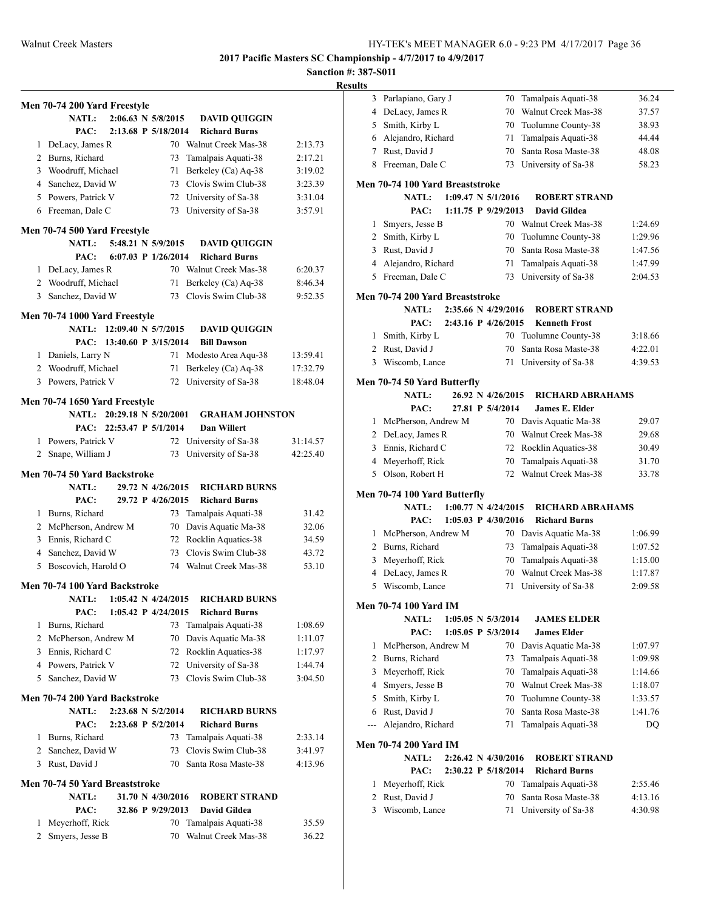# **Sanction #: 387-S011**

|   | Men 70-74 200 Yard Freestyle          |                           |                                            |                                              |          |
|---|---------------------------------------|---------------------------|--------------------------------------------|----------------------------------------------|----------|
|   | <b>NATL:</b>                          |                           | 2:06.63 N 5/8/2015                         | <b>DAVID QUIGGIN</b>                         |          |
|   | PAC:                                  |                           | 2:13.68 P 5/18/2014                        | <b>Richard Burns</b>                         |          |
|   | 1 DeLacy, James R                     |                           |                                            | 70 Walnut Creek Mas-38                       | 2:13.73  |
|   | 2 Burns, Richard                      |                           | 73                                         | Tamalpais Aquati-38                          | 2:17.21  |
|   | 3 Woodruff, Michael                   |                           | 71                                         | Berkeley (Ca) Aq-38                          | 3:19.02  |
|   | 4 Sanchez, David W                    |                           |                                            | 73 Clovis Swim Club-38                       | 3:23.39  |
|   | 5 Powers, Patrick V                   |                           |                                            | 72 University of Sa-38                       | 3:31.04  |
| 6 | Freeman, Dale C                       |                           | 73                                         | University of Sa-38                          | 3:57.91  |
|   |                                       |                           |                                            |                                              |          |
|   | Men 70-74 500 Yard Freestyle          |                           |                                            |                                              |          |
|   | <b>NATL:</b>                          |                           | 5:48.21 N 5/9/2015                         | <b>DAVID QUIGGIN</b>                         |          |
|   | PAC:                                  |                           | 6:07.03 P 1/26/2014                        | <b>Richard Burns</b>                         |          |
|   | 1 DeLacy, James R                     |                           |                                            | 70 Walnut Creek Mas-38                       | 6:20.37  |
|   | 2 Woodruff, Michael                   |                           | 71                                         | Berkeley (Ca) Aq-38                          | 8:46.34  |
|   | 3 Sanchez, David W                    |                           | 73                                         | Clovis Swim Club-38                          | 9:52.35  |
|   |                                       |                           |                                            |                                              |          |
|   | Men 70-74 1000 Yard Freestyle         | NATL: 12:09.40 N 5/7/2015 |                                            | <b>DAVID QUIGGIN</b>                         |          |
|   | PAC:                                  | 13:40.60 P 3/15/2014      |                                            |                                              |          |
|   |                                       |                           |                                            | <b>Bill Dawson</b>                           |          |
|   | 1 Daniels, Larry N                    |                           |                                            | 71 Modesto Area Aqu-38                       | 13:59.41 |
|   | 2 Woodruff, Michael                   |                           | 71                                         | Berkeley (Ca) Aq-38                          | 17:32.79 |
|   | 3 Powers, Patrick V                   |                           | 72                                         | University of Sa-38                          | 18:48.04 |
|   | Men 70-74 1650 Yard Freestyle         |                           |                                            |                                              |          |
|   | <b>NATL:</b>                          | 20:29.18 N 5/20/2001      |                                            | <b>GRAHAM JOHNSTON</b>                       |          |
|   | PAC:                                  | 22:53.47 P 5/1/2014       |                                            | <b>Dan Willert</b>                           |          |
|   | 1 Powers, Patrick V                   |                           | 72                                         | University of Sa-38                          | 31:14.57 |
|   | 2 Snape, William J                    |                           | 73                                         | University of Sa-38                          | 42:25.40 |
|   |                                       |                           |                                            |                                              |          |
|   | Men 70-74 50 Yard Backstroke          |                           |                                            |                                              |          |
|   | <b>NATL:</b>                          |                           | 29.72 N 4/26/2015                          | <b>RICHARD BURNS</b>                         |          |
|   | PAC:                                  |                           | 29.72 P 4/26/2015                          | <b>Richard Burns</b>                         |          |
|   | 1 Burns, Richard                      |                           | 73                                         | Tamalpais Aquati-38                          | 31.42    |
|   | 2 McPherson, Andrew M                 |                           |                                            | 70 Davis Aquatic Ma-38                       | 32.06    |
| 3 | Ennis, Richard C                      |                           |                                            | 72 Rocklin Aquatics-38                       | 34.59    |
|   | 4 Sanchez, David W                    |                           |                                            | 73 Clovis Swim Club-38                       | 43.72    |
| 5 | Boscovich, Harold O                   |                           |                                            | 74 Walnut Creek Mas-38                       | 53.10    |
|   | Men 70-74 100 Yard Backstroke         |                           |                                            |                                              |          |
|   |                                       |                           |                                            |                                              |          |
|   | <b>NATL:</b><br>PAC:                  |                           | 1:05.42 N 4/24/2015<br>1:05.42 P 4/24/2015 | <b>RICHARD BURNS</b><br><b>Richard Burns</b> |          |
|   |                                       |                           |                                            |                                              |          |
| 1 | Burns, Richard<br>McPherson, Andrew M |                           | 73                                         | Tamalpais Aquati-38                          | 1:08.69  |
| 2 |                                       |                           | 70                                         | Davis Aquatic Ma-38                          | 1:11.07  |
|   | 3 Ennis, Richard C                    |                           | 72                                         | Rocklin Aquatics-38                          | 1:17.97  |
|   | 4 Powers, Patrick V                   |                           | 72                                         | University of Sa-38                          | 1:44.74  |
| 5 | Sanchez, David W                      |                           | 73                                         | Clovis Swim Club-38                          | 3:04.50  |
|   | Men 70-74 200 Yard Backstroke         |                           |                                            |                                              |          |
|   | <b>NATL:</b>                          |                           | 2:23.68 N 5/2/2014                         | <b>RICHARD BURNS</b>                         |          |
|   | PAC:                                  |                           | 2:23.68 P 5/2/2014                         | <b>Richard Burns</b>                         |          |
| 1 | Burns, Richard                        |                           | 73                                         | Tamalpais Aquati-38                          | 2:33.14  |
|   | 2 Sanchez, David W                    |                           | 73                                         | Clovis Swim Club-38                          | 3:41.97  |
|   | 3 Rust, David J                       |                           | 70                                         | Santa Rosa Maste-38                          | 4:13.96  |
|   |                                       |                           |                                            |                                              |          |
|   | Men 70-74 50 Yard Breaststroke        |                           |                                            |                                              |          |
|   | NATL:                                 |                           | 31.70 N 4/30/2016                          | <b>ROBERT STRAND</b>                         |          |
|   | PAC:                                  |                           | 32.86 P 9/29/2013                          | <b>David Gildea</b>                          |          |
| 1 | Meyerhoff, Rick                       |                           | 70                                         | Tamalpais Aquati-38                          | 35.59    |
| 2 | Smyers, Jesse B                       |                           | 70                                         | Walnut Creek Mas-38                          | 36.22    |

| ILS            |                                    |                                |                                             |                    |
|----------------|------------------------------------|--------------------------------|---------------------------------------------|--------------------|
| 3              | Parlapiano, Gary J                 | 70                             | Tamalpais Aquati-38                         | 36.24              |
| 4              | DeLacy, James R                    | 70                             | Walnut Creek Mas-38                         | 37.57              |
| 5              | Smith, Kirby L                     | 70                             | Tuolumne County-38                          | 38.93              |
| 6              | Alejandro, Richard                 | 71                             | Tamalpais Aquati-38                         | 44.44              |
| $\tau$         | Rust, David J                      | 70                             | Santa Rosa Maste-38                         | 48.08              |
|                | 8 Freeman, Dale C                  | 73                             | University of Sa-38                         | 58.23              |
|                | Men 70-74 100 Yard Breaststroke    |                                |                                             |                    |
|                |                                    | $1:09.47 \text{ N } 5/1/2016$  |                                             |                    |
|                | <b>NATL:</b><br>PAC:               | 1:11.75 P 9/29/2013            | <b>ROBERT STRAND</b><br><b>David Gildea</b> |                    |
| 1              | Smyers, Jesse B                    | 70                             | Walnut Creek Mas-38                         | 1:24.69            |
| $\overline{2}$ | Smith, Kirby L                     | 70                             | Tuolumne County-38                          | 1:29.96            |
| 3              | Rust, David J                      | 70                             | Santa Rosa Maste-38                         | 1:47.56            |
| $\overline{4}$ | Alejandro, Richard                 | 71                             | Tamalpais Aquati-38                         | 1:47.99            |
|                | 5 Freeman, Dale C                  | 73                             | University of Sa-38                         | 2:04.53            |
|                |                                    |                                |                                             |                    |
|                | Men 70-74 200 Yard Breaststroke    |                                |                                             |                    |
|                | <b>NATL:</b>                       | 2:35.66 N 4/29/2016            | <b>ROBERT STRAND</b>                        |                    |
|                | PAC:                               | 2:43.16 P 4/26/2015            | <b>Kenneth Frost</b>                        |                    |
| 1              | Smith, Kirby L                     | 70                             | Tuolumne County-38                          | 3:18.66            |
| 2              | Rust, David J                      | 70                             | Santa Rosa Maste-38                         | 4:22.01            |
| 3              | Wiscomb, Lance                     | 71                             | University of Sa-38                         | 4:39.53            |
|                | Men 70-74 50 Yard Butterfly        |                                |                                             |                    |
|                | NATL:                              | 26.92 N 4/26/2015              | <b>RICHARD ABRAHAMS</b>                     |                    |
|                | PAC:                               | 27.81 P 5/4/2014               | James E. Elder                              |                    |
| 1              | McPherson, Andrew M                |                                | 70 Davis Aquatic Ma-38                      | 29.07              |
|                | 2 DeLacy, James R                  | 70                             | Walnut Creek Mas-38                         | 29.68              |
| 3              | Ennis, Richard C                   | 72                             | Rocklin Aquatics-38                         | 30.49              |
| 4              | Meyerhoff, Rick                    | 70                             | Tamalpais Aquati-38                         | 31.70              |
| 5              | Olson, Robert H                    | 72                             | Walnut Creek Mas-38                         | 33.78              |
|                | Men 70-74 100 Yard Butterfly       |                                |                                             |                    |
|                | <b>NATL:</b>                       | $1:00.77 \text{ N } 4/24/2015$ | <b>RICHARD ABRAHAMS</b>                     |                    |
|                | PAC:                               | 1:05.03 P 4/30/2016            | <b>Richard Burns</b>                        |                    |
| 1              | McPherson, Andrew M                | 70                             | Davis Aquatic Ma-38                         | 1:06.99            |
|                | 2 Burns, Richard                   | 73                             | Tamalpais Aquati-38                         | 1:07.52            |
| 3              | Meyerhoff, Rick                    | 70                             | Tamalpais Aquati-38                         | 1:15.00            |
| 4              | DeLacy, James R                    | 70                             | Walnut Creek Mas-38                         | 1:17.87            |
| 5              | Wiscomb, Lance                     | 71                             | University of Sa-38                         | 2:09.58            |
|                |                                    |                                |                                             |                    |
|                | <b>Men 70-74 100 Yard IM</b>       |                                |                                             |                    |
|                | <b>NATL:</b>                       | 1:05.05 N 5/3/2014             | <b>JAMES ELDER</b>                          |                    |
| 1              | PAC:<br>McPherson, Andrew M        | 1:05.05 P 5/3/2014<br>70       | <b>James Elder</b>                          |                    |
| 2              | Burns, Richard                     | 73                             | Davis Aquatic Ma-38                         | 1:07.97            |
| 3              |                                    | 70                             | Tamalpais Aquati-38<br>Tamalpais Aquati-38  | 1:09.98            |
| 4              | Meyerhoff, Rick<br>Smyers, Jesse B | 70                             | Walnut Creek Mas-38                         | 1:14.66<br>1:18.07 |
| 5              | Smith, Kirby L                     | 70                             | Tuolumne County-38                          | 1:33.57            |
| 6              | Rust, David J                      | 70                             | Santa Rosa Maste-38                         | 1:41.76            |
| ---            | Alejandro, Richard                 | 71                             | Tamalpais Aquati-38                         | DQ                 |
|                |                                    |                                |                                             |                    |
|                | <b>Men 70-74 200 Yard IM</b>       |                                |                                             |                    |
|                | <b>NATL:</b>                       | 2:26.42 N 4/30/2016            | <b>ROBERT STRAND</b>                        |                    |
|                | PAC:                               | 2:30.22 P 5/18/2014            | <b>Richard Burns</b>                        |                    |
| 1              | Meyerhoff, Rick                    | 70                             | Tamalpais Aquati-38                         | 2:55.46            |
| 2              | Rust, David J                      | 70                             | Santa Rosa Maste-38                         | 4:13.16            |
| 3              | Wiscomb, Lance                     | 71                             | University of Sa-38                         | 4:30.98            |
|                |                                    |                                |                                             |                    |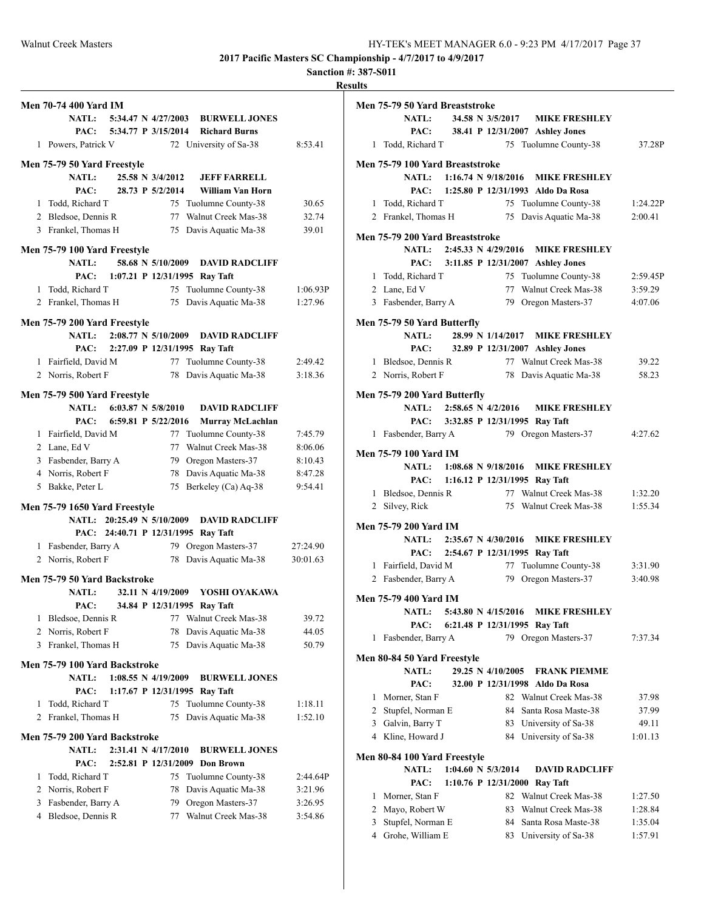# **Sanction #: 387-S011**

|   | <b>Men 70-74 400 Yard IM</b>  |                          |                                |                                         |          |
|---|-------------------------------|--------------------------|--------------------------------|-----------------------------------------|----------|
|   |                               |                          |                                | NATL: 5:34.47 N 4/27/2003 BURWELL JONES |          |
|   |                               | PAC: 5:34.77 P 3/15/2014 |                                | <b>Richard Burns</b>                    |          |
|   | 1 Powers, Patrick V           |                          |                                | 72 University of Sa-38                  | 8:53.41  |
|   |                               |                          |                                |                                         |          |
|   | Men 75-79 50 Yard Freestyle   |                          |                                |                                         |          |
|   | <b>NATL:</b>                  |                          | 25.58 N 3/4/2012               | <b>JEFF FARRELL</b>                     |          |
|   | PAC:                          |                          | 28.73 P 5/2/2014               | William Van Horn                        |          |
|   | 1 Todd, Richard T             |                          |                                | 75 Tuolumne County-38                   | 30.65    |
|   | 2 Bledsoe, Dennis R           |                          | 77                             | Walnut Creek Mas-38                     | 32.74    |
|   | 3 Frankel, Thomas H           |                          | 75                             | Davis Aquatic Ma-38                     | 39.01    |
|   | Men 75-79 100 Yard Freestyle  |                          |                                |                                         |          |
|   | <b>NATL:</b>                  |                          | 58.68 N 5/10/2009              | <b>DAVID RADCLIFF</b>                   |          |
|   | PAC:                          |                          |                                | 1:07.21 P 12/31/1995 Ray Taft           |          |
|   | 1 Todd, Richard T             |                          |                                | 75 Tuolumne County-38                   | 1:06.93P |
|   | 2 Frankel, Thomas H           |                          | 75                             | Davis Aquatic Ma-38                     | 1:27.96  |
|   | Men 75-79 200 Yard Freestyle  |                          |                                |                                         |          |
|   | <b>NATL:</b>                  |                          | $2:08.77 \text{ N } 5/10/2009$ | <b>DAVID RADCLIFF</b>                   |          |
|   | PAC:                          |                          |                                | 2:27.09 P 12/31/1995 Ray Taft           |          |
|   | 1 Fairfield, David M          |                          |                                | 77 Tuolumne County-38                   | 2:49.42  |
|   | 2 Norris, Robert F            |                          | 78                             | Davis Aquatic Ma-38                     | 3:18.36  |
|   |                               |                          |                                |                                         |          |
|   | Men 75-79 500 Yard Freestyle  |                          |                                |                                         |          |
|   | NATL: 6:03.87 N 5/8/2010      |                          |                                | <b>DAVID RADCLIFF</b>                   |          |
|   | PAC:                          |                          | 6:59.81 P 5/22/2016            | Murray McLachlan                        |          |
|   | 1 Fairfield, David M          |                          |                                | 77 Tuolumne County-38                   | 7:45.79  |
|   | 2 Lane, Ed V                  |                          | 77                             | Walnut Creek Mas-38                     | 8:06.06  |
|   | 3 Fasbender, Barry A          |                          |                                | 79 Oregon Masters-37                    | 8:10.43  |
|   | 4 Norris, Robert F            |                          | 78                             | Davis Aquatic Ma-38                     | 8:47.28  |
|   | 5 Bakke, Peter L              |                          | 75                             | Berkeley (Ca) Aq-38                     | 9:54.41  |
|   | Men 75-79 1650 Yard Freestyle |                          |                                |                                         |          |
|   | NATL: 20:25.49 N 5/10/2009    |                          |                                | <b>DAVID RADCLIFF</b>                   |          |
|   | PAC:                          |                          |                                | 24:40.71 P 12/31/1995 Ray Taft          |          |
|   | 1 Fasbender, Barry A          |                          |                                | 79 Oregon Masters-37                    | 27:24.90 |
|   | 2 Norris, Robert F            |                          | 78                             | Davis Aquatic Ma-38                     | 30:01.63 |
|   |                               |                          |                                |                                         |          |
|   | Men 75-79 50 Yard Backstroke  |                          |                                |                                         |          |
|   | <b>NATL:</b>                  |                          | 32.11 N 4/19/2009              | YOSHI OYAKAWA                           |          |
|   | PAC:                          | 34.84 P 12/31/1995       |                                | Ray Taft                                |          |
| 1 | Bledsoe, Dennis R             |                          | 77                             | Walnut Creek Mas-38                     | 39.72    |
| 2 | Norris, Robert F              |                          | 78                             | Davis Aquatic Ma-38                     | 44.05    |
|   | 3 Frankel, Thomas H           |                          | 75                             | Davis Aquatic Ma-38                     | 50.79    |
|   | Men 75-79 100 Yard Backstroke |                          |                                |                                         |          |
|   | <b>NATL:</b>                  |                          | $1:08.55$ N $4/19/2009$        | <b>BURWELL JONES</b>                    |          |
|   | PAC:                          |                          |                                | 1:17.67 P 12/31/1995 Ray Taft           |          |
| 1 | Todd, Richard T               |                          |                                | 75 Tuolumne County-38                   | 1:18.11  |
| 2 | Frankel, Thomas H             |                          | 75                             | Davis Aquatic Ma-38                     | 1:52.10  |
|   |                               |                          |                                |                                         |          |
|   | Men 75-79 200 Yard Backstroke |                          |                                |                                         |          |
|   | <b>NATL:</b>                  |                          | 2:31.41 N 4/17/2010            | <b>BURWELL JONES</b>                    |          |
|   | PAC:                          |                          |                                | 2:52.81 P 12/31/2009 Don Brown          |          |
| 1 | Todd, Richard T               |                          | 75                             | Tuolumne County-38                      | 2:44.64P |
|   | 2 Norris, Robert F            |                          | 78                             | Davis Aquatic Ma-38                     | 3:21.96  |
| 3 | Fasbender, Barry A            |                          | 79                             | Oregon Masters-37                       | 3:26.95  |
| 4 | Bledsoe, Dennis R             |                          | 77                             | Walnut Creek Mas-38                     | 3:54.86  |
|   |                               |                          |                                |                                         |          |

|              | Men 75-79 50 Yard Breaststroke  |  |                    |                                                |          |
|--------------|---------------------------------|--|--------------------|------------------------------------------------|----------|
|              | <b>NATL:</b>                    |  |                    | 34.58 N 3/5/2017 MIKE FRESHLEY                 |          |
|              | PAC:                            |  |                    | 38.41 P 12/31/2007 Ashley Jones                |          |
| $\mathbf{1}$ | Todd, Richard T                 |  |                    | 75 Tuolumne County-38                          | 37.28P   |
|              | Men 75-79 100 Yard Breaststroke |  |                    |                                                |          |
|              | NATL: 1:16.74 N 9/18/2016       |  |                    | <b>MIKE FRESHLEY</b>                           |          |
|              | PAC:                            |  |                    | 1:25.80 P 12/31/1993 Aldo Da Rosa              |          |
|              | 1 Todd, Richard T               |  |                    | 75 Tuolumne County-38                          | 1:24.22P |
|              | 2 Frankel, Thomas H             |  |                    | 75 Davis Aquatic Ma-38                         | 2:00.41  |
|              |                                 |  |                    |                                                |          |
|              | Men 75-79 200 Yard Breaststroke |  |                    | NATL: 2:45.33 N 4/29/2016 MIKE FRESHLEY        |          |
|              | PAC:                            |  |                    | 3:11.85 P 12/31/2007 Ashley Jones              |          |
|              | 1 Todd, Richard T               |  |                    | 75 Tuolumne County-38                          | 2:59.45P |
|              | 2 Lane, Ed V                    |  |                    | 77 Walnut Creek Mas-38                         | 3:59.29  |
|              | 3 Fasbender, Barry A            |  |                    | 79 Oregon Masters-37                           | 4:07.06  |
|              |                                 |  |                    |                                                |          |
|              | Men 75-79 50 Yard Butterfly     |  |                    |                                                |          |
|              | NATL:                           |  |                    | 28.99 N 1/14/2017 MIKE FRESHLEY                |          |
|              | PAC:                            |  |                    | 32.89 P 12/31/2007 Ashley Jones                |          |
|              | 1 Bledsoe, Dennis R             |  |                    | 77 Walnut Creek Mas-38                         | 39.22    |
|              | 2 Norris, Robert F              |  |                    | 78 Davis Aquatic Ma-38                         | 58.23    |
|              | Men 75-79 200 Yard Butterfly    |  |                    |                                                |          |
|              | NATL: 2:58.65 N 4/2/2016        |  |                    | <b>MIKE FRESHLEY</b>                           |          |
|              | PAC:                            |  |                    | 3:32.85 P 12/31/1995 Ray Taft                  |          |
|              | 1 Fasbender, Barry A            |  |                    | 79 Oregon Masters-37                           | 4:27.62  |
|              | Men 75-79 100 Yard IM           |  |                    |                                                |          |
|              | NATL: 1:08.68 N 9/18/2016       |  |                    | <b>MIKE FRESHLEY</b>                           |          |
|              | PAC:                            |  |                    | 1:16.12 P 12/31/1995 Ray Taft                  |          |
|              | 1 Bledsoe, Dennis R             |  |                    | 77 Walnut Creek Mas-38                         | 1:32.20  |
|              | 2 Silvey, Rick                  |  |                    | 75 Walnut Creek Mas-38                         | 1:55.34  |
|              |                                 |  |                    |                                                |          |
|              | Men 75-79 200 Yard IM           |  |                    |                                                |          |
|              |                                 |  |                    | NATL: 2:35.67 N 4/30/2016 MIKE FRESHLEY        |          |
|              |                                 |  |                    | PAC: 2:54.67 P 12/31/1995 Ray Taft             |          |
|              | 1 Fairfield, David M            |  |                    | 77 Tuolumne County-38                          | 3:31.90  |
|              | 2 Fasbender, Barry A            |  |                    | 79 Oregon Masters-37                           | 3:40.98  |
|              | Men 75-79 400 Yard IM           |  |                    |                                                |          |
|              |                                 |  |                    | <b>NATL:</b> 5:43.80 N 4/15/2016 MIKE FRESHLEY |          |
|              | PAC:                            |  |                    | 6:21.48 P 12/31/1995 Ray Taft                  |          |
| 1            | Fasbender, Barry A              |  |                    | 79 Oregon Masters-37                           | 7:37.34  |
|              | Men 80-84 50 Yard Freestyle     |  |                    |                                                |          |
|              | <b>NATL:</b>                    |  | 29.25 N 4/10/2005  | <b>FRANK PIEMME</b>                            |          |
|              | PAC:                            |  |                    | 32.00 P 12/31/1998 Aldo Da Rosa                |          |
| 1            | Morner, Stan F                  |  |                    | 82 Walnut Creek Mas-38                         | 37.98    |
| 2            | Stupfel, Norman E               |  | 84                 | Santa Rosa Maste-38                            | 37.99    |
|              | 3 Galvin, Barry T               |  |                    | 83 University of Sa-38                         | 49.11    |
|              | 4 Kline, Howard J               |  | 84                 | University of Sa-38                            | 1:01.13  |
|              |                                 |  |                    |                                                |          |
|              | Men 80-84 100 Yard Freestyle    |  |                    |                                                |          |
|              | <b>NATL:</b>                    |  | 1:04.60 N 5/3/2014 | <b>DAVID RADCLIFF</b>                          |          |
|              | PAC:                            |  |                    | 1:10.76 P 12/31/2000 Ray Taft                  |          |
| 1            | Morner, Stan F                  |  | 82                 | Walnut Creek Mas-38                            | 1:27.50  |
| 2            | Mayo, Robert W                  |  | 83                 | Walnut Creek Mas-38                            | 1:28.84  |
| 3            | Stupfel, Norman E               |  | 84                 | Santa Rosa Maste-38                            | 1:35.04  |
| 4            | Grohe, William E                |  | 83                 | University of Sa-38                            | 1:57.91  |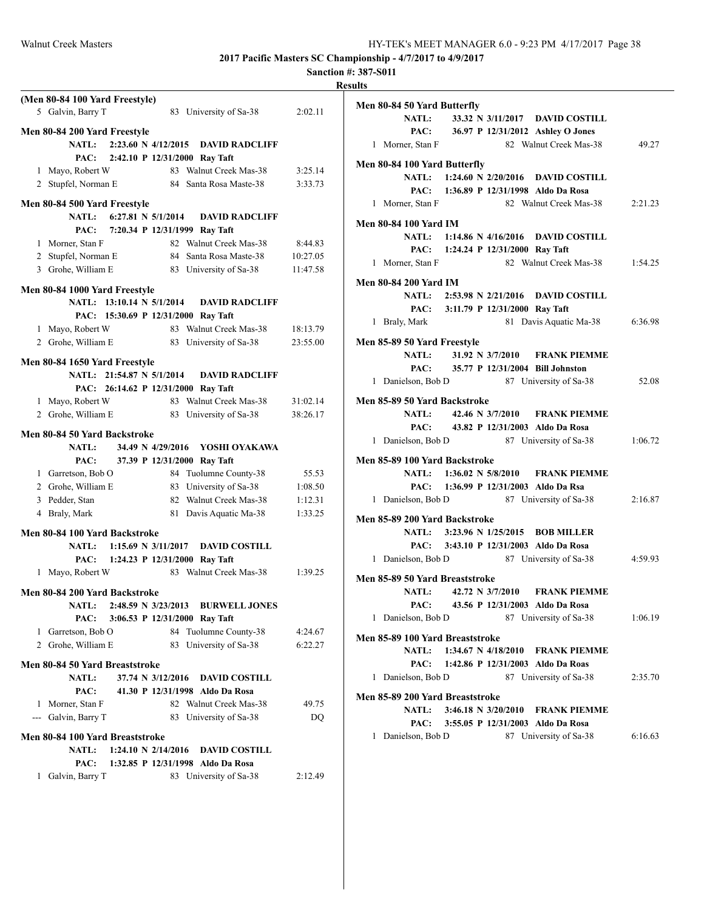## **Sanction #: 387-S011 Results**

|   | (Men 80-84 100 Yard Freestyle)<br>5 Galvin, Barry T |  |                                | 83 University of Sa-38                  | 2:02.11  |
|---|-----------------------------------------------------|--|--------------------------------|-----------------------------------------|----------|
|   | Men 80-84 200 Yard Freestyle                        |  |                                |                                         |          |
|   | <b>NATL:</b>                                        |  |                                | 2:23.60 N 4/12/2015 DAVID RADCLIFF      |          |
|   |                                                     |  |                                |                                         |          |
|   | PAC:                                                |  |                                | 2:42.10 P 12/31/2000 Ray Taft           |          |
|   | 1 Mayo, Robert W                                    |  |                                | 83 Walnut Creek Mas-38                  | 3:25.14  |
|   | 2 Stupfel, Norman E                                 |  |                                | 84 Santa Rosa Maste-38                  | 3:33.73  |
|   | Men 80-84 500 Yard Freestyle                        |  |                                |                                         |          |
|   | <b>NATL:</b>                                        |  | 6:27.81 N $5/1/2014$           | <b>DAVID RADCLIFF</b>                   |          |
|   | PAC:                                                |  |                                | 7:20.34 P 12/31/1999 Ray Taft           |          |
|   | 1 Morner, Stan F                                    |  |                                | 82 Walnut Creek Mas-38                  | 8:44.83  |
|   | 2 Stupfel, Norman E                                 |  |                                | 84 Santa Rosa Maste-38                  | 10:27.05 |
|   | 3 Grohe, William E                                  |  |                                | 83 University of Sa-38                  | 11:47.58 |
|   |                                                     |  |                                |                                         |          |
|   | Men 80-84 1000 Yard Freestyle                       |  |                                |                                         |          |
|   | NATL: 13:10.14 N 5/1/2014                           |  |                                | <b>DAVID RADCLIFF</b>                   |          |
|   | PAC: 15:30.69 P 12/31/2000 Ray Taft                 |  |                                |                                         |          |
|   | 1 Mayo, Robert W                                    |  |                                | 83 Walnut Creek Mas-38                  | 18:13.79 |
|   | 2 Grohe, William E                                  |  |                                | 83 University of Sa-38                  | 23:55.00 |
|   |                                                     |  |                                |                                         |          |
|   | Men 80-84 1650 Yard Freestyle                       |  |                                |                                         |          |
|   | <b>NATL:</b>                                        |  | 21:54.87 N 5/1/2014            | <b>DAVID RADCLIFF</b>                   |          |
|   | PAC: 26:14.62 P 12/31/2000 Ray Taft                 |  |                                |                                         |          |
|   | 1 Mayo, Robert W                                    |  |                                | 83 Walnut Creek Mas-38                  | 31:02.14 |
|   | 2 Grohe, William E                                  |  |                                | 83 University of Sa-38                  | 38:26.17 |
|   | Men 80-84 50 Yard Backstroke                        |  |                                |                                         |          |
|   | <b>NATL:</b>                                        |  | 34.49 N 4/29/2016              | YOSHI OYAKAWA                           |          |
|   | PAC:                                                |  |                                | 37.39 P 12/31/2000 Ray Taft             |          |
|   | 1 Garretson, Bob O                                  |  |                                | 84 Tuolumne County-38                   | 55.53    |
|   | 2 Grohe, William E                                  |  |                                | 83 University of Sa-38                  | 1:08.50  |
|   | 3 Pedder, Stan                                      |  |                                | 82 Walnut Creek Mas-38                  | 1:12.31  |
|   | 4 Braly, Mark                                       |  |                                | 81 Davis Aquatic Ma-38                  | 1:33.25  |
|   |                                                     |  |                                |                                         |          |
|   | Men 80-84 100 Yard Backstroke                       |  |                                |                                         |          |
|   |                                                     |  |                                | NATL: 1:15.69 N 3/11/2017 DAVID COSTILL |          |
|   | PAC: 1:24.23 P 12/31/2000 Ray Taft                  |  |                                |                                         |          |
|   | 1 Mayo, Robert W                                    |  |                                | 83 Walnut Creek Mas-38                  | 1:39.25  |
|   | Men 80-84 200 Yard Backstroke                       |  |                                |                                         |          |
|   |                                                     |  |                                |                                         |          |
|   | <b>NATL:</b>                                        |  | 2:48.59 N 3/23/2013            | <b>BURWELL JONES</b>                    |          |
|   | PAC:                                                |  |                                | 3:06.53 P 12/31/2000 Ray Taft           |          |
|   | 1 Garretson, Bob O                                  |  | 84                             | Tuolumne County-38                      | 4:24.67  |
|   | 2 Grohe, William E                                  |  |                                | 83 University of Sa-38                  | 6:22.27  |
|   | Men 80-84 50 Yard Breaststroke                      |  |                                |                                         |          |
|   | <b>NATL:</b>                                        |  | 37.74 N 3/12/2016              | <b>DAVID COSTILL</b>                    |          |
|   | PAC:                                                |  |                                | 41.30 P 12/31/1998 Aldo Da Rosa         |          |
|   | 1 Morner, Stan F                                    |  |                                | 82 Walnut Creek Mas-38                  | 49.75    |
|   | --- Galvin, Barry T                                 |  |                                | 83 University of Sa-38                  | DQ       |
|   |                                                     |  |                                |                                         |          |
|   | Men 80-84 100 Yard Breaststroke                     |  |                                |                                         |          |
|   | <b>NATL:</b>                                        |  | $1:24.10 \text{ N } 2/14/2016$ | <b>DAVID COSTILL</b>                    |          |
|   | PAC:                                                |  |                                | 1:32.85 P 12/31/1998 Aldo Da Rosa       |          |
| 1 | Galvin, Barry T                                     |  |                                | 83 University of Sa-38                  | 2:12.49  |
|   |                                                     |  |                                |                                         |          |

| Men 80-84 50 Yard Butterfly               |  |                                    |                                         |         |
|-------------------------------------------|--|------------------------------------|-----------------------------------------|---------|
|                                           |  |                                    | NATL: 33.32 N 3/11/2017 DAVID COSTILL   |         |
|                                           |  |                                    | PAC: 36.97 P 12/31/2012 Ashley O Jones  |         |
| 1 Morner, Stan F                          |  |                                    | 82 Walnut Creek Mas-38                  | 49.27   |
| Men 80-84 100 Yard Butterfly              |  |                                    |                                         |         |
|                                           |  |                                    | NATL: 1:24.60 N 2/20/2016 DAVID COSTILL |         |
|                                           |  |                                    | PAC: 1:36.89 P 12/31/1998 Aldo Da Rosa  |         |
| 1 Morner, Stan F                          |  |                                    | 82 Walnut Creek Mas-38 2:21.23          |         |
| Men 80-84 100 Yard IM                     |  |                                    |                                         |         |
|                                           |  |                                    | NATL: 1:14.86 N 4/16/2016 DAVID COSTILL |         |
|                                           |  | PAC: 1:24.24 P 12/31/2000 Ray Taft |                                         |         |
| 1 Morner, Stan F                          |  |                                    | 82 Walnut Creek Mas-38                  | 1:54.25 |
| Men 80-84 200 Yard IM                     |  |                                    |                                         |         |
|                                           |  |                                    | NATL: 2:53.98 N 2/21/2016 DAVID COSTILL |         |
|                                           |  | PAC: 3:11.79 P 12/31/2000 Ray Taft |                                         |         |
| 1 Braly, Mark                             |  |                                    | 81 Davis Aquatic Ma-38 6:36.98          |         |
| Men 85-89 50 Yard Freestyle               |  |                                    |                                         |         |
|                                           |  |                                    | NATL: 31.92 N 3/7/2010 FRANK PIEMME     |         |
|                                           |  |                                    | PAC: 35.77 P 12/31/2004 Bill Johnston   |         |
| 1 Danielson, Bob D                        |  |                                    | 87 University of Sa-38                  | 52.08   |
| Men 85-89 50 Yard Backstroke              |  |                                    |                                         |         |
|                                           |  |                                    | NATL: 42.46 N 3/7/2010 FRANK PIEMME     |         |
|                                           |  |                                    | PAC: 43.82 P 12/31/2003 Aldo Da Rosa    |         |
| 1 Danielson, Bob D 87 University of Sa-38 |  |                                    |                                         | 1:06.72 |
| Men 85-89 100 Yard Backstroke             |  |                                    |                                         |         |
|                                           |  |                                    | NATL: 1:36.02 N 5/8/2010 FRANK PIEMME   |         |
|                                           |  |                                    | PAC: 1:36.99 P 12/31/2003 Aldo Da Rsa   |         |
| 1 Danielson, Bob D                        |  |                                    | 87 University of Sa-38                  | 2:16.87 |
| Men 85-89 200 Yard Backstroke             |  |                                    |                                         |         |
|                                           |  |                                    | NATL: 3:23.96 N 1/25/2015 BOB MILLER    |         |
|                                           |  |                                    | PAC: 3:43.10 P 12/31/2003 Aldo Da Rosa  |         |
| 1 Danielson, Bob D                        |  |                                    | 87 University of Sa-38                  | 4:59.93 |
| Men 85-89 50 Yard Breaststroke            |  |                                    |                                         |         |
|                                           |  |                                    | NATL: 42.72 N 3/7/2010 FRANK PIEMME     |         |
|                                           |  |                                    | PAC: 43.56 P 12/31/2003 Aldo Da Rosa    |         |
| Danielson, Bob D<br>$\mathbf{1}$          |  |                                    | 87 University of Sa-38                  | 1:06.19 |
| Men 85-89 100 Yard Breaststroke           |  |                                    |                                         |         |
|                                           |  |                                    | NATL: 1:34.67 N 4/18/2010 FRANK PIEMME  |         |
| PAC:                                      |  |                                    | 1:42.86 P 12/31/2003 Aldo Da Roas       |         |
| 1 Danielson, Bob D                        |  |                                    | 87 University of Sa-38                  | 2:35.70 |
|                                           |  |                                    |                                         |         |
| Men 85-89 200 Yard Breaststroke           |  |                                    |                                         |         |
| <b>NATL:</b>                              |  | $3:46.18 \text{ N } 3/20/2010$     | <b>FRANK PIEMME</b>                     |         |
|                                           |  |                                    | PAC: 3:55.05 P 12/31/2003 Aldo Da Rosa  |         |
| 1 Danielson, Bob D                        |  |                                    | 87 University of Sa-38                  | 6:16.63 |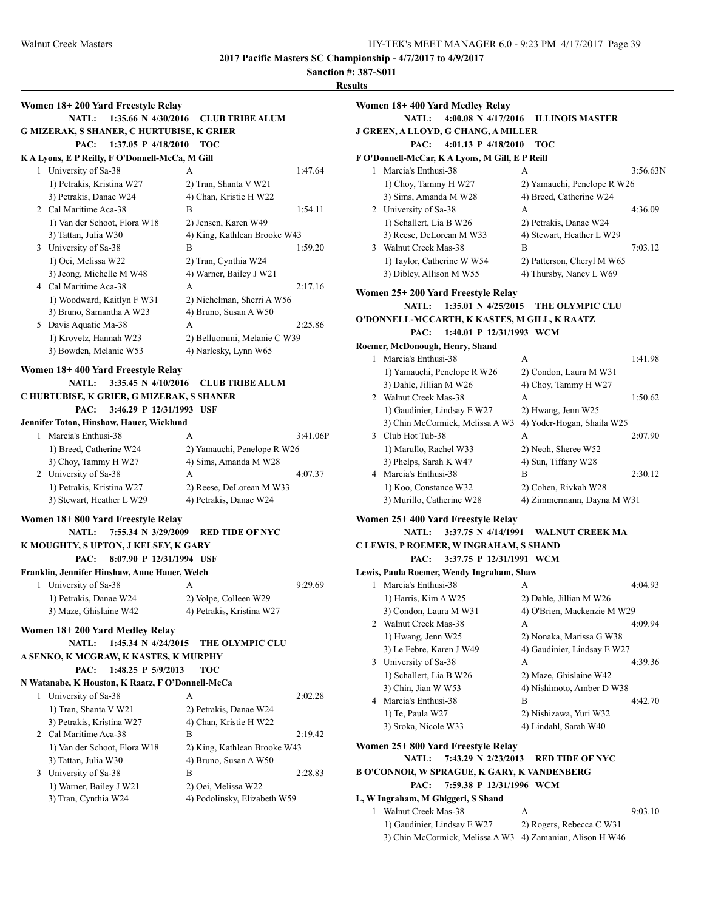**Sanction #: 387-S011**

|                                                                          |                                     |          | <b>Results</b>                                                                           |                                     |          |
|--------------------------------------------------------------------------|-------------------------------------|----------|------------------------------------------------------------------------------------------|-------------------------------------|----------|
| Women 18+200 Yard Freestyle Relay<br><b>NATL:</b><br>1:35.66 N 4/30/2016 | <b>CLUB TRIBE ALUM</b>              |          | Women 18+400 Yard Medley Relay<br>NATL: 4:00.08 N 4/17/2016 ILLINOIS MASTER              |                                     |          |
| G MIZERAK, S SHANER, C HURTUBISE, K GRIER                                |                                     |          | J GREEN, A LLOYD, G CHANG, A MILLER                                                      |                                     |          |
| 1:37.05 P $4/18/2010$<br>PAC:                                            | <b>ТОС</b>                          |          | 4:01.13 P 4/18/2010 TOC<br>PAC:                                                          |                                     |          |
| K A Lyons, E P Reilly, F O'Donnell-McCa, M Gill                          |                                     |          | F O'Donnell-McCar, K A Lyons, M Gill, E P Reill                                          |                                     |          |
| 1 University of Sa-38                                                    | A                                   | 1:47.64  | 1 Marcia's Enthusi-38                                                                    | A                                   | 3:56.63N |
| 1) Petrakis, Kristina W27                                                | 2) Tran, Shanta V W21               |          | 1) Choy, Tammy H W27                                                                     | 2) Yamauchi, Penelope R W26         |          |
| 3) Petrakis, Danae W24                                                   | 4) Chan, Kristie H W22              |          | 3) Sims, Amanda M W28                                                                    | 4) Breed, Catherine W24             |          |
| 2 Cal Maritime Aca-38                                                    | B                                   | 1:54.11  | 2 University of Sa-38                                                                    | A                                   | 4:36.09  |
| 1) Van der Schoot, Flora W18                                             | 2) Jensen, Karen W49                |          | 1) Schallert, Lia B W26                                                                  | 2) Petrakis, Danae W24              |          |
| 3) Tattan, Julia W30                                                     | 4) King, Kathlean Brooke W43        |          | 3) Reese, DeLorean M W33                                                                 | 4) Stewart, Heather L W29           |          |
| 3 University of Sa-38                                                    | B                                   | 1:59.20  | 3 Walnut Creek Mas-38                                                                    | B                                   | 7:03.12  |
| 1) Oei, Melissa W22                                                      | 2) Tran, Cynthia W24                |          | 1) Taylor, Catherine W W54                                                               | 2) Patterson, Cheryl M W65          |          |
| 3) Jeong, Michelle M W48                                                 | 4) Warner, Bailey J W21             |          | 3) Dibley, Allison M W55                                                                 | 4) Thursby, Nancy L W69             |          |
| 4 Cal Maritime Aca-38                                                    | A                                   | 2:17.16  |                                                                                          |                                     |          |
| 1) Woodward, Kaitlyn F W31                                               | 2) Nichelman, Sherri A W56          |          | Women 25+200 Yard Freestyle Relay                                                        |                                     |          |
| 3) Bruno, Samantha A W23                                                 | 4) Bruno, Susan A W50               |          | <b>NATL:</b>                                                                             | 1:35.01 N 4/25/2015 THE OLYMPIC CLU |          |
| 5 Davis Aquatic Ma-38                                                    | A                                   | 2:25.86  | O'DONNELL-MCCARTH, K KASTES, M GILL, K RAATZ                                             |                                     |          |
| 1) Krovetz, Hannah W23                                                   | 2) Belluomini, Melanie C W39        |          | PAC:<br>1:40.01 P 12/31/1993 WCM                                                         |                                     |          |
| 3) Bowden, Melanie W53                                                   | 4) Narlesky, Lynn W65               |          | Roemer, McDonough, Henry, Shand                                                          |                                     |          |
|                                                                          |                                     |          | 1 Marcia's Enthusi-38                                                                    | A                                   | 1:41.98  |
| Women 18+400 Yard Freestyle Relay                                        |                                     |          | 1) Yamauchi, Penelope R W26                                                              | 2) Condon, Laura M W31              |          |
| <b>NATL:</b>                                                             | 3:35.45 N 4/10/2016 CLUB TRIBE ALUM |          | 3) Dahle, Jillian M W26                                                                  | 4) Choy, Tammy H W27                |          |
| C HURTUBISE, K GRIER, G MIZERAK, S SHANER                                |                                     |          | 2 Walnut Creek Mas-38                                                                    | A                                   | 1:50.62  |
| 3:46.29 P 12/31/1993 USF<br>PAC:                                         |                                     |          | 1) Gaudinier, Lindsay E W27                                                              | 2) Hwang, Jenn W25                  |          |
| Jennifer Toton, Hinshaw, Hauer, Wicklund                                 |                                     |          | 3) Chin McCormick, Melissa A W3 4) Yoder-Hogan, Shaila W25                               |                                     |          |
| 1 Marcia's Enthusi-38                                                    | A                                   | 3:41.06P | 3 Club Hot Tub-38                                                                        | A                                   | 2:07.90  |
| 1) Breed, Catherine W24                                                  | 2) Yamauchi, Penelope R W26         |          | 1) Marullo, Rachel W33                                                                   | 2) Neoh, Sheree W52                 |          |
| 3) Choy, Tammy H W27                                                     | 4) Sims, Amanda M W28               |          | 3) Phelps, Sarah K W47                                                                   | 4) Sun, Tiffany W28                 |          |
| 2 University of Sa-38                                                    | A                                   | 4:07.37  | 4 Marcia's Enthusi-38                                                                    | B                                   | 2:30.12  |
| 1) Petrakis, Kristina W27                                                | 2) Reese, DeLorean M W33            |          | 1) Koo, Constance W32                                                                    | 2) Cohen, Rivkah W28                |          |
| 3) Stewart, Heather L W29                                                | 4) Petrakis, Danae W24              |          | 3) Murillo, Catherine W28                                                                | 4) Zimmermann, Dayna M W31          |          |
| Women 18+800 Yard Freestyle Relay                                        |                                     |          | Women 25+400 Yard Freestyle Relay                                                        |                                     |          |
| <b>NATL:</b><br>7:55.34 N 3/29/2009                                      | <b>RED TIDE OF NYC</b>              |          | NATL: 3:37.75 N 4/14/1991 WALNUT CREEK MA                                                |                                     |          |
| K MOUGHTY, S UPTON, J KELSEY, K GARY                                     |                                     |          | C LEWIS, P ROEMER, W INGRAHAM, S SHAND                                                   |                                     |          |
| PAC:<br>8:07.90 P 12/31/1994 USF                                         |                                     |          | 3:37.75 P 12/31/1991 WCM<br>PAC:                                                         |                                     |          |
| Franklin, Jennifer Hinshaw, Anne Hauer, Welch                            |                                     |          | Lewis, Paula Roemer, Wendy Ingraham, Shaw                                                |                                     |          |
| 1 University of Sa-38                                                    | A                                   | 9:29.69  | 1 Marcia's Enthusi-38                                                                    | A                                   | 4:04.93  |
| 1) Petrakis, Danae W24                                                   | 2) Volpe, Colleen W29               |          | 1) Harris, Kim A W25                                                                     | 2) Dahle, Jillian M W26             |          |
| 3) Maze, Ghislaine W42                                                   | 4) Petrakis, Kristina W27           |          | 3) Condon, Laura M W31                                                                   | 4) O'Brien, Mackenzie M W29         |          |
|                                                                          |                                     |          | 2 Walnut Creek Mas-38                                                                    | А                                   | 4:09.94  |
| Women 18+200 Yard Medley Relay                                           |                                     |          | 1) Hwang, Jenn W25                                                                       | 2) Nonaka, Marissa G W38            |          |
| NATL: 1:45.34 N 4/24/2015                                                | THE OLYMPIC CLU                     |          | 3) Le Febre, Karen J W49                                                                 | 4) Gaudinier, Lindsay E W27         |          |
| A SENKO, K MCGRAW, K KASTES, K MURPHY                                    |                                     |          | 3 University of Sa-38                                                                    | A                                   | 4:39.36  |
| PAC: 1:48.25 P 5/9/2013                                                  | <b>TOC</b>                          |          | 1) Schallert, Lia B W26                                                                  | 2) Maze, Ghislaine W42              |          |
| N Watanabe, K Houston, K Raatz, F O'Donnell-McCa                         |                                     |          | 3) Chin, Jian W W53                                                                      | 4) Nishimoto, Amber D W38           |          |
| 1 University of Sa-38                                                    | A                                   | 2:02.28  | 4 Marcia's Enthusi-38                                                                    | В                                   | 4:42.70  |
| 1) Tran, Shanta V W21                                                    | 2) Petrakis, Danae W24              |          | 1) Te, Paula W27                                                                         | 2) Nishizawa, Yuri W32              |          |
| 3) Petrakis, Kristina W27                                                | 4) Chan, Kristie H W22              |          | 3) Sroka, Nicole W33                                                                     | 4) Lindahl, Sarah W40               |          |
| 2 Cal Maritime Aca-38                                                    | В                                   | 2:19.42  |                                                                                          |                                     |          |
| 1) Van der Schoot, Flora W18                                             | 2) King, Kathlean Brooke W43        |          | Women 25+800 Yard Freestyle Relay                                                        |                                     |          |
| 3) Tattan, Julia W30                                                     | 4) Bruno, Susan A W50               |          | NATL: 7:43.29 N 2/23/2013 RED TIDE OF NYC                                                |                                     |          |
| 3 University of Sa-38                                                    | B                                   | 2:28.83  | <b>B O'CONNOR, W SPRAGUE, K GARY, K VANDENBERG</b>                                       |                                     |          |
| 1) Warner, Bailey J W21                                                  | 2) Oei, Melissa W22                 |          | 7:59.38 P 12/31/1996 WCM<br>PAC:                                                         |                                     |          |
| 3) Tran, Cynthia W24                                                     | 4) Podolinsky, Elizabeth W59        |          | L, W Ingraham, M Ghiggeri, S Shand                                                       |                                     |          |
|                                                                          |                                     |          | 1 Walnut Creek Mas-38                                                                    | A                                   | 9:03.10  |
|                                                                          |                                     |          | 1) Gaudinier, Lindsay E W27<br>3) Chin McCormick, Melissa A W3 4) Zamanian, Alison H W46 | 2) Rogers, Rebecca C W31            |          |
|                                                                          |                                     |          |                                                                                          |                                     |          |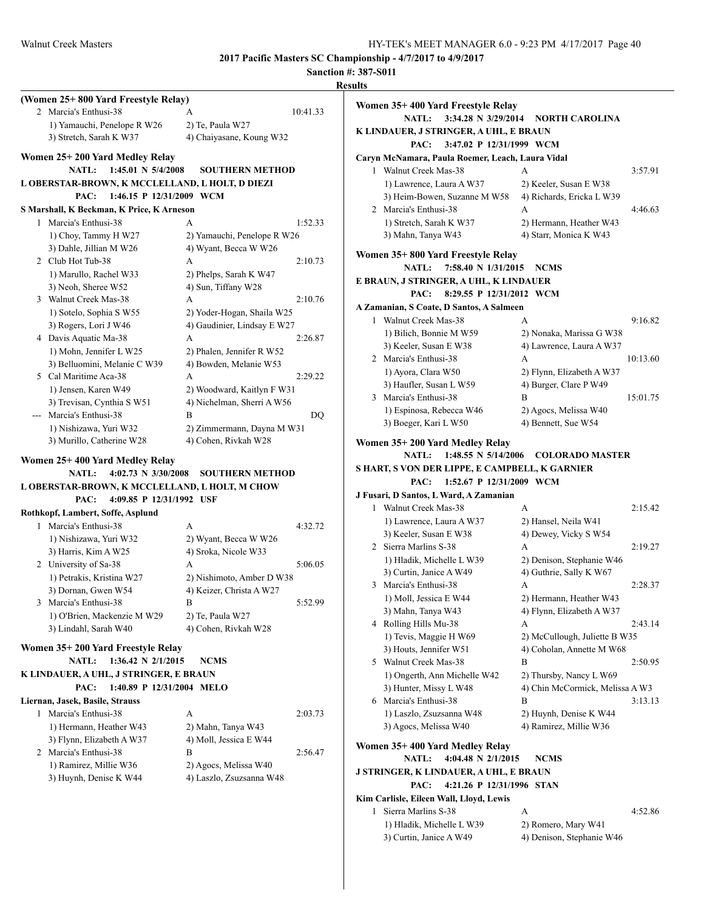|                                                              |                             | <b>Sanction #: 387-S011</b>                      |                                           |          |
|--------------------------------------------------------------|-----------------------------|--------------------------------------------------|-------------------------------------------|----------|
|                                                              |                             | <b>Results</b>                                   |                                           |          |
| (Women 25+800 Yard Freestyle Relay)<br>2 Marcia's Enthusi-38 | 10:41.33<br>A               | Women 35+400 Yard Freestyle Relay                |                                           |          |
| 1) Yamauchi, Penelope R W26                                  | 2) Te, Paula W27            | NATL: 3:34.28 N 3/29/2014 NORTH CAROLINA         |                                           |          |
| 3) Stretch, Sarah K W37                                      | 4) Chaiyasane, Koung W32    | K LINDAUER, J STRINGER, A UHL, E BRAUN           |                                           |          |
|                                                              |                             | 3:47.02 P 12/31/1999 WCM<br>PAC:                 |                                           |          |
| Women 25+200 Yard Medley Relay                               |                             | Caryn McNamara, Paula Roemer, Leach, Laura Vidal |                                           |          |
| NATL: 1:45.01 N 5/4/2008                                     | <b>SOUTHERN METHOD</b>      | 1 Walnut Creek Mas-38                            | A                                         | 3:57.91  |
| L OBERSTAR-BROWN, K MCCLELLAND, L HOLT, D DIEZI              |                             | 1) Lawrence, Laura A W37                         | 2) Keeler, Susan E W38                    |          |
| PAC:<br>1:46.15 P 12/31/2009 WCM                             |                             | 3) Heim-Bowen, Suzanne M W58                     | 4) Richards, Ericka L W39                 |          |
| S Marshall, K Beckman, K Price, K Arneson                    |                             | 2 Marcia's Enthusi-38                            | A                                         | 4:46.63  |
| 1 Marcia's Enthusi-38                                        | 1:52.33<br>A                | 1) Stretch, Sarah K W37                          | 2) Hermann, Heather W43                   |          |
| 1) Choy, Tammy H W27                                         | 2) Yamauchi, Penelope R W26 | 3) Mahn, Tanya W43                               | 4) Starr, Monica K W43                    |          |
| 3) Dahle, Jillian M W26                                      | 4) Wyant, Becca W W26       |                                                  |                                           |          |
| 2 Club Hot Tub-38                                            | 2:10.73<br>A                | Women 35+800 Yard Freestyle Relay                |                                           |          |
| 1) Marullo, Rachel W33                                       | 2) Phelps, Sarah K W47      | NATL: 7:58.40 N 1/31/2015 NCMS                   |                                           |          |
| 3) Neoh, Sheree W52                                          | 4) Sun, Tiffany W28         | E BRAUN, J STRINGER, A UHL, K LINDAUER           |                                           |          |
| 3 Walnut Creek Mas-38                                        | 2:10.76<br>A                | 8:29.55 P 12/31/2012 WCM<br>PAC:                 |                                           |          |
| 1) Sotelo, Sophia S W55                                      | 2) Yoder-Hogan, Shaila W25  | A Zamanian, S Coate, D Santos, A Salmeen         |                                           |          |
| 3) Rogers, Lori J W46                                        | 4) Gaudinier, Lindsay E W27 | 1 Walnut Creek Mas-38                            | A                                         | 9:16.82  |
| 4 Davis Aquatic Ma-38                                        | A<br>2:26.87                | 1) Bilich, Bonnie M W59                          | 2) Nonaka, Marissa G W38                  |          |
| 1) Mohn, Jennifer L W25                                      | 2) Phalen, Jennifer R W52   | 3) Keeler, Susan E W38                           | 4) Lawrence, Laura A W37                  |          |
| 3) Belluomini, Melanie C W39                                 | 4) Bowden, Melanie W53      | 2 Marcia's Enthusi-38                            | A                                         | 10:13.60 |
| 5 Cal Maritime Aca-38                                        | 2:29.22<br>A                | 1) Ayora, Clara W50                              | 2) Flynn, Elizabeth A W37                 |          |
| 1) Jensen, Karen W49                                         | 2) Woodward, Kaitlyn F W31  | 3) Haufler, Susan L W59                          | 4) Burger, Clare P W49                    |          |
| 3) Trevisan, Cynthia S W51                                   | 4) Nichelman, Sherri A W56  | 3 Marcia's Enthusi-38                            | B                                         | 15:01.75 |
| Marcia's Enthusi-38                                          | B<br>DQ                     | 1) Espinosa, Rebecca W46                         | 2) Agocs, Melissa W40                     |          |
| 1) Nishizawa, Yuri W32                                       | 2) Zimmermann, Dayna M W31  | 3) Boeger, Kari L W50                            | 4) Bennett, Sue W54                       |          |
| 3) Murillo, Catherine W28                                    | 4) Cohen, Rivkah W28        | Women 35+200 Yard Medley Relay                   |                                           |          |
|                                                              |                             |                                                  | NATL: 1:48.55 N 5/14/2006 COLORADO MASTER |          |
| Women 25+400 Yard Medley Relay                               |                             | S HART, S VON DER LIPPE, E CAMPBELL, K GARNIER   |                                           |          |
| <b>NATL:</b><br>4:02.73 N $3/30/2008$                        | <b>SOUTHERN METHOD</b>      | 1:52.67 P 12/31/2009 WCM<br>PAC:                 |                                           |          |
| L OBERSTAR-BROWN, K MCCLELLAND, L HOLT, M CHOW               |                             | J Fusari, D Santos, L Ward, A Zamanian           |                                           |          |
| PAC:<br>4:09.85 P 12/31/1992 USF                             |                             | 1 Walnut Creek Mas-38                            | A                                         | 2:15.42  |
| Rothkopf, Lambert, Soffe, Asplund                            |                             | 1) Lawrence, Laura A W37                         | 2) Hansel, Neila W41                      |          |
| 1 Marcia's Enthusi-38                                        | 4:32.72<br>A                | 3) Keeler, Susan E W38                           | 4) Dewey, Vicky S W54                     |          |
| 1) Nishizawa, Yuri W32                                       | 2) Wyant, Becca W W26       | 2 Sierra Marlins S-38                            | A                                         | 2:19.27  |
| 3) Harris, Kim A W25                                         | 4) Sroka, Nicole W33        |                                                  | 2) Denison, Stephanie W46                 |          |
| 2 University of Sa-38                                        | 5:06.05<br>A                | 1) Hladik, Michelle L W39                        | 4) Guthrie, Sally K W67                   |          |
| 1) Petrakis, Kristina W27                                    | 2) Nishimoto, Amber D W38   | 3) Curtin, Janice A W49                          |                                           | 2:28.37  |
| 3) Dornan, Gwen W54                                          | 4) Keizer, Christa A W27    | 3 Marcia's Enthusi-38                            | A                                         |          |
| 3 Marcia's Enthusi-38                                        | 5:52.99<br>В                | 1) Moll, Jessica E W44                           | 2) Hermann, Heather W43                   |          |
| 1) O'Brien, Mackenzie M W29                                  | 2) Te, Paula W27            | 3) Mahn, Tanya W43                               | 4) Flynn, Elizabeth A W37                 |          |
| 3) Lindahl, Sarah W40                                        | 4) Cohen, Rivkah W28        | 4 Rolling Hills Mu-38                            | A                                         | 2:43.14  |
|                                                              |                             | 1) Tevis, Maggie H W69                           | 2) McCullough, Juliette B W35             |          |
| Women 35+200 Yard Freestyle Relay                            |                             | 3) Houts, Jennifer W51                           | 4) Coholan, Annette M W68                 |          |
| NATL: 1:36.42 N 2/1/2015                                     | <b>NCMS</b>                 | 5 Walnut Creek Mas-38                            | B                                         | 2:50.95  |
| K LINDAUER, A UHL, J STRINGER, E BRAUN                       |                             | 1) Ongerth, Ann Michelle W42                     | 2) Thursby, Nancy L W69                   |          |
| PAC: 1:40.89 P 12/31/2004 MELO                               |                             | 3) Hunter, Missy L W48                           | 4) Chin McCormick, Melissa A W3           |          |
| Liernan, Jasek, Basile, Strauss                              |                             | 6 Marcia's Enthusi-38                            | В                                         | 3:13.13  |
| 1 Marcia's Enthusi-38                                        | 2:03.73<br>A                | 1) Laszlo, Zsuzsanna W48                         | 2) Huynh, Denise K W44                    |          |
| 1) Hermann, Heather W43                                      | 2) Mahn, Tanya W43          | 3) Agocs, Melissa W40                            | 4) Ramirez, Millie W36                    |          |
| 3) Flynn, Elizabeth A W37                                    | 4) Moll, Jessica E W44      | Women 35+400 Yard Medley Relay                   |                                           |          |
| 2 Marcia's Enthusi-38                                        | B<br>2:56.47                | <b>NATL:</b><br>4:04.48 N $2/1/2015$             | <b>NCMS</b>                               |          |
| 1) Ramirez, Millie W36                                       | 2) Agocs, Melissa W40       | J STRINGER, K LINDAUER, A UHL, E BRAUN           |                                           |          |
| 3) Huynh, Denise K W44                                       | 4) Laszlo, Zsuzsanna W48    | PAC:<br>4:21.26 P 12/31/1996 STAN                |                                           |          |
|                                                              |                             | Kim Carlisle, Eileen Wall, Lloyd, Lewis          |                                           |          |
|                                                              |                             | 1 Sierra Marlins S-38                            | A                                         | 4:52.86  |
|                                                              |                             | 1) Hladik. Michelle L W39                        | 2) Romero, Mary W41                       |          |
|                                                              |                             |                                                  |                                           |          |

Romero, Mary W41 3) Curtin, Janice A W49 4) Denison, Stephanie W46

10:13.60

15:01.75

2:43.14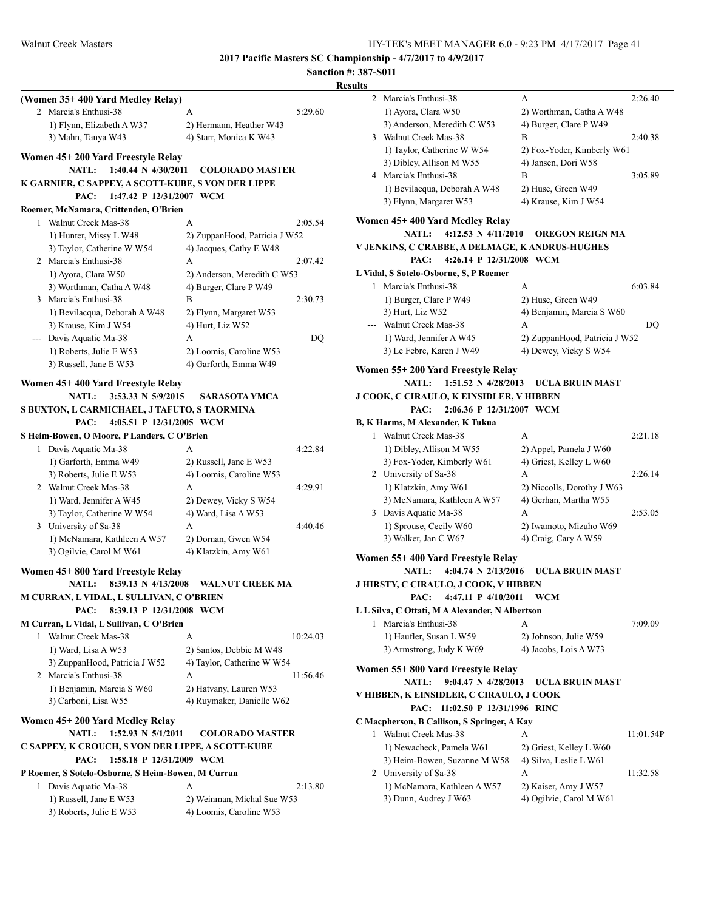|   | (Women 35+400 Yard Medley Relay)                                         |                                                   |          |
|---|--------------------------------------------------------------------------|---------------------------------------------------|----------|
|   | 2 Marcia's Enthusi-38                                                    | A                                                 | 5:29.60  |
|   | 1) Flynn, Elizabeth A W37<br>3) Mahn, Tanya W43                          | 2) Hermann, Heather W43<br>4) Starr, Monica K W43 |          |
|   |                                                                          |                                                   |          |
|   | Women 45+200 Yard Freestyle Relay<br>1:40.44 N 4/30/2011<br><b>NATL:</b> | <b>COLORADO MASTER</b>                            |          |
|   | K GARNIER, C SAPPEY, A SCOTT-KUBE, S VON DER LIPPE                       |                                                   |          |
|   | 1:47.42 P 12/31/2007 WCM<br>PAC:                                         |                                                   |          |
|   | Roemer, McNamara, Crittenden, O'Brien                                    |                                                   |          |
|   | 1 Walnut Creek Mas-38                                                    | A                                                 | 2:05.54  |
|   | 1) Hunter, Missy L W48                                                   | 2) ZuppanHood, Patricia J W52                     |          |
|   | 3) Taylor, Catherine W W54                                               | 4) Jacques, Cathy E W48                           |          |
|   | 2 Marcia's Enthusi-38                                                    | A                                                 | 2:07.42  |
|   | 1) Ayora, Clara W50                                                      | 2) Anderson, Meredith C W53                       |          |
|   | 3) Worthman, Catha A W48                                                 | 4) Burger, Clare P W49                            |          |
|   | 3 Marcia's Enthusi-38                                                    | B                                                 | 2:30.73  |
|   | 1) Bevilacqua, Deborah A W48                                             | 2) Flynn, Margaret W53                            |          |
|   | 3) Krause, Kim J W54                                                     | 4) Hurt, Liz W52                                  |          |
|   | --- Davis Aquatic Ma-38                                                  | A                                                 | DQ       |
|   | 1) Roberts, Julie E W53                                                  | 2) Loomis, Caroline W53                           |          |
|   | 3) Russell, Jane E W53                                                   | 4) Garforth, Emma W49                             |          |
|   | Women 45+400 Yard Freestyle Relay                                        |                                                   |          |
|   | 3:53.33 N 5/9/2015<br><b>NATL:</b>                                       | SARASOTA YMCA                                     |          |
|   | S BUXTON, L CARMICHAEL, J TAFUTO, S TAORMINA                             |                                                   |          |
|   | 4:05.51 P 12/31/2005 WCM<br>PAC:                                         |                                                   |          |
|   | S Heim-Bowen, O Moore, P Landers, C O'Brien                              |                                                   |          |
| 1 | Davis Aquatic Ma-38                                                      | A                                                 | 4:22.84  |
|   | 1) Garforth, Emma W49                                                    | 2) Russell, Jane E W53                            |          |
|   | 3) Roberts, Julie E W53                                                  | 4) Loomis, Caroline W53                           |          |
|   | 2 Walnut Creek Mas-38                                                    | A                                                 | 4:29.91  |
|   | 1) Ward, Jennifer A W45                                                  | 2) Dewey, Vicky S W54                             |          |
|   | 3) Taylor, Catherine W W54                                               | 4) Ward, Lisa A W53                               |          |
|   | 3 University of Sa-38                                                    | A                                                 | 4:40.46  |
|   | 1) McNamara, Kathleen A W57                                              | 2) Dornan, Gwen W54                               |          |
|   | 3) Ogilvie, Carol M W61                                                  | 4) Klatzkin, Amy W61                              |          |
|   | Women 45+800 Yard Freestyle Relay                                        |                                                   |          |
|   | NATL: 8:39.13 N 4/13/2008                                                | <b>WALNUT CREEK MA</b>                            |          |
|   | M CURRAN, L VIDAL, L SULLIVAN, C O'BRIEN                                 |                                                   |          |
|   | PAC:<br>8:39.13 P 12/31/2008 WCM                                         |                                                   |          |
|   | M Curran, L Vidal, L Sullivan, C O'Brien                                 |                                                   |          |
|   | 1 Walnut Creek Mas-38                                                    | A                                                 | 10:24.03 |
|   | 1) Ward, Lisa A W53                                                      | 2) Santos, Debbie M W48                           |          |
|   | 3) ZuppanHood, Patricia J W52                                            | 4) Taylor, Catherine W W54                        |          |
|   | 2 Marcia's Enthusi-38                                                    | A                                                 | 11:56.46 |
|   | 1) Benjamin, Marcia S W60                                                | 2) Hatvany, Lauren W53                            |          |
|   | 3) Carboni, Lisa W55                                                     | 4) Ruymaker, Danielle W62                         |          |
|   | Women 45+200 Yard Medley Relay                                           |                                                   |          |
|   | 1:52.93 N 5/1/2011<br><b>NATL:</b>                                       | <b>COLORADO MASTER</b>                            |          |
|   | C SAPPEY, K CROUCH, S VON DER LIPPE, A SCOTT-KUBE                        |                                                   |          |
|   | PAC:<br>1:58.18 P 12/31/2009 WCM                                         |                                                   |          |
|   | P Roemer, S Sotelo-Osborne, S Heim-Bowen, M Curran                       |                                                   |          |
| 1 | Davis Aquatic Ma-38                                                      | A                                                 | 2:13.80  |
|   | 1) Russell, Jane E W53                                                   | 2) Weinman, Michal Sue W53                        |          |
|   | 3) Roberts, Julie E W53                                                  | 4) Loomis, Caroline W53                           |          |
|   |                                                                          |                                                   |          |

| ults |                                                                          |                                                   |           |
|------|--------------------------------------------------------------------------|---------------------------------------------------|-----------|
| 2    | Marcia's Enthusi-38                                                      | A                                                 | 2:26.40   |
|      | 1) Ayora, Clara W50                                                      | 2) Worthman, Catha A W48                          |           |
|      | 3) Anderson, Meredith C W53                                              | 4) Burger, Clare P W49                            |           |
|      | 3 Walnut Creek Mas-38                                                    | B                                                 | 2:40.38   |
|      | 1) Taylor, Catherine W W54                                               | 2) Fox-Yoder, Kimberly W61                        |           |
|      | 3) Dibley, Allison M W55                                                 | 4) Jansen, Dori W58                               |           |
|      | 4 Marcia's Enthusi-38                                                    | B                                                 | 3:05.89   |
|      | 1) Bevilacqua, Deborah A W48                                             | 2) Huse, Green W49                                |           |
|      | 3) Flynn, Margaret W53                                                   | 4) Krause, Kim J W54                              |           |
|      | Women 45+400 Yard Medley Relay                                           |                                                   |           |
|      | <b>NATL:</b><br>4:12.53 N 4/11/2010                                      | <b>OREGON REIGN MA</b>                            |           |
|      | V JENKINS, C CRABBE, A DELMAGE, K ANDRUS-HUGHES                          |                                                   |           |
|      | PAC:<br>4:26.14 P 12/31/2008 WCM                                         |                                                   |           |
|      | L Vidal, S Sotelo-Osborne, S, P Roemer                                   |                                                   |           |
|      | 1 Marcia's Enthusi-38                                                    | А                                                 | 6:03.84   |
|      | 1) Burger, Clare P W49                                                   | 2) Huse, Green W49                                |           |
|      | 3) Hurt, Liz W52                                                         | 4) Benjamin, Marcia S W60                         |           |
|      | --- Walnut Creek Mas-38                                                  | A                                                 | DQ        |
|      | 1) Ward, Jennifer A W45                                                  | 2) ZuppanHood, Patricia J W52                     |           |
|      | 3) Le Febre, Karen J W49                                                 | 4) Dewey, Vicky S W54                             |           |
|      |                                                                          |                                                   |           |
|      | Women 55+200 Yard Freestyle Relay<br>1:51.52 N 4/28/2013<br><b>NATL:</b> | UCLA BRUIN MAST                                   |           |
|      | J COOK, C CIRAULO, K EINSIDLER, V HIBBEN                                 |                                                   |           |
|      | 2:06.36 P 12/31/2007 WCM<br>PAC:                                         |                                                   |           |
|      | B, K Harms, M Alexander, K Tukua                                         |                                                   |           |
|      | 1 Walnut Creek Mas-38                                                    | A                                                 | 2:21.18   |
|      | 1) Dibley, Allison M W55                                                 |                                                   |           |
|      | 3) Fox-Yoder, Kimberly W61                                               | 2) Appel, Pamela J W60<br>4) Griest, Kelley L W60 |           |
|      | 2 University of Sa-38                                                    | A                                                 | 2:26.14   |
|      | 1) Klatzkin, Amy W61                                                     | 2) Niccolls, Dorothy J W63                        |           |
|      | 3) McNamara, Kathleen A W57                                              | 4) Gerhan, Martha W55                             |           |
|      | 3 Davis Aquatic Ma-38                                                    | A                                                 | 2:53.05   |
|      | 1) Sprouse, Cecily W60                                                   | 2) Iwamoto, Mizuho W69                            |           |
|      | 3) Walker, Jan C W67                                                     | 4) Craig, Cary A W59                              |           |
|      |                                                                          |                                                   |           |
|      | Women 55+400 Yard Freestyle Relay                                        |                                                   |           |
|      | <b>NATL:</b><br>4:04.74 N 2/13/2016                                      | UCLA BRUIN MAST                                   |           |
|      | <b>J HIRSTY, C CIRAULO, J COOK, V HIBBEN</b>                             |                                                   |           |
|      | PAC:<br>4:47.11 P 4/10/2011                                              | WCM                                               |           |
|      | L L Silva, C Ottati, M A Alexander, N Albertson                          |                                                   |           |
| 1    | Marcia's Enthusi-38                                                      | A                                                 | 7:09.09   |
|      | 1) Haufler, Susan L W59                                                  | 2) Johnson, Julie W59                             |           |
|      | 3) Armstrong, Judy K W69                                                 | 4) Jacobs, Lois A W73                             |           |
|      | Women 55+800 Yard Freestyle Relay                                        |                                                   |           |
|      | 9:04.47 N 4/28/2013<br>NATL:                                             | <b>UCLA BRUIN MAST</b>                            |           |
|      | V HIBBEN, K EINSIDLER, C CIRAULO, J COOK                                 |                                                   |           |
|      | PAC: 11:02.50 P 12/31/1996 RINC                                          |                                                   |           |
|      | C Macpherson, B Callison, S Springer, A Kay                              |                                                   |           |
|      | 1 Walnut Creek Mas-38                                                    | A                                                 | 11:01.54P |
|      | 1) Newacheck, Pamela W61                                                 | 2) Griest, Kelley L W60                           |           |
|      | 3) Heim-Bowen, Suzanne M W58                                             | 4) Silva, Leslie L W61                            |           |
|      | 2 University of Sa-38                                                    | А                                                 | 11:32.58  |
|      | 1) McNamara, Kathleen A W57                                              | 2) Kaiser, Amy J W57                              |           |
|      | 3) Dunn, Audrey J W63                                                    | 4) Ogilvie, Carol M W61                           |           |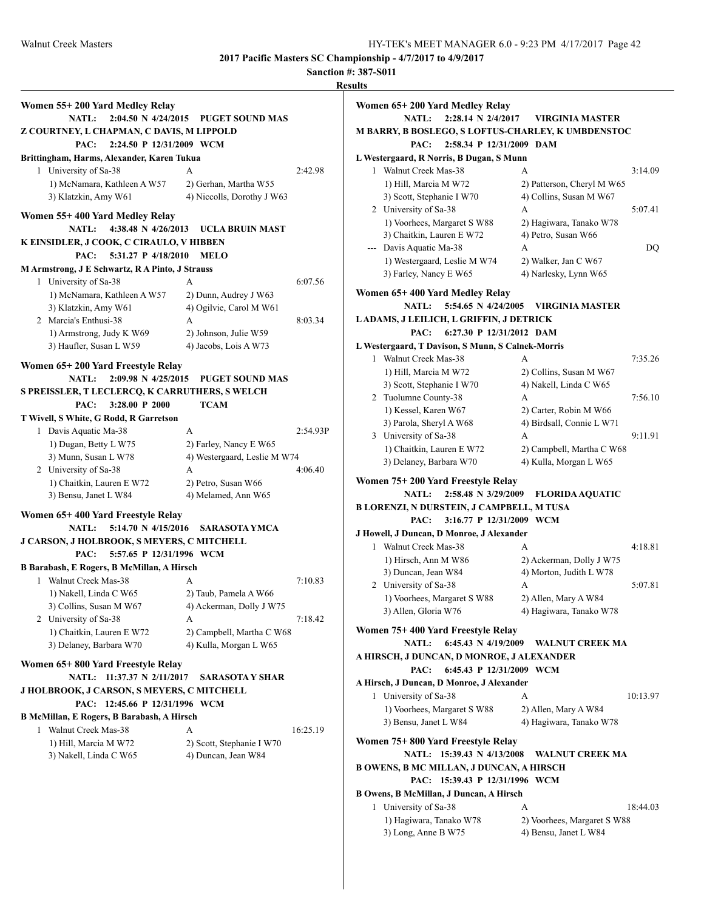|                                                                                                                                 |                                                          |          | <b>Results</b>                                                                                                                                              |                                                            |           |
|---------------------------------------------------------------------------------------------------------------------------------|----------------------------------------------------------|----------|-------------------------------------------------------------------------------------------------------------------------------------------------------------|------------------------------------------------------------|-----------|
| Women 55+200 Yard Medley Relay<br><b>NATL:</b><br>Z COURTNEY, L CHAPMAN, C DAVIS, M LIPPOLD<br>PAC:<br>2:24.50 P 12/31/2009 WCM | 2:04.50 N 4/24/2015 PUGET SOUND MAS                      |          | Women 65+200 Yard Medley Relay<br>NATL: 2:28.14 N 2/4/2017<br><b>M BARRY, B BOSLEGO, S LOFTUS-CHARLEY, K UMBDENSTOC</b><br>PAC:<br>2:58.34 P 12/31/2009 DAM | <b>VIRGINIA MASTER</b>                                     |           |
| Brittingham, Harms, Alexander, Karen Tukua                                                                                      |                                                          |          | L Westergaard, R Norris, B Dugan, S Munn                                                                                                                    |                                                            |           |
|                                                                                                                                 |                                                          |          |                                                                                                                                                             |                                                            |           |
| 1 University of Sa-38<br>1) McNamara, Kathleen A W57<br>3) Klatzkin, Amy W61                                                    | A<br>2) Gerhan, Martha W55<br>4) Niccolls, Dorothy J W63 | 2:42.98  | 1 Walnut Creek Mas-38<br>1) Hill, Marcia M W72<br>3) Scott, Stephanie I W70                                                                                 | A<br>2) Patterson, Cheryl M W65<br>4) Collins, Susan M W67 | 3:14.09   |
| Women 55+400 Yard Medley Relay                                                                                                  | NATL: 4:38.48 N 4/26/2013 UCLA BRUIN MAST                |          | 2 University of Sa-38<br>1) Voorhees, Margaret S W88                                                                                                        | А<br>2) Hagiwara, Tanako W78                               | 5:07.41   |
| K EINSIDLER, J COOK, C CIRAULO, V HIBBEN                                                                                        |                                                          |          | 3) Chaitkin, Lauren E W72                                                                                                                                   | 4) Petro, Susan W66                                        |           |
| PAC:<br>5:31.27 P 4/18/2010 MELO                                                                                                |                                                          |          | --- Davis Aquatic Ma-38                                                                                                                                     | A                                                          | <b>DQ</b> |
|                                                                                                                                 |                                                          |          | 1) Westergaard, Leslie M W74                                                                                                                                | 2) Walker, Jan C W67                                       |           |
| M Armstrong, J E Schwartz, R A Pinto, J Strauss                                                                                 |                                                          |          | 3) Farley, Nancy E W65                                                                                                                                      | 4) Narlesky, Lynn W65                                      |           |
| 1 University of Sa-38                                                                                                           | A                                                        | 6:07.56  |                                                                                                                                                             |                                                            |           |
| 1) McNamara, Kathleen A W57<br>3) Klatzkin, Amy W61                                                                             | 2) Dunn, Audrey J W63<br>4) Ogilvie, Carol M W61         |          | Women 65+400 Yard Medley Relay                                                                                                                              | NATL: 5:54.65 N 4/24/2005 VIRGINIA MASTER                  |           |
| 2 Marcia's Enthusi-38                                                                                                           | A                                                        | 8:03.34  | LADAMS, J LEILICH, L GRIFFIN, J DETRICK                                                                                                                     |                                                            |           |
| 1) Armstrong, Judy K W69                                                                                                        | 2) Johnson, Julie W59                                    |          | 6:27.30 P 12/31/2012 DAM<br>PAC:                                                                                                                            |                                                            |           |
| 3) Haufler, Susan L W59                                                                                                         | 4) Jacobs, Lois A W73                                    |          | L Westergaard, T Davison, S Munn, S Calnek-Morris                                                                                                           |                                                            |           |
| Women 65+200 Yard Freestyle Relay                                                                                               |                                                          |          | 1 Walnut Creek Mas-38                                                                                                                                       | A                                                          | 7:35.26   |
|                                                                                                                                 | NATL: 2:09.98 N 4/25/2015 PUGET SOUND MAS                |          | 1) Hill, Marcia M W72                                                                                                                                       | 2) Collins, Susan M W67                                    |           |
| S PREISSLER, T LECLERCQ, K CARRUTHERS, S WELCH                                                                                  |                                                          |          | 3) Scott, Stephanie I W70                                                                                                                                   | 4) Nakell, Linda C W65                                     |           |
| $3:28.00$ P $2000$<br>PAC:                                                                                                      | <b>TCAM</b>                                              |          | 2 Tuolumne County-38                                                                                                                                        | A                                                          | 7:56.10   |
|                                                                                                                                 |                                                          |          | 1) Kessel, Karen W67                                                                                                                                        | 2) Carter, Robin M W66                                     |           |
| T Wivell, S White, G Rodd, R Garretson                                                                                          |                                                          |          | 3) Parola, Sheryl A W68                                                                                                                                     | 4) Birdsall, Connie L W71                                  |           |
| 1 Davis Aquatic Ma-38                                                                                                           | A                                                        | 2:54.93P | 3 University of Sa-38                                                                                                                                       | A                                                          | 9:11.91   |
| 1) Dugan, Betty L W75                                                                                                           | 2) Farley, Nancy E W65                                   |          | 1) Chaitkin, Lauren E W72                                                                                                                                   | 2) Campbell, Martha C W68                                  |           |
| 3) Munn, Susan L W78                                                                                                            | 4) Westergaard, Leslie M W74                             |          | 3) Delaney, Barbara W70                                                                                                                                     | 4) Kulla, Morgan L W65                                     |           |
| 2 University of Sa-38                                                                                                           | A                                                        | 4:06.40  |                                                                                                                                                             |                                                            |           |
| 1) Chaitkin, Lauren E W72                                                                                                       | 2) Petro, Susan W66                                      |          | Women 75+200 Yard Freestyle Relay                                                                                                                           |                                                            |           |
| 3) Bensu, Janet L W84                                                                                                           | 4) Melamed, Ann W65                                      |          |                                                                                                                                                             | NATL: 2:58.48 N 3/29/2009 FLORIDA AQUATIC                  |           |
| Women 65+400 Yard Freestyle Relay                                                                                               |                                                          |          | <b>B LORENZI, N DURSTEIN, J CAMPBELL, M TUSA</b>                                                                                                            |                                                            |           |
|                                                                                                                                 | NATL: 5:14.70 N 4/15/2016 SARASOTA YMCA                  |          | PAC:<br>3:16.77 P 12/31/2009 WCM                                                                                                                            |                                                            |           |
| <b>J CARSON, J HOLBROOK, S MEYERS, C MITCHELL</b>                                                                               |                                                          |          | J Howell, J Duncan, D Monroe, J Alexander                                                                                                                   |                                                            |           |
| PAC:<br>5:57.65 P 12/31/1996 WCM                                                                                                |                                                          |          | 1 Walnut Creek Mas-38                                                                                                                                       | A                                                          | 4:18.81   |
| B Barabash, E Rogers, B McMillan, A Hirsch                                                                                      |                                                          |          | 1) Hirsch, Ann M W86                                                                                                                                        | 2) Ackerman, Dolly J W75                                   |           |
| 1 Walnut Creek Mas-38                                                                                                           | A                                                        | 7:10.83  | 3) Duncan, Jean W84                                                                                                                                         | 4) Morton, Judith L W78                                    |           |
| 1) Nakell, Linda C W65                                                                                                          | 2) Taub, Pamela A W66                                    |          | 2 University of Sa-38                                                                                                                                       | A                                                          | 5:07.81   |
|                                                                                                                                 | 4) Ackerman, Dolly J W75                                 |          | 1) Voorhees, Margaret S W88                                                                                                                                 | 2) Allen, Mary A W84                                       |           |
| 3) Collins, Susan M W67<br>2 University of Sa-38                                                                                | А                                                        | 7:18.42  | 3) Allen, Gloria W76                                                                                                                                        | 4) Hagiwara, Tanako W78                                    |           |
|                                                                                                                                 |                                                          |          | Women 75+400 Yard Freestyle Relay                                                                                                                           |                                                            |           |
| 1) Chaitkin, Lauren E W72                                                                                                       | 2) Campbell, Martha C W68                                |          |                                                                                                                                                             | NATL: 6:45.43 N 4/19/2009 WALNUT CREEK MA                  |           |
| 3) Delaney, Barbara W70                                                                                                         | 4) Kulla, Morgan L W65                                   |          | A HIRSCH, J DUNCAN, D MONROE, J ALEXANDER                                                                                                                   |                                                            |           |
| Women 65+800 Yard Freestyle Relay                                                                                               |                                                          |          | 6:45.43 P 12/31/2009 WCM<br>PAC:                                                                                                                            |                                                            |           |
|                                                                                                                                 | NATL: 11:37.37 N 2/11/2017 SARASOTA Y SHAR               |          |                                                                                                                                                             |                                                            |           |
| J HOLBROOK, J CARSON, S MEYERS, C MITCHELL                                                                                      |                                                          |          | A Hirsch, J Duncan, D Monroe, J Alexander                                                                                                                   |                                                            |           |
| PAC: 12:45.66 P 12/31/1996 WCM                                                                                                  |                                                          |          | 1 University of Sa-38                                                                                                                                       | A                                                          | 10:13.97  |
| <b>B McMillan, E Rogers, B Barabash, A Hirsch</b>                                                                               |                                                          |          | 1) Voorhees, Margaret S W88                                                                                                                                 | 2) Allen, Mary A W84                                       |           |
| 1 Walnut Creek Mas-38                                                                                                           | A                                                        | 16:25.19 | 3) Bensu, Janet L W84                                                                                                                                       | 4) Hagiwara, Tanako W78                                    |           |
| 1) Hill, Marcia M W72<br>3) Nakell, Linda C W65                                                                                 | 2) Scott, Stephanie I W70<br>4) Duncan, Jean W84         |          | Women 75+800 Yard Freestyle Relay                                                                                                                           | NATL: 15:39.43 N 4/13/2008 WALNUT CREEK MA                 |           |
|                                                                                                                                 |                                                          |          | <b>B OWENS, B MC MILLAN, J DUNCAN, A HIRSCH</b>                                                                                                             |                                                            |           |
|                                                                                                                                 |                                                          |          | PAC: 15:39.43 P 12/31/1996 WCM                                                                                                                              |                                                            |           |
|                                                                                                                                 |                                                          |          | B Owens, B McMillan, J Duncan, A Hirsch                                                                                                                     |                                                            |           |
|                                                                                                                                 |                                                          |          | 1 University of Sa-38                                                                                                                                       | A                                                          | 18:44.03  |
|                                                                                                                                 |                                                          |          | 1) Hagiwara, Tanako W78                                                                                                                                     | 2) Voorhees, Margaret S W88                                |           |
|                                                                                                                                 |                                                          |          | 3) Long, Anne B W75                                                                                                                                         | 4) Bensu, Janet L W84                                      |           |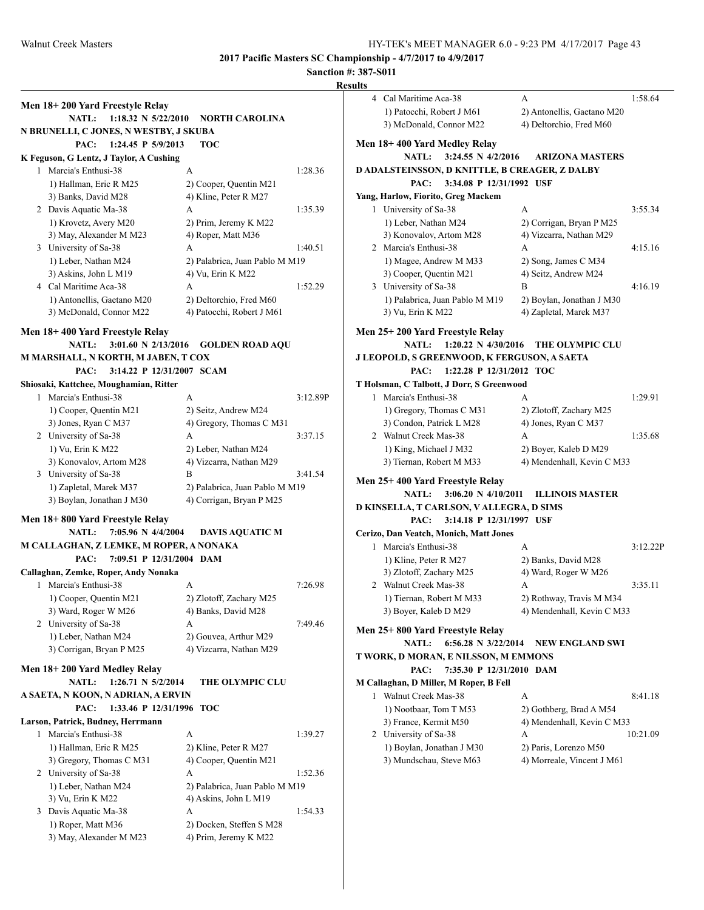$1:58.64$ 

3:55.34

 $4:15.16$ 

 $1:35.68$ 

3:12.22P

 $3:35.11$ 

 $8:41.18$ 

10:21.09

**2017 Pacific Masters SC Championship - 4/7/2017 to 4/9/2017**

|                                                              |                                          |          | Results                                        |                                           |          |
|--------------------------------------------------------------|------------------------------------------|----------|------------------------------------------------|-------------------------------------------|----------|
| Men 18+200 Yard Freestyle Relay                              |                                          |          | 4 Cal Maritime Aca-38                          | A                                         | 1:58.64  |
|                                                              | NATL: 1:18.32 N 5/22/2010 NORTH CAROLINA |          | 1) Patocchi, Robert J M61                      | 2) Antonellis, Gaetano M20                |          |
|                                                              |                                          |          | 3) McDonald, Connor M22                        | 4) Deltorchio, Fred M60                   |          |
| N BRUNELLI, C JONES, N WESTBY, J SKUBA<br>1:24.45 P 5/9/2013 | <b>TOC</b>                               |          | Men 18+400 Yard Medley Relay                   |                                           |          |
| PAC:                                                         |                                          |          | <b>NATL:</b><br>3:24.55 N $4/2/2016$           | <b>ARIZONA MASTERS</b>                    |          |
| K Feguson, G Lentz, J Taylor, A Cushing                      |                                          |          |                                                |                                           |          |
| 1 Marcia's Enthusi-38                                        | A                                        | 1:28.36  | D ADALSTEINSSON, D KNITTLE, B CREAGER, Z DALBY |                                           |          |
| 1) Hallman, Eric R M25                                       | 2) Cooper, Quentin M21                   |          | PAC:<br>3:34.08 P 12/31/1992 USF               |                                           |          |
| 3) Banks, David M28                                          | 4) Kline, Peter R M27                    |          | Yang, Harlow, Fiorito, Greg Mackem             |                                           |          |
| 2 Davis Aquatic Ma-38                                        | А                                        | 1:35.39  | 1 University of Sa-38                          | A                                         | 3:55.34  |
| 1) Krovetz, Avery M20                                        | 2) Prim, Jeremy K M22                    |          | 1) Leber, Nathan M24                           | 2) Corrigan, Bryan P M25                  |          |
| 3) May, Alexander M M23                                      | 4) Roper, Matt M36                       |          | 3) Konovalov, Artom M28                        | 4) Vizcarra, Nathan M29                   |          |
| 3 University of Sa-38                                        | A                                        | 1:40.51  | 2 Marcia's Enthusi-38                          | А                                         | 4:15.16  |
| 1) Leber, Nathan M24                                         | 2) Palabrica, Juan Pablo M M19           |          | 1) Magee, Andrew M M33                         | 2) Song, James C M34                      |          |
| 3) Askins, John L M19<br>4 Cal Maritime Aca-38               | 4) Vu, Erin K M22                        |          | 3) Cooper, Quentin M21                         | 4) Seitz, Andrew M24<br>B                 | 4:16.19  |
|                                                              | A                                        | 1:52.29  | 3 University of Sa-38                          |                                           |          |
| 1) Antonellis, Gaetano M20                                   | 2) Deltorchio, Fred M60                  |          | 1) Palabrica, Juan Pablo M M19                 | 2) Boylan, Jonathan J M30                 |          |
| 3) McDonald, Connor M22                                      | 4) Patocchi, Robert J M61                |          | 3) Vu, Erin K M22                              | 4) Zapletal, Marek M37                    |          |
| Men 18+400 Yard Freestyle Relay                              |                                          |          | Men 25+200 Yard Freestyle Relay                |                                           |          |
| <b>NATL:</b>                                                 | 3:01.60 N 2/13/2016 GOLDEN ROAD AQU      |          |                                                | NATL: 1:20.22 N 4/30/2016 THE OLYMPIC CLU |          |
| M MARSHALL, N KORTH, M JABEN, T COX                          |                                          |          | J LEOPOLD, S GREENWOOD, K FERGUSON, A SAETA    |                                           |          |
| 3:14.22 P 12/31/2007 SCAM<br>PAC:                            |                                          |          | 1:22.28 P 12/31/2012 TOC<br>PAC:               |                                           |          |
| Shiosaki, Kattchee, Moughamian, Ritter                       |                                          |          | T Holsman, C Talbott, J Dorr, S Greenwood      |                                           |          |
| 1 Marcia's Enthusi-38                                        | A                                        | 3:12.89P | 1 Marcia's Enthusi-38                          | A                                         | 1:29.91  |
| 1) Cooper, Quentin M21                                       | 2) Seitz, Andrew M24                     |          | 1) Gregory, Thomas C M31                       | 2) Zlotoff, Zachary M25                   |          |
| 3) Jones, Ryan C M37                                         | 4) Gregory, Thomas C M31                 |          | 3) Condon, Patrick L M28                       | 4) Jones, Ryan C M37                      |          |
| 2 University of Sa-38                                        | A                                        | 3:37.15  | 2 Walnut Creek Mas-38                          | A                                         | 1:35.68  |
| 1) Vu, Erin K M22                                            | 2) Leber, Nathan M24                     |          | 1) King, Michael J M32                         | 2) Boyer, Kaleb D M29                     |          |
| 3) Konovalov, Artom M28                                      | 4) Vizcarra, Nathan M29                  |          | 3) Tiernan, Robert M M33                       | 4) Mendenhall, Kevin C M33                |          |
| 3 University of Sa-38                                        | B                                        | 3:41.54  | Men 25+400 Yard Freestyle Relay                |                                           |          |
| 1) Zapletal, Marek M37                                       | 2) Palabrica, Juan Pablo M M19           |          | $3:06.20 \text{ N } 4/10/2011$<br><b>NATL:</b> | <b>ILLINOIS MASTER</b>                    |          |
| 3) Boylan, Jonathan J M30                                    | 4) Corrigan, Bryan P M25                 |          | D KINSELLA, T CARLSON, V ALLEGRA, D SIMS       |                                           |          |
| Men 18+800 Yard Freestyle Relay                              |                                          |          | 3:14.18 P 12/31/1997 USF<br>PAC:               |                                           |          |
| <b>NATL:</b><br>7:05.96 N 4/4/2004                           | <b>DAVIS AQUATIC M</b>                   |          | Cerizo, Dan Veatch, Monich, Matt Jones         |                                           |          |
| M CALLAGHAN, Z LEMKE, M ROPER, A NONAKA                      |                                          |          | 1 Marcia's Enthusi-38                          | A                                         | 3:12.22  |
| 7:09.51 P 12/31/2004 DAM<br>PAC:                             |                                          |          | 1) Kline, Peter R M27                          | 2) Banks, David M28                       |          |
| Callaghan, Zemke, Roper, Andy Nonaka                         |                                          |          | 3) Zlotoff, Zachary M25                        | 4) Ward, Roger W M26                      |          |
| 1 Marcia's Enthusi-38                                        | A                                        | 7:26.98  | 2 Walnut Creek Mas-38                          | А                                         | 3:35.11  |
| 1) Cooper, Quentin M21                                       | 2) Zlotoff, Zachary M25                  |          | 1) Tiernan, Robert M M33                       | 2) Rothway, Travis M M34                  |          |
| 3) Ward, Roger W M26                                         | 4) Banks, David M28                      |          | 3) Boyer, Kaleb D M29                          | 4) Mendenhall, Kevin C M33                |          |
| 2 University of Sa-38                                        |                                          | 7:49.46  |                                                |                                           |          |
| 1) Leber, Nathan M24                                         | А<br>2) Gouvea, Arthur M29               |          | Men 25+800 Yard Freestyle Relay                |                                           |          |
|                                                              |                                          |          | <b>NATL:</b>                                   | 6:56.28 N 3/22/2014 NEW ENGLAND SWI       |          |
| 3) Corrigan, Bryan P M25                                     | 4) Vizcarra, Nathan M29                  |          | T WORK, D MORAN, E NILSSON, M EMMONS           |                                           |          |
| Men 18+200 Yard Medley Relay                                 |                                          |          | PAC:<br>7:35.30 P 12/31/2010 DAM               |                                           |          |
| NATL: 1:26.71 N 5/2/2014                                     | THE OLYMPIC CLU                          |          | M Callaghan, D Miller, M Roper, B Fell         |                                           |          |
| A SAETA, N KOON, N ADRIAN, A ERVIN                           |                                          |          | 1 Walnut Creek Mas-38                          | A                                         | 8:41.18  |
| PAC: 1:33.46 P 12/31/1996 TOC                                |                                          |          | 1) Nootbaar, Tom T M53                         | 2) Gothberg, Brad A M54                   |          |
| Larson, Patrick, Budney, Herrmann                            |                                          |          | 3) France, Kermit M50                          | 4) Mendenhall, Kevin C M33                |          |
| 1 Marcia's Enthusi-38                                        | A                                        | 1:39.27  | 2 University of Sa-38                          | А                                         | 10:21.09 |
| 1) Hallman, Eric R M25                                       | 2) Kline, Peter R M27                    |          | 1) Boylan, Jonathan J M30                      | 2) Paris, Lorenzo M50                     |          |
| 3) Gregory, Thomas C M31                                     | 4) Cooper, Quentin M21                   |          | 3) Mundschau, Steve M63                        | 4) Morreale, Vincent J M61                |          |
| 2 University of Sa-38                                        | А                                        | 1:52.36  |                                                |                                           |          |
| 1) Leber, Nathan M24                                         | 2) Palabrica, Juan Pablo M M19           |          |                                                |                                           |          |
| 3) Vu, Erin K M22                                            | 4) Askins, John L M19                    |          |                                                |                                           |          |
| 3 Davis Aquatic Ma-38                                        | A                                        | 1:54.33  |                                                |                                           |          |
| 1) Roper, Matt M36                                           | 2) Docken, Steffen S M28                 |          |                                                |                                           |          |
| 3) May, Alexander M M23                                      | 4) Prim, Jeremy K M22                    |          |                                                |                                           |          |
|                                                              |                                          |          |                                                |                                           |          |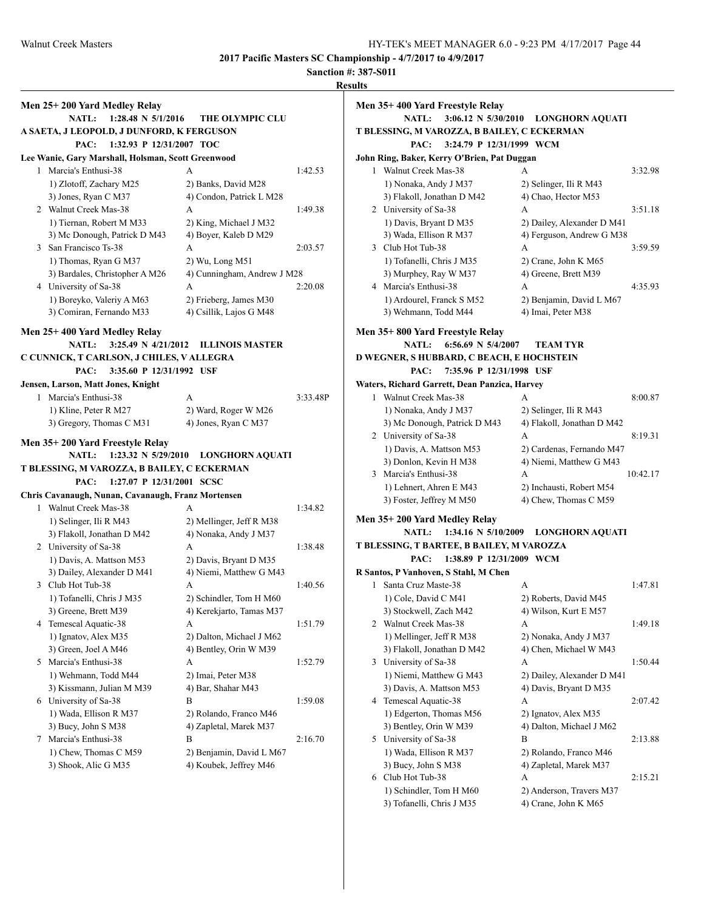**Sanction #: 387-S011**

# **Results**

| Men 25+200 Yard Medley Relay                       |                             |          |
|----------------------------------------------------|-----------------------------|----------|
| <b>NATL:</b><br>1:28.48 N 5/1/2016                 | <b>THE OLYMPIC CLU</b>      |          |
| A SAETA, J LEOPOLD, J DUNFORD, K FERGUSON          |                             |          |
| PAC: 1:32.93 P 12/31/2007 TOC                      |                             |          |
| Lee Wanie, Gary Marshall, Holsman, Scott Greenwood |                             |          |
| 1 Marcia's Enthusi-38                              | A                           | 1:42.53  |
| 1) Zlotoff, Zachary M25                            | 2) Banks, David M28         |          |
| 3) Jones, Ryan C M37                               | 4) Condon, Patrick L M28    |          |
| 2 Walnut Creek Mas-38                              | A                           | 1:49.38  |
| 1) Tiernan, Robert M M33                           | 2) King, Michael J M32      |          |
| 3) Mc Donough, Patrick D M43                       | 4) Boyer, Kaleb D M29       |          |
| 3 San Francisco Ts-38                              | A                           | 2:03.57  |
| 1) Thomas, Ryan G M37                              | 2) Wu, Long M51             |          |
| 3) Bardales, Christopher A M26                     | 4) Cunningham, Andrew J M28 |          |
| 4 University of Sa-38                              | A                           | 2:20.08  |
| 1) Boreyko, Valeriy A M63                          | 2) Frieberg, James M30      |          |
| 3) Comiran, Fernando M33                           | 4) Csillik, Lajos G M48     |          |
|                                                    |                             |          |
| Men 25+400 Yard Medley Relay                       |                             |          |
| $3:25.49 \text{ N } 4/21/2012$<br><b>NATL:</b>     | <b>ILLINOIS MASTER</b>      |          |
| C CUNNICK, T CARLSON, J CHILES, V ALLEGRA          |                             |          |
| 3:35.60 P 12/31/1992 USF<br>PAC:                   |                             |          |
| Jensen, Larson, Matt Jones, Knight                 |                             |          |
| 1 Marcia's Enthusi-38                              | A                           | 3:33.48P |
| 1) Kline, Peter R M27                              | 2) Ward, Roger W M26        |          |
| 3) Gregory, Thomas C M31                           | 4) Jones, Ryan C M37        |          |
|                                                    |                             |          |
| Men 35+200 Yard Freestyle Relay                    |                             |          |
| 1:23.32 N 5/29/2010<br><b>NATL:</b>                | <b>LONGHORN AQUATI</b>      |          |
| T BLESSING, M VAROZZA, B BAILEY, C ECKERMAN        |                             |          |
| 1:27.07 P 12/31/2001 SCSC<br>PAC:                  |                             |          |
| Chris Cavanaugh, Nunan, Cavanaugh, Franz Mortensen |                             |          |
| 1 Walnut Creek Mas-38                              | A                           | 1:34.82  |
| 1) Selinger, Ili R M43                             | 2) Mellinger, Jeff R M38    |          |
| 3) Flakoll, Jonathan D M42                         | 4) Nonaka, Andy J M37       |          |
| 2 University of Sa-38                              | A                           | 1:38.48  |
| 1) Davis, A. Mattson M53                           | 2) Davis, Bryant D M35      |          |
| 3) Dailey, Alexander D M41                         | 4) Niemi, Matthew G M43     |          |
| 3 Club Hot Tub-38                                  | A                           | 1:40.56  |
| 1) Tofanelli, Chris J M35                          | 2) Schindler, Tom H M60     |          |
| 3) Greene, Brett M39                               | 4) Kerekjarto, Tamas M37    |          |
| 4 Temescal Aquatic-38                              | A                           | 1:51.79  |
| 1) Ignatov, Alex M35                               | 2) Dalton, Michael J M62    |          |
| 3) Green, Joel A M46                               | 4) Bentley, Orin W M39      |          |
|                                                    |                             | 1:52.79  |
| 5 Marcia's Enthusi-38                              | A                           |          |
| 1) Wehmann, Todd M44                               | 2) Imai, Peter M38          |          |
| 3) Kissmann, Julian M M39                          | 4) Bar, Shahar M43          |          |
| 6 University of Sa-38                              | B                           | 1:59.08  |
| 1) Wada, Ellison R M37                             | 2) Rolando, Franco M46      |          |
| 3) Bucy, John S M38                                | 4) Zapletal, Marek M37      |          |
| 7 Marcia's Enthusi-38                              | B                           | 2:16.70  |
| 1) Chew, Thomas C M59                              | 2) Benjamin, David L M67    |          |
|                                                    | 4) Koubek, Jeffrey M46      |          |
| 3) Shook, Alic G M35                               |                             |          |

| <b>LLY</b> |                                                                            |                            |          |
|------------|----------------------------------------------------------------------------|----------------------------|----------|
|            | Men 35+400 Yard Freestyle Relay<br>$3:06.12 \text{ N } 5/30/2010$<br>NATL: |                            |          |
|            |                                                                            | <b>LONGHORN AQUATI</b>     |          |
|            | T BLESSING, M VAROZZA, B BAILEY, C ECKERMAN                                |                            |          |
|            | PAC:<br>3:24.79 P 12/31/1999 WCM                                           |                            |          |
|            | John Ring, Baker, Kerry O'Brien, Pat Duggan                                |                            |          |
|            | 1 Walnut Creek Mas-38                                                      | A                          | 3:32.98  |
|            | 1) Nonaka, Andy J M37                                                      | 2) Selinger, Ili R M43     |          |
|            | 3) Flakoll, Jonathan D M42                                                 | 4) Chao, Hector M53        |          |
|            | 2 University of Sa-38                                                      | A                          | 3:51.18  |
|            | 1) Davis, Bryant D M35                                                     | 2) Dailey, Alexander D M41 |          |
|            | 3) Wada, Ellison R M37                                                     | 4) Ferguson, Andrew G M38  |          |
|            | 3 Club Hot Tub-38                                                          | A                          | 3:59.59  |
|            | 1) Tofanelli, Chris J M35                                                  | 2) Crane, John K M65       |          |
|            | 3) Murphey, Ray W M37                                                      | 4) Greene, Brett M39       |          |
|            | 4 Marcia's Enthusi-38                                                      | A                          | 4:35.93  |
|            | 1) Ardourel, Franck S M52                                                  | 2) Benjamin, David L M67   |          |
|            | 3) Wehmann, Todd M44                                                       | 4) Imai, Peter M38         |          |
|            | Men 35+ 800 Yard Freestyle Relay                                           |                            |          |
|            | 6:56.69 N $5/4/2007$<br><b>NATL:</b>                                       | <b>TEAM TYR</b>            |          |
|            | D WEGNER, S HUBBARD, C BEACH, E HOCHSTEIN                                  |                            |          |
|            | 7:35.96 P 12/31/1998 USF<br>PAC:                                           |                            |          |
|            | Waters, Richard Garrett, Dean Panzica, Harvey                              |                            |          |
|            | 1 Walnut Creek Mas-38                                                      | A                          | 8:00.87  |
|            | 1) Nonaka, Andy J M37                                                      | 2) Selinger, Ili R M43     |          |
|            | 3) Mc Donough, Patrick D M43                                               | 4) Flakoll, Jonathan D M42 |          |
|            | 2 University of Sa-38                                                      | A                          | 8:19.31  |
|            | 1) Davis, A. Mattson M53                                                   | 2) Cardenas, Fernando M47  |          |
|            | 3) Donlon, Kevin H M38                                                     | 4) Niemi, Matthew G M43    |          |
|            | 3 Marcia's Enthusi-38                                                      | A                          | 10:42.17 |
|            | 1) Lehnert, Ahren E M43                                                    | 2) Inchausti, Robert M54   |          |
|            | 3) Foster, Jeffrey M M50                                                   | 4) Chew, Thomas C M59      |          |
|            |                                                                            |                            |          |
|            | Men 35+ 200 Yard Medley Relay                                              |                            |          |
|            | 1:34.16 N 5/10/2009<br><b>NATL:</b>                                        | <b>LONGHORN AQUATI</b>     |          |
|            | T BLESSING, T BARTEE, B BAILEY, M VAROZZA                                  |                            |          |
|            | PAC:<br>1:38.89 P 12/31/2009 WCM                                           |                            |          |
|            | R Santos, P Vanhoven, S Stahl, M Chen                                      |                            |          |
| 1          | Santa Cruz Maste-38                                                        | A                          | 1:47.81  |
|            | 1) Cole, David C M41                                                       | 2) Roberts, David M45      |          |
|            | 3) Stockwell, Zach M42                                                     | 4) Wilson, Kurt E M57      |          |
| 2          | Walnut Creek Mas-38                                                        | А                          | 1:49.18  |
|            | 1) Mellinger, Jeff R M38                                                   | 2) Nonaka, Andy J M37      |          |
|            | 3) Flakoll, Jonathan D M42                                                 | 4) Chen, Michael W M43     |          |
| 3          | University of Sa-38                                                        | А                          | 1:50.44  |
|            | 1) Niemi, Matthew G M43                                                    | 2) Dailey, Alexander D M41 |          |
|            | 3) Davis, A. Mattson M53                                                   | 4) Davis, Bryant D M35     |          |
| 4          | Temescal Aquatic-38                                                        | А                          | 2:07.42  |
|            | 1) Edgerton, Thomas M56                                                    | 2) Ignatov, Alex M35       |          |
|            | 3) Bentley, Orin W M39                                                     | 4) Dalton, Michael J M62   |          |
| 5          | University of Sa-38                                                        | B                          | 2:13.88  |
|            | 1) Wada, Ellison R M37                                                     | 2) Rolando, Franco M46     |          |
|            | 3) Bucy, John S M38                                                        | 4) Zapletal, Marek M37     |          |
| 6          | Club Hot Tub-38                                                            | А                          | 2:15.21  |
|            | 1) Schindler, Tom H M60                                                    | 2) Anderson, Travers M37   |          |
|            |                                                                            |                            |          |

3) Tofanelli, Chris J M35 4) Crane, John K M65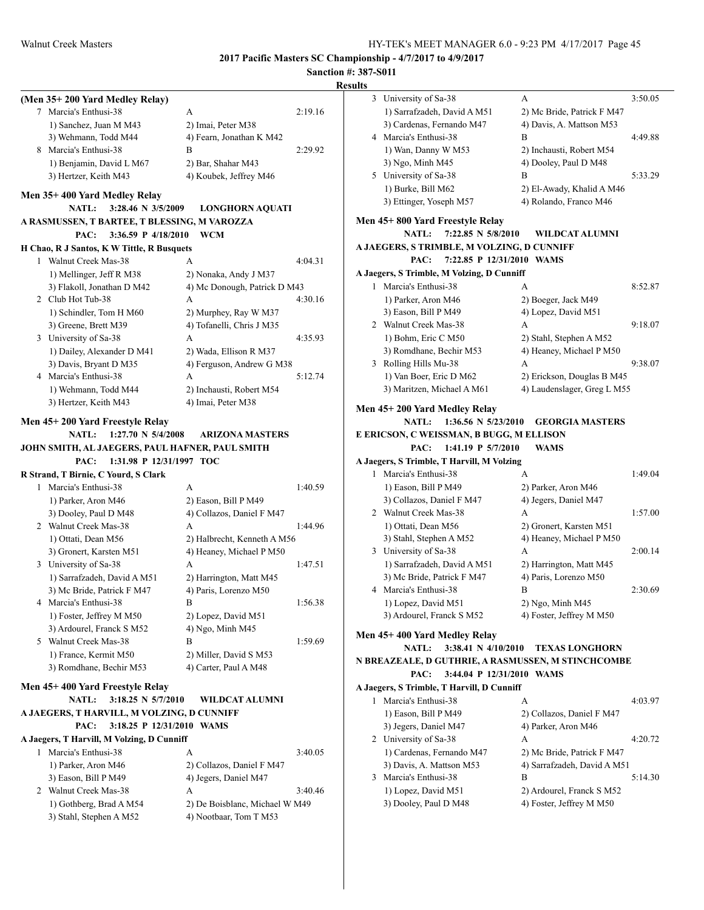## **Sanction #: 387-S011**

| (Men 35+200 Yard Medley Relay)                  |                                |
|-------------------------------------------------|--------------------------------|
| 7 Marcia's Enthusi-38                           | A<br>2:19.16                   |
| 1) Sanchez, Juan M M43                          | 2) Imai, Peter M38             |
| 3) Wehmann, Todd M44                            | 4) Fearn, Jonathan K M42       |
| 8 Marcia's Enthusi-38                           | B<br>2:29.92                   |
| 1) Benjamin, David L M67                        | 2) Bar, Shahar M43             |
| 3) Hertzer, Keith M43                           | 4) Koubek, Jeffrey M46         |
| Men 35+400 Yard Medley Relay                    |                                |
| NATL:<br>3:28.46 N 3/5/2009                     | <b>LONGHORN AQUATI</b>         |
| A RASMUSSEN, T BARTEE, T BLESSING, M VAROZZA    |                                |
| PAC:<br>3:36.59 P 4/18/2010                     | <b>WCM</b>                     |
| H Chao, R J Santos, K W Tittle, R Busquets      |                                |
| 1 Walnut Creek Mas-38                           | 4:04.31<br>A                   |
| 1) Mellinger, Jeff R M38                        | 2) Nonaka, Andy J M37          |
| 3) Flakoll, Jonathan D M42                      | 4) Mc Donough, Patrick D M43   |
| 2 Club Hot Tub-38                               | A<br>4:30.16                   |
| 1) Schindler, Tom H M60                         | 2) Murphey, Ray W M37          |
| 3) Greene, Brett M39                            | 4) Tofanelli, Chris J M35      |
| 3 University of Sa-38                           | A<br>4:35.93                   |
| 1) Dailey, Alexander D M41                      | 2) Wada, Ellison R M37         |
| 3) Davis, Bryant D M35                          | 4) Ferguson, Andrew G M38      |
| 4 Marcia's Enthusi-38                           | A<br>5:12.74                   |
| 1) Wehmann, Todd M44                            | 2) Inchausti, Robert M54       |
| 3) Hertzer, Keith M43                           | 4) Imai, Peter M38             |
| Men 45+200 Yard Freestyle Relay                 |                                |
| $1:27.70 \text{ N } 5/4/2008$<br><b>NATL:</b>   | <b>ARIZONA MASTERS</b>         |
| JOHN SMITH, AL JAEGERS, PAUL HAFNER, PAUL SMITH |                                |
| PAC:<br>1:31.98 P 12/31/1997 TOC                |                                |
| R Strand, T Birnie, C Yourd, S Clark            |                                |
| 1 Marcia's Enthusi-38                           | A<br>1:40.59                   |
| 1) Parker, Aron M46                             | 2) Eason, Bill P M49           |
| 3) Dooley, Paul D M48                           | 4) Collazos, Daniel F M47      |
| 2 Walnut Creek Mas-38                           | A<br>1:44.96                   |
| 1) Ottati, Dean M56                             | 2) Halbrecht, Kenneth A M56    |
| 3) Gronert, Karsten M51                         | 4) Heaney, Michael P M50       |
| 3 University of Sa-38                           | 1:47.51<br>A                   |
| 1) Sarrafzadeh, David A M51                     | 2) Harrington, Matt M45        |
| 3) Mc Bride, Patrick F M47                      | 4) Paris, Lorenzo M50          |
| 4 Marcia's Enthusi-38                           | В<br>1:56.38                   |
| 1) Foster, Jeffrey M M50                        | 2) Lopez, David M51            |
| 3) Ardourel, Franck S M52                       | 4) Ngo, Minh M45               |
| 5 Walnut Creek Mas-38                           | В<br>1:59.69                   |
| 1) France, Kermit M50                           | 2) Miller, David S M53         |
| 3) Romdhane, Bechir M53                         | 4) Carter, Paul A M48          |
|                                                 |                                |
| Men 45+400 Yard Freestyle Relay                 |                                |
| <b>NATL:</b><br>$3:18.25$ N $5/7/2010$          | <b>WILDCAT ALUMNI</b>          |
| A JAEGERS, T HARVILL, M VOLZING, D CUNNIFF      |                                |
| 3:18.25 P 12/31/2010 WAMS<br>PAC:               |                                |
| A Jaegers, T Harvill, M Volzing, D Cunniff      |                                |
| 1 Marcia's Enthusi-38                           | А<br>3:40.05                   |
| 1) Parker, Aron M46                             | 2) Collazos, Daniel F M47      |
| 3) Eason, Bill P M49                            | 4) Jegers, Daniel M47          |
| 2 Walnut Creek Mas-38                           | A<br>3:40.46                   |
| 1) Gothberg, Brad A M54                         | 2) De Boisblanc, Michael W M49 |
| 3) Stahl, Stephen A M52                         | 4) Nootbaar, Tom T M53         |

| 3  | University of Sa-38                                | A                                                     | 3:50.05 |
|----|----------------------------------------------------|-------------------------------------------------------|---------|
|    | 1) Sarrafzadeh, David A M51                        | 2) Mc Bride, Patrick F M47                            |         |
|    | 3) Cardenas, Fernando M47                          | 4) Davis, A. Mattson M53                              |         |
| 4  | Marcia's Enthusi-38                                | B                                                     | 4:49.88 |
|    | 1) Wan, Danny W M53                                | 2) Inchausti, Robert M54                              |         |
|    | 3) Ngo, Minh M45                                   | 4) Dooley, Paul D M48                                 |         |
|    | 5 University of Sa-38                              | B                                                     | 5:33.29 |
|    | 1) Burke, Bill M62                                 | 2) El-Awady, Khalid A M46                             |         |
|    | 3) Ettinger, Yoseph M57                            | 4) Rolando, Franco M46                                |         |
|    | Men 45+ 800 Yard Freestyle Relay                   |                                                       |         |
|    | 7:22.85 N 5/8/2010<br><b>NATL:</b>                 | <b>WILDCAT ALUMNI</b>                                 |         |
|    | A JAEGERS, S TRIMBLE, M VOLZING, D CUNNIFF         |                                                       |         |
|    | 7:22.85 P 12/31/2010 WAMS<br>PAC:                  |                                                       |         |
|    | A Jaegers, S Trimble, M Volzing, D Cunniff         |                                                       |         |
|    | 1 Marcia's Enthusi-38                              | A                                                     | 8:52.87 |
|    | 1) Parker, Aron M46                                | 2) Boeger, Jack M49                                   |         |
|    | 3) Eason, Bill P M49                               | 4) Lopez, David M51                                   |         |
|    | 2 Walnut Creek Mas-38                              | A                                                     | 9:18.07 |
|    | 1) Bohm, Eric C M50                                | 2) Stahl, Stephen A M52                               |         |
|    | 3) Romdhane, Bechir M53                            | 4) Heaney, Michael P M50                              |         |
| 3  | Rolling Hills Mu-38                                | A                                                     | 9:38.07 |
|    | 1) Van Boer, Eric D M62                            | 2) Erickson, Douglas B M45                            |         |
|    | 3) Maritzen, Michael A M61                         | 4) Laudenslager, Greg L M55                           |         |
|    |                                                    |                                                       |         |
|    | Men 45+200 Yard Medley Relay                       |                                                       |         |
|    | <b>NATL:</b><br>1:36.56 N 5/23/2010                | <b>GEORGIA MASTERS</b>                                |         |
|    | E ERICSON, C WEISSMAN, B BUGG, M ELLISON           |                                                       |         |
|    | 1:41.19 P 5/7/2010<br>PAC:                         | WAMS                                                  |         |
|    | A Jaegers, S Trimble, T Harvill, M Volzing         |                                                       |         |
| 1. | Marcia's Enthusi-38                                | А                                                     | 1:49.04 |
|    |                                                    |                                                       |         |
|    | 1) Eason, Bill P M49                               | 2) Parker, Aron M46                                   |         |
|    | 3) Collazos, Daniel F M47                          | 4) Jegers, Daniel M47                                 |         |
|    | 2 Walnut Creek Mas-38                              | A                                                     | 1:57.00 |
|    | 1) Ottati, Dean M56                                | 2) Gronert, Karsten M51                               |         |
|    | 3) Stahl, Stephen A M52                            | 4) Heaney, Michael P M50                              |         |
|    | 3 University of Sa-38                              | A                                                     | 2:00.14 |
|    | 1) Sarrafzadeh, David A M51                        | 2) Harrington, Matt M45                               |         |
|    | 3) Mc Bride, Patrick F M47                         | 4) Paris, Lorenzo M50                                 |         |
|    | 4 Marcia's Enthusi-38                              | В                                                     | 2:30.69 |
|    | 1) Lopez, David M51                                | 2) Ngo, Minh M45                                      |         |
|    | 3) Ardourel, Franck S M52                          | 4) Foster, Jeffrey M M50                              |         |
|    | Men 45+400 Yard Medley Relay                       |                                                       |         |
|    | <b>NATL:</b><br>3:38.41 N $4/10/2010$              | <b>TEXAS LONGHORN</b>                                 |         |
|    | N BREAZEALE, D GUTHRIE, A RASMUSSEN, M STINCHCOMBE |                                                       |         |
|    | PAC:<br>3:44.04 P 12/31/2010 WAMS                  |                                                       |         |
|    | A Jaegers, S Trimble, T Harvill, D Cunniff         |                                                       |         |
| 1  | Marcia's Enthusi-38                                | А                                                     | 4:03.97 |
|    | 1) Eason, Bill P M49                               | 2) Collazos, Daniel F M47                             |         |
|    | 3) Jegers, Daniel M47                              | 4) Parker, Aron M46                                   |         |
|    | 2 University of Sa-38                              | A                                                     | 4:20.72 |
|    | 1) Cardenas, Fernando M47                          | 2) Mc Bride, Patrick F M47                            |         |
|    | 3) Davis, A. Mattson M53                           | 4) Sarrafzadeh, David A M51                           |         |
| 3  | Marcia's Enthusi-38                                | B                                                     | 5:14.30 |
|    | 1) Lopez, David M51<br>3) Dooley, Paul D M48       | 2) Ardourel, Franck S M52<br>4) Foster, Jeffrey M M50 |         |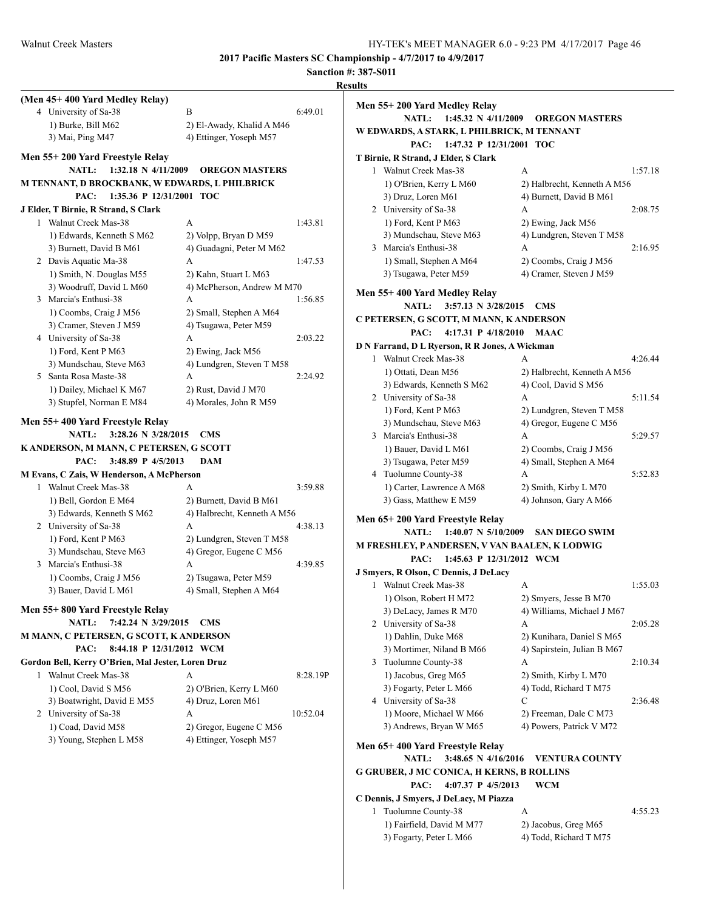|                                                    |                             |          | <b>Sanction #: 387-S011</b><br><b>Results</b>    |                                          |         |
|----------------------------------------------------|-----------------------------|----------|--------------------------------------------------|------------------------------------------|---------|
| (Men 45+400 Yard Medley Relay)                     |                             |          |                                                  |                                          |         |
| 4 University of Sa-38                              | B                           | 6:49.01  | Men 55+200 Yard Medley Relay                     |                                          |         |
| 1) Burke, Bill M62                                 | 2) El-Awady, Khalid A M46   |          |                                                  | NATL: 1:45.32 N 4/11/2009 OREGON MASTERS |         |
| 3) Mai, Ping M47                                   | 4) Ettinger, Yoseph M57     |          | W EDWARDS, A STARK, L PHILBRICK, M TENNANT       |                                          |         |
|                                                    |                             |          | PAC: 1:47.32 P 12/31/2001 TOC                    |                                          |         |
| Men 55+200 Yard Freestyle Relay                    |                             |          | T Birnie, R Strand, J Elder, S Clark             |                                          |         |
| NATL: 1:32.18 N 4/11/2009                          | <b>OREGON MASTERS</b>       |          | 1 Walnut Creek Mas-38                            | A                                        | 1:57.18 |
| M TENNANT, D BROCKBANK, W EDWARDS, L PHILBRICK     |                             |          | 1) O'Brien, Kerry L M60                          | 2) Halbrecht, Kenneth A M56              |         |
| PAC:<br>1:35.36 P 12/31/2001 TOC                   |                             |          | 3) Druz, Loren M61                               | 4) Burnett, David B M61                  |         |
| J Elder, T Birnie, R Strand, S Clark               |                             |          | 2 University of Sa-38                            | А                                        | 2:08.75 |
| 1 Walnut Creek Mas-38                              | A                           | 1:43.81  | 1) Ford, Kent P M63                              | 2) Ewing, Jack M56                       |         |
| 1) Edwards, Kenneth S M62                          | 2) Volpp, Bryan D M59       |          | 3) Mundschau, Steve M63                          | 4) Lundgren, Steven T M58                |         |
|                                                    | 4) Guadagni, Peter M M62    |          | 3 Marcia's Enthusi-38                            | А                                        | 2:16.95 |
| 3) Burnett, David B M61                            |                             |          |                                                  |                                          |         |
| 2 Davis Aquatic Ma-38                              | A                           | 1:47.53  | 1) Small, Stephen A M64                          | 2) Coombs, Craig J M56                   |         |
| 1) Smith, N. Douglas M55                           | 2) Kahn, Stuart L M63       |          | 3) Tsugawa, Peter M59                            | 4) Cramer, Steven J M59                  |         |
| 3) Woodruff, David L M60                           | 4) McPherson, Andrew M M70  |          | Men 55+400 Yard Medley Relay                     |                                          |         |
| 3 Marcia's Enthusi-38                              | A                           | 1:56.85  | NATL: 3:57.13 N 3/28/2015 CMS                    |                                          |         |
| 1) Coombs, Craig J M56                             | 2) Small, Stephen A M64     |          | C PETERSEN, G SCOTT, M MANN, K ANDERSON          |                                          |         |
| 3) Cramer, Steven J M59                            | 4) Tsugawa, Peter M59       |          | PAC:<br>4:17.31 P 4/18/2010 MAAC                 |                                          |         |
| 4 University of Sa-38                              | A                           | 2:03.22  |                                                  |                                          |         |
| 1) Ford, Kent P M63                                | 2) Ewing, Jack M56          |          | D N Farrand, D L Ryerson, R R Jones, A Wickman   |                                          |         |
| 3) Mundschau, Steve M63                            | 4) Lundgren, Steven T M58   |          | 1 Walnut Creek Mas-38                            | A                                        | 4:26.44 |
| 5 Santa Rosa Maste-38                              | A                           | 2:24.92  | 1) Ottati, Dean M56                              | 2) Halbrecht, Kenneth A M56              |         |
| 1) Dailey, Michael K M67                           | 2) Rust, David J M70        |          | 3) Edwards, Kenneth S M62                        | 4) Cool, David S M56                     |         |
| 3) Stupfel, Norman E M84                           | 4) Morales, John R M59      |          | 2 University of Sa-38                            | А                                        | 5:11.54 |
|                                                    |                             |          | 1) Ford, Kent P M63                              | 2) Lundgren, Steven T M58                |         |
| Men 55+400 Yard Freestyle Relay                    |                             |          | 3) Mundschau, Steve M63                          | 4) Gregor, Eugene C M56                  |         |
| NATL: 3:28.26 N 3/28/2015 CMS                      |                             |          | 3 Marcia's Enthusi-38                            | А                                        | 5:29.57 |
| K ANDERSON, M MANN, C PETERSEN, G SCOTT            |                             |          | 1) Bauer, David L M61                            | 2) Coombs, Craig J M56                   |         |
| 3:48.89 P 4/5/2013<br>PAC:                         | <b>DAM</b>                  |          | 3) Tsugawa, Peter M59                            | 4) Small, Stephen A M64                  |         |
| M Evans, C Zais, W Henderson, A McPherson          |                             |          | 4 Tuolumne County-38                             | А                                        | 5:52.83 |
| 1 Walnut Creek Mas-38                              | A                           | 3:59.88  | 1) Carter, Lawrence A M68                        | 2) Smith, Kirby L M70                    |         |
| 1) Bell, Gordon E M64                              | 2) Burnett, David B M61     |          | 3) Gass, Matthew E M59                           | 4) Johnson, Gary A M66                   |         |
| 3) Edwards, Kenneth S M62                          | 4) Halbrecht, Kenneth A M56 |          |                                                  |                                          |         |
| 2 University of Sa-38                              | A                           | 4:38.13  | Men 65+200 Yard Freestyle Relay                  |                                          |         |
| 1) Ford, Kent P M63                                | 2) Lundgren, Steven T M58   |          | <b>NATL:</b><br>$1:40.07 \text{ N } 5/10/2009$   | <b>SAN DIEGO SWIM</b>                    |         |
| 3) Mundschau, Steve M63                            | 4) Gregor, Eugene C M56     |          | M FRESHLEY, PANDERSEN, V VAN BAALEN, K LODWIG    |                                          |         |
| 3 Marcia's Enthusi-38                              | A                           | 4:39.85  | PAC:<br>1:45.63 P 12/31/2012 WCM                 |                                          |         |
| 1) Coombs, Craig J M56                             | 2) Tsugawa, Peter M59       |          | J Smyers, R Olson, C Dennis, J DeLacy            |                                          |         |
| 3) Bauer, David L M61                              | 4) Small, Stephen A M64     |          | Walnut Creek Mas-38                              | A                                        | 1:55.03 |
|                                                    |                             |          | 1) Olson, Robert H M72                           | 2) Smyers, Jesse B M70                   |         |
| Men 55+800 Yard Freestyle Relay                    |                             |          | 3) DeLacy, James R M70                           | 4) Williams, Michael J M67               |         |
| NATL: 7:42.24 N 3/29/2015 CMS                      |                             |          | 2 University of Sa-38                            | А                                        | 2:05.28 |
| M MANN, C PETERSEN, G SCOTT, K ANDERSON            |                             |          | 1) Dahlin, Duke M68                              | 2) Kunihara, Daniel S M65                |         |
| PAC: 8:44.18 P 12/31/2012 WCM                      |                             |          | 3) Mortimer, Niland B M66                        | 4) Sapirstein, Julian B M67              |         |
| Gordon Bell, Kerry O'Brien, Mal Jester, Loren Druz |                             |          | 3 Tuolumne County-38                             | А                                        | 2:10.34 |
| 1 Walnut Creek Mas-38                              | A                           | 8:28.19P | 1) Jacobus, Greg M65                             | 2) Smith, Kirby L M70                    |         |
| 1) Cool, David S M56                               | 2) O'Brien, Kerry L M60     |          | 3) Fogarty, Peter L M66                          | 4) Todd, Richard T M75                   |         |
| 3) Boatwright, David E M55                         | 4) Druz, Loren M61          |          | 4 University of Sa-38                            | С                                        | 2:36.48 |
| 2 University of Sa-38                              | A                           | 10:52.04 | 1) Moore, Michael W M66                          | 2) Freeman, Dale C M73                   |         |
| 1) Coad, David M58                                 | 2) Gregor, Eugene C M56     |          | 3) Andrews, Bryan W M65                          | 4) Powers, Patrick V M72                 |         |
| 3) Young, Stephen L M58                            | 4) Ettinger, Yoseph M57     |          |                                                  |                                          |         |
|                                                    |                             |          | Men 65+400 Yard Freestyle Relay                  |                                          |         |
|                                                    |                             |          |                                                  | NATL: 3:48.65 N 4/16/2016 VENTURA COUNTY |         |
|                                                    |                             |          | <b>G GRUBER, J MC CONICA, H KERNS, B ROLLINS</b> |                                          |         |
|                                                    |                             |          | PAC:<br>4:07.37 P 4/5/2013                       | <b>WCM</b>                               |         |
|                                                    |                             |          | C Dennis, J Smyers, J DeLacy, M Piazza           |                                          |         |
|                                                    |                             |          | 1 Tuolumne County-38                             | A                                        | 4:55.23 |
|                                                    |                             |          | 1) Fairfield, David M M77                        | 2) Jacobus, Greg M65                     |         |
|                                                    |                             |          |                                                  |                                          |         |
|                                                    |                             |          | 3) Fogarty, Peter L M66                          | 4) Todd, Richard T M75                   |         |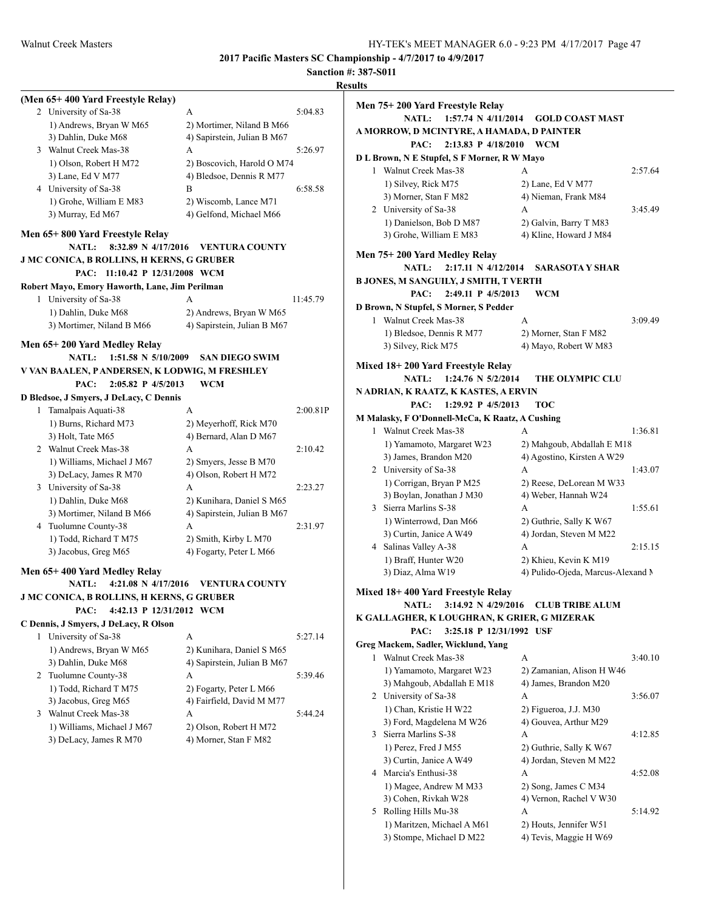## **Sanction #: 387-S011**

|                                                            | Sanction #: 38'                                  |                |
|------------------------------------------------------------|--------------------------------------------------|----------------|
|                                                            |                                                  | <b>Results</b> |
| (Men 65+400 Yard Freestyle Relay)<br>2 University of Sa-38 | A<br>5:04.83                                     |                |
| 1) Andrews, Bryan W M65                                    | 2) Mortimer, Niland B M66                        |                |
| 3) Dahlin, Duke M68                                        | 4) Sapirstein, Julian B M67                      |                |
| 3 Walnut Creek Mas-38                                      | 5:26.97<br>A                                     |                |
| 1) Olson, Robert H M72                                     | 2) Boscovich, Harold O M74                       |                |
| 3) Lane, Ed V M77                                          | 4) Bledsoe, Dennis R M77                         |                |
| 4 University of Sa-38                                      | B<br>6:58.58                                     |                |
| 1) Grohe, William E M83                                    | 2) Wiscomb, Lance M71                            |                |
| 3) Murray, Ed M67                                          | 4) Gelfond, Michael M66                          |                |
| Men 65+800 Yard Freestyle Relay                            |                                                  |                |
| 8:32.89 N 4/17/2016<br><b>NATL:</b>                        | <b>VENTURA COUNTY</b>                            |                |
| <b>J MC CONICA, B ROLLINS, H KERNS, G GRUBER</b>           |                                                  |                |
| PAC:<br>11:10.42 P 12/31/2008 WCM                          |                                                  |                |
| Robert Mayo, Emory Haworth, Lane, Jim Perilman             |                                                  |                |
| 1 University of Sa-38                                      | 11:45.79<br>A                                    |                |
| 1) Dahlin, Duke M68                                        | 2) Andrews, Bryan W M65                          |                |
| 3) Mortimer, Niland B M66                                  | 4) Sapirstein, Julian B M67                      |                |
| Men 65+200 Yard Medley Relay                               |                                                  |                |
| 1:51.58 N 5/10/2009<br><b>NATL:</b>                        | <b>SAN DIEGO SWIM</b>                            |                |
| V VAN BAALEN, PANDERSEN, K LODWIG, M FRESHLEY              |                                                  |                |
| PAC:<br>2:05.82 P 4/5/2013                                 | <b>WCM</b>                                       |                |
| D Bledsoe, J Smyers, J DeLacy, C Dennis                    |                                                  |                |
| 1 Tamalpais Aquati-38                                      | A<br>2:00.81P                                    |                |
| 1) Burns, Richard M73                                      | 2) Meyerhoff, Rick M70                           |                |
| 3) Holt, Tate M65                                          | 4) Bernard, Alan D M67                           |                |
| 2 Walnut Creek Mas-38                                      | 2:10.42<br>A                                     |                |
| 1) Williams, Michael J M67                                 | 2) Smyers, Jesse B M70                           |                |
| 3) DeLacy, James R M70                                     | 4) Olson, Robert H M72                           |                |
| 3 University of Sa-38                                      | 2:23.27<br>A                                     |                |
| 1) Dahlin, Duke M68                                        | 2) Kunihara, Daniel S M65                        |                |
| 3) Mortimer, Niland B M66                                  | 4) Sapirstein, Julian B M67                      |                |
| 4 Tuolumne County-38                                       | A<br>2:31.97                                     |                |
| 1) Todd, Richard T M75<br>3) Jacobus, Greg M65             | 2) Smith, Kirby L M70<br>4) Fogarty, Peter L M66 |                |
|                                                            |                                                  |                |
| Men 65+400 Yard Medley Relay                               |                                                  |                |
| <b>NATL:</b>                                               | 4:21.08 N 4/17/2016 VENTURA COUNTY               |                |
| <b>J MC CONICA, B ROLLINS, H KERNS, G GRUBER</b>           |                                                  |                |
| PAC:<br>4:42.13 P 12/31/2012 WCM                           |                                                  |                |
| C Dennis, J Smyers, J DeLacy, R Olson                      |                                                  |                |
| 1 University of Sa-38<br>1) Andrews, Bryan W M65           | A<br>5:27.14                                     |                |
|                                                            | 2) Kunihara, Daniel S M65                        |                |
| 3) Dahlin, Duke M68<br>2 Tuolumne County-38                | 4) Sapirstein, Julian B M67<br>5:39.46<br>A      |                |
| 1) Todd, Richard T M75                                     | 2) Fogarty, Peter L M66                          |                |
|                                                            | 4) Fairfield, David M M77                        |                |
|                                                            |                                                  |                |
| 3) Jacobus, Greg M65                                       |                                                  |                |
| 3 Walnut Creek Mas-38                                      | A<br>5:44.24                                     |                |
| 1) Williams, Michael J M67<br>3) DeLacy, James R M70       | 2) Olson, Robert H M72<br>4) Morner, Stan F M82  |                |

|    | Men 75+ 200 Yard Freestyle Relay                           |                                                            |         |
|----|------------------------------------------------------------|------------------------------------------------------------|---------|
|    | <b>NATL:</b><br>1:57.74 N 4/11/2014                        | GOLD COAST MAST                                            |         |
|    | A MORROW, D MCINTYRE, A HAMADA, D PAINTER                  |                                                            |         |
|    | PAC:<br>2:13.83 P 4/18/2010                                | <b>WCM</b>                                                 |         |
|    | D L Brown, N E Stupfel, S F Morner, R W Mayo               |                                                            |         |
|    | 1 Walnut Creek Mas-38                                      | A                                                          | 2:57.64 |
|    | 1) Silvey, Rick M75                                        | 2) Lane, Ed V M77                                          |         |
|    | 3) Morner, Stan F M82                                      | 4) Nieman, Frank M84                                       |         |
|    | 2 University of Sa-38                                      | А                                                          | 3:45.49 |
|    | 1) Danielson, Bob D M87                                    | 2) Galvin, Barry T M83                                     |         |
|    | 3) Grohe, William E M83                                    | 4) Kline, Howard J M84                                     |         |
|    | Men 75+200 Yard Medley Relay                               |                                                            |         |
|    | 2:17.11 N 4/12/2014<br><b>NATL:</b>                        | SARASOTA Y SHAR                                            |         |
|    | B JONES, M SANGUILY, J SMITH, T VERTH                      |                                                            |         |
|    | PAC:<br>2:49.11 P 4/5/2013                                 | WCM                                                        |         |
|    | D Brown, N Stupfel, S Morner, S Pedder                     |                                                            |         |
|    | 1 Walnut Creek Mas-38                                      | A                                                          | 3:09.49 |
|    | 1) Bledsoe, Dennis R M77                                   | 2) Morner, Stan F M82                                      |         |
|    | 3) Silvey, Rick M75                                        | 4) Mayo, Robert W M83                                      |         |
|    |                                                            |                                                            |         |
|    | Mixed 18+ 200 Yard Freestyle Relay                         |                                                            |         |
|    | 1:24.76 N 5/2/2014<br>NATL:                                | <b>THE OLYMPIC CLU</b>                                     |         |
|    | N ADRIAN, K RAATZ, K KASTES, A ERVIN<br>1:29.92 P 4/5/2013 |                                                            |         |
|    | PAC:                                                       | <b>TOC</b>                                                 |         |
|    | M Malasky, F O'Donnell-McCa, K Raatz, A Cushing            |                                                            |         |
|    | 1 Walnut Creek Mas-38                                      | А                                                          | 1:36.81 |
|    | 1) Yamamoto, Margaret W23                                  | 2) Mahgoub, Abdallah E M18                                 |         |
|    | 3) James, Brandon M20                                      | 4) Agostino, Kirsten A W29                                 |         |
|    | 2 University of Sa-38                                      | А                                                          | 1:43.07 |
|    | 1) Corrigan, Bryan P M25                                   | 2) Reese, DeLorean M W33                                   |         |
|    | 3) Boylan, Jonathan J M30                                  | 4) Weber, Hannah W24                                       |         |
|    | 3 Sierra Marlins S-38                                      | A                                                          | 1:55.61 |
|    | 1) Winterrowd, Dan M66                                     | 2) Guthrie, Sally K W67                                    |         |
|    | 3) Curtin, Janice A W49                                    | 4) Jordan, Steven M M22                                    |         |
|    | 4 Salinas Valley A-38                                      | A                                                          | 2:15.15 |
|    | 1) Braff, Hunter W20                                       | 2) Khieu, Kevin K M19<br>4) Pulido-Ojeda, Marcus-Alexand M |         |
|    | 3) Diaz, Alma W19                                          |                                                            |         |
|    | Mixed 18+ 400 Yard Freestyle Relay                         |                                                            |         |
|    |                                                            | NATL: 3:14.92 N 4/29/2016 CLUB TRIBE ALUM                  |         |
|    | K GALLAGHER, K LOUGHRAN, K GRIER, G MIZERAK                |                                                            |         |
|    | PAC:<br>3:25.18 P 12/31/1992 USF                           |                                                            |         |
|    | Greg Mackem, Sadler, Wicklund, Yang                        |                                                            |         |
| 1  | Walnut Creek Mas-38                                        | A                                                          | 3:40.10 |
|    | 1) Yamamoto, Margaret W23                                  | 2) Zamanian, Alison H W46                                  |         |
|    | 3) Mahgoub, Abdallah E M18                                 | 4) James, Brandon M20                                      |         |
|    | 2 University of Sa-38                                      | A                                                          | 3:56.07 |
|    | 1) Chan, Kristie H W22                                     | 2) Figueroa, J.J. M30                                      |         |
|    | 3) Ford, Magdelena M W26                                   | 4) Gouvea, Arthur M29                                      |         |
|    | 3 Sierra Marlins S-38                                      | А                                                          | 4:12.85 |
|    | 1) Perez, Fred J M55                                       | 2) Guthrie, Sally K W67                                    |         |
|    | 3) Curtin, Janice A W49                                    | 4) Jordan, Steven M M22                                    |         |
| 4  | Marcia's Enthusi-38                                        | А                                                          | 4:52.08 |
|    | 1) Magee, Andrew M M33                                     | 2) Song, James C M34                                       |         |
|    | 3) Cohen, Rivkah W28                                       | 4) Vernon, Rachel V W30                                    |         |
| 5. | Rolling Hills Mu-38                                        | А                                                          | 5:14.92 |
|    | 1) Maritzen, Michael A M61                                 | 2) Houts, Jennifer W51                                     |         |

3) Stompe, Michael D M22 4) Tevis, Maggie H W69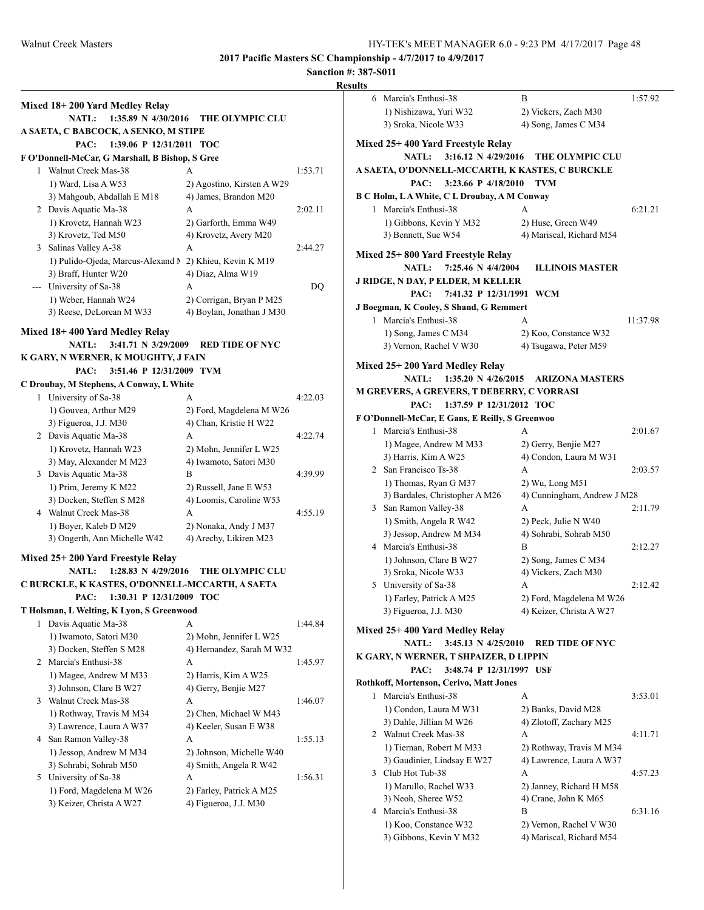| Mixed 18+200 Yard Medley Relay                          |                                                   |         |                    |
|---------------------------------------------------------|---------------------------------------------------|---------|--------------------|
| <b>NATL:</b><br>1:35.89 N 4/30/2016                     | THE OLYMPIC CLU                                   |         |                    |
| A SAETA, C BABCOCK, A SENKO, M STIPE                    |                                                   |         |                    |
| 1:39.06 P 12/31/2011 TOC<br>PAC:                        |                                                   |         | Mix                |
| F O'Donnell-McCar, G Marshall, B Bishop, S Gree         |                                                   |         |                    |
| 1 Walnut Creek Mas-38                                   | A                                                 | 1:53.71 | A SA               |
| 1) Ward, Lisa A W53                                     | 2) Agostino, Kirsten A W29                        |         |                    |
| 3) Mahgoub, Abdallah E M18                              | 4) James, Brandon M20                             |         | B C I              |
| 2 Davis Aquatic Ma-38                                   | A                                                 | 2:02.11 |                    |
| 1) Krovetz, Hannah W23                                  | 2) Garforth, Emma W49                             |         |                    |
| 3) Krovetz, Ted M50                                     | 4) Krovetz, Avery M20                             |         |                    |
| 3 Salinas Valley A-38                                   | A                                                 | 2:44.27 | Mix                |
| 1) Pulido-Ojeda, Marcus-Alexand M 2) Khieu, Kevin K M19 |                                                   |         |                    |
| 3) Braff, Hunter W20                                    | 4) Diaz, Alma W19                                 |         | <b>JRI</b>         |
| --- University of Sa-38                                 | A                                                 | DQ      |                    |
| 1) Weber, Hannah W24                                    | 2) Corrigan, Bryan P M25                          |         |                    |
| 3) Reese, DeLorean M W33                                | 4) Boylan, Jonathan J M30                         |         | J Bo               |
| Mixed 18+400 Yard Medley Relay                          |                                                   |         |                    |
| <b>NATL:</b><br>$3:41.71 \text{ N } 3/29/2009$          | <b>RED TIDE OF NYC</b>                            |         |                    |
| K GARY, N WERNER, K MOUGHTY, J FAIN                     |                                                   |         |                    |
| PAC:<br>3:51.46 P 12/31/2009 TVM                        |                                                   |         | Mix                |
| C Droubay, M Stephens, A Conway, L White                |                                                   |         |                    |
| 1 University of Sa-38                                   | A                                                 | 4:22.03 | M G                |
| 1) Gouvea, Arthur M29                                   | 2) Ford, Magdelena M W26                          |         |                    |
| 3) Figueroa, J.J. M30                                   | 4) Chan, Kristie H W22                            |         | FO'                |
| 2 Davis Aquatic Ma-38                                   | A                                                 | 4:22.74 |                    |
| 1) Krovetz, Hannah W23                                  | 2) Mohn, Jennifer L W25                           |         |                    |
| 3) May, Alexander M M23                                 | 4) Iwamoto, Satori M30                            |         |                    |
| 3 Davis Aquatic Ma-38                                   | B                                                 | 4:39.99 |                    |
| 1) Prim, Jeremy K M22                                   | 2) Russell, Jane E W53                            |         |                    |
| 3) Docken, Steffen S M28                                | 4) Loomis, Caroline W53                           |         |                    |
| 4 Walnut Creek Mas-38                                   | A                                                 | 4:55.19 |                    |
|                                                         |                                                   |         |                    |
|                                                         |                                                   |         |                    |
| 1) Boyer, Kaleb D M29                                   | 2) Nonaka, Andy J M37                             |         |                    |
| 3) Ongerth, Ann Michelle W42                            | 4) Arechy, Likiren M23                            |         |                    |
| Mixed 25+200 Yard Freestyle Relay                       |                                                   |         |                    |
| <b>NATL:</b><br>1:28.83 N 4/29/2016                     | <b>THE OLYMPIC CLU</b>                            |         |                    |
| C BURCKLE, K KASTES, O'DONNELL-MCCARTH, A SAETA         |                                                   |         |                    |
| 1:30.31 P 12/31/2009 TOC<br>PAC:                        |                                                   |         |                    |
| T Holsman, L Welting, K Lyon, S Greenwood               |                                                   |         |                    |
| 1 Davis Aquatic Ma-38                                   | A                                                 | 1:44.84 |                    |
| 1) Iwamoto, Satori M30                                  | 2) Mohn, Jennifer L W25                           |         |                    |
| 3) Docken, Steffen S M28                                | 4) Hernandez, Sarah M W32                         |         |                    |
| 2 Marcia's Enthusi-38                                   | A                                                 | 1:45.97 |                    |
| 1) Magee, Andrew M M33                                  | 2) Harris, Kim A W25                              |         |                    |
| 3) Johnson, Clare B W27                                 | 4) Gerry, Benjie M27                              |         |                    |
| 3 Walnut Creek Mas-38                                   | A                                                 | 1:46.07 |                    |
| 1) Rothway, Travis M M34                                | 2) Chen, Michael W M43                            |         |                    |
| 3) Lawrence, Laura A W37                                | 4) Keeler, Susan E W38                            |         |                    |
| 4 San Ramon Valley-38                                   | A                                                 | 1:55.13 |                    |
| 1) Jessop, Andrew M M34                                 | 2) Johnson, Michelle W40                          |         |                    |
| 3) Sohrabi, Sohrab M50                                  | 4) Smith, Angela R W42                            |         |                    |
| 5 University of Sa-38                                   | A                                                 | 1:56.31 |                    |
| 1) Ford, Magdelena M W26<br>3) Keizer, Christa A W27    | 2) Farley, Patrick A M25<br>4) Figueroa, J.J. M30 |         | Mix<br>K G<br>Roth |

|   | 6 Marcia's Enthusi-38                              | B                           | 1:57.92  |
|---|----------------------------------------------------|-----------------------------|----------|
|   | 1) Nishizawa, Yuri W32                             | 2) Vickers, Zach M30        |          |
|   | 3) Sroka, Nicole W33                               | 4) Song, James C M34        |          |
|   | Mixed 25+ 400 Yard Freestyle Relay                 |                             |          |
|   | 3:16.12 N 4/29/2016<br><b>NATL:</b>                | <b>THE OLYMPIC CLU</b>      |          |
|   | A SAETA, O'DONNELL-MCCARTH, K KASTES, C BURCKLE    |                             |          |
|   | 3:23.66 P 4/18/2010<br>PAC:                        | <b>TVM</b>                  |          |
|   | <b>B C Holm, LA White, C L Droubay, A M Conway</b> |                             |          |
|   | 1 Marcia's Enthusi-38                              | A                           | 6:21.21  |
|   | 1) Gibbons, Kevin Y M32                            | 2) Huse, Green W49          |          |
|   | 3) Bennett, Sue W54                                | 4) Mariscal, Richard M54    |          |
|   | Mixed 25+800 Yard Freestyle Relay                  |                             |          |
|   | 7:25.46 N 4/4/2004<br><b>NATL:</b>                 | <b>ILLINOIS MASTER</b>      |          |
|   | J RIDGE, N DAY, P ELDER, M KELLER                  |                             |          |
|   | PAC:<br>7:41.32 P 12/31/1991                       | <b>WCM</b>                  |          |
|   | J Boegman, K Cooley, S Shand, G Remmert            |                             |          |
|   | 1 Marcia's Enthusi-38                              | A                           | 11:37.98 |
|   | 1) Song, James C M34                               | 2) Koo, Constance W32       |          |
|   | 3) Vernon, Rachel V W30                            | 4) Tsugawa, Peter M59       |          |
|   | Mixed 25+200 Yard Medley Relay                     |                             |          |
|   | 1:35.20 N $4/26/2015$<br><b>NATL:</b>              | <b>ARIZONA MASTERS</b>      |          |
|   | M GREVERS, A GREVERS, T DEBERRY, C VORRASI         |                             |          |
|   | 1:37.59 P 12/31/2012 TOC<br>PAC:                   |                             |          |
|   | F O'Donnell-McCar, E Gans, E Reilly, S Greenwoo    |                             |          |
|   | 1 Marcia's Enthusi-38                              | A                           | 2:01.67  |
|   | 1) Magee, Andrew M M33                             | 2) Gerry, Benjie M27        |          |
|   | 3) Harris, Kim A W25                               | 4) Condon, Laura M W31      |          |
|   | 2 San Francisco Ts-38                              | А                           | 2:03.57  |
|   | 1) Thomas, Ryan G M37                              | 2) Wu, Long M51             |          |
|   | 3) Bardales, Christopher A M26                     | 4) Cunningham, Andrew J M28 |          |
| 3 | San Ramon Valley-38                                | A                           | 2:11.79  |
|   | 1) Smith, Angela R W42                             | 2) Peck, Julie N W40        |          |
|   | 3) Jessop, Andrew M M34                            | 4) Sohrabi, Sohrab M50      |          |
|   | 4 Marcia's Enthusi-38                              | B                           | 2:12.27  |
|   | 1) Johnson, Clare B W27                            | 2) Song, James C M34        |          |
|   | 3) Sroka, Nicole W33                               | 4) Vickers, Zach M30        |          |
|   | 5 University of Sa-38                              | А                           | 2:12.42  |
|   | 1) Farley, Patrick A M25                           | 2) Ford, Magdelena M W26    |          |
|   | 3) Figueroa, J.J. M30                              | 4) Keizer, Christa A W27    |          |
|   | Mixed 25+ 400 Yard Medley Relay                    |                             |          |
|   | <b>NATL:</b><br>3:45.13 N 4/25/2010                | <b>RED TIDE OF NYC</b>      |          |
|   | K GARY, N WERNER, T SHPAIZER, D LIPPIN             |                             |          |
|   | 3:48.74 P 12/31/1997 USF<br>PAC:                   |                             |          |
|   | Rothkoff, Mortenson, Cerivo, Matt Jones            |                             |          |
|   | 1 Marcia's Enthusi-38                              | A                           | 3:53.01  |
|   | 1) Condon, Laura M W31                             | 2) Banks, David M28         |          |
|   | 3) Dahle, Jillian M W26                            | 4) Zlotoff, Zachary M25     |          |
|   | 2 Walnut Creek Mas-38                              | A                           | 4:11.71  |
|   | 1) Tiernan, Robert M M33                           | 2) Rothway, Travis M M34    |          |
|   | 3) Gaudinier, Lindsay E W27                        | 4) Lawrence, Laura A W37    |          |
|   | 3 Club Hot Tub-38                                  | А                           | 4:57.23  |
|   | 1) Marullo, Rachel W33                             | 2) Janney, Richard H M58    |          |
|   | 3) Neoh, Sheree W52                                | 4) Crane, John K M65        |          |
|   | 4 Marcia's Enthusi-38                              | B                           | 6:31.16  |
|   | 1) Koo, Constance W32                              | 2) Vernon, Rachel V W30     |          |
|   | 3) Gibbons, Kevin Y M32                            | 4) Mariscal, Richard M54    |          |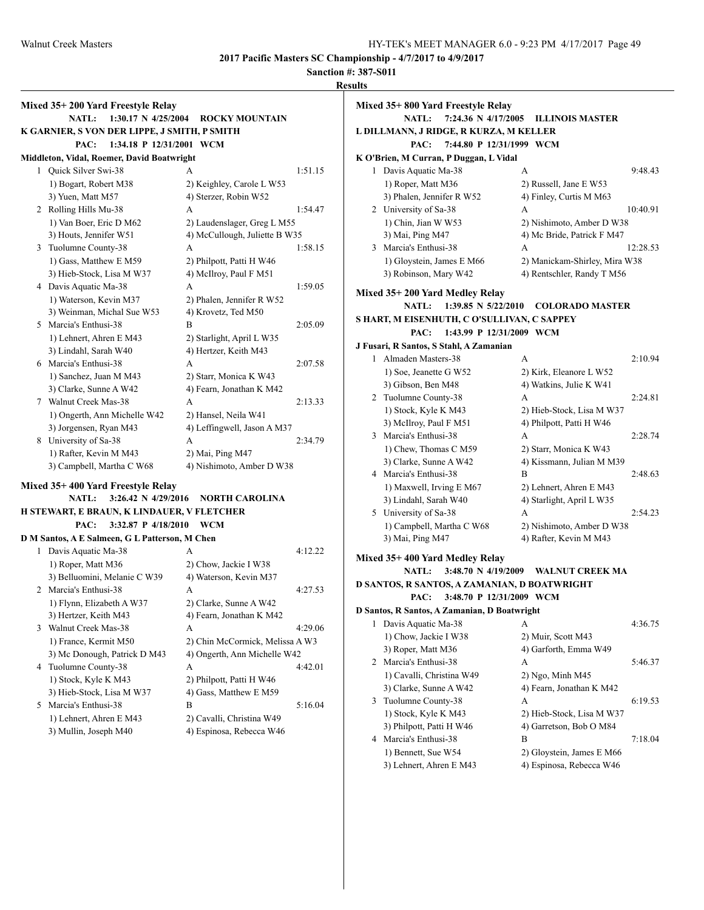**Sanction #: 387-S011**

| Mixed 35+200 Yard Freestyle Relay<br>$1:30.17 \text{ N } 4/25/2004$<br><b>NATL:</b><br>K GARNIER, S VON DER LIPPE, J SMITH, P SMITH | <b>ROCKY MOUNTAIN</b>           |         | Mixed 35+800 Yard Freestyle Relay<br>L DILLMANN, J RIDGE, R KURZA, M KELLER | NATL: 7:24.36 N 4/17/2005 ILLINOIS MASTER |
|-------------------------------------------------------------------------------------------------------------------------------------|---------------------------------|---------|-----------------------------------------------------------------------------|-------------------------------------------|
| 1:34.18 P 12/31/2001 WCM<br>PAC:                                                                                                    |                                 |         | PAC:                                                                        | 7:44.80 P 12/31/1999 WCM                  |
| Middleton, Vidal, Roemer, David Boatwright                                                                                          |                                 |         | K O'Brien, M Curran, P Duggan, L Vidal                                      |                                           |
| 1 Ouick Silver Swi-38                                                                                                               | A                               | 1:51.15 | 1 Davis Aquatic Ma-38                                                       | A                                         |
| 1) Bogart, Robert M38                                                                                                               | 2) Keighley, Carole L W53       |         | 1) Roper, Matt M36                                                          | 2) Russell, Jane E W53                    |
| 3) Yuen, Matt M57                                                                                                                   | 4) Sterzer, Robin W52           |         | 3) Phalen, Jennifer R W52                                                   | 4) Finley, Curtis M M63                   |
| 2 Rolling Hills Mu-38                                                                                                               | A                               | 1:54.47 | 2 University of Sa-38                                                       | A                                         |
| 1) Van Boer, Eric D M62                                                                                                             | 2) Laudenslager, Greg L M55     |         | 1) Chin, Jian W W53                                                         | 2) Nishimoto, Amber D W                   |
| 3) Houts, Jennifer W51                                                                                                              | 4) McCullough, Juliette B W35   |         | 3) Mai, Ping M47                                                            | 4) Mc Bride, Patrick F M4                 |
| 3 Tuolumne County-38                                                                                                                | A                               | 1:58.15 | 3 Marcia's Enthusi-38                                                       | A                                         |
| 1) Gass, Matthew E M59                                                                                                              | 2) Philpott, Patti H W46        |         | 1) Gloystein, James E M66                                                   | 2) Manickam-Shirley, Mira                 |
| 3) Hieb-Stock, Lisa M W37                                                                                                           | 4) McIlroy, Paul F M51          |         | 3) Robinson, Mary W42                                                       | 4) Rentschler, Randy T M:                 |
| 4 Davis Aquatic Ma-38                                                                                                               | A                               | 1:59.05 |                                                                             |                                           |
| 1) Waterson, Kevin M37                                                                                                              | 2) Phalen, Jennifer R W52       |         | Mixed 35+200 Yard Medley Relay                                              |                                           |
| 3) Weinman, Michal Sue W53                                                                                                          | 4) Krovetz, Ted M50             |         | NATL: 1:39.85 N 5/22/2010                                                   | <b>COLORADO MASTI</b>                     |
| 5 Marcia's Enthusi-38                                                                                                               | B                               | 2:05.09 | S HART, M EISENHUTH, C O'SULLIVAN, C SAPPEY                                 |                                           |
| 1) Lehnert, Ahren E M43                                                                                                             | 2) Starlight, April L W35       |         | PAC:                                                                        | 1:43.99 P 12/31/2009 WCM                  |
| 3) Lindahl, Sarah W40                                                                                                               | 4) Hertzer, Keith M43           |         | J Fusari, R Santos, S Stahl, A Zamanian                                     |                                           |
| 6 Marcia's Enthusi-38                                                                                                               | A                               | 2:07.58 | 1 Almaden Masters-38                                                        | A                                         |
| 1) Sanchez, Juan M M43                                                                                                              | 2) Starr, Monica K W43          |         | 1) Soe, Jeanette G W52                                                      | 2) Kirk, Eleanore L W52                   |
| 3) Clarke, Sunne A W42                                                                                                              | 4) Fearn, Jonathan K M42        |         | 3) Gibson, Ben M48                                                          | 4) Watkins, Julie K W41                   |
| 7 Walnut Creek Mas-38                                                                                                               | A                               | 2:13.33 | 2 Tuolumne County-38                                                        | A                                         |
| 1) Ongerth, Ann Michelle W42                                                                                                        | 2) Hansel, Neila W41            |         | 1) Stock, Kyle K M43                                                        | 2) Hieb-Stock, Lisa M W3                  |
| 3) Jorgensen, Ryan M43                                                                                                              | 4) Leffingwell, Jason A M37     |         | 3) McIlroy, Paul F M51                                                      | 4) Philpott, Patti H W46                  |
| 8 University of Sa-38                                                                                                               | A                               | 2:34.79 | 3 Marcia's Enthusi-38                                                       | A                                         |
| 1) Rafter, Kevin M M43                                                                                                              | 2) Mai, Ping M47                |         | 1) Chew, Thomas C M59                                                       | 2) Starr, Monica K W43                    |
| 3) Campbell, Martha C W68                                                                                                           | 4) Nishimoto, Amber D W38       |         | 3) Clarke, Sunne A W42                                                      | 4) Kissmann, Julian M M3                  |
|                                                                                                                                     |                                 |         | 4 Marcia's Enthusi-38                                                       | B                                         |
| Mixed 35+400 Yard Freestyle Relay                                                                                                   |                                 |         | 1) Maxwell, Irving E M67                                                    | 2) Lehnert, Ahren E M43                   |
| $3:26.42 \text{ N } 4/29/2016$<br><b>NATL:</b>                                                                                      | NORTH CAROLINA                  |         | 3) Lindahl, Sarah W40                                                       | 4) Starlight, April L W35                 |
| H STEWART, E BRAUN, K LINDAUER, V FLETCHER                                                                                          |                                 |         | 5 University of Sa-38                                                       | А                                         |
| 3:32.87 P 4/18/2010 WCM<br>PAC:                                                                                                     |                                 |         | 1) Campbell, Martha C W68                                                   | 2) Nishimoto, Amber D W                   |
| D M Santos, A E Salmeen, G L Patterson, M Chen                                                                                      |                                 |         | 3) Mai, Ping M47                                                            | 4) Rafter, Kevin M M43                    |
| 1 Davis Aquatic Ma-38                                                                                                               | A                               | 4:12.22 |                                                                             |                                           |
| 1) Roper, Matt M36                                                                                                                  | 2) Chow, Jackie I W38           |         | Mixed 35+400 Yard Medley Relay                                              |                                           |
| 3) Belluomini, Melanie C W39                                                                                                        | 4) Waterson, Kevin M37          |         | <b>NATL:</b>                                                                | 3:48.70 N 4/19/2009 WALNUT CREEK M        |
| 2 Marcia's Enthusi-38                                                                                                               | A                               | 4:27.53 | D SANTOS, R SANTOS, A ZAMANIAN, D BOATWRIGHT                                |                                           |
| 1) Flynn, Elizabeth A W37                                                                                                           | 2) Clarke, Sunne A W42          |         | PAC:                                                                        | 3:48.70 P 12/31/2009 WCM                  |
| 3) Hertzer, Keith M43                                                                                                               | 4) Fearn, Jonathan K M42        |         | D Santos, R Santos, A Zamanian, D Boatwright                                |                                           |
| 3 Walnut Creek Mas-38                                                                                                               | A                               | 4:29.06 | 1 Davis Aquatic Ma-38                                                       | A                                         |
| 1) France, Kermit M50                                                                                                               | 2) Chin McCormick, Melissa A W3 |         | 1) Chow, Jackie I W38                                                       | 2) Muir, Scott M43                        |
| 3) Mc Donough, Patrick D M43                                                                                                        | 4) Ongerth, Ann Michelle W42    |         | 3) Roper, Matt M36                                                          | 4) Garforth, Emma W49                     |
| 4 Tuolumne County-38                                                                                                                | A                               | 4:42.01 | 2 Marcia's Enthusi-38                                                       | А                                         |
| 1) Stock, Kyle K M43                                                                                                                | 2) Philpott, Patti H W46        |         | 1) Cavalli, Christina W49                                                   | 2) Ngo, Minh M45                          |
| 3) Hieb-Stock, Lisa M W37                                                                                                           | 4) Gass, Matthew E M59          |         | 3) Clarke, Sunne A W42                                                      | 4) Fearn, Jonathan K M42                  |
| 5 Marcia's Enthusi-38                                                                                                               | B                               | 5:16.04 | 3 Tuolumne County-38                                                        | A                                         |
| 1) Lehnert, Ahren E M43                                                                                                             | 2) Cavalli, Christina W49       |         | 1) Stock, Kyle K M43                                                        | 2) Hieb-Stock, Lisa M W3                  |
| 3) Mullin, Joseph M40                                                                                                               | 4) Espinosa, Rebecca W46        |         | 3) Philpott, Patti H W46                                                    | 4) Garretson, Bob O M84                   |
|                                                                                                                                     |                                 |         | 4 Marcia's Enthusi-38                                                       | <sub>B</sub>                              |

**LA, M KELLER PAC: 7:44.80 P 12/31/1999 WCM L** Vidal 1 Davis Aquatic Ma-38 A 9:48.43 2) Russell, Jane E W53 4) Finley, Curtis M M63 2 A 10:40.91 2) Nishimoto, Amber D W38 4) Mc Bride, Patrick F M47 A 12:28.53 2) Manickam-Shirley, Mira W38 4) Rentschler, Randy T M56 e**lay NATL: 1:39.85 N 5/22/2010 COLORADO MASTER JLLIVAN, C SAPPEY PAC: 1:43.99 P 12/31/2009 WCM J Fusari, R Santos, S Stahl, A Zamanian** 1 Almaden Masters-38 A 2:10.94 2) Kirk, Eleanore L W52 4) Watkins, Julie K W41 2 Tuolumne County-38 A 2:24.81 2) Hieb-Stock, Lisa M W37 4) Philpott, Patti H W46 3 Marcia's Enthusi-38 A 2:28.74 2) Starr, Monica K W43 4) Kissmann, Julian M M39 4 Marcia's Enthusi-38 B 2:48.63 2) Lehnert, Ahren E M43 4) Starlight, April L W35 5 University of Sa-38 A 2:54.23 2) Nishimoto, Amber D W38 4) Rafter, Kevin M M43 **NATL: 3:48.70 N 4/19/2009 WALNUT CREEK MA NIAN, D BOATWRIGHT PAC: 3:48.70 P 12/31/2009 WCM D** Boatwright 1 Davis Aquatic Ma-38 A 4:36.75 2) Muir, Scott M43 4) Garforth, Emma W49 2 Marcia's Enthusi-38 A 5:46.37 2) Ngo, Minh M45 4) Fearn, Jonathan K M42 3 Tuolumne County-38 A 6:19.53 2) Hieb-Stock, Lisa M W37 4) Garretson, Bob O M84

4 Marcia's Enthusi-38 B 7:18.04

1) Bennett, Sue W54 2) Gloystein, James E M66 3) Lehnert, Ahren E M43 4) Espinosa, Rebecca W46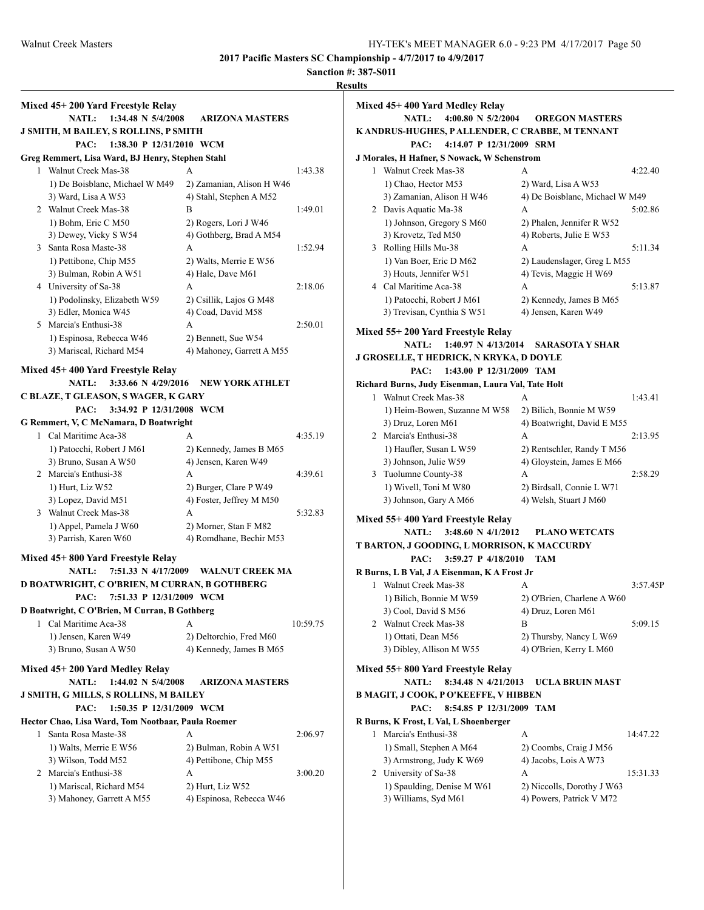|                                                    |                                     | Resu     |
|----------------------------------------------------|-------------------------------------|----------|
| Mixed 45+200 Yard Freestyle Relay                  |                                     |          |
| <b>NATL:</b><br>1:34.48 N 5/4/2008                 | <b>ARIZONA MASTERS</b>              |          |
| J SMITH, M BAILEY, S ROLLINS, P SMITH              |                                     |          |
| PAC:<br>1:38.30 P 12/31/2010 WCM                   |                                     |          |
| Greg Remmert, Lisa Ward, BJ Henry, Stephen Stahl   |                                     |          |
| 1 Walnut Creek Mas-38                              | А                                   | 1:43.38  |
| 1) De Boisblanc, Michael W M49                     | 2) Zamanian, Alison H W46           |          |
| 3) Ward, Lisa A W53                                | 4) Stahl, Stephen A M52             |          |
| 2 Walnut Creek Mas-38                              | B                                   | 1:49.01  |
| 1) Bohm, Eric C M50                                | 2) Rogers, Lori J W46               |          |
| 3) Dewey, Vicky S W54                              | 4) Gothberg, Brad A M54             |          |
| 3 Santa Rosa Maste-38                              | A                                   | 1:52.94  |
| 1) Pettibone, Chip M55                             | 2) Walts, Merrie E W56              |          |
| 3) Bulman, Robin A W51                             | 4) Hale, Dave M61                   |          |
| 4 University of Sa-38                              | A                                   | 2:18.06  |
| 1) Podolinsky, Elizabeth W59                       | 2) Csillik, Lajos G M48             |          |
| 3) Edler, Monica W45                               | 4) Coad, David M58                  |          |
| 5 Marcia's Enthusi-38                              | A                                   | 2:50.01  |
| 1) Espinosa, Rebecca W46                           | 2) Bennett, Sue W54                 |          |
| 3) Mariscal, Richard M54                           | 4) Mahoney, Garrett A M55           |          |
| Mixed 45+400 Yard Freestyle Relay                  |                                     |          |
| <b>NATL:</b><br>3:33.66 N 4/29/2016                | <b>NEW YORK ATHLET</b>              |          |
| C BLAZE, T GLEASON, S WAGER, K GARY                |                                     |          |
| 3:34.92 P 12/31/2008 WCM<br>PAC:                   |                                     |          |
| G Remmert, V, C McNamara, D Boatwright             |                                     |          |
| 1 Cal Maritime Aca-38                              | A                                   | 4:35.19  |
| 1) Patocchi, Robert J M61                          | 2) Kennedy, James B M65             |          |
| 3) Bruno, Susan A W50                              | 4) Jensen, Karen W49                |          |
| 2 Marcia's Enthusi-38                              | A                                   | 4:39.61  |
| 1) Hurt, Liz W52                                   | 2) Burger, Clare P W49              |          |
| 3) Lopez, David M51                                | 4) Foster, Jeffrey M M50            |          |
| 3 Walnut Creek Mas-38                              | A                                   | 5:32.83  |
| 1) Appel, Pamela J W60                             | 2) Morner, Stan F M82               |          |
| 3) Parrish, Karen W60                              | 4) Romdhane, Bechir M53             |          |
|                                                    |                                     |          |
| Mixed 45+800 Yard Freestyle Relay                  |                                     |          |
| <b>NATL:</b>                                       | 7:51.33 N 4/17/2009 WALNUT CREEK MA |          |
| D BOATWRIGHT, C O'BRIEN, M CURRAN, B GOTHBERG      |                                     |          |
| PAC: 7:51.33 P 12/31/2009 WCM                      |                                     |          |
| D Boatwright, C O'Brien, M Curran, B Gothberg      |                                     |          |
| 1 Cal Maritime Aca-38                              | A                                   | 10:59.75 |
| 1) Jensen, Karen W49                               | 2) Deltorchio, Fred M60             |          |
| 3) Bruno, Susan A W50                              | 4) Kennedy, James B M65             |          |
| Mixed 45+200 Yard Medley Relay                     |                                     |          |
| <b>NATL:</b><br>1:44.02 N $5/4/2008$               | <b>ARIZONA MASTERS</b>              |          |
| J SMITH, G MILLS, S ROLLINS, M BAILEY              |                                     |          |
| PAC:<br>1:50.35 P 12/31/2009 WCM                   |                                     |          |
| Hector Chao, Lisa Ward, Tom Nootbaar, Paula Roemer |                                     |          |
| Santa Rosa Maste-38<br>1                           | А                                   | 2:06.97  |
| 1) Walts, Merrie E W56                             | 2) Bulman, Robin A W51              |          |
| 3) Wilson, Todd M52                                | 4) Pettibone, Chip M55              |          |
| 2 Marcia's Enthusi-38                              | A                                   | 3:00.20  |
| 1) Mariscal, Richard M54                           | 2) Hurt, Liz W52                    |          |
| 3) Mahoney, Garrett A M55                          | 4) Espinosa, Rebecca W46            |          |
|                                                    |                                     |          |
|                                                    |                                     |          |

|   | Mixed 45+ 400 Yard Medley Relay                                      |                                                    |          |
|---|----------------------------------------------------------------------|----------------------------------------------------|----------|
|   | <b>NATL:</b><br>4:00.80 N $5/2/2004$                                 | <b>OREGON MASTERS</b>                              |          |
|   | K ANDRUS-HUGHES, P ALLENDER, C CRABBE, M TENNANT                     |                                                    |          |
|   | PAC:<br>4:14.07 P 12/31/2009 SRM                                     |                                                    |          |
|   | J Morales, H Hafner, S Nowack, W Schenstrom<br>1 Walnut Creek Mas-38 | А                                                  | 4:22.40  |
|   | 1) Chao, Hector M53                                                  | 2) Ward, Lisa A W53                                |          |
|   | 3) Zamanian, Alison H W46                                            | 4) De Boisblanc, Michael W M49                     |          |
|   | 2 Davis Aquatic Ma-38                                                | A                                                  | 5:02.86  |
|   | 1) Johnson, Gregory S M60                                            | 2) Phalen, Jennifer R W52                          |          |
|   | 3) Krovetz, Ted M50                                                  | 4) Roberts, Julie E W53                            |          |
| 3 | Rolling Hills Mu-38                                                  | A                                                  | 5:11.34  |
|   | 1) Van Boer, Eric D M62                                              | 2) Laudenslager, Greg L M55                        |          |
|   | 3) Houts, Jennifer W51                                               | 4) Tevis, Maggie H W69                             |          |
|   | 4 Cal Maritime Aca-38                                                | A                                                  | 5:13.87  |
|   | 1) Patocchi, Robert J M61                                            | 2) Kennedy, James B M65                            |          |
|   | 3) Trevisan, Cynthia S W51                                           | 4) Jensen, Karen W49                               |          |
|   | <b>Mixed 55+ 200 Yard Freestyle Relay</b>                            |                                                    |          |
|   | 1:40.97 N 4/13/2014<br><b>NATL:</b>                                  | <b>SARASOTA Y SHAR</b>                             |          |
|   | <b>J GROSELLE, T HEDRICK, N KRYKA, D DOYLE</b>                       |                                                    |          |
|   | 1:43.00 P 12/31/2009 TAM<br>PAC:                                     |                                                    |          |
|   | Richard Burns, Judy Eisenman, Laura Val, Tate Holt                   |                                                    |          |
|   | 1 Walnut Creek Mas-38                                                | A                                                  | 1:43.41  |
|   | 1) Heim-Bowen, Suzanne M W58                                         | 2) Bilich, Bonnie M W59                            |          |
|   | 3) Druz, Loren M61                                                   | 4) Boatwright, David E M55                         |          |
|   | 2 Marcia's Enthusi-38                                                | A                                                  | 2:13.95  |
|   | 1) Haufler, Susan L W59                                              | 2) Rentschler, Randy T M56                         |          |
|   | 3) Johnson, Julie W59                                                | 4) Gloystein, James E M66                          |          |
| 3 | Tuolumne County-38                                                   | A                                                  | 2:58.29  |
|   | 1) Wivell, Toni M W80                                                | 2) Birdsall, Connie L W71                          |          |
|   | 3) Johnson, Gary A M66                                               | 4) Welsh, Stuart J M60                             |          |
|   | Mixed 55+ 400 Yard Freestyle Relay                                   |                                                    |          |
|   | <b>NATL:</b><br>3:48.60 N $4/1/2012$                                 | <b>PLANO WETCATS</b>                               |          |
|   | T BARTON, J GOODING, L MORRISON, K MACCURDY                          |                                                    |          |
|   | PAC:<br>3:59.27 P 4/18/2010                                          | <b>TAM</b>                                         |          |
|   | R Burns, L B Val, J A Eisenman, K A Frost Jr                         |                                                    |          |
| 1 | Walnut Creek Mas-38                                                  | A                                                  | 3:57.45P |
|   | 1) Bilich, Bonnie M W59                                              | 2) O'Brien, Charlene A W60                         |          |
|   | 3) Cool, David S M56                                                 | 4) Druz, Loren M61                                 |          |
|   | 2 Walnut Creek Mas-38<br>1) Ottati, Dean M56                         | B                                                  | 5:09.15  |
|   | 3) Dibley, Allison M W55                                             | 2) Thursby, Nancy L W69<br>4) O'Brien, Kerry L M60 |          |
|   |                                                                      |                                                    |          |
|   | Mixed 55+ 800 Yard Freestyle Relay                                   |                                                    |          |
|   | <b>NATL:</b><br>8:34.48 N 4/21/2013                                  | UCLA BRUIN MAST                                    |          |
|   | B MAGIT, J COOK, P O'KEEFFE, V HIBBEN                                |                                                    |          |
|   | PAC:<br>8:54.85 P 12/31/2009 TAM                                     |                                                    |          |
|   | R Burns, K Frost, L Val, L Shoenberger                               |                                                    |          |
| 1 | Marcia's Enthusi-38                                                  | A                                                  | 14:47.22 |
|   | 1) Small, Stephen A M64                                              | 2) Coombs, Craig J M56                             |          |
|   | 3) Armstrong, Judy K W69                                             | 4) Jacobs, Lois A W73                              |          |
|   | 2 University of Sa-38<br>1) Spaulding, Denise M W61                  | A<br>2) Niccolls, Dorothy J W63                    | 15:31.33 |
|   | 3) Williams, Syd M61                                                 | 4) Powers, Patrick V M72                           |          |
|   |                                                                      |                                                    |          |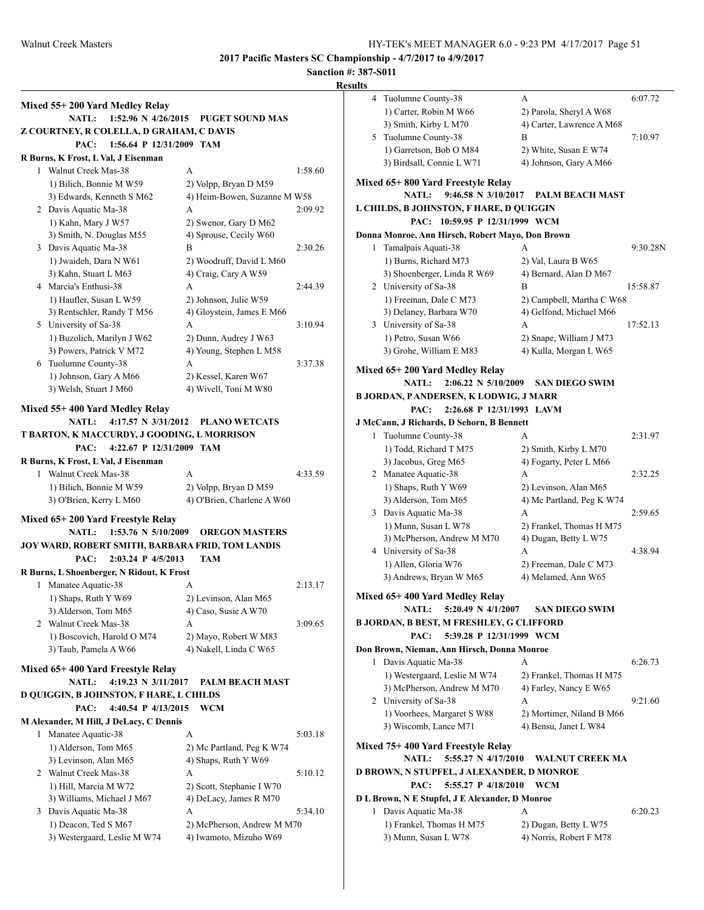|   | Mixed 55+200 Yard Medley Relay                                               |                              |              |
|---|------------------------------------------------------------------------------|------------------------------|--------------|
|   | $1:52.96 \text{ N } 4/26/2015$<br><b>NATL:</b>                               | <b>PUGET SOUND MAS</b>       |              |
|   | Z COURTNEY, R COLELLA, D GRAHAM, C DAVIS<br>PAC:<br>1:56.64 P 12/31/2009 TAM |                              |              |
|   | R Burns, K Frost, L Val, J Eisenman                                          |                              |              |
|   | 1 Walnut Creek Mas-38                                                        | A                            | 1:58.60      |
|   | 1) Bilich, Bonnie M W59                                                      | 2) Volpp, Bryan D M59        | ľ            |
|   | 3) Edwards, Kenneth S M62                                                    | 4) Heim-Bowen, Suzanne M W58 |              |
|   | 2 Davis Aquatic Ma-38                                                        | A                            | I<br>2:09.92 |
|   | 1) Kahn, Mary J W57                                                          | 2) Swenor, Gary D M62        |              |
|   | 3) Smith, N. Douglas M55                                                     | 4) Sprouse, Cecily W60       | I            |
|   | 3 Davis Aquatic Ma-38                                                        | B                            | 2:30.26      |
|   | 1) Jwaideh, Dara N W61                                                       | 2) Woodruff, David L M60     |              |
|   | 3) Kahn, Stuart L M63                                                        | 4) Craig, Cary A W59         |              |
|   | 4 Marcia's Enthusi-38                                                        | A                            | 2:44.39      |
|   | 1) Haufler, Susan L W59                                                      | 2) Johnson, Julie W59        |              |
|   | 3) Rentschler, Randy T M56                                                   | 4) Gloystein, James E M66    |              |
|   | 5 University of Sa-38                                                        | A                            | 3:10.94      |
|   | 1) Buzolich, Marilyn J W62                                                   | 2) Dunn, Audrey J W63        |              |
|   | 3) Powers, Patrick V M72                                                     | 4) Young, Stephen L M58      |              |
|   | 6 Tuolumne County-38                                                         | A                            | 3:37.38      |
|   | 1) Johnson, Gary A M66                                                       | 2) Kessel, Karen W67         | ľ            |
|   | 3) Welsh, Stuart J M60                                                       | 4) Wivell, Toni M W80        |              |
|   | Mixed 55+400 Yard Medley Relay                                               |                              | I            |
|   | 4:17.57 N 3/31/2012<br><b>NATL:</b>                                          | <b>PLANO WETCATS</b>         |              |
|   | T BARTON, K MACCURDY, J GOODING, L MORRISON                                  |                              | J            |
|   | PAC:<br>4:22.67 P 12/31/2009 TAM                                             |                              |              |
|   | R Burns, K Frost, L Val, J Eisenman                                          |                              |              |
|   | 1 Walnut Creek Mas-38                                                        | A                            | 4:33.59      |
|   | 1) Bilich, Bonnie M W59                                                      | 2) Volpp, Bryan D M59        |              |
|   | 3) O'Brien, Kerry L M60                                                      | 4) O'Brien, Charlene A W60   |              |
|   |                                                                              |                              |              |
|   | Mixed 65+200 Yard Freestyle Relay                                            |                              |              |
|   | <b>NATL:</b><br>1:53.76 N 5/10/2009                                          | <b>OREGON MASTERS</b>        |              |
|   | JOY WARD, ROBERT SMITH, BARBARA FRID, TOM LANDIS                             |                              |              |
|   | PAC:<br>2:03.24 P 4/5/2013                                                   | <b>TAM</b>                   |              |
|   | R Burns, L Shoenberger, N Ridout, K Frost                                    |                              |              |
|   | 1 Manatee Aquatic-38                                                         | А                            | 2:13.17      |
|   | 1) Shaps, Ruth Y W69                                                         | 2) Levinson, Alan M65        | ľ            |
|   | 3) Alderson, Tom M65                                                         | 4) Caso, Susie A W70         |              |
|   | 2 Walnut Creek Mas-38                                                        | A                            | I<br>3:09.65 |
|   | 1) Boscovich, Harold O M74                                                   | 2) Mayo, Robert W M83        |              |
|   | 3) Taub, Pamela A W66                                                        | 4) Nakell, Linda C W65       | Ι            |
|   | Mixed 65+400 Yard Freestyle Relay                                            |                              |              |
|   | <b>NATL:</b><br>4:19.23 N 3/11/2017                                          | <b>PALM BEACH MAST</b>       |              |
|   | <b>D QUIGGIN, B JOHNSTON, F HARE, L CHILDS</b>                               |                              |              |
|   | 4:40.54 P 4/13/2015<br>PAC:                                                  | <b>WCM</b>                   |              |
|   | M Alexander, M Hill, J DeLacy, C Dennis                                      |                              |              |
|   | 1 Manatee Aquatic-38                                                         | А                            | 5:03.18      |
|   | 1) Alderson, Tom M65                                                         | 2) Mc Partland, Peg K W74    | ľ            |
|   | 3) Levinson, Alan M65                                                        | 4) Shaps, Ruth Y W69         |              |
|   | 2 Walnut Creek Mas-38                                                        | А                            | I<br>5:10.12 |
|   | 1) Hill, Marcia M W72                                                        | 2) Scott, Stephanie I W70    |              |
|   | 3) Williams, Michael J M67                                                   | 4) DeLacy, James R M70       | I            |
| 3 | Davis Aquatic Ma-38                                                          | A                            | 5:34.10      |
|   | 1) Deacon, Ted S M67                                                         | 2) McPherson, Andrew M M70   |              |
|   | 3) Westergaard, Leslie M W74                                                 | 4) Iwamoto, Mizuho W69       |              |
|   |                                                                              |                              |              |

| 4                                         | Tuolumne County-38                               | A                         | 6:07.72  |  |
|-------------------------------------------|--------------------------------------------------|---------------------------|----------|--|
|                                           | 1) Carter, Robin M W66                           | 2) Parola, Sheryl A W68   |          |  |
|                                           | 3) Smith, Kirby L M70                            | 4) Carter, Lawrence A M68 |          |  |
| 5                                         | Tuolumne County-38                               | В                         | 7:10.97  |  |
|                                           | 1) Garretson, Bob O M84                          | 2) White, Susan E W74     |          |  |
|                                           | 3) Birdsall, Connie L W71                        | 4) Johnson, Gary A M66    |          |  |
|                                           | Mixed 65+ 800 Yard Freestyle Relay               |                           |          |  |
|                                           | <b>NATL:</b><br>9:46.58 N 3/10/2017              | <b>PALM BEACH MAST</b>    |          |  |
|                                           | L CHILDS, B JOHNSTON, F HARE, D QUIGGIN          |                           |          |  |
|                                           | PAC: 10:59.95 P 12/31/1999 WCM                   |                           |          |  |
|                                           | Donna Monroe, Ann Hirsch, Robert Mayo, Don Brown |                           |          |  |
| 1                                         | Tamalpais Aquati-38                              | А                         | 9:30.28N |  |
|                                           | 1) Burns, Richard M73                            | 2) Val, Laura B W65       |          |  |
|                                           | 3) Shoenberger, Linda R W69                      | 4) Bernard, Alan D M67    |          |  |
|                                           | 2 University of Sa-38                            | B                         | 15:58.87 |  |
|                                           | 1) Freeman, Dale C M73                           | 2) Campbell, Martha C W68 |          |  |
|                                           | 3) Delaney, Barbara W70                          | 4) Gelfond, Michael M66   |          |  |
|                                           | 3 University of Sa-38                            | А                         | 17:52.13 |  |
|                                           | 1) Petro, Susan W66                              | 2) Snape, William J M73   |          |  |
|                                           | 3) Grohe, William E M83                          | 4) Kulla, Morgan L W65    |          |  |
|                                           | Mixed 65+200 Yard Medley Relay                   |                           |          |  |
|                                           | $2:06.22 \text{ N } 5/10/2009$<br><b>NATL:</b>   | <b>SAN DIEGO SWIM</b>     |          |  |
|                                           | B JORDAN, P ANDERSEN, K LODWIG, J MARR           |                           |          |  |
|                                           | 2:26.68 P 12/31/1993 LAVM<br>PAC:                |                           |          |  |
|                                           | J McCann, J Richards, D Sehorn, B Bennett        |                           |          |  |
| 1                                         | Tuolumne County-38                               | А                         | 2:31.97  |  |
|                                           | 1) Todd, Richard T M75                           | 2) Smith, Kirby L M70     |          |  |
|                                           | 3) Jacobus, Greg M65                             | 4) Fogarty, Peter L M66   |          |  |
|                                           | 2 Manatee Aquatic-38                             | A                         | 2:32.25  |  |
|                                           | 1) Shaps, Ruth Y W69                             | 2) Levinson, Alan M65     |          |  |
|                                           | 3) Alderson, Tom M65                             | 4) Mc Partland, Peg K W74 |          |  |
| 3                                         | Davis Aquatic Ma-38                              | A                         | 2:59.65  |  |
|                                           | 1) Munn, Susan L W78                             | 2) Frankel, Thomas H M75  |          |  |
|                                           | 3) McPherson, Andrew M M70                       | 4) Dugan, Betty L W75     |          |  |
| 4                                         | University of Sa-38                              | А                         | 4:38.94  |  |
|                                           | 1) Allen, Gloria W76                             | 2) Freeman, Dale C M73    |          |  |
|                                           | 3) Andrews, Bryan W M65                          | 4) Melamed, Ann W65       |          |  |
|                                           | Mixed 65+ 400 Yard Medley Relay                  |                           |          |  |
|                                           | NATL:<br>5:20.49 N 4/1/2007                      | <b>SAN DIEGO SWIM</b>     |          |  |
|                                           | <b>B JORDAN, B BEST, M FRESHLEY, G CLIFFORD</b>  |                           |          |  |
|                                           | PAC:<br>5:39.28 P 12/31/1999 WCM                 |                           |          |  |
|                                           | Don Brown, Nieman, Ann Hirsch, Donna Monroe      |                           |          |  |
| 1                                         | Davis Aquatic Ma-38                              | A                         | 6:26.73  |  |
|                                           | 1) Westergaard, Leslie M W74                     | 2) Frankel, Thomas H M75  |          |  |
|                                           | 3) McPherson, Andrew M M70                       | 4) Farley, Nancy E W65    |          |  |
|                                           | 2 University of Sa-38                            | A                         | 9:21.60  |  |
|                                           | 1) Voorhees, Margaret S W88                      | 2) Mortimer, Niland B M66 |          |  |
|                                           | 3) Wiscomb, Lance M71                            | 4) Bensu, Janet L W84     |          |  |
|                                           | Mixed 75+ 400 Yard Freestyle Relay               |                           |          |  |
|                                           | 5:55.27 N 4/17/2010<br><b>NATL:</b>              | <b>WALNUT CREEK MA</b>    |          |  |
| D BROWN, N STUPFEL, J ALEXANDER, D MONROE |                                                  |                           |          |  |
| PAC:<br>5:55.27 P 4/18/2010<br>WCM        |                                                  |                           |          |  |
|                                           | D L Brown, N E Stupfel, J E Alexander, D Monroe  |                           |          |  |
|                                           | 1 Davis Aquatic Ma-38                            | A                         | 6:20.23  |  |
|                                           | 1) Frankel, Thomas H M75                         | 2) Dugan, Betty L W75     |          |  |
|                                           | 3) Munn, Susan L W78                             | 4) Norris, Robert F M78   |          |  |